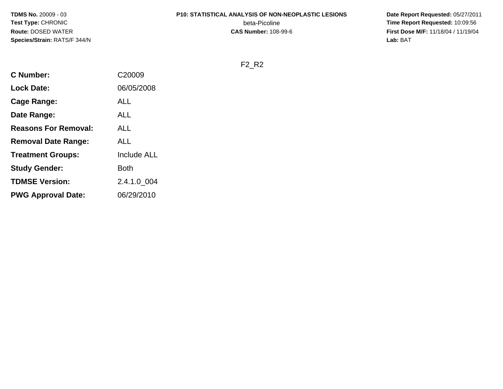#### **P10: STATISTICAL ANALYSIS OF NON-NEOPLASTIC LESIONS**

beta-Picoline<br>CAS Number: 108-99-6

 **Date Report Requested:** 05/27/2011 **Time Report Requested:** 10:09:56 **First Dose M/F:** 11/18/04 / 11/19/04<br>**Lab:** BAT **Lab:** BAT

F2\_R2

| <b>C</b> Number:            | C20009             |
|-----------------------------|--------------------|
| <b>Lock Date:</b>           | 06/05/2008         |
| Cage Range:                 | ALL                |
| Date Range:                 | ALL                |
| <b>Reasons For Removal:</b> | ALL                |
| <b>Removal Date Range:</b>  | ALL                |
| <b>Treatment Groups:</b>    | <b>Include ALL</b> |
| <b>Study Gender:</b>        | Both               |
| <b>TDMSE Version:</b>       | 2.4.1.0 004        |
| <b>PWG Approval Date:</b>   | 06/29/2010         |
|                             |                    |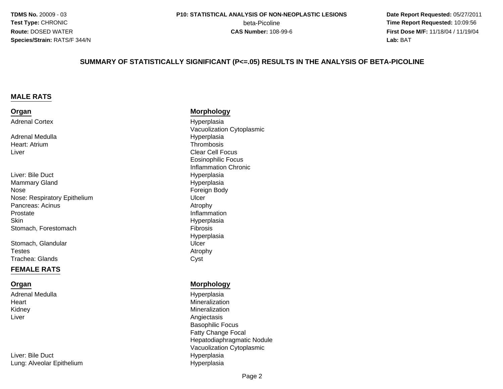**Date Report Requested:** 05/27/2011 **beta-Picoline**<br> **CAS Number:** 108-99-6<br> **CAS Number:** 108-99-6<br> **CAS Number:** 108-99-6 **First Dose M/F:** 11/18/04 / 11/19/04 Lab: BAT **Lab:** BAT

#### **SUMMARY OF STATISTICALLY SIGNIFICANT (P<=.05) RESULTS IN THE ANALYSIS OF BETA-PICOLINE**

#### **MALE RATS**

#### **Organ**Adrenal Cortex

Adrenal MedullaHeart: AtriumLiver

#### Liver: Bile Duct Hyperplasia Mammary GlandNoseNose: Respiratory EpitheliumPancreas: Acinuss Atrophy Prostate**Skin** Stomach, Forestomach

Stomach, Glandular**Testes** s Atrophy Trachea: Glandss Cyst

#### **FEMALE RATS**

#### **Organ**

Adrenal MedullaHeartKidneyLiver

Liver: Bile DuctLung: Alveolar Epithelium

#### **Morphology**

 Hyperplasia Vacuolization CytoplasmicHyperplasia<br>Thrombosis m<br>Thrombosis and the contract of the contract of the contract of the contract of the contract of the contract of<br>The contract of the contract of the contract of the contract of the contract of the contract of the contract Clear Cell Focus Eosinophilic Focus Inflammation Chronic Hyperplasia Foreign Body m Ulcer<br>Atrac Inflammation Hyperplasia<br>Fibrosis h **Fibrosis** Hyperplasiar Ulcer

#### **Morphology**

 Hyperplasia Mineralization Mineralization Angiectasis Basophilic Focus Fatty Change Focal Hepatodiaphragmatic NoduleVacuolization Cytoplasmic Hyperplasiam Hyperplasia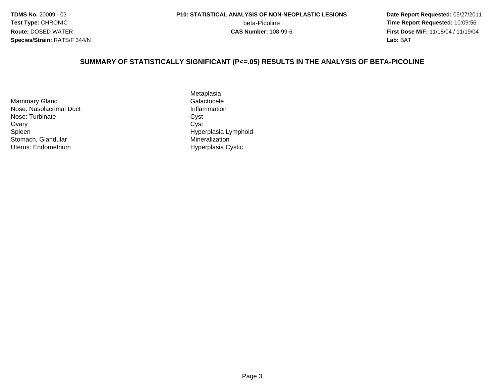**Date Report Requested:** 05/27/2011 **beta-Picoline**<br> **CAS Number:** 108-99-6<br> **CAS Number:** 108-99-6<br> **CAS Number:** 108-99-6 **First Dose M/F:** 11/18/04 / 11/19/04 Lab: BAT **Lab:** BAT

#### **SUMMARY OF STATISTICALLY SIGNIFICANT (P<=.05) RESULTS IN THE ANALYSIS OF BETA-PICOLINE**

Mammary GlandNose: Nasolacrimal DuctNose: Turbinatee Cyst Ovaryy Cyst SpleenStomach, GlandularUterus: Endometrium

Metaplasiad Galactocele Inflammation<br>Cyst Hyperplasia Lymphoid **Mineralization** Hyperplasia Cystic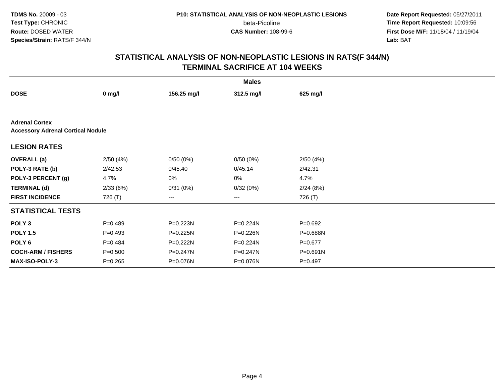beta-Picoline<br>CAS Number: 108-99-6

 **Date Report Requested:** 05/27/2011 **Time Report Requested:** 10:09:56 **First Dose M/F:** 11/18/04 / 11/19/04<br>**Lab:** BAT **Lab:** BAT

|                                                                   |             |              | <b>Males</b> |              |  |  |  |  |
|-------------------------------------------------------------------|-------------|--------------|--------------|--------------|--|--|--|--|
| <b>DOSE</b>                                                       | $0$ mg/l    | 156.25 mg/l  | 312.5 mg/l   | 625 mg/l     |  |  |  |  |
|                                                                   |             |              |              |              |  |  |  |  |
| <b>Adrenal Cortex</b><br><b>Accessory Adrenal Cortical Nodule</b> |             |              |              |              |  |  |  |  |
| <b>LESION RATES</b>                                               |             |              |              |              |  |  |  |  |
| <b>OVERALL (a)</b>                                                | 2/50(4%)    | 0/50(0%)     | 0/50(0%)     | 2/50(4%)     |  |  |  |  |
| POLY-3 RATE (b)                                                   | 2/42.53     | 0/45.40      | 0/45.14      | 2/42.31      |  |  |  |  |
| POLY-3 PERCENT (g)                                                | 4.7%        | $0\%$        | $0\%$        | 4.7%         |  |  |  |  |
| <b>TERMINAL (d)</b>                                               | 2/33(6%)    | 0/31(0%)     | 0/32(0%)     | 2/24(8%)     |  |  |  |  |
| <b>FIRST INCIDENCE</b>                                            | 726 (T)     | $---$        | ---          | 726 (T)      |  |  |  |  |
| <b>STATISTICAL TESTS</b>                                          |             |              |              |              |  |  |  |  |
| POLY <sub>3</sub>                                                 | $P=0.489$   | P=0.223N     | P=0.224N     | $P=0.692$    |  |  |  |  |
| <b>POLY 1.5</b>                                                   | $P = 0.493$ | $P = 0.225N$ | P=0.226N     | P=0.688N     |  |  |  |  |
| POLY <sub>6</sub>                                                 | $P=0.484$   | P=0.222N     | P=0.224N     | $P = 0.677$  |  |  |  |  |
| <b>COCH-ARM / FISHERS</b>                                         | $P = 0.500$ | P=0.247N     | P=0.247N     | $P = 0.691N$ |  |  |  |  |
| <b>MAX-ISO-POLY-3</b>                                             | $P = 0.265$ | P=0.076N     | P=0.076N     | $P=0.497$    |  |  |  |  |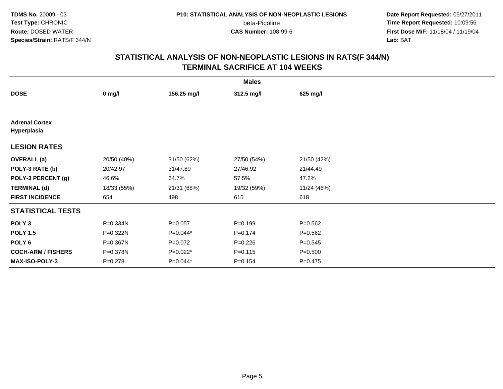beta-Picoline<br>CAS Number: 108-99-6

 **Date Report Requested:** 05/27/2011 **Time Report Requested:** 10:09:56 **First Dose M/F:** 11/18/04 / 11/19/04<br>**Lab:** BAT **Lab:** BAT

|                                      |             |             | <b>Males</b> |             |  |
|--------------------------------------|-------------|-------------|--------------|-------------|--|
| <b>DOSE</b>                          | $0$ mg/l    | 156.25 mg/l | 312.5 mg/l   | 625 mg/l    |  |
|                                      |             |             |              |             |  |
| <b>Adrenal Cortex</b><br>Hyperplasia |             |             |              |             |  |
| <b>LESION RATES</b>                  |             |             |              |             |  |
| <b>OVERALL</b> (a)                   | 20/50 (40%) | 31/50 (62%) | 27/50 (54%)  | 21/50 (42%) |  |
| POLY-3 RATE (b)                      | 20/42.97    | 31/47.89    | 27/46.92     | 21/44.49    |  |
| POLY-3 PERCENT (g)                   | 46.6%       | 64.7%       | 57.5%        | 47.2%       |  |
| <b>TERMINAL (d)</b>                  | 18/33 (55%) | 21/31 (68%) | 19/32 (59%)  | 11/24 (46%) |  |
| <b>FIRST INCIDENCE</b>               | 654         | 498         | 615          | 618         |  |
| <b>STATISTICAL TESTS</b>             |             |             |              |             |  |
| POLY <sub>3</sub>                    | P=0.334N    | $P = 0.057$ | $P = 0.199$  | $P = 0.562$ |  |
| <b>POLY 1.5</b>                      | P=0.322N    | $P=0.044*$  | $P = 0.174$  | $P = 0.562$ |  |
| POLY 6                               | P=0.367N    | $P=0.072$   | $P=0.226$    | $P = 0.545$ |  |
| <b>COCH-ARM / FISHERS</b>            | P=0.378N    | $P=0.022*$  | $P = 0.115$  | $P = 0.500$ |  |
| <b>MAX-ISO-POLY-3</b>                | $P = 0.278$ | P=0.044*    | $P = 0.154$  | $P = 0.475$ |  |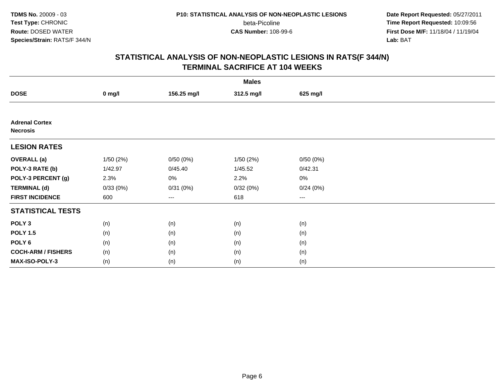beta-Picoline<br>CAS Number: 108-99-6

 **Date Report Requested:** 05/27/2011 **Time Report Requested:** 10:09:56 **First Dose M/F:** 11/18/04 / 11/19/04<br>**Lab:** BAT **Lab:** BAT

|                                          |          |             | <b>Males</b> |          |  |
|------------------------------------------|----------|-------------|--------------|----------|--|
| <b>DOSE</b>                              | $0$ mg/l | 156.25 mg/l | 312.5 mg/l   | 625 mg/l |  |
|                                          |          |             |              |          |  |
| <b>Adrenal Cortex</b><br><b>Necrosis</b> |          |             |              |          |  |
| <b>LESION RATES</b>                      |          |             |              |          |  |
| <b>OVERALL</b> (a)                       | 1/50(2%) | 0/50(0%)    | 1/50(2%)     | 0/50(0%) |  |
| POLY-3 RATE (b)                          | 1/42.97  | 0/45.40     | 1/45.52      | 0/42.31  |  |
| POLY-3 PERCENT (g)                       | 2.3%     | 0%          | 2.2%         | $0\%$    |  |
| <b>TERMINAL (d)</b>                      | 0/33(0%) | 0/31(0%)    | 0/32(0%)     | 0/24(0%) |  |
| <b>FIRST INCIDENCE</b>                   | 600      | $--$        | 618          | $---$    |  |
| <b>STATISTICAL TESTS</b>                 |          |             |              |          |  |
| POLY <sub>3</sub>                        | (n)      | (n)         | (n)          | (n)      |  |
| <b>POLY 1.5</b>                          | (n)      | (n)         | (n)          | (n)      |  |
| POLY <sub>6</sub>                        | (n)      | (n)         | (n)          | (n)      |  |
| <b>COCH-ARM / FISHERS</b>                | (n)      | (n)         | (n)          | (n)      |  |
| MAX-ISO-POLY-3                           | (n)      | (n)         | (n)          | (n)      |  |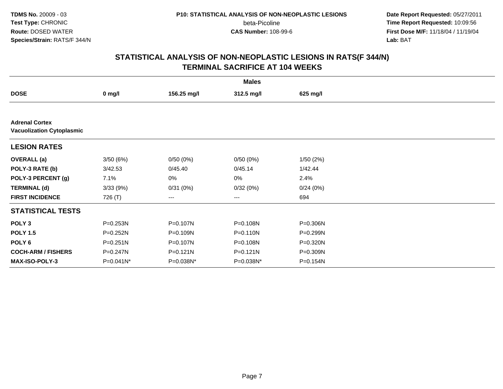beta-Picoline<br>CAS Number: 108-99-6

 **Date Report Requested:** 05/27/2011 **Time Report Requested:** 10:09:56 **First Dose M/F:** 11/18/04 / 11/19/04<br>**Lab:** BAT **Lab:** BAT

|                                                           |              |              | <b>Males</b> |              |  |  |  |  |
|-----------------------------------------------------------|--------------|--------------|--------------|--------------|--|--|--|--|
| <b>DOSE</b>                                               | $0$ mg/l     | 156.25 mg/l  | 312.5 mg/l   | 625 mg/l     |  |  |  |  |
|                                                           |              |              |              |              |  |  |  |  |
| <b>Adrenal Cortex</b><br><b>Vacuolization Cytoplasmic</b> |              |              |              |              |  |  |  |  |
| <b>LESION RATES</b>                                       |              |              |              |              |  |  |  |  |
| <b>OVERALL</b> (a)                                        | 3/50(6%)     | 0/50(0%)     | 0/50(0%)     | 1/50(2%)     |  |  |  |  |
| POLY-3 RATE (b)                                           | 3/42.53      | 0/45.40      | 0/45.14      | 1/42.44      |  |  |  |  |
| POLY-3 PERCENT (g)                                        | 7.1%         | 0%           | 0%           | 2.4%         |  |  |  |  |
| <b>TERMINAL (d)</b>                                       | 3/33(9%)     | 0/31(0%)     | 0/32(0%)     | 0/24(0%)     |  |  |  |  |
| <b>FIRST INCIDENCE</b>                                    | 726 (T)      | $--$         | ---          | 694          |  |  |  |  |
| <b>STATISTICAL TESTS</b>                                  |              |              |              |              |  |  |  |  |
| POLY <sub>3</sub>                                         | P=0.253N     | P=0.107N     | P=0.108N     | $P = 0.306N$ |  |  |  |  |
| <b>POLY 1.5</b>                                           | P=0.252N     | P=0.109N     | P=0.110N     | P=0.299N     |  |  |  |  |
| POLY <sub>6</sub>                                         | $P = 0.251N$ | P=0.107N     | P=0.108N     | P=0.320N     |  |  |  |  |
| <b>COCH-ARM / FISHERS</b>                                 | P=0.247N     | $P = 0.121N$ | $P = 0.121N$ | P=0.309N     |  |  |  |  |
| <b>MAX-ISO-POLY-3</b>                                     | P=0.041N*    | P=0.038N*    | P=0.038N*    | P=0.154N     |  |  |  |  |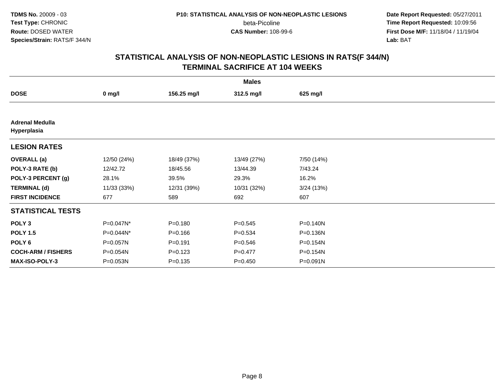beta-Picoline<br>CAS Number: 108-99-6

 **Date Report Requested:** 05/27/2011 **Time Report Requested:** 10:09:56 **First Dose M/F:** 11/18/04 / 11/19/04<br>**Lab:** BAT **Lab:** BAT

|                                       |             |             | <b>Males</b> |            |  |
|---------------------------------------|-------------|-------------|--------------|------------|--|
| <b>DOSE</b>                           | $0$ mg/l    | 156.25 mg/l | 312.5 mg/l   | 625 mg/l   |  |
|                                       |             |             |              |            |  |
| <b>Adrenal Medulla</b><br>Hyperplasia |             |             |              |            |  |
| <b>LESION RATES</b>                   |             |             |              |            |  |
| <b>OVERALL</b> (a)                    | 12/50 (24%) | 18/49 (37%) | 13/49 (27%)  | 7/50 (14%) |  |
| POLY-3 RATE (b)                       | 12/42.72    | 18/45.56    | 13/44.39     | 7/43.24    |  |
| POLY-3 PERCENT (g)                    | 28.1%       | 39.5%       | 29.3%        | 16.2%      |  |
| <b>TERMINAL (d)</b>                   | 11/33 (33%) | 12/31 (39%) | 10/31 (32%)  | 3/24(13%)  |  |
| <b>FIRST INCIDENCE</b>                | 677         | 589         | 692          | 607        |  |
| <b>STATISTICAL TESTS</b>              |             |             |              |            |  |
| POLY <sub>3</sub>                     | P=0.047N*   | $P = 0.180$ | $P = 0.545$  | P=0.140N   |  |
| <b>POLY 1.5</b>                       | P=0.044N*   | $P = 0.166$ | $P = 0.534$  | P=0.136N   |  |
| POLY 6                                | P=0.057N    | $P = 0.191$ | $P = 0.546$  | P=0.154N   |  |
| <b>COCH-ARM / FISHERS</b>             | P=0.054N    | $P = 0.123$ | $P=0.477$    | P=0.154N   |  |
| <b>MAX-ISO-POLY-3</b>                 | P=0.053N    | $P = 0.135$ | $P = 0.450$  | P=0.091N   |  |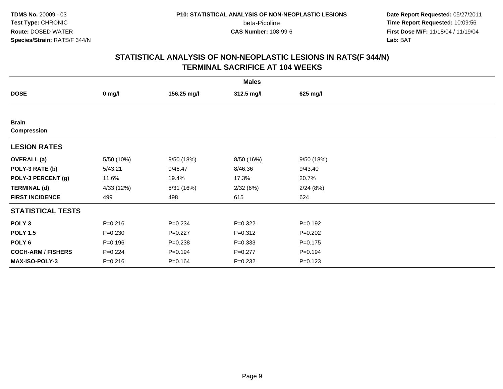beta-Picoline<br>CAS Number: 108-99-6

 **Date Report Requested:** 05/27/2011 **Time Report Requested:** 10:09:56 **First Dose M/F:** 11/18/04 / 11/19/04<br>**Lab:** BAT **Lab:** BAT

|                                    |             |             | <b>Males</b> |             |  |
|------------------------------------|-------------|-------------|--------------|-------------|--|
| <b>DOSE</b>                        | $0$ mg/l    | 156.25 mg/l | 312.5 mg/l   | 625 mg/l    |  |
|                                    |             |             |              |             |  |
| <b>Brain</b><br><b>Compression</b> |             |             |              |             |  |
| <b>LESION RATES</b>                |             |             |              |             |  |
| <b>OVERALL</b> (a)                 | 5/50 (10%)  | 9/50 (18%)  | 8/50 (16%)   | 9/50(18%)   |  |
| POLY-3 RATE (b)                    | 5/43.21     | 9/46.47     | 8/46.36      | 9/43.40     |  |
| POLY-3 PERCENT (g)                 | 11.6%       | 19.4%       | 17.3%        | 20.7%       |  |
| <b>TERMINAL (d)</b>                | 4/33 (12%)  | 5/31 (16%)  | 2/32(6%)     | 2/24(8%)    |  |
| <b>FIRST INCIDENCE</b>             | 499         | 498         | 615          | 624         |  |
| <b>STATISTICAL TESTS</b>           |             |             |              |             |  |
| POLY <sub>3</sub>                  | $P = 0.216$ | $P = 0.234$ | $P=0.322$    | $P = 0.192$ |  |
| <b>POLY 1.5</b>                    | $P = 0.230$ | $P=0.227$   | $P = 0.312$  | $P=0.202$   |  |
| POLY <sub>6</sub>                  | $P = 0.196$ | $P = 0.238$ | $P = 0.333$  | $P = 0.175$ |  |
| <b>COCH-ARM / FISHERS</b>          | $P=0.224$   | $P = 0.194$ | $P=0.277$    | $P = 0.194$ |  |
| MAX-ISO-POLY-3                     | $P = 0.216$ | $P = 0.164$ | $P = 0.232$  | $P = 0.123$ |  |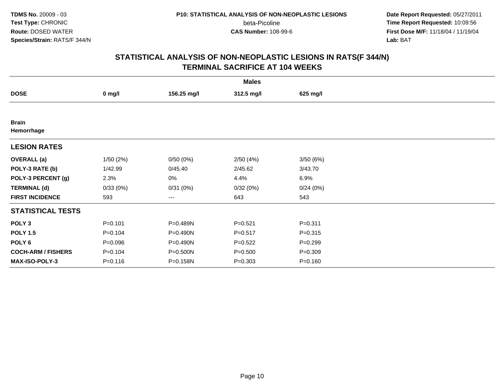beta-Picoline<br>CAS Number: 108-99-6

 **Date Report Requested:** 05/27/2011 **Time Report Requested:** 10:09:56 **First Dose M/F:** 11/18/04 / 11/19/04<br>**Lab:** BAT **Lab:** BAT

|                            |             |             | <b>Males</b> |             |  |
|----------------------------|-------------|-------------|--------------|-------------|--|
| <b>DOSE</b>                | $0$ mg/l    | 156.25 mg/l | 312.5 mg/l   | 625 mg/l    |  |
|                            |             |             |              |             |  |
| <b>Brain</b><br>Hemorrhage |             |             |              |             |  |
| <b>LESION RATES</b>        |             |             |              |             |  |
| <b>OVERALL</b> (a)         | 1/50(2%)    | 0/50(0%)    | 2/50(4%)     | 3/50(6%)    |  |
| POLY-3 RATE (b)            | 1/42.99     | 0/45.40     | 2/45.62      | 3/43.70     |  |
| POLY-3 PERCENT (g)         | 2.3%        | 0%          | 4.4%         | 6.9%        |  |
| <b>TERMINAL (d)</b>        | 0/33(0%)    | 0/31(0%)    | 0/32(0%)     | 0/24(0%)    |  |
| <b>FIRST INCIDENCE</b>     | 593         | ---         | 643          | 543         |  |
| <b>STATISTICAL TESTS</b>   |             |             |              |             |  |
| POLY <sub>3</sub>          | $P = 0.101$ | P=0.489N    | $P = 0.521$  | $P = 0.311$ |  |
| <b>POLY 1.5</b>            | $P = 0.104$ | P=0.490N    | $P = 0.517$  | $P = 0.315$ |  |
| POLY 6                     | $P = 0.096$ | P=0.490N    | $P=0.522$    | $P = 0.299$ |  |
| <b>COCH-ARM / FISHERS</b>  | $P = 0.104$ | P=0.500N    | $P = 0.500$  | $P = 0.309$ |  |
| <b>MAX-ISO-POLY-3</b>      | $P = 0.116$ | P=0.158N    | $P = 0.303$  | $P = 0.160$ |  |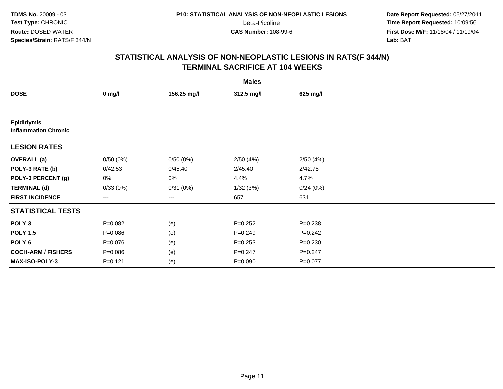beta-Picoline<br>CAS Number: 108-99-6

 **Date Report Requested:** 05/27/2011 **Time Report Requested:** 10:09:56 **First Dose M/F:** 11/18/04 / 11/19/04<br>**Lab:** BAT **Lab:** BAT

|                                                  |             |             | <b>Males</b> |             |  |
|--------------------------------------------------|-------------|-------------|--------------|-------------|--|
| <b>DOSE</b>                                      | $0$ mg/l    | 156.25 mg/l | 312.5 mg/l   | 625 mg/l    |  |
|                                                  |             |             |              |             |  |
| <b>Epididymis</b><br><b>Inflammation Chronic</b> |             |             |              |             |  |
| <b>LESION RATES</b>                              |             |             |              |             |  |
| <b>OVERALL</b> (a)                               | 0/50(0%)    | 0/50(0%)    | 2/50(4%)     | 2/50(4%)    |  |
| POLY-3 RATE (b)                                  | 0/42.53     | 0/45.40     | 2/45.40      | 2/42.78     |  |
| POLY-3 PERCENT (g)                               | 0%          | 0%          | 4.4%         | 4.7%        |  |
| <b>TERMINAL (d)</b>                              | 0/33(0%)    | 0/31(0%)    | 1/32(3%)     | 0/24(0%)    |  |
| <b>FIRST INCIDENCE</b>                           | ---         | $\cdots$    | 657          | 631         |  |
| <b>STATISTICAL TESTS</b>                         |             |             |              |             |  |
| POLY <sub>3</sub>                                | $P=0.082$   | (e)         | $P = 0.252$  | $P = 0.238$ |  |
| <b>POLY 1.5</b>                                  | $P = 0.086$ | (e)         | $P = 0.249$  | $P = 0.242$ |  |
| POLY <sub>6</sub>                                | $P = 0.076$ | (e)         | $P = 0.253$  | $P = 0.230$ |  |
| <b>COCH-ARM / FISHERS</b>                        | $P = 0.086$ | (e)         | $P = 0.247$  | $P = 0.247$ |  |
| MAX-ISO-POLY-3                                   | $P = 0.121$ | (e)         | $P = 0.090$  | $P = 0.077$ |  |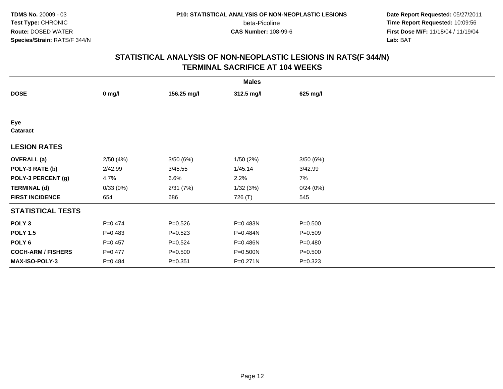beta-Picoline<br>CAS Number: 108-99-6

 **Date Report Requested:** 05/27/2011 **Time Report Requested:** 10:09:56 **First Dose M/F:** 11/18/04 / 11/19/04<br>**Lab:** BAT **Lab:** BAT

|                           |             |             | <b>Males</b> |             |  |
|---------------------------|-------------|-------------|--------------|-------------|--|
| <b>DOSE</b>               | $0$ mg/l    | 156.25 mg/l | 312.5 mg/l   | 625 mg/l    |  |
|                           |             |             |              |             |  |
| Eye<br>Cataract           |             |             |              |             |  |
| <b>LESION RATES</b>       |             |             |              |             |  |
| <b>OVERALL</b> (a)        | 2/50(4%)    | 3/50(6%)    | 1/50(2%)     | 3/50(6%)    |  |
| POLY-3 RATE (b)           | 2/42.99     | 3/45.55     | 1/45.14      | 3/42.99     |  |
| POLY-3 PERCENT (g)        | 4.7%        | 6.6%        | 2.2%         | 7%          |  |
| <b>TERMINAL (d)</b>       | 0/33(0%)    | 2/31(7%)    | 1/32(3%)     | 0/24(0%)    |  |
| <b>FIRST INCIDENCE</b>    | 654         | 686         | 726 (T)      | 545         |  |
| <b>STATISTICAL TESTS</b>  |             |             |              |             |  |
| POLY <sub>3</sub>         | $P=0.474$   | $P = 0.526$ | P=0.483N     | $P = 0.500$ |  |
| <b>POLY 1.5</b>           | $P=0.483$   | $P = 0.523$ | P=0.484N     | $P = 0.509$ |  |
| POLY 6                    | $P = 0.457$ | $P = 0.524$ | P=0.486N     | $P = 0.480$ |  |
| <b>COCH-ARM / FISHERS</b> | $P=0.477$   | $P = 0.500$ | P=0.500N     | $P = 0.500$ |  |
| <b>MAX-ISO-POLY-3</b>     | $P = 0.484$ | $P = 0.351$ | P=0.271N     | $P=0.323$   |  |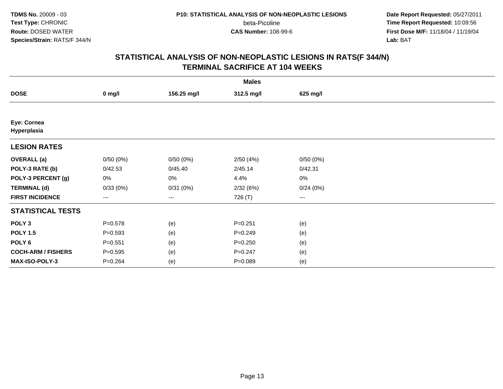beta-Picoline<br>CAS Number: 108-99-6

 **Date Report Requested:** 05/27/2011 **Time Report Requested:** 10:09:56 **First Dose M/F:** 11/18/04 / 11/19/04<br>**Lab:** BAT **Lab:** BAT

|                            |             |             | <b>Males</b> |                        |  |
|----------------------------|-------------|-------------|--------------|------------------------|--|
| <b>DOSE</b>                | $0$ mg/l    | 156.25 mg/l | 312.5 mg/l   | 625 mg/l               |  |
|                            |             |             |              |                        |  |
| Eye: Cornea<br>Hyperplasia |             |             |              |                        |  |
| <b>LESION RATES</b>        |             |             |              |                        |  |
| <b>OVERALL</b> (a)         | 0/50(0%)    | 0/50(0%)    | 2/50(4%)     | 0/50(0%)               |  |
| POLY-3 RATE (b)            | 0/42.53     | 0/45.40     | 2/45.14      | 0/42.31                |  |
| POLY-3 PERCENT (g)         | 0%          | 0%          | 4.4%         | 0%                     |  |
| <b>TERMINAL (d)</b>        | 0/33(0%)    | 0/31(0%)    | 2/32(6%)     | 0/24(0%)               |  |
| <b>FIRST INCIDENCE</b>     | ---         | ---         | 726 (T)      | $\qquad \qquad \cdots$ |  |
| <b>STATISTICAL TESTS</b>   |             |             |              |                        |  |
| POLY <sub>3</sub>          | $P = 0.578$ | (e)         | $P=0.251$    | (e)                    |  |
| <b>POLY 1.5</b>            | $P = 0.593$ | (e)         | $P = 0.249$  | (e)                    |  |
| POLY <sub>6</sub>          | $P = 0.551$ | (e)         | $P = 0.250$  | (e)                    |  |
| <b>COCH-ARM / FISHERS</b>  | $P = 0.595$ | (e)         | $P = 0.247$  | (e)                    |  |
| MAX-ISO-POLY-3             | $P = 0.264$ | (e)         | $P = 0.089$  | (e)                    |  |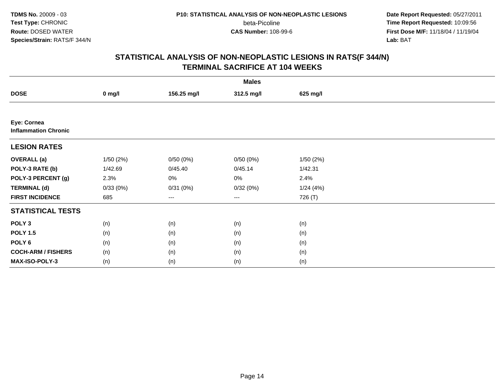beta-Picoline<br>CAS Number: 108-99-6

 **Date Report Requested:** 05/27/2011 **Time Report Requested:** 10:09:56 **First Dose M/F:** 11/18/04 / 11/19/04<br>**Lab:** BAT **Lab:** BAT

|                                            |          |             | <b>Males</b>           |          |  |
|--------------------------------------------|----------|-------------|------------------------|----------|--|
| <b>DOSE</b>                                | $0$ mg/l | 156.25 mg/l | 312.5 mg/l             | 625 mg/l |  |
|                                            |          |             |                        |          |  |
| Eye: Cornea<br><b>Inflammation Chronic</b> |          |             |                        |          |  |
| <b>LESION RATES</b>                        |          |             |                        |          |  |
| <b>OVERALL</b> (a)                         | 1/50(2%) | 0/50(0%)    | 0/50(0%)               | 1/50(2%) |  |
| POLY-3 RATE (b)                            | 1/42.69  | 0/45.40     | 0/45.14                | 1/42.31  |  |
| POLY-3 PERCENT (g)                         | 2.3%     | $0\%$       | 0%                     | 2.4%     |  |
| <b>TERMINAL (d)</b>                        | 0/33(0%) | 0/31(0%)    | 0/32(0%)               | 1/24(4%) |  |
| <b>FIRST INCIDENCE</b>                     | 685      | $--$        | $\qquad \qquad \cdots$ | 726 (T)  |  |
| <b>STATISTICAL TESTS</b>                   |          |             |                        |          |  |
| POLY <sub>3</sub>                          | (n)      | (n)         | (n)                    | (n)      |  |
| <b>POLY 1.5</b>                            | (n)      | (n)         | (n)                    | (n)      |  |
| POLY <sub>6</sub>                          | (n)      | (n)         | (n)                    | (n)      |  |
| <b>COCH-ARM / FISHERS</b>                  | (n)      | (n)         | (n)                    | (n)      |  |
| MAX-ISO-POLY-3                             | (n)      | (n)         | (n)                    | (n)      |  |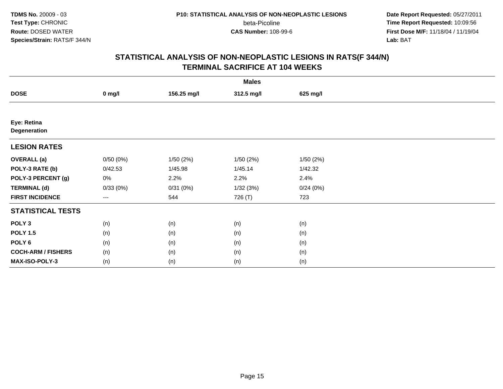beta-Picoline<br>CAS Number: 108-99-6

 **Date Report Requested:** 05/27/2011 **Time Report Requested:** 10:09:56 **First Dose M/F:** 11/18/04 / 11/19/04<br>**Lab:** BAT **Lab:** BAT

|                             |          |             | <b>Males</b> |          |  |
|-----------------------------|----------|-------------|--------------|----------|--|
| <b>DOSE</b>                 | $0$ mg/l | 156.25 mg/l | 312.5 mg/l   | 625 mg/l |  |
|                             |          |             |              |          |  |
| Eye: Retina<br>Degeneration |          |             |              |          |  |
| <b>LESION RATES</b>         |          |             |              |          |  |
| <b>OVERALL</b> (a)          | 0/50(0%) | 1/50(2%)    | 1/50(2%)     | 1/50(2%) |  |
| POLY-3 RATE (b)             | 0/42.53  | 1/45.98     | 1/45.14      | 1/42.32  |  |
| POLY-3 PERCENT (g)          | 0%       | 2.2%        | 2.2%         | 2.4%     |  |
| <b>TERMINAL (d)</b>         | 0/33(0%) | 0/31(0%)    | 1/32(3%)     | 0/24(0%) |  |
| <b>FIRST INCIDENCE</b>      | ---      | 544         | 726 (T)      | 723      |  |
| <b>STATISTICAL TESTS</b>    |          |             |              |          |  |
| POLY <sub>3</sub>           | (n)      | (n)         | (n)          | (n)      |  |
| <b>POLY 1.5</b>             | (n)      | (n)         | (n)          | (n)      |  |
| POLY <sub>6</sub>           | (n)      | (n)         | (n)          | (n)      |  |
| <b>COCH-ARM / FISHERS</b>   | (n)      | (n)         | (n)          | (n)      |  |
| MAX-ISO-POLY-3              | (n)      | (n)         | (n)          | (n)      |  |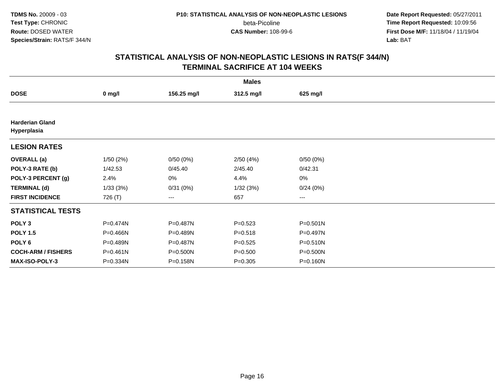beta-Picoline<br>CAS Number: 108-99-6

 **Date Report Requested:** 05/27/2011 **Time Report Requested:** 10:09:56 **First Dose M/F:** 11/18/04 / 11/19/04<br>**Lab:** BAT **Lab:** BAT

|                                       |              |             | <b>Males</b> |              |  |
|---------------------------------------|--------------|-------------|--------------|--------------|--|
| <b>DOSE</b>                           | $0$ mg/l     | 156.25 mg/l | 312.5 mg/l   | 625 mg/l     |  |
|                                       |              |             |              |              |  |
| <b>Harderian Gland</b><br>Hyperplasia |              |             |              |              |  |
| <b>LESION RATES</b>                   |              |             |              |              |  |
| <b>OVERALL</b> (a)                    | 1/50(2%)     | 0/50(0%)    | 2/50(4%)     | 0/50(0%)     |  |
| POLY-3 RATE (b)                       | 1/42.53      | 0/45.40     | 2/45.40      | 0/42.31      |  |
| POLY-3 PERCENT (g)                    | 2.4%         | 0%          | 4.4%         | 0%           |  |
| <b>TERMINAL (d)</b>                   | 1/33(3%)     | 0/31(0%)    | 1/32(3%)     | 0/24(0%)     |  |
| <b>FIRST INCIDENCE</b>                | 726 (T)      | ---         | 657          | ---          |  |
| <b>STATISTICAL TESTS</b>              |              |             |              |              |  |
| POLY <sub>3</sub>                     | P=0.474N     | P=0.487N    | $P = 0.523$  | $P = 0.501N$ |  |
| <b>POLY 1.5</b>                       | P=0.466N     | P=0.489N    | $P = 0.518$  | P=0.497N     |  |
| POLY <sub>6</sub>                     | P=0.489N     | P=0.487N    | $P=0.525$    | P=0.510N     |  |
| <b>COCH-ARM / FISHERS</b>             | $P = 0.461N$ | P=0.500N    | $P = 0.500$  | P=0.500N     |  |
| <b>MAX-ISO-POLY-3</b>                 | P=0.334N     | P=0.158N    | $P = 0.305$  | P=0.160N     |  |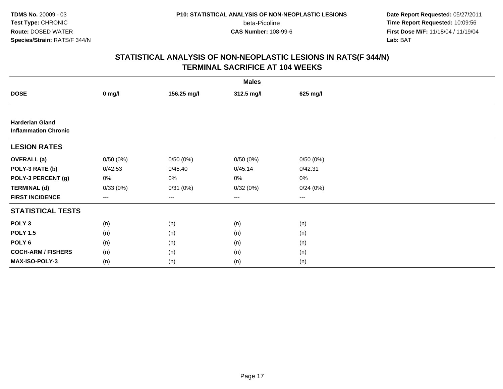beta-Picoline<br>CAS Number: 108-99-6

 **Date Report Requested:** 05/27/2011 **Time Report Requested:** 10:09:56 **First Dose M/F:** 11/18/04 / 11/19/04<br>**Lab:** BAT **Lab:** BAT

|                                                       |          |             | <b>Males</b> |          |  |
|-------------------------------------------------------|----------|-------------|--------------|----------|--|
| <b>DOSE</b>                                           | $0$ mg/l | 156.25 mg/l | 312.5 mg/l   | 625 mg/l |  |
|                                                       |          |             |              |          |  |
| <b>Harderian Gland</b><br><b>Inflammation Chronic</b> |          |             |              |          |  |
| <b>LESION RATES</b>                                   |          |             |              |          |  |
| <b>OVERALL (a)</b>                                    | 0/50(0%) | 0/50(0%)    | 0/50(0%)     | 0/50(0%) |  |
| POLY-3 RATE (b)                                       | 0/42.53  | 0/45.40     | 0/45.14      | 0/42.31  |  |
| POLY-3 PERCENT (g)                                    | 0%       | 0%          | 0%           | 0%       |  |
| <b>TERMINAL (d)</b>                                   | 0/33(0%) | 0/31(0%)    | 0/32(0%)     | 0/24(0%) |  |
| <b>FIRST INCIDENCE</b>                                | $--$     | ---         | $---$        | $---$    |  |
| <b>STATISTICAL TESTS</b>                              |          |             |              |          |  |
| POLY <sub>3</sub>                                     | (n)      | (n)         | (n)          | (n)      |  |
| <b>POLY 1.5</b>                                       | (n)      | (n)         | (n)          | (n)      |  |
| POLY <sub>6</sub>                                     | (n)      | (n)         | (n)          | (n)      |  |
| <b>COCH-ARM / FISHERS</b>                             | (n)      | (n)         | (n)          | (n)      |  |
| MAX-ISO-POLY-3                                        | (n)      | (n)         | (n)          | (n)      |  |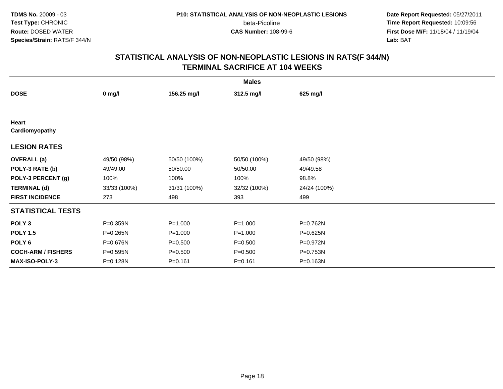beta-Picoline<br>CAS Number: 108-99-6

 **Date Report Requested:** 05/27/2011 **Time Report Requested:** 10:09:56 **First Dose M/F:** 11/18/04 / 11/19/04<br>**Lab:** BAT **Lab:** BAT

|                           |              |              | <b>Males</b> |              |  |
|---------------------------|--------------|--------------|--------------|--------------|--|
| <b>DOSE</b>               | $0$ mg/l     | 156.25 mg/l  | 312.5 mg/l   | 625 mg/l     |  |
|                           |              |              |              |              |  |
| Heart<br>Cardiomyopathy   |              |              |              |              |  |
| <b>LESION RATES</b>       |              |              |              |              |  |
| <b>OVERALL</b> (a)        | 49/50 (98%)  | 50/50 (100%) | 50/50 (100%) | 49/50 (98%)  |  |
| POLY-3 RATE (b)           | 49/49.00     | 50/50.00     | 50/50.00     | 49/49.58     |  |
| POLY-3 PERCENT (g)        | 100%         | 100%         | 100%         | 98.8%        |  |
| <b>TERMINAL (d)</b>       | 33/33 (100%) | 31/31 (100%) | 32/32 (100%) | 24/24 (100%) |  |
| <b>FIRST INCIDENCE</b>    | 273          | 498          | 393          | 499          |  |
| <b>STATISTICAL TESTS</b>  |              |              |              |              |  |
| POLY <sub>3</sub>         | P=0.359N     | $P = 1.000$  | $P = 1.000$  | P=0.762N     |  |
| <b>POLY 1.5</b>           | P=0.265N     | $P = 1.000$  | $P = 1.000$  | P=0.625N     |  |
| POLY 6                    | P=0.676N     | $P = 0.500$  | $P = 0.500$  | P=0.972N     |  |
| <b>COCH-ARM / FISHERS</b> | P=0.595N     | $P = 0.500$  | $P = 0.500$  | P=0.753N     |  |
| MAX-ISO-POLY-3            | P=0.128N     | $P = 0.161$  | $P = 0.161$  | P=0.163N     |  |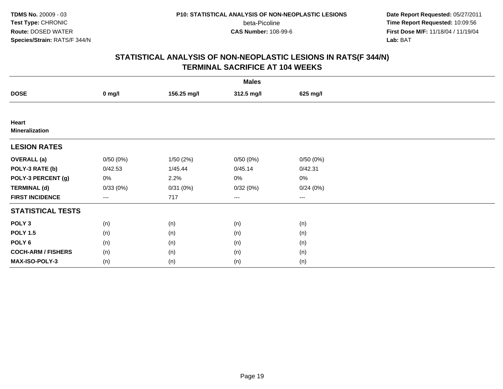beta-Picoline<br>CAS Number: 108-99-6

 **Date Report Requested:** 05/27/2011 **Time Report Requested:** 10:09:56 **First Dose M/F:** 11/18/04 / 11/19/04<br>**Lab:** BAT **Lab:** BAT

|                                |          |             | <b>Males</b>           |          |  |
|--------------------------------|----------|-------------|------------------------|----------|--|
| <b>DOSE</b>                    | $0$ mg/l | 156.25 mg/l | 312.5 mg/l             | 625 mg/l |  |
|                                |          |             |                        |          |  |
| Heart<br><b>Mineralization</b> |          |             |                        |          |  |
| <b>LESION RATES</b>            |          |             |                        |          |  |
| <b>OVERALL</b> (a)             | 0/50(0%) | 1/50(2%)    | 0/50(0%)               | 0/50(0%) |  |
| POLY-3 RATE (b)                | 0/42.53  | 1/45.44     | 0/45.14                | 0/42.31  |  |
| POLY-3 PERCENT (g)             | 0%       | 2.2%        | 0%                     | $0\%$    |  |
| <b>TERMINAL (d)</b>            | 0/33(0%) | 0/31(0%)    | 0/32(0%)               | 0/24(0%) |  |
| <b>FIRST INCIDENCE</b>         | ---      | 717         | $\qquad \qquad \cdots$ | $---$    |  |
| <b>STATISTICAL TESTS</b>       |          |             |                        |          |  |
| POLY <sub>3</sub>              | (n)      | (n)         | (n)                    | (n)      |  |
| <b>POLY 1.5</b>                | (n)      | (n)         | (n)                    | (n)      |  |
| POLY <sub>6</sub>              | (n)      | (n)         | (n)                    | (n)      |  |
| <b>COCH-ARM / FISHERS</b>      | (n)      | (n)         | (n)                    | (n)      |  |
| MAX-ISO-POLY-3                 | (n)      | (n)         | (n)                    | (n)      |  |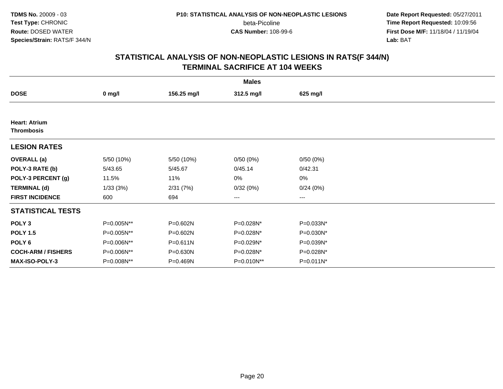beta-Picoline<br>CAS Number: 108-99-6

 **Date Report Requested:** 05/27/2011 **Time Report Requested:** 10:09:56 **First Dose M/F:** 11/18/04 / 11/19/04<br>**Lab:** BAT **Lab:** BAT

|                                           |            |             | <b>Males</b> |           |  |
|-------------------------------------------|------------|-------------|--------------|-----------|--|
| <b>DOSE</b>                               | $0$ mg/l   | 156.25 mg/l | 312.5 mg/l   | 625 mg/l  |  |
|                                           |            |             |              |           |  |
| <b>Heart: Atrium</b><br><b>Thrombosis</b> |            |             |              |           |  |
| <b>LESION RATES</b>                       |            |             |              |           |  |
| <b>OVERALL</b> (a)                        | 5/50 (10%) | 5/50 (10%)  | 0/50(0%)     | 0/50(0%)  |  |
| POLY-3 RATE (b)                           | 5/43.65    | 5/45.67     | 0/45.14      | 0/42.31   |  |
| POLY-3 PERCENT (g)                        | 11.5%      | 11%         | 0%           | 0%        |  |
| <b>TERMINAL (d)</b>                       | 1/33(3%)   | 2/31(7%)    | 0/32(0%)     | 0/24(0%)  |  |
| <b>FIRST INCIDENCE</b>                    | 600        | 694         | $--$         | ---       |  |
| <b>STATISTICAL TESTS</b>                  |            |             |              |           |  |
| POLY <sub>3</sub>                         | P=0.005N** | P=0.602N    | P=0.028N*    | P=0.033N* |  |
| <b>POLY 1.5</b>                           | P=0.005N** | P=0.602N    | P=0.028N*    | P=0.030N* |  |
| POLY 6                                    | P=0.006N** | P=0.611N    | P=0.029N*    | P=0.039N* |  |
| <b>COCH-ARM / FISHERS</b>                 | P=0.006N** | P=0.630N    | P=0.028N*    | P=0.028N* |  |
| MAX-ISO-POLY-3                            | P=0.008N** | P=0.469N    | P=0.010N**   | P=0.011N* |  |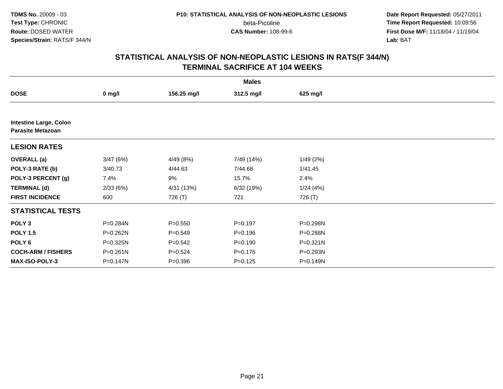beta-Picoline<br>CAS Number: 108-99-6

 **Date Report Requested:** 05/27/2011 **Time Report Requested:** 10:09:56 **First Dose M/F:** 11/18/04 / 11/19/04<br>**Lab:** BAT **Lab:** BAT

|                                                           |          |             | <b>Males</b> |              |  |
|-----------------------------------------------------------|----------|-------------|--------------|--------------|--|
| <b>DOSE</b>                                               | $0$ mg/l | 156.25 mg/l | 312.5 mg/l   | 625 mg/l     |  |
|                                                           |          |             |              |              |  |
| <b>Intestine Large, Colon</b><br><b>Parasite Metazoan</b> |          |             |              |              |  |
| <b>LESION RATES</b>                                       |          |             |              |              |  |
| <b>OVERALL</b> (a)                                        | 3/47(6%) | 4/49 (8%)   | 7/49 (14%)   | 1/49(2%)     |  |
| POLY-3 RATE (b)                                           | 3/40.73  | 4/44.63     | 7/44.68      | 1/41.45      |  |
| POLY-3 PERCENT (g)                                        | 7.4%     | 9%          | 15.7%        | 2.4%         |  |
| <b>TERMINAL (d)</b>                                       | 2/33(6%) | 4/31 (13%)  | 6/32(19%)    | 1/24(4%)     |  |
| <b>FIRST INCIDENCE</b>                                    | 600      | 726 (T)     | 721          | 726 (T)      |  |
| <b>STATISTICAL TESTS</b>                                  |          |             |              |              |  |
| POLY <sub>3</sub>                                         | P=0.284N | $P = 0.550$ | $P = 0.197$  | P=0.298N     |  |
| <b>POLY 1.5</b>                                           | P=0.262N | $P = 0.549$ | $P = 0.196$  | P=0.288N     |  |
| POLY <sub>6</sub>                                         | P=0.325N | $P = 0.542$ | $P = 0.190$  | $P = 0.321N$ |  |
| <b>COCH-ARM / FISHERS</b>                                 | P=0.261N | $P = 0.524$ | $P = 0.176$  | P=0.293N     |  |
| <b>MAX-ISO-POLY-3</b>                                     | P=0.147N | $P = 0.396$ | $P = 0.125$  | P=0.149N     |  |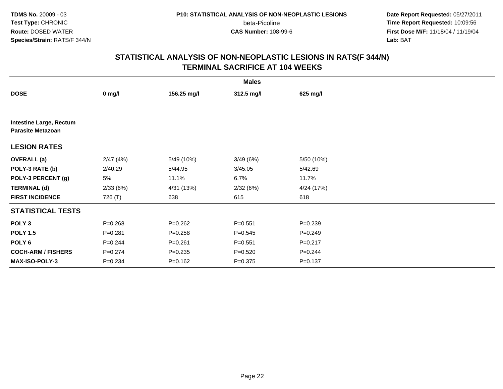beta-Picoline<br>CAS Number: 108-99-6

 **Date Report Requested:** 05/27/2011 **Time Report Requested:** 10:09:56 **First Dose M/F:** 11/18/04 / 11/19/04<br>**Lab:** BAT **Lab:** BAT

|                                                            |             |             | <b>Males</b> |             |  |
|------------------------------------------------------------|-------------|-------------|--------------|-------------|--|
| <b>DOSE</b>                                                | $0$ mg/l    | 156.25 mg/l | 312.5 mg/l   | 625 mg/l    |  |
|                                                            |             |             |              |             |  |
| <b>Intestine Large, Rectum</b><br><b>Parasite Metazoan</b> |             |             |              |             |  |
| <b>LESION RATES</b>                                        |             |             |              |             |  |
| <b>OVERALL</b> (a)                                         | 2/47(4%)    | 5/49 (10%)  | 3/49(6%)     | 5/50 (10%)  |  |
| POLY-3 RATE (b)                                            | 2/40.29     | 5/44.95     | 3/45.05      | 5/42.69     |  |
| POLY-3 PERCENT (g)                                         | 5%          | 11.1%       | 6.7%         | 11.7%       |  |
| <b>TERMINAL (d)</b>                                        | 2/33(6%)    | 4/31 (13%)  | 2/32(6%)     | 4/24 (17%)  |  |
| <b>FIRST INCIDENCE</b>                                     | 726 (T)     | 638         | 615          | 618         |  |
| <b>STATISTICAL TESTS</b>                                   |             |             |              |             |  |
| POLY <sub>3</sub>                                          | $P = 0.268$ | $P = 0.262$ | $P = 0.551$  | $P = 0.239$ |  |
| <b>POLY 1.5</b>                                            | $P = 0.281$ | $P = 0.258$ | $P = 0.545$  | $P = 0.249$ |  |
| POLY <sub>6</sub>                                          | $P=0.244$   | $P = 0.261$ | $P = 0.551$  | $P = 0.217$ |  |
| <b>COCH-ARM / FISHERS</b>                                  | $P=0.274$   | $P = 0.235$ | $P = 0.520$  | $P = 0.244$ |  |
| <b>MAX-ISO-POLY-3</b>                                      | $P = 0.234$ | $P = 0.162$ | $P = 0.375$  | $P = 0.137$ |  |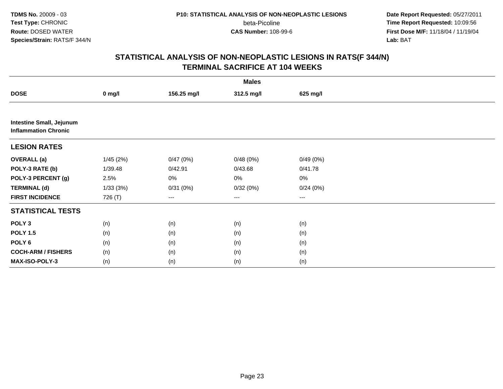beta-Picoline<br>CAS Number: 108-99-6

 **Date Report Requested:** 05/27/2011 **Time Report Requested:** 10:09:56 **First Dose M/F:** 11/18/04 / 11/19/04<br>**Lab:** BAT **Lab:** BAT

|                                                                |          |             | <b>Males</b> |          |  |
|----------------------------------------------------------------|----------|-------------|--------------|----------|--|
| <b>DOSE</b>                                                    | $0$ mg/l | 156.25 mg/l | 312.5 mg/l   | 625 mg/l |  |
|                                                                |          |             |              |          |  |
| <b>Intestine Small, Jejunum</b><br><b>Inflammation Chronic</b> |          |             |              |          |  |
| <b>LESION RATES</b>                                            |          |             |              |          |  |
| <b>OVERALL (a)</b>                                             | 1/45(2%) | 0/47(0%)    | 0/48(0%)     | 0/49(0%) |  |
| POLY-3 RATE (b)                                                | 1/39.48  | 0/42.91     | 0/43.68      | 0/41.78  |  |
| POLY-3 PERCENT (g)                                             | 2.5%     | 0%          | 0%           | 0%       |  |
| <b>TERMINAL (d)</b>                                            | 1/33(3%) | 0/31(0%)    | 0/32(0%)     | 0/24(0%) |  |
| <b>FIRST INCIDENCE</b>                                         | 726 (T)  | $--$        | $--$         | $--$     |  |
| <b>STATISTICAL TESTS</b>                                       |          |             |              |          |  |
| POLY <sub>3</sub>                                              | (n)      | (n)         | (n)          | (n)      |  |
| <b>POLY 1.5</b>                                                | (n)      | (n)         | (n)          | (n)      |  |
| POLY <sub>6</sub>                                              | (n)      | (n)         | (n)          | (n)      |  |
| <b>COCH-ARM / FISHERS</b>                                      | (n)      | (n)         | (n)          | (n)      |  |
| MAX-ISO-POLY-3                                                 | (n)      | (n)         | (n)          | (n)      |  |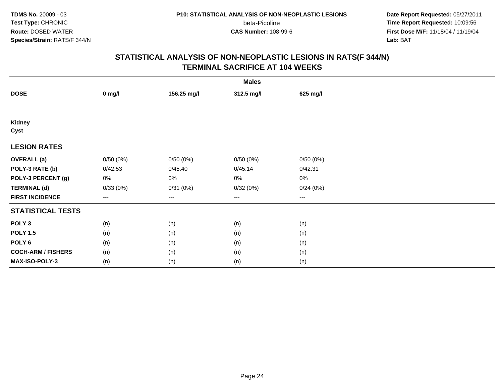beta-Picoline<br>CAS Number: 108-99-6

 **Date Report Requested:** 05/27/2011 **Time Report Requested:** 10:09:56 **First Dose M/F:** 11/18/04 / 11/19/04<br>**Lab:** BAT **Lab:** BAT

|                           |          |             | <b>Males</b> |          |  |
|---------------------------|----------|-------------|--------------|----------|--|
| <b>DOSE</b>               | $0$ mg/l | 156.25 mg/l | 312.5 mg/l   | 625 mg/l |  |
|                           |          |             |              |          |  |
| Kidney<br>Cyst            |          |             |              |          |  |
| <b>LESION RATES</b>       |          |             |              |          |  |
| <b>OVERALL</b> (a)        | 0/50(0%) | 0/50(0%)    | 0/50(0%)     | 0/50(0%) |  |
| POLY-3 RATE (b)           | 0/42.53  | 0/45.40     | 0/45.14      | 0/42.31  |  |
| POLY-3 PERCENT (g)        | 0%       | 0%          | 0%           | 0%       |  |
| <b>TERMINAL (d)</b>       | 0/33(0%) | 0/31(0%)    | 0/32(0%)     | 0/24(0%) |  |
| <b>FIRST INCIDENCE</b>    | ---      | $--$        | $\cdots$     | $\cdots$ |  |
| <b>STATISTICAL TESTS</b>  |          |             |              |          |  |
| POLY <sub>3</sub>         | (n)      | (n)         | (n)          | (n)      |  |
| <b>POLY 1.5</b>           | (n)      | (n)         | (n)          | (n)      |  |
| POLY <sub>6</sub>         | (n)      | (n)         | (n)          | (n)      |  |
| <b>COCH-ARM / FISHERS</b> | (n)      | (n)         | (n)          | (n)      |  |
| MAX-ISO-POLY-3            | (n)      | (n)         | (n)          | (n)      |  |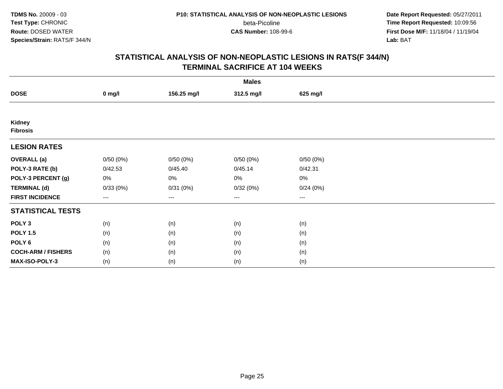beta-Picoline<br>CAS Number: 108-99-6

 **Date Report Requested:** 05/27/2011 **Time Report Requested:** 10:09:56 **First Dose M/F:** 11/18/04 / 11/19/04<br>**Lab:** BAT **Lab:** BAT

|                           |          |             | <b>Males</b> |          |  |
|---------------------------|----------|-------------|--------------|----------|--|
| <b>DOSE</b>               | $0$ mg/l | 156.25 mg/l | 312.5 mg/l   | 625 mg/l |  |
|                           |          |             |              |          |  |
| Kidney<br><b>Fibrosis</b> |          |             |              |          |  |
| <b>LESION RATES</b>       |          |             |              |          |  |
| <b>OVERALL</b> (a)        | 0/50(0%) | 0/50(0%)    | 0/50(0%)     | 0/50(0%) |  |
| POLY-3 RATE (b)           | 0/42.53  | 0/45.40     | 0/45.14      | 0/42.31  |  |
| POLY-3 PERCENT (g)        | 0%       | 0%          | 0%           | 0%       |  |
| <b>TERMINAL (d)</b>       | 0/33(0%) | 0/31(0%)    | 0/32(0%)     | 0/24(0%) |  |
| <b>FIRST INCIDENCE</b>    | ---      | $--$        | $\cdots$     | $\cdots$ |  |
| <b>STATISTICAL TESTS</b>  |          |             |              |          |  |
| POLY <sub>3</sub>         | (n)      | (n)         | (n)          | (n)      |  |
| <b>POLY 1.5</b>           | (n)      | (n)         | (n)          | (n)      |  |
| POLY <sub>6</sub>         | (n)      | (n)         | (n)          | (n)      |  |
| <b>COCH-ARM / FISHERS</b> | (n)      | (n)         | (n)          | (n)      |  |
| MAX-ISO-POLY-3            | (n)      | (n)         | (n)          | (n)      |  |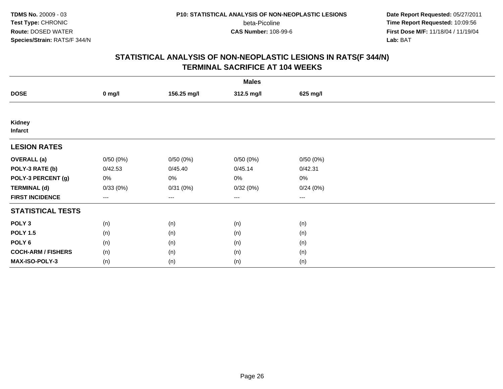beta-Picoline<br>CAS Number: 108-99-6

 **Date Report Requested:** 05/27/2011 **Time Report Requested:** 10:09:56 **First Dose M/F:** 11/18/04 / 11/19/04<br>**Lab:** BAT **Lab:** BAT

|                           |          |             | <b>Males</b> |          |  |
|---------------------------|----------|-------------|--------------|----------|--|
| <b>DOSE</b>               | $0$ mg/l | 156.25 mg/l | 312.5 mg/l   | 625 mg/l |  |
|                           |          |             |              |          |  |
| Kidney<br><b>Infarct</b>  |          |             |              |          |  |
| <b>LESION RATES</b>       |          |             |              |          |  |
| <b>OVERALL</b> (a)        | 0/50(0%) | 0/50(0%)    | 0/50(0%)     | 0/50(0%) |  |
| POLY-3 RATE (b)           | 0/42.53  | 0/45.40     | 0/45.14      | 0/42.31  |  |
| POLY-3 PERCENT (g)        | 0%       | 0%          | 0%           | 0%       |  |
| <b>TERMINAL (d)</b>       | 0/33(0%) | 0/31(0%)    | 0/32(0%)     | 0/24(0%) |  |
| <b>FIRST INCIDENCE</b>    | ---      | ---         | $--$         | $--$     |  |
| <b>STATISTICAL TESTS</b>  |          |             |              |          |  |
| POLY <sub>3</sub>         | (n)      | (n)         | (n)          | (n)      |  |
| <b>POLY 1.5</b>           | (n)      | (n)         | (n)          | (n)      |  |
| POLY <sub>6</sub>         | (n)      | (n)         | (n)          | (n)      |  |
| <b>COCH-ARM / FISHERS</b> | (n)      | (n)         | (n)          | (n)      |  |
| MAX-ISO-POLY-3            | (n)      | (n)         | (n)          | (n)      |  |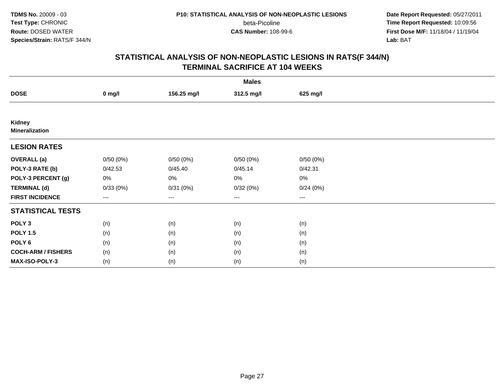beta-Picoline<br>CAS Number: 108-99-6

 **Date Report Requested:** 05/27/2011 **Time Report Requested:** 10:09:56 **First Dose M/F:** 11/18/04 / 11/19/04<br>**Lab:** BAT **Lab:** BAT

| <b>Males</b>                    |          |             |                        |          |  |  |
|---------------------------------|----------|-------------|------------------------|----------|--|--|
| <b>DOSE</b>                     | $0$ mg/l | 156.25 mg/l | 312.5 mg/l             | 625 mg/l |  |  |
|                                 |          |             |                        |          |  |  |
| Kidney<br><b>Mineralization</b> |          |             |                        |          |  |  |
| <b>LESION RATES</b>             |          |             |                        |          |  |  |
| <b>OVERALL</b> (a)              | 0/50(0%) | 0/50(0%)    | 0/50(0%)               | 0/50(0%) |  |  |
| POLY-3 RATE (b)                 | 0/42.53  | 0/45.40     | 0/45.14                | 0/42.31  |  |  |
| POLY-3 PERCENT (g)              | 0%       | 0%          | 0%                     | $0\%$    |  |  |
| <b>TERMINAL (d)</b>             | 0/33(0%) | 0/31(0%)    | 0/32(0%)               | 0/24(0%) |  |  |
| <b>FIRST INCIDENCE</b>          | ---      | $--$        | $\qquad \qquad \cdots$ | $---$    |  |  |
| <b>STATISTICAL TESTS</b>        |          |             |                        |          |  |  |
| POLY <sub>3</sub>               | (n)      | (n)         | (n)                    | (n)      |  |  |
| <b>POLY 1.5</b>                 | (n)      | (n)         | (n)                    | (n)      |  |  |
| POLY <sub>6</sub>               | (n)      | (n)         | (n)                    | (n)      |  |  |
| <b>COCH-ARM / FISHERS</b>       | (n)      | (n)         | (n)                    | (n)      |  |  |
| MAX-ISO-POLY-3                  | (n)      | (n)         | (n)                    | (n)      |  |  |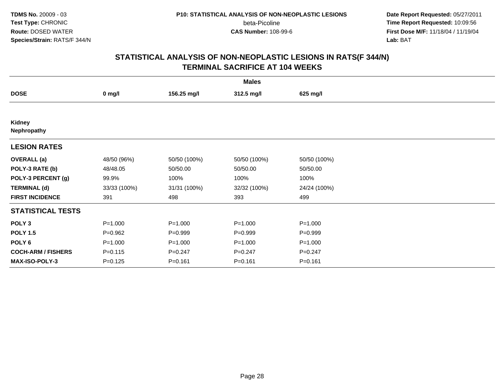beta-Picoline<br>CAS Number: 108-99-6

 **Date Report Requested:** 05/27/2011 **Time Report Requested:** 10:09:56 **First Dose M/F:** 11/18/04 / 11/19/04<br>**Lab:** BAT **Lab:** BAT

| <b>Males</b>              |              |              |              |              |  |  |
|---------------------------|--------------|--------------|--------------|--------------|--|--|
| <b>DOSE</b>               | $0$ mg/l     | 156.25 mg/l  | 312.5 mg/l   | 625 mg/l     |  |  |
|                           |              |              |              |              |  |  |
| Kidney<br>Nephropathy     |              |              |              |              |  |  |
| <b>LESION RATES</b>       |              |              |              |              |  |  |
| <b>OVERALL</b> (a)        | 48/50 (96%)  | 50/50 (100%) | 50/50 (100%) | 50/50 (100%) |  |  |
| POLY-3 RATE (b)           | 48/48.05     | 50/50.00     | 50/50.00     | 50/50.00     |  |  |
| POLY-3 PERCENT (g)        | 99.9%        | 100%         | 100%         | 100%         |  |  |
| <b>TERMINAL (d)</b>       | 33/33 (100%) | 31/31 (100%) | 32/32 (100%) | 24/24 (100%) |  |  |
| <b>FIRST INCIDENCE</b>    | 391          | 498          | 393          | 499          |  |  |
| <b>STATISTICAL TESTS</b>  |              |              |              |              |  |  |
| POLY <sub>3</sub>         | $P = 1.000$  | $P = 1.000$  | $P = 1.000$  | $P = 1.000$  |  |  |
| <b>POLY 1.5</b>           | $P=0.962$    | $P=0.999$    | $P=0.999$    | $P=0.999$    |  |  |
| POLY <sub>6</sub>         | $P = 1.000$  | $P = 1.000$  | $P = 1.000$  | $P = 1.000$  |  |  |
| <b>COCH-ARM / FISHERS</b> | $P = 0.115$  | $P = 0.247$  | $P=0.247$    | $P=0.247$    |  |  |
| MAX-ISO-POLY-3            | $P = 0.125$  | $P = 0.161$  | $P = 0.161$  | $P = 0.161$  |  |  |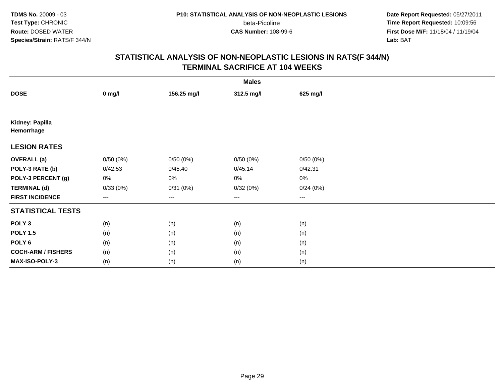beta-Picoline<br>CAS Number: 108-99-6

 **Date Report Requested:** 05/27/2011 **Time Report Requested:** 10:09:56 **First Dose M/F:** 11/18/04 / 11/19/04<br>**Lab:** BAT **Lab:** BAT

| <b>Males</b>                  |          |             |                        |          |  |  |
|-------------------------------|----------|-------------|------------------------|----------|--|--|
| <b>DOSE</b>                   | $0$ mg/l | 156.25 mg/l | 312.5 mg/l             | 625 mg/l |  |  |
|                               |          |             |                        |          |  |  |
| Kidney: Papilla<br>Hemorrhage |          |             |                        |          |  |  |
| <b>LESION RATES</b>           |          |             |                        |          |  |  |
| <b>OVERALL</b> (a)            | 0/50(0%) | 0/50(0%)    | 0/50(0%)               | 0/50(0%) |  |  |
| POLY-3 RATE (b)               | 0/42.53  | 0/45.40     | 0/45.14                | 0/42.31  |  |  |
| POLY-3 PERCENT (g)            | 0%       | 0%          | 0%                     | $0\%$    |  |  |
| <b>TERMINAL (d)</b>           | 0/33(0%) | 0/31(0%)    | 0/32(0%)               | 0/24(0%) |  |  |
| <b>FIRST INCIDENCE</b>        | ---      | $--$        | $\qquad \qquad \cdots$ | $---$    |  |  |
| <b>STATISTICAL TESTS</b>      |          |             |                        |          |  |  |
| POLY <sub>3</sub>             | (n)      | (n)         | (n)                    | (n)      |  |  |
| <b>POLY 1.5</b>               | (n)      | (n)         | (n)                    | (n)      |  |  |
| POLY <sub>6</sub>             | (n)      | (n)         | (n)                    | (n)      |  |  |
| <b>COCH-ARM / FISHERS</b>     | (n)      | (n)         | (n)                    | (n)      |  |  |
| MAX-ISO-POLY-3                | (n)      | (n)         | (n)                    | (n)      |  |  |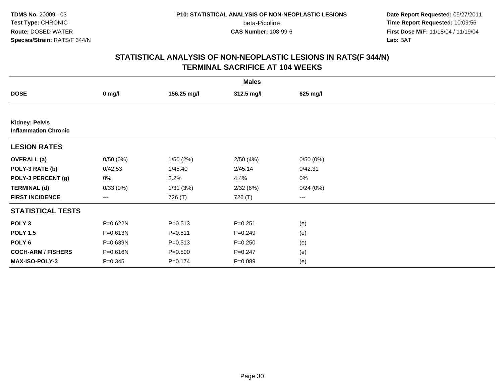beta-Picoline<br>CAS Number: 108-99-6

 **Date Report Requested:** 05/27/2011 **Time Report Requested:** 10:09:56 **First Dose M/F:** 11/18/04 / 11/19/04<br>**Lab:** BAT **Lab:** BAT

| <b>Males</b>                                         |             |             |             |          |  |  |
|------------------------------------------------------|-------------|-------------|-------------|----------|--|--|
| <b>DOSE</b>                                          | $0$ mg/l    | 156.25 mg/l | 312.5 mg/l  | 625 mg/l |  |  |
|                                                      |             |             |             |          |  |  |
| <b>Kidney: Pelvis</b><br><b>Inflammation Chronic</b> |             |             |             |          |  |  |
| <b>LESION RATES</b>                                  |             |             |             |          |  |  |
| <b>OVERALL</b> (a)                                   | 0/50(0%)    | 1/50(2%)    | 2/50(4%)    | 0/50(0%) |  |  |
| POLY-3 RATE (b)                                      | 0/42.53     | 1/45.40     | 2/45.14     | 0/42.31  |  |  |
| POLY-3 PERCENT (g)                                   | 0%          | 2.2%        | 4.4%        | 0%       |  |  |
| <b>TERMINAL (d)</b>                                  | 0/33(0%)    | 1/31(3%)    | 2/32(6%)    | 0/24(0%) |  |  |
| <b>FIRST INCIDENCE</b>                               | ---         | 726 (T)     | 726 (T)     | ---      |  |  |
| <b>STATISTICAL TESTS</b>                             |             |             |             |          |  |  |
| POLY <sub>3</sub>                                    | P=0.622N    | $P = 0.513$ | $P = 0.251$ | (e)      |  |  |
| <b>POLY 1.5</b>                                      | P=0.613N    | $P = 0.511$ | $P = 0.249$ | (e)      |  |  |
| POLY 6                                               | P=0.639N    | $P = 0.513$ | $P = 0.250$ | (e)      |  |  |
| <b>COCH-ARM / FISHERS</b>                            | P=0.616N    | $P = 0.500$ | $P = 0.247$ | (e)      |  |  |
| MAX-ISO-POLY-3                                       | $P = 0.345$ | $P = 0.174$ | $P = 0.089$ | (e)      |  |  |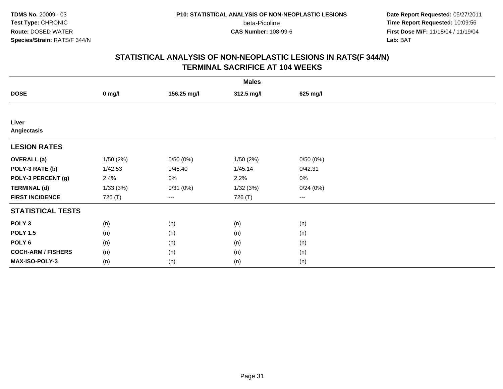beta-Picoline<br>CAS Number: 108-99-6

 **Date Report Requested:** 05/27/2011 **Time Report Requested:** 10:09:56 **First Dose M/F:** 11/18/04 / 11/19/04<br>**Lab:** BAT **Lab:** BAT

|                           | <b>Males</b> |             |            |          |  |  |  |
|---------------------------|--------------|-------------|------------|----------|--|--|--|
| <b>DOSE</b>               | $0$ mg/l     | 156.25 mg/l | 312.5 mg/l | 625 mg/l |  |  |  |
|                           |              |             |            |          |  |  |  |
| Liver<br>Angiectasis      |              |             |            |          |  |  |  |
| <b>LESION RATES</b>       |              |             |            |          |  |  |  |
| <b>OVERALL</b> (a)        | 1/50(2%)     | 0/50(0%)    | 1/50(2%)   | 0/50(0%) |  |  |  |
| POLY-3 RATE (b)           | 1/42.53      | 0/45.40     | 1/45.14    | 0/42.31  |  |  |  |
| POLY-3 PERCENT (g)        | 2.4%         | 0%          | 2.2%       | 0%       |  |  |  |
| <b>TERMINAL (d)</b>       | 1/33(3%)     | 0/31(0%)    | 1/32(3%)   | 0/24(0%) |  |  |  |
| <b>FIRST INCIDENCE</b>    | 726 (T)      | ---         | 726 (T)    | $--$     |  |  |  |
| <b>STATISTICAL TESTS</b>  |              |             |            |          |  |  |  |
| POLY <sub>3</sub>         | (n)          | (n)         | (n)        | (n)      |  |  |  |
| <b>POLY 1.5</b>           | (n)          | (n)         | (n)        | (n)      |  |  |  |
| POLY <sub>6</sub>         | (n)          | (n)         | (n)        | (n)      |  |  |  |
| <b>COCH-ARM / FISHERS</b> | (n)          | (n)         | (n)        | (n)      |  |  |  |
| MAX-ISO-POLY-3            | (n)          | (n)         | (n)        | (n)      |  |  |  |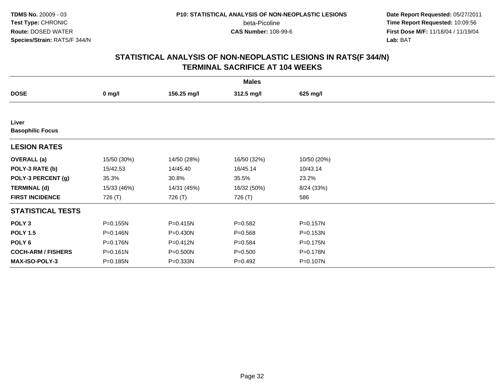beta-Picoline<br>CAS Number: 108-99-6

 **Date Report Requested:** 05/27/2011 **Time Report Requested:** 10:09:56 **First Dose M/F:** 11/18/04 / 11/19/04<br>**Lab:** BAT **Lab:** BAT

| <b>Males</b>                     |              |              |             |             |  |  |
|----------------------------------|--------------|--------------|-------------|-------------|--|--|
| <b>DOSE</b>                      | $0$ mg/l     | 156.25 mg/l  | 312.5 mg/l  | 625 mg/l    |  |  |
|                                  |              |              |             |             |  |  |
| Liver<br><b>Basophilic Focus</b> |              |              |             |             |  |  |
| <b>LESION RATES</b>              |              |              |             |             |  |  |
| <b>OVERALL</b> (a)               | 15/50 (30%)  | 14/50 (28%)  | 16/50 (32%) | 10/50 (20%) |  |  |
| POLY-3 RATE (b)                  | 15/42.53     | 14/45.40     | 16/45.14    | 10/43.14    |  |  |
| POLY-3 PERCENT (g)               | 35.3%        | 30.8%        | 35.5%       | 23.2%       |  |  |
| <b>TERMINAL (d)</b>              | 15/33 (46%)  | 14/31 (45%)  | 16/32 (50%) | 8/24 (33%)  |  |  |
| <b>FIRST INCIDENCE</b>           | 726 (T)      | 726 (T)      | 726 (T)     | 586         |  |  |
| <b>STATISTICAL TESTS</b>         |              |              |             |             |  |  |
| POLY <sub>3</sub>                | P=0.155N     | $P = 0.415N$ | $P = 0.582$ | P=0.157N    |  |  |
| <b>POLY 1.5</b>                  | P=0.146N     | P=0.430N     | $P = 0.568$ | P=0.153N    |  |  |
| POLY <sub>6</sub>                | P=0.176N     | P=0.412N     | $P = 0.584$ | P=0.175N    |  |  |
| <b>COCH-ARM / FISHERS</b>        | $P = 0.161N$ | P=0.500N     | $P = 0.500$ | P=0.178N    |  |  |
| <b>MAX-ISO-POLY-3</b>            | P=0.185N     | P=0.333N     | $P = 0.492$ | P=0.107N    |  |  |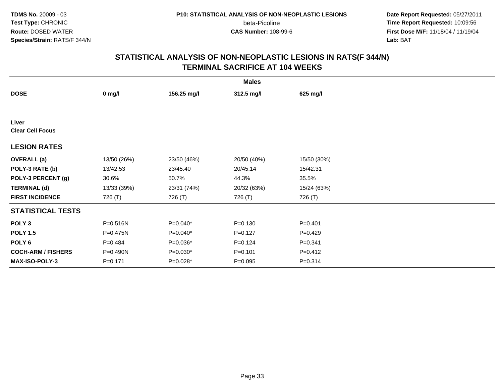beta-Picoline<br>CAS Number: 108-99-6

 **Date Report Requested:** 05/27/2011 **Time Report Requested:** 10:09:56 **First Dose M/F:** 11/18/04 / 11/19/04<br>**Lab:** BAT **Lab:** BAT

| <b>Males</b>                     |                  |             |             |             |  |  |
|----------------------------------|------------------|-------------|-------------|-------------|--|--|
| <b>DOSE</b>                      | $0 \text{ mg/l}$ | 156.25 mg/l | 312.5 mg/l  | 625 mg/l    |  |  |
|                                  |                  |             |             |             |  |  |
| Liver<br><b>Clear Cell Focus</b> |                  |             |             |             |  |  |
| <b>LESION RATES</b>              |                  |             |             |             |  |  |
| <b>OVERALL</b> (a)               | 13/50 (26%)      | 23/50 (46%) | 20/50 (40%) | 15/50 (30%) |  |  |
| POLY-3 RATE (b)                  | 13/42.53         | 23/45.40    | 20/45.14    | 15/42.31    |  |  |
| POLY-3 PERCENT (g)               | 30.6%            | 50.7%       | 44.3%       | 35.5%       |  |  |
| <b>TERMINAL (d)</b>              | 13/33 (39%)      | 23/31 (74%) | 20/32 (63%) | 15/24 (63%) |  |  |
| <b>FIRST INCIDENCE</b>           | 726 (T)          | 726 (T)     | 726 (T)     | 726 (T)     |  |  |
| <b>STATISTICAL TESTS</b>         |                  |             |             |             |  |  |
| POLY <sub>3</sub>                | P=0.516N         | $P=0.040*$  | $P = 0.130$ | $P = 0.401$ |  |  |
| <b>POLY 1.5</b>                  | P=0.475N         | $P=0.040*$  | $P = 0.127$ | $P=0.429$   |  |  |
| POLY 6                           | $P = 0.484$      | P=0.036*    | $P = 0.124$ | $P = 0.341$ |  |  |
| <b>COCH-ARM / FISHERS</b>        | P=0.490N         | $P=0.030*$  | $P = 0.101$ | $P = 0.412$ |  |  |
| MAX-ISO-POLY-3                   | $P = 0.171$      | P=0.028*    | $P=0.095$   | $P = 0.314$ |  |  |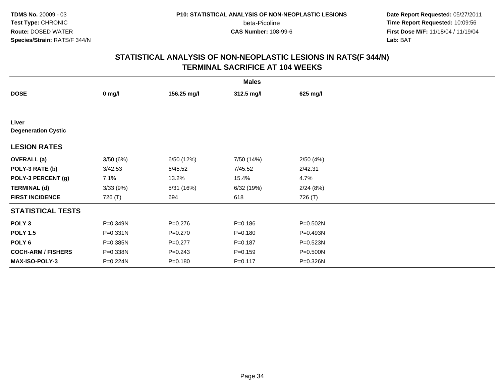beta-Picoline<br>CAS Number: 108-99-6

 **Date Report Requested:** 05/27/2011 **Time Report Requested:** 10:09:56 **First Dose M/F:** 11/18/04 / 11/19/04<br>**Lab:** BAT **Lab:** BAT

|                                     |          |             | <b>Males</b> |              |  |
|-------------------------------------|----------|-------------|--------------|--------------|--|
| <b>DOSE</b>                         | $0$ mg/l | 156.25 mg/l | 312.5 mg/l   | 625 mg/l     |  |
|                                     |          |             |              |              |  |
| Liver<br><b>Degeneration Cystic</b> |          |             |              |              |  |
| <b>LESION RATES</b>                 |          |             |              |              |  |
| <b>OVERALL</b> (a)                  | 3/50(6%) | 6/50 (12%)  | 7/50 (14%)   | 2/50(4%)     |  |
| POLY-3 RATE (b)                     | 3/42.53  | 6/45.52     | 7/45.52      | 2/42.31      |  |
| POLY-3 PERCENT (g)                  | 7.1%     | 13.2%       | 15.4%        | 4.7%         |  |
| <b>TERMINAL (d)</b>                 | 3/33(9%) | 5/31 (16%)  | 6/32 (19%)   | 2/24(8%)     |  |
| <b>FIRST INCIDENCE</b>              | 726 (T)  | 694         | 618          | 726 (T)      |  |
| <b>STATISTICAL TESTS</b>            |          |             |              |              |  |
| POLY <sub>3</sub>                   | P=0.349N | $P = 0.276$ | $P = 0.186$  | P=0.502N     |  |
| <b>POLY 1.5</b>                     | P=0.331N | $P = 0.270$ | $P = 0.180$  | P=0.493N     |  |
| POLY <sub>6</sub>                   | P=0.385N | $P=0.277$   | $P = 0.187$  | $P = 0.523N$ |  |
| <b>COCH-ARM / FISHERS</b>           | P=0.338N | $P = 0.243$ | $P = 0.159$  | $P = 0.500N$ |  |
| MAX-ISO-POLY-3                      | P=0.224N | $P = 0.180$ | $P = 0.117$  | P=0.326N     |  |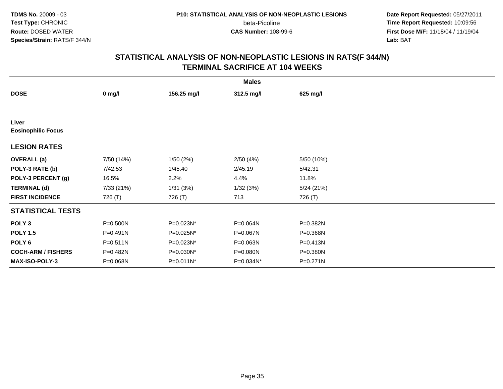beta-Picoline<br>CAS Number: 108-99-6

 **Date Report Requested:** 05/27/2011 **Time Report Requested:** 10:09:56 **First Dose M/F:** 11/18/04 / 11/19/04<br>**Lab:** BAT **Lab:** BAT

|                                    |              |             | <b>Males</b> |            |  |
|------------------------------------|--------------|-------------|--------------|------------|--|
| <b>DOSE</b>                        | $0$ mg/l     | 156.25 mg/l | 312.5 mg/l   | 625 mg/l   |  |
|                                    |              |             |              |            |  |
| Liver<br><b>Eosinophilic Focus</b> |              |             |              |            |  |
| <b>LESION RATES</b>                |              |             |              |            |  |
| <b>OVERALL</b> (a)                 | 7/50 (14%)   | 1/50(2%)    | 2/50(4%)     | 5/50 (10%) |  |
| POLY-3 RATE (b)                    | 7/42.53      | 1/45.40     | 2/45.19      | 5/42.31    |  |
| POLY-3 PERCENT (g)                 | 16.5%        | 2.2%        | 4.4%         | 11.8%      |  |
| <b>TERMINAL (d)</b>                | 7/33 (21%)   | 1/31(3%)    | 1/32(3%)     | 5/24(21%)  |  |
| <b>FIRST INCIDENCE</b>             | 726 (T)      | 726 (T)     | 713          | 726 (T)    |  |
| <b>STATISTICAL TESTS</b>           |              |             |              |            |  |
| POLY <sub>3</sub>                  | P=0.500N     | P=0.023N*   | P=0.064N     | P=0.382N   |  |
| <b>POLY 1.5</b>                    | P=0.491N     | P=0.025N*   | P=0.067N     | P=0.368N   |  |
| POLY <sub>6</sub>                  | $P = 0.511N$ | P=0.023N*   | P=0.063N     | P=0.413N   |  |
| <b>COCH-ARM / FISHERS</b>          | P=0.482N     | P=0.030N*   | P=0.080N     | P=0.380N   |  |
| <b>MAX-ISO-POLY-3</b>              | P=0.068N     | P=0.011N*   | P=0.034N*    | P=0.271N   |  |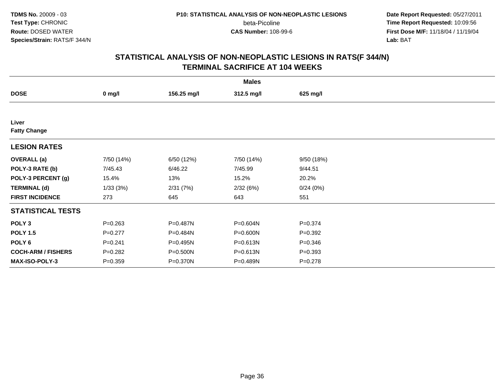beta-Picoline<br>CAS Number: 108-99-6

 **Date Report Requested:** 05/27/2011 **Time Report Requested:** 10:09:56 **First Dose M/F:** 11/18/04 / 11/19/04<br>**Lab:** BAT **Lab:** BAT

|                              |             |             | <b>Males</b> |             |  |
|------------------------------|-------------|-------------|--------------|-------------|--|
| <b>DOSE</b>                  | $0$ mg/l    | 156.25 mg/l | 312.5 mg/l   | 625 mg/l    |  |
|                              |             |             |              |             |  |
| Liver<br><b>Fatty Change</b> |             |             |              |             |  |
| <b>LESION RATES</b>          |             |             |              |             |  |
| <b>OVERALL</b> (a)           | 7/50 (14%)  | 6/50 (12%)  | 7/50 (14%)   | 9/50 (18%)  |  |
| POLY-3 RATE (b)              | 7/45.43     | 6/46.22     | 7/45.99      | 9/44.51     |  |
| POLY-3 PERCENT (g)           | 15.4%       | 13%         | 15.2%        | 20.2%       |  |
| <b>TERMINAL (d)</b>          | 1/33(3%)    | 2/31(7%)    | 2/32(6%)     | 0/24(0%)    |  |
| <b>FIRST INCIDENCE</b>       | 273         | 645         | 643          | 551         |  |
| <b>STATISTICAL TESTS</b>     |             |             |              |             |  |
| POLY <sub>3</sub>            | $P = 0.263$ | P=0.487N    | P=0.604N     | $P = 0.374$ |  |
| <b>POLY 1.5</b>              | $P=0.277$   | P=0.484N    | P=0.600N     | $P = 0.392$ |  |
| POLY <sub>6</sub>            | $P = 0.241$ | P=0.495N    | P=0.613N     | $P = 0.346$ |  |
| <b>COCH-ARM / FISHERS</b>    | $P = 0.282$ | P=0.500N    | P=0.613N     | $P = 0.393$ |  |
| MAX-ISO-POLY-3               | $P = 0.359$ | P=0.370N    | P=0.489N     | $P = 0.278$ |  |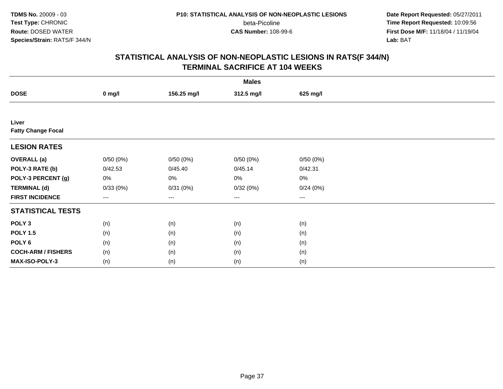beta-Picoline<br>CAS Number: 108-99-6

 **Date Report Requested:** 05/27/2011 **Time Report Requested:** 10:09:56 **First Dose M/F:** 11/18/04 / 11/19/04<br>**Lab:** BAT **Lab:** BAT

|                                    |                   |             | <b>Males</b>           |                        |  |
|------------------------------------|-------------------|-------------|------------------------|------------------------|--|
| <b>DOSE</b>                        | $0$ mg/l          | 156.25 mg/l | 312.5 mg/l             | 625 mg/l               |  |
|                                    |                   |             |                        |                        |  |
| Liver<br><b>Fatty Change Focal</b> |                   |             |                        |                        |  |
| <b>LESION RATES</b>                |                   |             |                        |                        |  |
| <b>OVERALL</b> (a)                 | 0/50(0%)          | 0/50(0%)    | 0/50(0%)               | 0/50(0%)               |  |
| POLY-3 RATE (b)                    | 0/42.53           | 0/45.40     | 0/45.14                | 0/42.31                |  |
| POLY-3 PERCENT (g)                 | 0%                | 0%          | 0%                     | $0\%$                  |  |
| <b>TERMINAL (d)</b>                | 0/33(0%)          | 0/31(0%)    | 0/32(0%)               | 0/24(0%)               |  |
| <b>FIRST INCIDENCE</b>             | $\qquad \qquad -$ | $--$        | $\qquad \qquad \cdots$ | $\qquad \qquad \cdots$ |  |
| <b>STATISTICAL TESTS</b>           |                   |             |                        |                        |  |
| POLY <sub>3</sub>                  | (n)               | (n)         | (n)                    | (n)                    |  |
| <b>POLY 1.5</b>                    | (n)               | (n)         | (n)                    | (n)                    |  |
| POLY <sub>6</sub>                  | (n)               | (n)         | (n)                    | (n)                    |  |
| <b>COCH-ARM / FISHERS</b>          | (n)               | (n)         | (n)                    | (n)                    |  |
| MAX-ISO-POLY-3                     | (n)               | (n)         | (n)                    | (n)                    |  |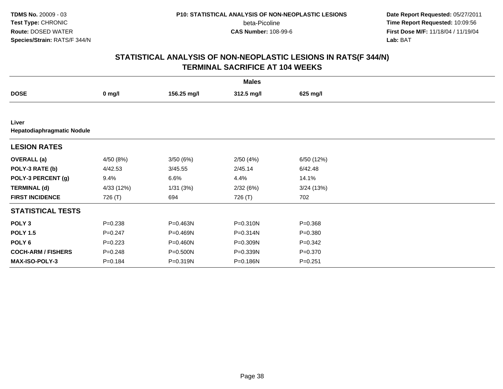beta-Picoline<br>CAS Number: 108-99-6

 **Date Report Requested:** 05/27/2011 **Time Report Requested:** 10:09:56 **First Dose M/F:** 11/18/04 / 11/19/04<br>**Lab:** BAT **Lab:** BAT

|                                     |             |              | <b>Males</b> |             |  |  |  |  |  |
|-------------------------------------|-------------|--------------|--------------|-------------|--|--|--|--|--|
| <b>DOSE</b>                         | $0$ mg/l    | 156.25 mg/l  | 312.5 mg/l   | 625 mg/l    |  |  |  |  |  |
|                                     |             |              |              |             |  |  |  |  |  |
| Liver<br>Hepatodiaphragmatic Nodule |             |              |              |             |  |  |  |  |  |
| <b>LESION RATES</b>                 |             |              |              |             |  |  |  |  |  |
| <b>OVERALL</b> (a)                  | 4/50 (8%)   | 3/50(6%)     | 2/50(4%)     | 6/50 (12%)  |  |  |  |  |  |
| POLY-3 RATE (b)                     | 4/42.53     | 3/45.55      | 2/45.14      | 6/42.48     |  |  |  |  |  |
| POLY-3 PERCENT (g)                  | 9.4%        | 6.6%         | 4.4%         | 14.1%       |  |  |  |  |  |
| <b>TERMINAL (d)</b>                 | 4/33 (12%)  | 1/31(3%)     | 2/32(6%)     | 3/24(13%)   |  |  |  |  |  |
| <b>FIRST INCIDENCE</b>              | 726 (T)     | 694          | 726 (T)      | 702         |  |  |  |  |  |
| <b>STATISTICAL TESTS</b>            |             |              |              |             |  |  |  |  |  |
| POLY <sub>3</sub>                   | $P = 0.238$ | P=0.463N     | P=0.310N     | $P = 0.368$ |  |  |  |  |  |
| <b>POLY 1.5</b>                     | $P = 0.247$ | P=0.469N     | P=0.314N     | $P = 0.380$ |  |  |  |  |  |
| POLY <sub>6</sub>                   | $P=0.223$   | $P = 0.460N$ | P=0.309N     | $P = 0.342$ |  |  |  |  |  |
| <b>COCH-ARM / FISHERS</b>           | $P = 0.248$ | $P = 0.500N$ | P=0.339N     | $P = 0.370$ |  |  |  |  |  |
| <b>MAX-ISO-POLY-3</b>               | $P = 0.184$ | P=0.319N     | P=0.186N     | $P = 0.251$ |  |  |  |  |  |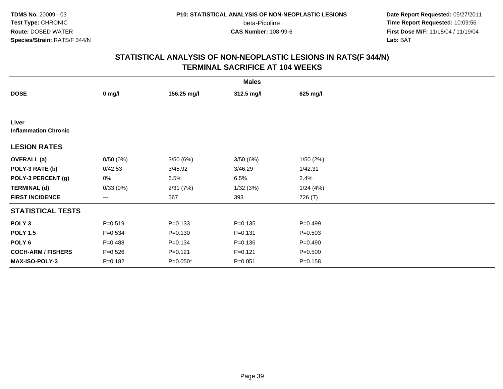beta-Picoline<br>CAS Number: 108-99-6

 **Date Report Requested:** 05/27/2011 **Time Report Requested:** 10:09:56 **First Dose M/F:** 11/18/04 / 11/19/04<br>**Lab:** BAT **Lab:** BAT

|                                      |             |             | <b>Males</b> |             |  |
|--------------------------------------|-------------|-------------|--------------|-------------|--|
| <b>DOSE</b>                          | $0$ mg/l    | 156.25 mg/l | 312.5 mg/l   | 625 mg/l    |  |
|                                      |             |             |              |             |  |
| Liver<br><b>Inflammation Chronic</b> |             |             |              |             |  |
| <b>LESION RATES</b>                  |             |             |              |             |  |
| <b>OVERALL</b> (a)                   | 0/50(0%)    | 3/50(6%)    | 3/50(6%)     | 1/50(2%)    |  |
| POLY-3 RATE (b)                      | 0/42.53     | 3/45.92     | 3/46.29      | 1/42.31     |  |
| POLY-3 PERCENT (g)                   | 0%          | 6.5%        | 6.5%         | 2.4%        |  |
| <b>TERMINAL (d)</b>                  | 0/33(0%)    | 2/31(7%)    | 1/32(3%)     | 1/24(4%)    |  |
| <b>FIRST INCIDENCE</b>               | $---$       | 567         | 393          | 726 (T)     |  |
| <b>STATISTICAL TESTS</b>             |             |             |              |             |  |
| POLY <sub>3</sub>                    | $P = 0.519$ | $P = 0.133$ | $P = 0.135$  | $P = 0.499$ |  |
| <b>POLY 1.5</b>                      | $P = 0.534$ | $P = 0.130$ | $P = 0.131$  | $P = 0.503$ |  |
| POLY 6                               | $P = 0.488$ | $P = 0.134$ | $P = 0.136$  | $P = 0.490$ |  |
| <b>COCH-ARM / FISHERS</b>            | $P = 0.526$ | $P = 0.121$ | $P = 0.121$  | $P = 0.500$ |  |
| <b>MAX-ISO-POLY-3</b>                | $P = 0.182$ | P=0.050*    | $P = 0.051$  | $P = 0.158$ |  |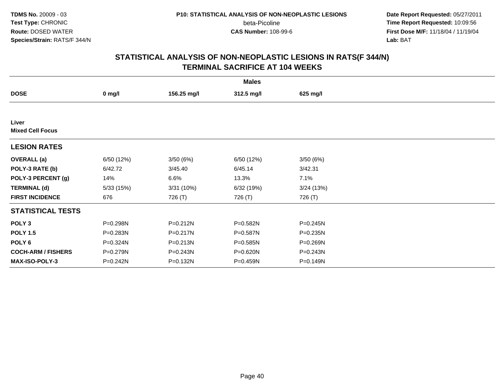beta-Picoline<br>CAS Number: 108-99-6

 **Date Report Requested:** 05/27/2011 **Time Report Requested:** 10:09:56 **First Dose M/F:** 11/18/04 / 11/19/04<br>**Lab:** BAT **Lab:** BAT

|                                  |            |              | <b>Males</b> |              |  |
|----------------------------------|------------|--------------|--------------|--------------|--|
| <b>DOSE</b>                      | $0$ mg/l   | 156.25 mg/l  | 312.5 mg/l   | 625 mg/l     |  |
|                                  |            |              |              |              |  |
| Liver<br><b>Mixed Cell Focus</b> |            |              |              |              |  |
| <b>LESION RATES</b>              |            |              |              |              |  |
| <b>OVERALL</b> (a)               | 6/50 (12%) | 3/50(6%)     | 6/50 (12%)   | 3/50(6%)     |  |
| POLY-3 RATE (b)                  | 6/42.72    | 3/45.40      | 6/45.14      | 3/42.31      |  |
| POLY-3 PERCENT (g)               | 14%        | 6.6%         | 13.3%        | 7.1%         |  |
| <b>TERMINAL (d)</b>              | 5/33 (15%) | 3/31 (10%)   | 6/32 (19%)   | 3/24(13%)    |  |
| <b>FIRST INCIDENCE</b>           | 676        | 726 (T)      | 726 (T)      | 726 (T)      |  |
| <b>STATISTICAL TESTS</b>         |            |              |              |              |  |
| POLY <sub>3</sub>                | P=0.298N   | $P = 0.212N$ | P=0.582N     | $P = 0.245N$ |  |
| <b>POLY 1.5</b>                  | P=0.283N   | $P = 0.217N$ | P=0.587N     | $P = 0.235N$ |  |
| POLY 6                           | P=0.324N   | $P = 0.213N$ | P=0.585N     | P=0.269N     |  |
| <b>COCH-ARM / FISHERS</b>        | P=0.279N   | P=0.243N     | P=0.620N     | P=0.243N     |  |
| <b>MAX-ISO-POLY-3</b>            | P=0.242N   | P=0.132N     | P=0.459N     | P=0.149N     |  |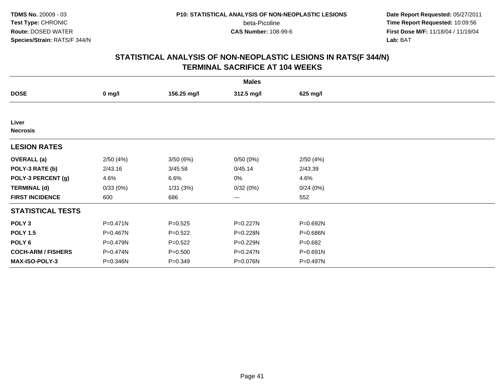beta-Picoline<br>CAS Number: 108-99-6

 **Date Report Requested:** 05/27/2011 **Time Report Requested:** 10:09:56 **First Dose M/F:** 11/18/04 / 11/19/04<br>**Lab:** BAT **Lab:** BAT

|                           |              |             | <b>Males</b> |             |  |
|---------------------------|--------------|-------------|--------------|-------------|--|
| <b>DOSE</b>               | $0$ mg/l     | 156.25 mg/l | 312.5 mg/l   | 625 mg/l    |  |
|                           |              |             |              |             |  |
| Liver<br><b>Necrosis</b>  |              |             |              |             |  |
| <b>LESION RATES</b>       |              |             |              |             |  |
| <b>OVERALL</b> (a)        | 2/50(4%)     | 3/50(6%)    | 0/50(0%)     | 2/50(4%)    |  |
| POLY-3 RATE (b)           | 2/43.16      | 3/45.58     | 0/45.14      | 2/43.39     |  |
| POLY-3 PERCENT (g)        | 4.6%         | 6.6%        | 0%           | 4.6%        |  |
| <b>TERMINAL (d)</b>       | 0/33(0%)     | 1/31(3%)    | 0/32(0%)     | 0/24(0%)    |  |
| <b>FIRST INCIDENCE</b>    | 600          | 686         | ---          | 552         |  |
| <b>STATISTICAL TESTS</b>  |              |             |              |             |  |
| POLY <sub>3</sub>         | $P = 0.471N$ | $P = 0.525$ | P=0.227N     | P=0.692N    |  |
| <b>POLY 1.5</b>           | P=0.467N     | $P=0.522$   | P=0.228N     | P=0.686N    |  |
| POLY 6                    | P=0.479N     | $P = 0.522$ | P=0.229N     | $P = 0.682$ |  |
| <b>COCH-ARM / FISHERS</b> | P=0.474N     | $P = 0.500$ | P=0.247N     | P=0.691N    |  |
| MAX-ISO-POLY-3            | P=0.346N     | $P = 0.349$ | P=0.076N     | P=0.497N    |  |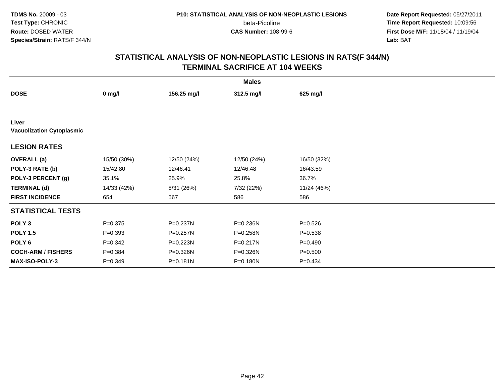beta-Picoline<br>CAS Number: 108-99-6

 **Date Report Requested:** 05/27/2011 **Time Report Requested:** 10:09:56 **First Dose M/F:** 11/18/04 / 11/19/04<br>**Lab:** BAT **Lab:** BAT

|                                           |             |             | <b>Males</b> |             |  |  |  |  |  |
|-------------------------------------------|-------------|-------------|--------------|-------------|--|--|--|--|--|
| <b>DOSE</b>                               | $0$ mg/l    | 156.25 mg/l | 312.5 mg/l   | 625 mg/l    |  |  |  |  |  |
|                                           |             |             |              |             |  |  |  |  |  |
| Liver<br><b>Vacuolization Cytoplasmic</b> |             |             |              |             |  |  |  |  |  |
| <b>LESION RATES</b>                       |             |             |              |             |  |  |  |  |  |
| <b>OVERALL</b> (a)                        | 15/50 (30%) | 12/50 (24%) | 12/50 (24%)  | 16/50 (32%) |  |  |  |  |  |
| POLY-3 RATE (b)                           | 15/42.80    | 12/46.41    | 12/46.48     | 16/43.59    |  |  |  |  |  |
| POLY-3 PERCENT (g)                        | 35.1%       | 25.9%       | 25.8%        | 36.7%       |  |  |  |  |  |
| <b>TERMINAL (d)</b>                       | 14/33 (42%) | 8/31 (26%)  | 7/32 (22%)   | 11/24 (46%) |  |  |  |  |  |
| <b>FIRST INCIDENCE</b>                    | 654         | 567         | 586          | 586         |  |  |  |  |  |
| <b>STATISTICAL TESTS</b>                  |             |             |              |             |  |  |  |  |  |
| POLY <sub>3</sub>                         | $P = 0.375$ | P=0.237N    | P=0.236N     | $P = 0.526$ |  |  |  |  |  |
| <b>POLY 1.5</b>                           | $P = 0.393$ | P=0.257N    | P=0.258N     | $P = 0.538$ |  |  |  |  |  |
| POLY <sub>6</sub>                         | $P = 0.342$ | P=0.223N    | P=0.217N     | $P = 0.490$ |  |  |  |  |  |
| <b>COCH-ARM / FISHERS</b>                 | $P = 0.384$ | P=0.326N    | P=0.326N     | $P = 0.500$ |  |  |  |  |  |
| <b>MAX-ISO-POLY-3</b>                     | $P = 0.349$ | P=0.181N    | P=0.180N     | $P = 0.434$ |  |  |  |  |  |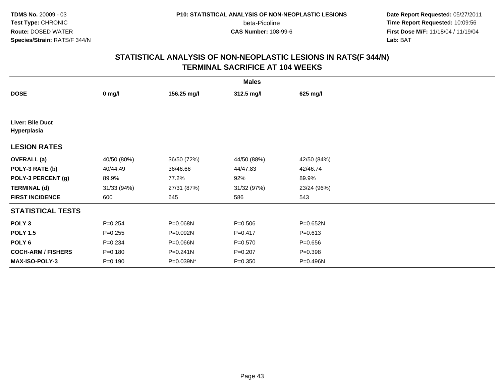**Date Report Requested:** 05/27/2011 **Time Report Requested:** 10:09:56 **First Dose M/F:** 11/18/04 / 11/19/04<br>**Lab:** BAT **Lab:** BAT

|                                 | <b>Males</b> |             |             |             |  |  |  |  |
|---------------------------------|--------------|-------------|-------------|-------------|--|--|--|--|
| <b>DOSE</b>                     | $0$ mg/l     | 156.25 mg/l | 312.5 mg/l  | 625 mg/l    |  |  |  |  |
|                                 |              |             |             |             |  |  |  |  |
| Liver: Bile Duct<br>Hyperplasia |              |             |             |             |  |  |  |  |
| <b>LESION RATES</b>             |              |             |             |             |  |  |  |  |
| <b>OVERALL</b> (a)              | 40/50 (80%)  | 36/50 (72%) | 44/50 (88%) | 42/50 (84%) |  |  |  |  |
| POLY-3 RATE (b)                 | 40/44.49     | 36/46.66    | 44/47.83    | 42/46.74    |  |  |  |  |
| POLY-3 PERCENT (g)              | 89.9%        | 77.2%       | 92%         | 89.9%       |  |  |  |  |
| <b>TERMINAL (d)</b>             | 31/33 (94%)  | 27/31 (87%) | 31/32 (97%) | 23/24 (96%) |  |  |  |  |
| <b>FIRST INCIDENCE</b>          | 600          | 645         | 586         | 543         |  |  |  |  |
| <b>STATISTICAL TESTS</b>        |              |             |             |             |  |  |  |  |
| POLY <sub>3</sub>               | $P = 0.254$  | P=0.068N    | $P = 0.506$ | P=0.652N    |  |  |  |  |
| <b>POLY 1.5</b>                 | $P = 0.255$  | P=0.092N    | $P = 0.417$ | $P = 0.613$ |  |  |  |  |
| POLY <sub>6</sub>               | $P = 0.234$  | P=0.066N    | $P = 0.570$ | $P = 0.656$ |  |  |  |  |
| <b>COCH-ARM / FISHERS</b>       | $P = 0.180$  | P=0.241N    | $P = 0.207$ | $P = 0.398$ |  |  |  |  |
| <b>MAX-ISO-POLY-3</b>           | $P = 0.190$  | P=0.039N*   | $P = 0.350$ | P=0.496N    |  |  |  |  |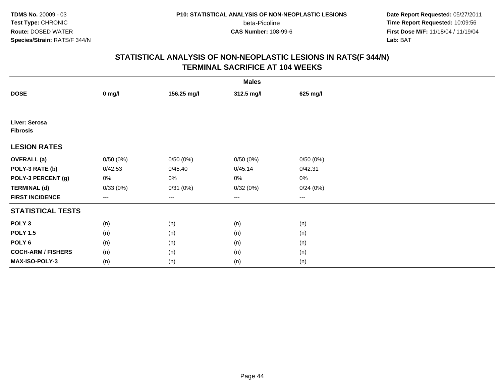beta-Picoline<br>CAS Number: 108-99-6

 **Date Report Requested:** 05/27/2011 **Time Report Requested:** 10:09:56 **First Dose M/F:** 11/18/04 / 11/19/04<br>**Lab:** BAT **Lab:** BAT

|                                  |          |             | <b>Males</b> |          |  |
|----------------------------------|----------|-------------|--------------|----------|--|
| <b>DOSE</b>                      | $0$ mg/l | 156.25 mg/l | 312.5 mg/l   | 625 mg/l |  |
|                                  |          |             |              |          |  |
| Liver: Serosa<br><b>Fibrosis</b> |          |             |              |          |  |
| <b>LESION RATES</b>              |          |             |              |          |  |
| <b>OVERALL</b> (a)               | 0/50(0%) | 0/50(0%)    | 0/50(0%)     | 0/50(0%) |  |
| POLY-3 RATE (b)                  | 0/42.53  | 0/45.40     | 0/45.14      | 0/42.31  |  |
| POLY-3 PERCENT (g)               | 0%       | $0\%$       | 0%           | $0\%$    |  |
| <b>TERMINAL (d)</b>              | 0/33(0%) | 0/31(0%)    | 0/32(0%)     | 0/24(0%) |  |
| <b>FIRST INCIDENCE</b>           | ---      | $--$        | $---$        | ---      |  |
| <b>STATISTICAL TESTS</b>         |          |             |              |          |  |
| POLY <sub>3</sub>                | (n)      | (n)         | (n)          | (n)      |  |
| <b>POLY 1.5</b>                  | (n)      | (n)         | (n)          | (n)      |  |
| POLY <sub>6</sub>                | (n)      | (n)         | (n)          | (n)      |  |
| <b>COCH-ARM / FISHERS</b>        | (n)      | (n)         | (n)          | (n)      |  |
| MAX-ISO-POLY-3                   | (n)      | (n)         | (n)          | (n)      |  |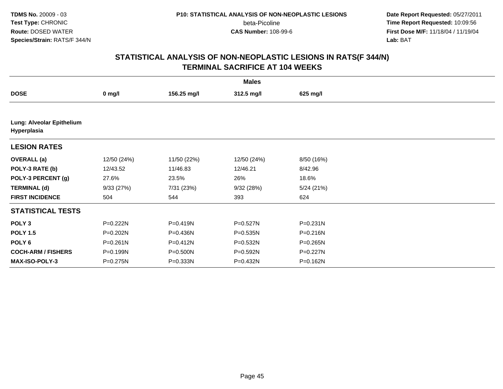**Date Report Requested:** 05/27/2011 **Time Report Requested:** 10:09:56 **First Dose M/F:** 11/18/04 / 11/19/04<br>**Lab:** BAT **Lab:** BAT

| <b>Males</b>                             |              |              |             |            |  |  |  |
|------------------------------------------|--------------|--------------|-------------|------------|--|--|--|
| <b>DOSE</b>                              | $0$ mg/l     | 156.25 mg/l  | 312.5 mg/l  | 625 mg/l   |  |  |  |
|                                          |              |              |             |            |  |  |  |
| Lung: Alveolar Epithelium<br>Hyperplasia |              |              |             |            |  |  |  |
| <b>LESION RATES</b>                      |              |              |             |            |  |  |  |
| <b>OVERALL</b> (a)                       | 12/50 (24%)  | 11/50 (22%)  | 12/50 (24%) | 8/50 (16%) |  |  |  |
| POLY-3 RATE (b)                          | 12/43.52     | 11/46.83     | 12/46.21    | 8/42.96    |  |  |  |
| POLY-3 PERCENT (g)                       | 27.6%        | 23.5%        | 26%         | 18.6%      |  |  |  |
| <b>TERMINAL (d)</b>                      | 9/33(27%)    | 7/31 (23%)   | 9/32(28%)   | 5/24(21%)  |  |  |  |
| <b>FIRST INCIDENCE</b>                   | 504          | 544          | 393         | 624        |  |  |  |
| <b>STATISTICAL TESTS</b>                 |              |              |             |            |  |  |  |
| POLY <sub>3</sub>                        | P=0.222N     | P=0.419N     | P=0.527N    | P=0.231N   |  |  |  |
| <b>POLY 1.5</b>                          | P=0.202N     | P=0.436N     | P=0.535N    | P=0.216N   |  |  |  |
| POLY <sub>6</sub>                        | $P = 0.261N$ | P=0.412N     | P=0.532N    | P=0.265N   |  |  |  |
| <b>COCH-ARM / FISHERS</b>                | P=0.199N     | P=0.500N     | P=0.592N    | P=0.227N   |  |  |  |
| <b>MAX-ISO-POLY-3</b>                    | P=0.275N     | $P = 0.333N$ | P=0.432N    | P=0.162N   |  |  |  |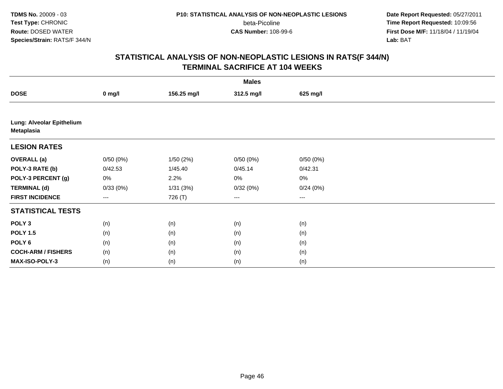**Date Report Requested:** 05/27/2011 **Time Report Requested:** 10:09:56 **First Dose M/F:** 11/18/04 / 11/19/04<br>**Lab:** BAT **Lab:** BAT

|                                         | <b>Males</b> |             |            |          |  |  |  |  |
|-----------------------------------------|--------------|-------------|------------|----------|--|--|--|--|
| <b>DOSE</b>                             | $0$ mg/l     | 156.25 mg/l | 312.5 mg/l | 625 mg/l |  |  |  |  |
|                                         |              |             |            |          |  |  |  |  |
| Lung: Alveolar Epithelium<br>Metaplasia |              |             |            |          |  |  |  |  |
| <b>LESION RATES</b>                     |              |             |            |          |  |  |  |  |
| <b>OVERALL (a)</b>                      | 0/50(0%)     | 1/50(2%)    | 0/50(0%)   | 0/50(0%) |  |  |  |  |
| POLY-3 RATE (b)                         | 0/42.53      | 1/45.40     | 0/45.14    | 0/42.31  |  |  |  |  |
| POLY-3 PERCENT (g)                      | 0%           | 2.2%        | 0%         | 0%       |  |  |  |  |
| <b>TERMINAL (d)</b>                     | 0/33(0%)     | 1/31(3%)    | 0/32(0%)   | 0/24(0%) |  |  |  |  |
| <b>FIRST INCIDENCE</b>                  | ---          | 726 (T)     | $--$       | ---      |  |  |  |  |
| <b>STATISTICAL TESTS</b>                |              |             |            |          |  |  |  |  |
| POLY <sub>3</sub>                       | (n)          | (n)         | (n)        | (n)      |  |  |  |  |
| <b>POLY 1.5</b>                         | (n)          | (n)         | (n)        | (n)      |  |  |  |  |
| POLY <sub>6</sub>                       | (n)          | (n)         | (n)        | (n)      |  |  |  |  |
| <b>COCH-ARM / FISHERS</b>               | (n)          | (n)         | (n)        | (n)      |  |  |  |  |
| MAX-ISO-POLY-3                          | (n)          | (n)         | (n)        | (n)      |  |  |  |  |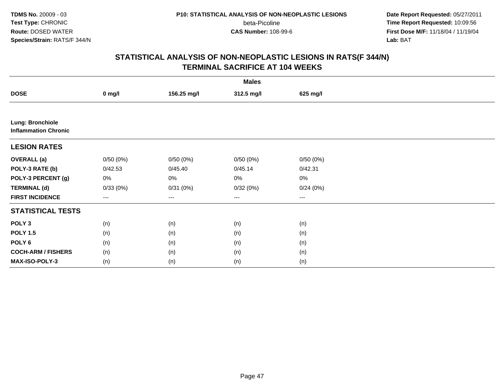beta-Picoline<br>CAS Number: 108-99-6

 **Date Report Requested:** 05/27/2011 **Time Report Requested:** 10:09:56 **First Dose M/F:** 11/18/04 / 11/19/04<br>**Lab:** BAT **Lab:** BAT

|                                                        |          |             | <b>Males</b> |          |  |
|--------------------------------------------------------|----------|-------------|--------------|----------|--|
| <b>DOSE</b>                                            | $0$ mg/l | 156.25 mg/l | 312.5 mg/l   | 625 mg/l |  |
|                                                        |          |             |              |          |  |
| <b>Lung: Bronchiole</b><br><b>Inflammation Chronic</b> |          |             |              |          |  |
| <b>LESION RATES</b>                                    |          |             |              |          |  |
| <b>OVERALL (a)</b>                                     | 0/50(0%) | 0/50(0%)    | 0/50(0%)     | 0/50(0%) |  |
| POLY-3 RATE (b)                                        | 0/42.53  | 0/45.40     | 0/45.14      | 0/42.31  |  |
| POLY-3 PERCENT (g)                                     | 0%       | 0%          | 0%           | $0\%$    |  |
| <b>TERMINAL (d)</b>                                    | 0/33(0%) | 0/31(0%)    | 0/32(0%)     | 0/24(0%) |  |
| <b>FIRST INCIDENCE</b>                                 | $--$     | $--$        | $--$         | $--$     |  |
| <b>STATISTICAL TESTS</b>                               |          |             |              |          |  |
| POLY <sub>3</sub>                                      | (n)      | (n)         | (n)          | (n)      |  |
| <b>POLY 1.5</b>                                        | (n)      | (n)         | (n)          | (n)      |  |
| POLY <sub>6</sub>                                      | (n)      | (n)         | (n)          | (n)      |  |
| <b>COCH-ARM / FISHERS</b>                              | (n)      | (n)         | (n)          | (n)      |  |
| MAX-ISO-POLY-3                                         | (n)      | (n)         | (n)          | (n)      |  |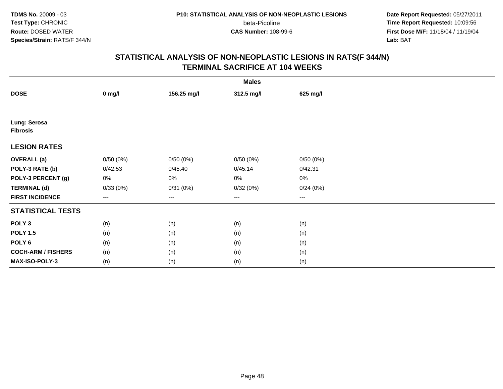beta-Picoline<br>CAS Number: 108-99-6

 **Date Report Requested:** 05/27/2011 **Time Report Requested:** 10:09:56 **First Dose M/F:** 11/18/04 / 11/19/04<br>**Lab:** BAT **Lab:** BAT

|                                 |          |             | <b>Males</b>           |          |  |
|---------------------------------|----------|-------------|------------------------|----------|--|
| <b>DOSE</b>                     | $0$ mg/l | 156.25 mg/l | 312.5 mg/l             | 625 mg/l |  |
|                                 |          |             |                        |          |  |
| Lung: Serosa<br><b>Fibrosis</b> |          |             |                        |          |  |
| <b>LESION RATES</b>             |          |             |                        |          |  |
| <b>OVERALL</b> (a)              | 0/50(0%) | 0/50(0%)    | 0/50(0%)               | 0/50(0%) |  |
| POLY-3 RATE (b)                 | 0/42.53  | 0/45.40     | 0/45.14                | 0/42.31  |  |
| POLY-3 PERCENT (g)              | 0%       | 0%          | 0%                     | $0\%$    |  |
| <b>TERMINAL (d)</b>             | 0/33(0%) | 0/31(0%)    | 0/32(0%)               | 0/24(0%) |  |
| <b>FIRST INCIDENCE</b>          | ---      | $--$        | $\qquad \qquad \cdots$ | $---$    |  |
| <b>STATISTICAL TESTS</b>        |          |             |                        |          |  |
| POLY <sub>3</sub>               | (n)      | (n)         | (n)                    | (n)      |  |
| <b>POLY 1.5</b>                 | (n)      | (n)         | (n)                    | (n)      |  |
| POLY <sub>6</sub>               | (n)      | (n)         | (n)                    | (n)      |  |
| <b>COCH-ARM / FISHERS</b>       | (n)      | (n)         | (n)                    | (n)      |  |
| MAX-ISO-POLY-3                  | (n)      | (n)         | (n)                    | (n)      |  |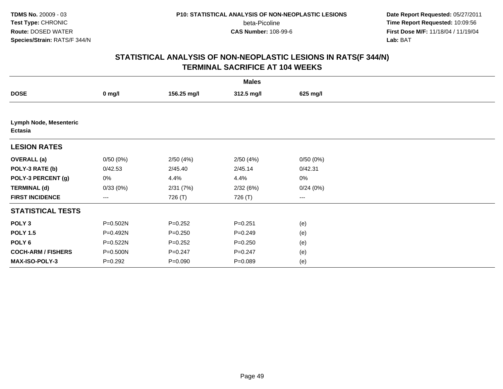beta-Picoline<br>CAS Number: 108-99-6

 **Date Report Requested:** 05/27/2011 **Time Report Requested:** 10:09:56 **First Dose M/F:** 11/18/04 / 11/19/04<br>**Lab:** BAT **Lab:** BAT

|                                          | <b>Males</b> |             |             |          |  |  |  |
|------------------------------------------|--------------|-------------|-------------|----------|--|--|--|
| <b>DOSE</b>                              | $0$ mg/l     | 156.25 mg/l | 312.5 mg/l  | 625 mg/l |  |  |  |
|                                          |              |             |             |          |  |  |  |
| Lymph Node, Mesenteric<br><b>Ectasia</b> |              |             |             |          |  |  |  |
| <b>LESION RATES</b>                      |              |             |             |          |  |  |  |
| <b>OVERALL</b> (a)                       | 0/50(0%)     | 2/50(4%)    | 2/50(4%)    | 0/50(0%) |  |  |  |
| POLY-3 RATE (b)                          | 0/42.53      | 2/45.40     | 2/45.14     | 0/42.31  |  |  |  |
| POLY-3 PERCENT (g)                       | 0%           | 4.4%        | 4.4%        | $0\%$    |  |  |  |
| <b>TERMINAL (d)</b>                      | 0/33(0%)     | 2/31(7%)    | 2/32(6%)    | 0/24(0%) |  |  |  |
| <b>FIRST INCIDENCE</b>                   | ---          | 726 (T)     | 726 (T)     | ---      |  |  |  |
| <b>STATISTICAL TESTS</b>                 |              |             |             |          |  |  |  |
| POLY <sub>3</sub>                        | P=0.502N     | $P=0.252$   | $P = 0.251$ | (e)      |  |  |  |
| <b>POLY 1.5</b>                          | P=0.492N     | $P = 0.250$ | $P = 0.249$ | (e)      |  |  |  |
| POLY 6                                   | P=0.522N     | $P=0.252$   | $P = 0.250$ | (e)      |  |  |  |
| <b>COCH-ARM / FISHERS</b>                | P=0.500N     | $P=0.247$   | $P=0.247$   | (e)      |  |  |  |
| MAX-ISO-POLY-3                           | $P=0.292$    | $P = 0.090$ | $P = 0.089$ | (e)      |  |  |  |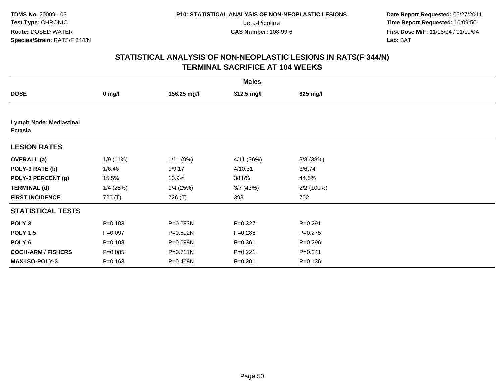**Date Report Requested:** 05/27/2011 **Time Report Requested:** 10:09:56 **First Dose M/F:** 11/18/04 / 11/19/04<br>**Lab:** BAT **Lab:** BAT

| <b>Males</b>                              |             |             |             |             |  |  |  |
|-------------------------------------------|-------------|-------------|-------------|-------------|--|--|--|
| <b>DOSE</b>                               | $0$ mg/l    | 156.25 mg/l | 312.5 mg/l  | 625 mg/l    |  |  |  |
|                                           |             |             |             |             |  |  |  |
| <b>Lymph Node: Mediastinal</b><br>Ectasia |             |             |             |             |  |  |  |
| <b>LESION RATES</b>                       |             |             |             |             |  |  |  |
| <b>OVERALL</b> (a)                        | 1/9(11%)    | 1/11(9%)    | 4/11(36%)   | 3/8(38%)    |  |  |  |
| POLY-3 RATE (b)                           | 1/6.46      | 1/9.17      | 4/10.31     | 3/6.74      |  |  |  |
| POLY-3 PERCENT (g)                        | 15.5%       | 10.9%       | 38.8%       | 44.5%       |  |  |  |
| <b>TERMINAL (d)</b>                       | $1/4$ (25%) | $1/4$ (25%) | 3/7(43%)    | 2/2(100%)   |  |  |  |
| <b>FIRST INCIDENCE</b>                    | 726 (T)     | 726 (T)     | 393         | 702         |  |  |  |
| <b>STATISTICAL TESTS</b>                  |             |             |             |             |  |  |  |
| POLY <sub>3</sub>                         | $P = 0.103$ | P=0.683N    | $P=0.327$   | $P=0.291$   |  |  |  |
| <b>POLY 1.5</b>                           | $P = 0.097$ | P=0.692N    | $P = 0.286$ | $P = 0.275$ |  |  |  |
| POLY <sub>6</sub>                         | $P = 0.108$ | P=0.688N    | $P = 0.361$ | $P = 0.296$ |  |  |  |
| <b>COCH-ARM / FISHERS</b>                 | $P = 0.085$ | P=0.711N    | $P=0.221$   | $P = 0.241$ |  |  |  |
| <b>MAX-ISO-POLY-3</b>                     | $P = 0.163$ | P=0.408N    | $P = 0.201$ | $P = 0.136$ |  |  |  |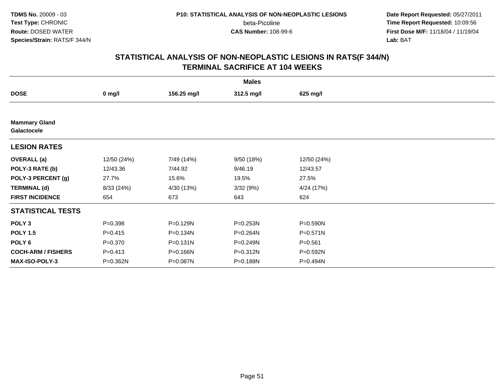beta-Picoline<br>CAS Number: 108-99-6

 **Date Report Requested:** 05/27/2011 **Time Report Requested:** 10:09:56 **First Dose M/F:** 11/18/04 / 11/19/04<br>**Lab:** BAT **Lab:** BAT

|                                     |             |              | <b>Males</b> |             |  |
|-------------------------------------|-------------|--------------|--------------|-------------|--|
| <b>DOSE</b>                         | $0$ mg/l    | 156.25 mg/l  | 312.5 mg/l   | 625 mg/l    |  |
|                                     |             |              |              |             |  |
| <b>Mammary Gland</b><br>Galactocele |             |              |              |             |  |
| <b>LESION RATES</b>                 |             |              |              |             |  |
| <b>OVERALL</b> (a)                  | 12/50 (24%) | 7/49 (14%)   | 9/50(18%)    | 12/50 (24%) |  |
| POLY-3 RATE (b)                     | 12/43.36    | 7/44.92      | 9/46.19      | 12/43.57    |  |
| POLY-3 PERCENT (g)                  | 27.7%       | 15.6%        | 19.5%        | 27.5%       |  |
| <b>TERMINAL (d)</b>                 | 8/33 (24%)  | 4/30 (13%)   | 3/32(9%)     | 4/24 (17%)  |  |
| <b>FIRST INCIDENCE</b>              | 654         | 673          | 643          | 624         |  |
| <b>STATISTICAL TESTS</b>            |             |              |              |             |  |
| POLY <sub>3</sub>                   | $P = 0.398$ | P=0.129N     | P=0.253N     | P=0.590N    |  |
| <b>POLY 1.5</b>                     | $P = 0.415$ | P=0.134N     | P=0.264N     | P=0.571N    |  |
| POLY <sub>6</sub>                   | $P = 0.370$ | $P = 0.131N$ | P=0.249N     | $P = 0.561$ |  |
| <b>COCH-ARM / FISHERS</b>           | $P = 0.413$ | P=0.166N     | P=0.312N     | P=0.592N    |  |
| <b>MAX-ISO-POLY-3</b>               | P=0.362N    | P=0.087N     | P=0.188N     | P=0.494N    |  |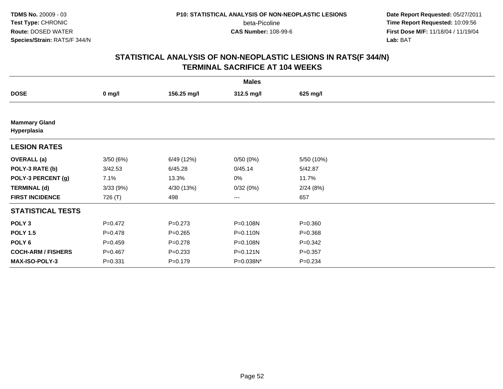beta-Picoline<br>CAS Number: 108-99-6

 **Date Report Requested:** 05/27/2011 **Time Report Requested:** 10:09:56 **First Dose M/F:** 11/18/04 / 11/19/04<br>**Lab:** BAT **Lab:** BAT

|                                     | <b>Males</b> |             |              |             |  |  |  |  |
|-------------------------------------|--------------|-------------|--------------|-------------|--|--|--|--|
| <b>DOSE</b>                         | $0$ mg/l     | 156.25 mg/l | 312.5 mg/l   | 625 mg/l    |  |  |  |  |
|                                     |              |             |              |             |  |  |  |  |
| <b>Mammary Gland</b><br>Hyperplasia |              |             |              |             |  |  |  |  |
| <b>LESION RATES</b>                 |              |             |              |             |  |  |  |  |
| <b>OVERALL</b> (a)                  | 3/50(6%)     | 6/49 (12%)  | 0/50(0%)     | 5/50 (10%)  |  |  |  |  |
| POLY-3 RATE (b)                     | 3/42.53      | 6/45.28     | 0/45.14      | 5/42.87     |  |  |  |  |
| POLY-3 PERCENT (g)                  | 7.1%         | 13.3%       | 0%           | 11.7%       |  |  |  |  |
| <b>TERMINAL (d)</b>                 | 3/33(9%)     | 4/30 (13%)  | 0/32(0%)     | 2/24(8%)    |  |  |  |  |
| <b>FIRST INCIDENCE</b>              | 726 (T)      | 498         | ---          | 657         |  |  |  |  |
| <b>STATISTICAL TESTS</b>            |              |             |              |             |  |  |  |  |
| POLY <sub>3</sub>                   | $P=0.472$    | $P = 0.273$ | P=0.108N     | $P = 0.360$ |  |  |  |  |
| <b>POLY 1.5</b>                     | $P = 0.478$  | $P=0.265$   | $P = 0.110N$ | $P = 0.368$ |  |  |  |  |
| POLY 6                              | $P = 0.459$  | $P = 0.278$ | P=0.108N     | $P = 0.342$ |  |  |  |  |
| <b>COCH-ARM / FISHERS</b>           | $P = 0.467$  | $P = 0.233$ | $P = 0.121N$ | $P = 0.357$ |  |  |  |  |
| MAX-ISO-POLY-3                      | $P = 0.331$  | $P = 0.179$ | P=0.038N*    | $P = 0.234$ |  |  |  |  |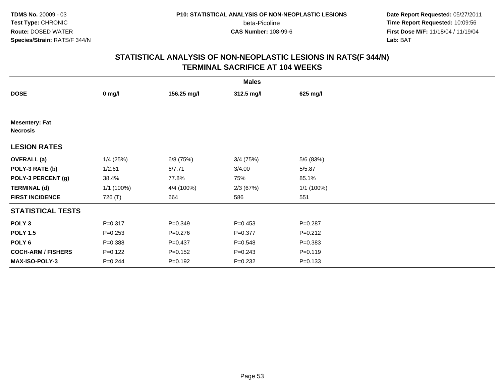beta-Picoline<br>CAS Number: 108-99-6

 **Date Report Requested:** 05/27/2011 **Time Report Requested:** 10:09:56 **First Dose M/F:** 11/18/04 / 11/19/04<br>**Lab:** BAT **Lab:** BAT

| <b>Males</b>                             |              |             |             |             |  |  |  |
|------------------------------------------|--------------|-------------|-------------|-------------|--|--|--|
| <b>DOSE</b>                              | $0$ mg/l     | 156.25 mg/l | 312.5 mg/l  | 625 mg/l    |  |  |  |
|                                          |              |             |             |             |  |  |  |
| <b>Mesentery: Fat</b><br><b>Necrosis</b> |              |             |             |             |  |  |  |
| <b>LESION RATES</b>                      |              |             |             |             |  |  |  |
| <b>OVERALL (a)</b>                       | $1/4$ (25%)  | $6/8$ (75%) | $3/4$ (75%) | 5/6 (83%)   |  |  |  |
| POLY-3 RATE (b)                          | 1/2.61       | 6/7.71      | 3/4.00      | 5/5.87      |  |  |  |
| POLY-3 PERCENT (g)                       | 38.4%        | 77.8%       | 75%         | 85.1%       |  |  |  |
| <b>TERMINAL (d)</b>                      | $1/1$ (100%) | 4/4 (100%)  | 2/3(67%)    | 1/1(100%)   |  |  |  |
| <b>FIRST INCIDENCE</b>                   | 726 (T)      | 664         | 586         | 551         |  |  |  |
| <b>STATISTICAL TESTS</b>                 |              |             |             |             |  |  |  |
| POLY <sub>3</sub>                        | $P = 0.317$  | $P = 0.349$ | $P = 0.453$ | $P = 0.287$ |  |  |  |
| <b>POLY 1.5</b>                          | $P = 0.253$  | $P = 0.276$ | $P = 0.377$ | $P = 0.212$ |  |  |  |
| POLY <sub>6</sub>                        | $P = 0.388$  | $P = 0.437$ | $P = 0.548$ | $P = 0.383$ |  |  |  |
| <b>COCH-ARM / FISHERS</b>                | $P = 0.122$  | $P = 0.152$ | $P = 0.243$ | $P = 0.119$ |  |  |  |
| MAX-ISO-POLY-3                           | $P = 0.244$  | $P = 0.192$ | $P = 0.232$ | $P = 0.133$ |  |  |  |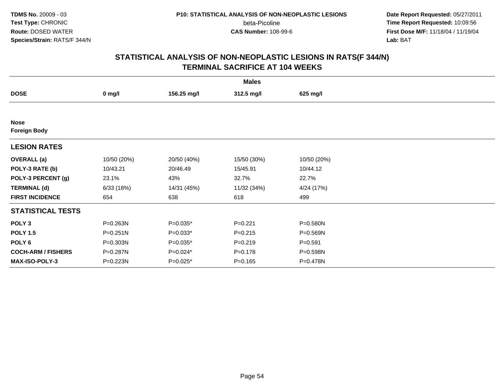beta-Picoline<br>CAS Number: 108-99-6

 **Date Report Requested:** 05/27/2011 **Time Report Requested:** 10:09:56 **First Dose M/F:** 11/18/04 / 11/19/04<br>**Lab:** BAT **Lab:** BAT

| <b>Males</b>                       |              |             |             |             |  |  |  |
|------------------------------------|--------------|-------------|-------------|-------------|--|--|--|
| <b>DOSE</b>                        | $0$ mg/l     | 156.25 mg/l | 312.5 mg/l  | 625 mg/l    |  |  |  |
|                                    |              |             |             |             |  |  |  |
| <b>Nose</b><br><b>Foreign Body</b> |              |             |             |             |  |  |  |
| <b>LESION RATES</b>                |              |             |             |             |  |  |  |
| <b>OVERALL</b> (a)                 | 10/50 (20%)  | 20/50 (40%) | 15/50 (30%) | 10/50 (20%) |  |  |  |
| POLY-3 RATE (b)                    | 10/43.21     | 20/46.49    | 15/45.91    | 10/44.12    |  |  |  |
| POLY-3 PERCENT (g)                 | 23.1%        | 43%         | 32.7%       | 22.7%       |  |  |  |
| <b>TERMINAL (d)</b>                | 6/33(18%)    | 14/31 (45%) | 11/32 (34%) | 4/24 (17%)  |  |  |  |
| <b>FIRST INCIDENCE</b>             | 654          | 638         | 618         | 499         |  |  |  |
| <b>STATISTICAL TESTS</b>           |              |             |             |             |  |  |  |
| POLY <sub>3</sub>                  | P=0.263N     | $P=0.035*$  | $P=0.221$   | P=0.580N    |  |  |  |
| <b>POLY 1.5</b>                    | $P = 0.251N$ | $P=0.033*$  | $P = 0.215$ | P=0.569N    |  |  |  |
| POLY <sub>6</sub>                  | P=0.303N     | $P=0.035*$  | $P = 0.219$ | $P = 0.591$ |  |  |  |
| <b>COCH-ARM / FISHERS</b>          | P=0.287N     | $P=0.024*$  | $P = 0.178$ | P=0.598N    |  |  |  |
| <b>MAX-ISO-POLY-3</b>              | P=0.223N     | $P=0.025*$  | $P = 0.165$ | P=0.478N    |  |  |  |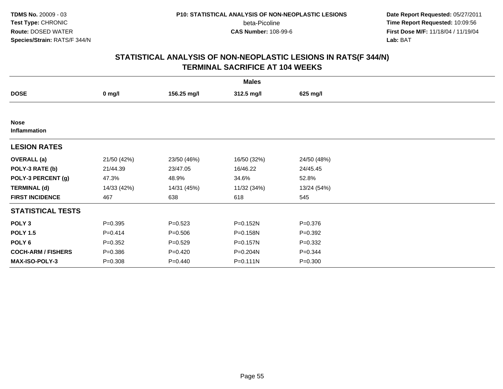beta-Picoline<br>CAS Number: 108-99-6

 **Date Report Requested:** 05/27/2011 **Time Report Requested:** 10:09:56 **First Dose M/F:** 11/18/04 / 11/19/04<br>**Lab:** BAT **Lab:** BAT

| <b>Males</b>                |             |             |              |             |  |  |  |
|-----------------------------|-------------|-------------|--------------|-------------|--|--|--|
| <b>DOSE</b>                 | $0$ mg/l    | 156.25 mg/l | 312.5 mg/l   | 625 mg/l    |  |  |  |
|                             |             |             |              |             |  |  |  |
| <b>Nose</b><br>Inflammation |             |             |              |             |  |  |  |
| <b>LESION RATES</b>         |             |             |              |             |  |  |  |
| <b>OVERALL</b> (a)          | 21/50 (42%) | 23/50 (46%) | 16/50 (32%)  | 24/50 (48%) |  |  |  |
| POLY-3 RATE (b)             | 21/44.39    | 23/47.05    | 16/46.22     | 24/45.45    |  |  |  |
| POLY-3 PERCENT (g)          | 47.3%       | 48.9%       | 34.6%        | 52.8%       |  |  |  |
| <b>TERMINAL (d)</b>         | 14/33 (42%) | 14/31 (45%) | 11/32 (34%)  | 13/24 (54%) |  |  |  |
| <b>FIRST INCIDENCE</b>      | 467         | 638         | 618          | 545         |  |  |  |
| <b>STATISTICAL TESTS</b>    |             |             |              |             |  |  |  |
| POLY <sub>3</sub>           | $P = 0.395$ | $P = 0.523$ | P=0.152N     | $P = 0.376$ |  |  |  |
| <b>POLY 1.5</b>             | $P = 0.414$ | $P = 0.506$ | P=0.158N     | $P = 0.392$ |  |  |  |
| POLY <sub>6</sub>           | $P = 0.352$ | $P = 0.529$ | P=0.157N     | $P = 0.332$ |  |  |  |
| <b>COCH-ARM / FISHERS</b>   | $P = 0.386$ | $P=0.420$   | P=0.204N     | $P = 0.344$ |  |  |  |
| MAX-ISO-POLY-3              | $P = 0.308$ | $P=0.440$   | $P = 0.111N$ | $P = 0.300$ |  |  |  |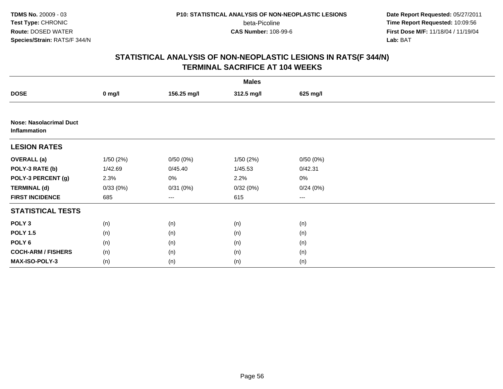beta-Picoline<br>CAS Number: 108-99-6

 **Date Report Requested:** 05/27/2011 **Time Report Requested:** 10:09:56 **First Dose M/F:** 11/18/04 / 11/19/04<br>**Lab:** BAT **Lab:** BAT

| <b>Males</b>                                   |          |             |            |          |  |  |  |
|------------------------------------------------|----------|-------------|------------|----------|--|--|--|
| <b>DOSE</b>                                    | $0$ mg/l | 156.25 mg/l | 312.5 mg/l | 625 mg/l |  |  |  |
|                                                |          |             |            |          |  |  |  |
| <b>Nose: Nasolacrimal Duct</b><br>Inflammation |          |             |            |          |  |  |  |
| <b>LESION RATES</b>                            |          |             |            |          |  |  |  |
| <b>OVERALL</b> (a)                             | 1/50(2%) | 0/50(0%)    | 1/50(2%)   | 0/50(0%) |  |  |  |
| POLY-3 RATE (b)                                | 1/42.69  | 0/45.40     | 1/45.53    | 0/42.31  |  |  |  |
| POLY-3 PERCENT (g)                             | 2.3%     | 0%          | 2.2%       | 0%       |  |  |  |
| <b>TERMINAL (d)</b>                            | 0/33(0%) | 0/31(0%)    | 0/32(0%)   | 0/24(0%) |  |  |  |
| <b>FIRST INCIDENCE</b>                         | 685      | $\cdots$    | 615        | ---      |  |  |  |
| <b>STATISTICAL TESTS</b>                       |          |             |            |          |  |  |  |
| POLY <sub>3</sub>                              | (n)      | (n)         | (n)        | (n)      |  |  |  |
| <b>POLY 1.5</b>                                | (n)      | (n)         | (n)        | (n)      |  |  |  |
| POLY <sub>6</sub>                              | (n)      | (n)         | (n)        | (n)      |  |  |  |
| <b>COCH-ARM / FISHERS</b>                      | (n)      | (n)         | (n)        | (n)      |  |  |  |
| MAX-ISO-POLY-3                                 | (n)      | (n)         | (n)        | (n)      |  |  |  |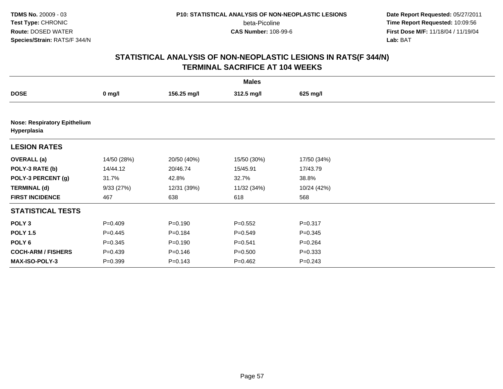**Date Report Requested:** 05/27/2011 **Time Report Requested:** 10:09:56 **First Dose M/F:** 11/18/04 / 11/19/04<br>**Lab:** BAT **Lab:** BAT

| <b>Males</b>                                       |             |             |             |             |  |  |  |  |
|----------------------------------------------------|-------------|-------------|-------------|-------------|--|--|--|--|
| <b>DOSE</b>                                        | $0$ mg/l    | 156.25 mg/l | 312.5 mg/l  | 625 mg/l    |  |  |  |  |
|                                                    |             |             |             |             |  |  |  |  |
| <b>Nose: Respiratory Epithelium</b><br>Hyperplasia |             |             |             |             |  |  |  |  |
| <b>LESION RATES</b>                                |             |             |             |             |  |  |  |  |
| <b>OVERALL</b> (a)                                 | 14/50 (28%) | 20/50 (40%) | 15/50 (30%) | 17/50 (34%) |  |  |  |  |
| POLY-3 RATE (b)                                    | 14/44.12    | 20/46.74    | 15/45.91    | 17/43.79    |  |  |  |  |
| POLY-3 PERCENT (g)                                 | 31.7%       | 42.8%       | 32.7%       | 38.8%       |  |  |  |  |
| <b>TERMINAL (d)</b>                                | 9/33(27%)   | 12/31 (39%) | 11/32 (34%) | 10/24 (42%) |  |  |  |  |
| <b>FIRST INCIDENCE</b>                             | 467         | 638         | 618         | 568         |  |  |  |  |
| <b>STATISTICAL TESTS</b>                           |             |             |             |             |  |  |  |  |
| POLY <sub>3</sub>                                  | $P=0.409$   | $P = 0.190$ | $P = 0.552$ | $P = 0.317$ |  |  |  |  |
| <b>POLY 1.5</b>                                    | $P=0.445$   | $P = 0.184$ | $P = 0.549$ | $P = 0.345$ |  |  |  |  |
| POLY <sub>6</sub>                                  | $P = 0.345$ | $P = 0.190$ | $P = 0.541$ | $P = 0.264$ |  |  |  |  |
| <b>COCH-ARM / FISHERS</b>                          | $P=0.439$   | $P = 0.146$ | $P = 0.500$ | $P = 0.333$ |  |  |  |  |
| <b>MAX-ISO-POLY-3</b>                              | $P = 0.399$ | $P = 0.143$ | $P = 0.462$ | $P = 0.243$ |  |  |  |  |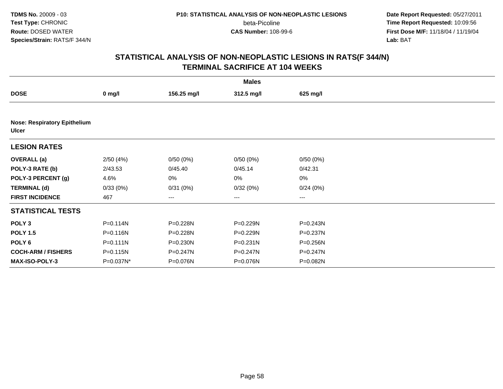**Date Report Requested:** 05/27/2011 **Time Report Requested:** 10:09:56 **First Dose M/F:** 11/18/04 / 11/19/04<br>**Lab:** BAT **Lab:** BAT

|                           |                                     |              | <b>Males</b> |              |  |  |  |  |  |
|---------------------------|-------------------------------------|--------------|--------------|--------------|--|--|--|--|--|
| <b>DOSE</b>               | $0$ mg/l                            | 156.25 mg/l  | 312.5 mg/l   | 625 mg/l     |  |  |  |  |  |
|                           |                                     |              |              |              |  |  |  |  |  |
| <b>Ulcer</b>              | <b>Nose: Respiratory Epithelium</b> |              |              |              |  |  |  |  |  |
| <b>LESION RATES</b>       |                                     |              |              |              |  |  |  |  |  |
| <b>OVERALL</b> (a)        | 2/50(4%)                            | 0/50(0%)     | 0/50(0%)     | 0/50(0%)     |  |  |  |  |  |
| POLY-3 RATE (b)           | 2/43.53                             | 0/45.40      | 0/45.14      | 0/42.31      |  |  |  |  |  |
| POLY-3 PERCENT (g)        | 4.6%                                | 0%           | 0%           | 0%           |  |  |  |  |  |
| <b>TERMINAL (d)</b>       | 0/33(0%)                            | 0/31(0%)     | 0/32(0%)     | 0/24(0%)     |  |  |  |  |  |
| <b>FIRST INCIDENCE</b>    | 467                                 | ---          | ---          | ---          |  |  |  |  |  |
| <b>STATISTICAL TESTS</b>  |                                     |              |              |              |  |  |  |  |  |
| POLY <sub>3</sub>         | $P = 0.114N$                        | P=0.228N     | P=0.229N     | P=0.243N     |  |  |  |  |  |
| <b>POLY 1.5</b>           | P=0.116N                            | P=0.228N     | P=0.229N     | P=0.237N     |  |  |  |  |  |
| POLY 6                    | $P = 0.111N$                        | $P = 0.230N$ | $P = 0.231N$ | P=0.256N     |  |  |  |  |  |
| <b>COCH-ARM / FISHERS</b> | $P = 0.115N$                        | P=0.247N     | P=0.247N     | $P = 0.247N$ |  |  |  |  |  |
| MAX-ISO-POLY-3            | P=0.037N*                           | P=0.076N     | P=0.076N     | P=0.082N     |  |  |  |  |  |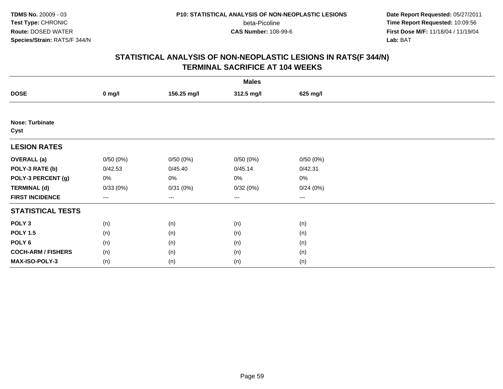beta-Picoline<br>CAS Number: 108-99-6

 **Date Report Requested:** 05/27/2011 **Time Report Requested:** 10:09:56 **First Dose M/F:** 11/18/04 / 11/19/04<br>**Lab:** BAT **Lab:** BAT

|                                | <b>Males</b>      |             |                        |                        |  |  |  |  |
|--------------------------------|-------------------|-------------|------------------------|------------------------|--|--|--|--|
| <b>DOSE</b>                    | $0$ mg/l          | 156.25 mg/l | 312.5 mg/l             | 625 mg/l               |  |  |  |  |
|                                |                   |             |                        |                        |  |  |  |  |
| <b>Nose: Turbinate</b><br>Cyst |                   |             |                        |                        |  |  |  |  |
| <b>LESION RATES</b>            |                   |             |                        |                        |  |  |  |  |
| <b>OVERALL</b> (a)             | 0/50(0%)          | 0/50(0%)    | 0/50(0%)               | 0/50(0%)               |  |  |  |  |
| POLY-3 RATE (b)                | 0/42.53           | 0/45.40     | 0/45.14                | 0/42.31                |  |  |  |  |
| POLY-3 PERCENT (g)             | 0%                | 0%          | 0%                     | $0\%$                  |  |  |  |  |
| <b>TERMINAL (d)</b>            | 0/33(0%)          | 0/31(0%)    | 0/32(0%)               | 0/24(0%)               |  |  |  |  |
| <b>FIRST INCIDENCE</b>         | $\qquad \qquad -$ | $--$        | $\qquad \qquad \cdots$ | $\qquad \qquad \cdots$ |  |  |  |  |
| <b>STATISTICAL TESTS</b>       |                   |             |                        |                        |  |  |  |  |
| POLY <sub>3</sub>              | (n)               | (n)         | (n)                    | (n)                    |  |  |  |  |
| <b>POLY 1.5</b>                | (n)               | (n)         | (n)                    | (n)                    |  |  |  |  |
| POLY <sub>6</sub>              | (n)               | (n)         | (n)                    | (n)                    |  |  |  |  |
| <b>COCH-ARM / FISHERS</b>      | (n)               | (n)         | (n)                    | (n)                    |  |  |  |  |
| MAX-ISO-POLY-3                 | (n)               | (n)         | (n)                    | (n)                    |  |  |  |  |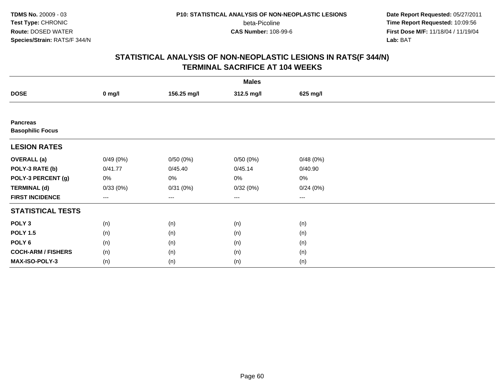beta-Picoline<br>CAS Number: 108-99-6

 **Date Report Requested:** 05/27/2011 **Time Report Requested:** 10:09:56 **First Dose M/F:** 11/18/04 / 11/19/04<br>**Lab:** BAT **Lab:** BAT

|                                            | <b>Males</b> |             |                   |          |  |  |  |  |
|--------------------------------------------|--------------|-------------|-------------------|----------|--|--|--|--|
| <b>DOSE</b>                                | $0$ mg/l     | 156.25 mg/l | 312.5 mg/l        | 625 mg/l |  |  |  |  |
|                                            |              |             |                   |          |  |  |  |  |
| <b>Pancreas</b><br><b>Basophilic Focus</b> |              |             |                   |          |  |  |  |  |
| <b>LESION RATES</b>                        |              |             |                   |          |  |  |  |  |
| <b>OVERALL</b> (a)                         | 0/49(0%)     | 0/50(0%)    | 0/50(0%)          | 0/48(0%) |  |  |  |  |
| POLY-3 RATE (b)                            | 0/41.77      | 0/45.40     | 0/45.14           | 0/40.90  |  |  |  |  |
| POLY-3 PERCENT (g)                         | 0%           | 0%          | 0%                | 0%       |  |  |  |  |
| <b>TERMINAL (d)</b>                        | 0/33(0%)     | 0/31(0%)    | 0/32(0%)          | 0/24(0%) |  |  |  |  |
| <b>FIRST INCIDENCE</b>                     | ---          | ---         | $\qquad \qquad -$ | $---$    |  |  |  |  |
| <b>STATISTICAL TESTS</b>                   |              |             |                   |          |  |  |  |  |
| POLY <sub>3</sub>                          | (n)          | (n)         | (n)               | (n)      |  |  |  |  |
| <b>POLY 1.5</b>                            | (n)          | (n)         | (n)               | (n)      |  |  |  |  |
| POLY <sub>6</sub>                          | (n)          | (n)         | (n)               | (n)      |  |  |  |  |
| <b>COCH-ARM / FISHERS</b>                  | (n)          | (n)         | (n)               | (n)      |  |  |  |  |
| MAX-ISO-POLY-3                             | (n)          | (n)         | (n)               | (n)      |  |  |  |  |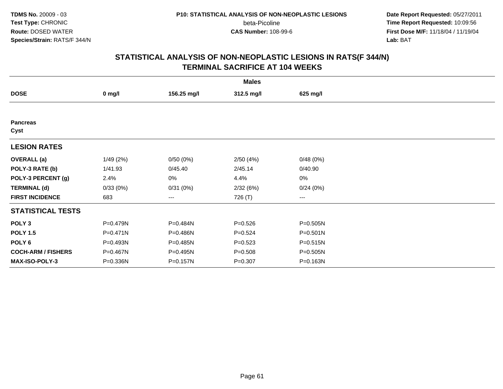beta-Picoline<br>CAS Number: 108-99-6

 **Date Report Requested:** 05/27/2011 **Time Report Requested:** 10:09:56 **First Dose M/F:** 11/18/04 / 11/19/04<br>**Lab:** BAT **Lab:** BAT

| <b>Males</b>              |                  |             |             |                        |  |  |  |
|---------------------------|------------------|-------------|-------------|------------------------|--|--|--|
| <b>DOSE</b>               | $0 \text{ mg/l}$ | 156.25 mg/l | 312.5 mg/l  | 625 mg/l               |  |  |  |
|                           |                  |             |             |                        |  |  |  |
| <b>Pancreas</b><br>Cyst   |                  |             |             |                        |  |  |  |
| <b>LESION RATES</b>       |                  |             |             |                        |  |  |  |
| <b>OVERALL</b> (a)        | 1/49(2%)         | 0/50(0%)    | 2/50(4%)    | 0/48(0%)               |  |  |  |
| POLY-3 RATE (b)           | 1/41.93          | 0/45.40     | 2/45.14     | 0/40.90                |  |  |  |
| POLY-3 PERCENT (g)        | 2.4%             | 0%          | 4.4%        | 0%                     |  |  |  |
| <b>TERMINAL (d)</b>       | 0/33(0%)         | 0/31(0%)    | 2/32(6%)    | 0/24(0%)               |  |  |  |
| <b>FIRST INCIDENCE</b>    | 683              | ---         | 726 (T)     | $\qquad \qquad \cdots$ |  |  |  |
| <b>STATISTICAL TESTS</b>  |                  |             |             |                        |  |  |  |
| POLY <sub>3</sub>         | P=0.479N         | P=0.484N    | $P = 0.526$ | P=0.505N               |  |  |  |
| <b>POLY 1.5</b>           | $P = 0.471N$     | P=0.486N    | $P = 0.524$ | P=0.501N               |  |  |  |
| POLY 6                    | P=0.493N         | P=0.485N    | $P = 0.523$ | P=0.515N               |  |  |  |
| <b>COCH-ARM / FISHERS</b> | P=0.467N         | P=0.495N    | $P = 0.508$ | P=0.505N               |  |  |  |
| MAX-ISO-POLY-3            | P=0.336N         | P=0.157N    | $P = 0.307$ | P=0.163N               |  |  |  |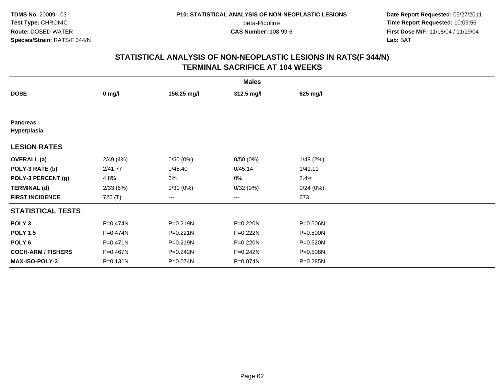beta-Picoline<br>CAS Number: 108-99-6

 **Date Report Requested:** 05/27/2011 **Time Report Requested:** 10:09:56 **First Dose M/F:** 11/18/04 / 11/19/04<br>**Lab:** BAT **Lab:** BAT

|                                | <b>Males</b> |             |            |          |  |  |  |  |
|--------------------------------|--------------|-------------|------------|----------|--|--|--|--|
| <b>DOSE</b>                    | $0$ mg/l     | 156.25 mg/l | 312.5 mg/l | 625 mg/l |  |  |  |  |
|                                |              |             |            |          |  |  |  |  |
| <b>Pancreas</b><br>Hyperplasia |              |             |            |          |  |  |  |  |
| <b>LESION RATES</b>            |              |             |            |          |  |  |  |  |
| <b>OVERALL</b> (a)             | 2/49(4%)     | 0/50(0%)    | 0/50(0%)   | 1/48(2%) |  |  |  |  |
| POLY-3 RATE (b)                | 2/41.77      | 0/45.40     | 0/45.14    | 1/41.11  |  |  |  |  |
| POLY-3 PERCENT (g)             | 4.8%         | 0%          | 0%         | 2.4%     |  |  |  |  |
| <b>TERMINAL (d)</b>            | 2/33(6%)     | 0/31(0%)    | 0/32(0%)   | 0/24(0%) |  |  |  |  |
| <b>FIRST INCIDENCE</b>         | 726 (T)      | ---         | ---        | 673      |  |  |  |  |
| <b>STATISTICAL TESTS</b>       |              |             |            |          |  |  |  |  |
| POLY <sub>3</sub>              | P=0.474N     | P=0.219N    | P=0.220N   | P=0.506N |  |  |  |  |
| <b>POLY 1.5</b>                | P=0.474N     | P=0.221N    | P=0.222N   | P=0.500N |  |  |  |  |
| POLY 6                         | P=0.471N     | P=0.219N    | P=0.220N   | P=0.520N |  |  |  |  |
| <b>COCH-ARM / FISHERS</b>      | P=0.467N     | P=0.242N    | P=0.242N   | P=0.508N |  |  |  |  |
| MAX-ISO-POLY-3                 | P=0.131N     | P=0.074N    | P=0.074N   | P=0.285N |  |  |  |  |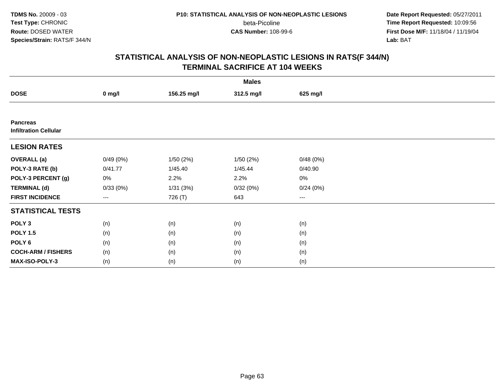beta-Picoline<br>CAS Number: 108-99-6

 **Date Report Requested:** 05/27/2011 **Time Report Requested:** 10:09:56 **First Dose M/F:** 11/18/04 / 11/19/04<br>**Lab:** BAT **Lab:** BAT

|                                                 | <b>Males</b> |             |            |          |  |  |  |  |
|-------------------------------------------------|--------------|-------------|------------|----------|--|--|--|--|
| <b>DOSE</b>                                     | $0$ mg/l     | 156.25 mg/l | 312.5 mg/l | 625 mg/l |  |  |  |  |
|                                                 |              |             |            |          |  |  |  |  |
| <b>Pancreas</b><br><b>Infiltration Cellular</b> |              |             |            |          |  |  |  |  |
| <b>LESION RATES</b>                             |              |             |            |          |  |  |  |  |
| <b>OVERALL</b> (a)                              | 0/49(0%)     | 1/50(2%)    | 1/50(2%)   | 0/48(0%) |  |  |  |  |
| POLY-3 RATE (b)                                 | 0/41.77      | 1/45.40     | 1/45.44    | 0/40.90  |  |  |  |  |
| POLY-3 PERCENT (g)                              | 0%           | 2.2%        | 2.2%       | 0%       |  |  |  |  |
| <b>TERMINAL (d)</b>                             | 0/33(0%)     | 1/31(3%)    | 0/32(0%)   | 0/24(0%) |  |  |  |  |
| <b>FIRST INCIDENCE</b>                          | $---$        | 726 (T)     | 643        | ---      |  |  |  |  |
| <b>STATISTICAL TESTS</b>                        |              |             |            |          |  |  |  |  |
| POLY <sub>3</sub>                               | (n)          | (n)         | (n)        | (n)      |  |  |  |  |
| <b>POLY 1.5</b>                                 | (n)          | (n)         | (n)        | (n)      |  |  |  |  |
| POLY <sub>6</sub>                               | (n)          | (n)         | (n)        | (n)      |  |  |  |  |
| <b>COCH-ARM / FISHERS</b>                       | (n)          | (n)         | (n)        | (n)      |  |  |  |  |
| MAX-ISO-POLY-3                                  | (n)          | (n)         | (n)        | (n)      |  |  |  |  |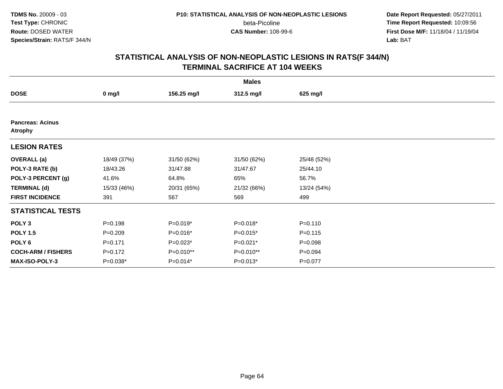beta-Picoline<br>CAS Number: 108-99-6

 **Date Report Requested:** 05/27/2011 **Time Report Requested:** 10:09:56 **First Dose M/F:** 11/18/04 / 11/19/04<br>**Lab:** BAT **Lab:** BAT

| <b>Males</b>                              |             |             |             |             |  |  |  |
|-------------------------------------------|-------------|-------------|-------------|-------------|--|--|--|
| <b>DOSE</b>                               | $0$ mg/l    | 156.25 mg/l | 312.5 mg/l  | 625 mg/l    |  |  |  |
|                                           |             |             |             |             |  |  |  |
| <b>Pancreas: Acinus</b><br><b>Atrophy</b> |             |             |             |             |  |  |  |
| <b>LESION RATES</b>                       |             |             |             |             |  |  |  |
| <b>OVERALL</b> (a)                        | 18/49 (37%) | 31/50 (62%) | 31/50 (62%) | 25/48 (52%) |  |  |  |
| POLY-3 RATE (b)                           | 18/43.26    | 31/47.88    | 31/47.67    | 25/44.10    |  |  |  |
| POLY-3 PERCENT (g)                        | 41.6%       | 64.8%       | 65%         | 56.7%       |  |  |  |
| <b>TERMINAL (d)</b>                       | 15/33 (46%) | 20/31 (65%) | 21/32 (66%) | 13/24 (54%) |  |  |  |
| <b>FIRST INCIDENCE</b>                    | 391         | 567         | 569         | 499         |  |  |  |
| <b>STATISTICAL TESTS</b>                  |             |             |             |             |  |  |  |
| POLY <sub>3</sub>                         | $P = 0.198$ | $P=0.019*$  | $P=0.018*$  | $P = 0.110$ |  |  |  |
| <b>POLY 1.5</b>                           | $P = 0.209$ | P=0.016*    | $P=0.015*$  | $P = 0.115$ |  |  |  |
| POLY 6                                    | $P = 0.171$ | $P=0.023*$  | $P=0.021*$  | $P = 0.098$ |  |  |  |
| <b>COCH-ARM / FISHERS</b>                 | $P=0.172$   | P=0.010**   | P=0.010**   | $P = 0.094$ |  |  |  |
| <b>MAX-ISO-POLY-3</b>                     | $P=0.038*$  | $P=0.014*$  | $P=0.013*$  | $P=0.077$   |  |  |  |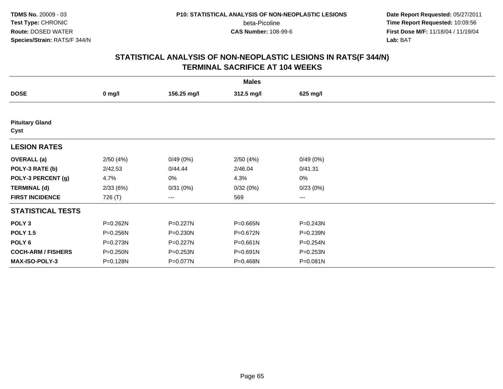**Date Report Requested:** 05/27/2011 **Time Report Requested:** 10:09:56 **First Dose M/F:** 11/18/04 / 11/19/04<br>**Lab:** BAT **Lab:** BAT

| <b>Males</b>                   |              |              |              |          |  |  |  |
|--------------------------------|--------------|--------------|--------------|----------|--|--|--|
| <b>DOSE</b>                    | $0$ mg/l     | 156.25 mg/l  | 312.5 mg/l   | 625 mg/l |  |  |  |
|                                |              |              |              |          |  |  |  |
| <b>Pituitary Gland</b><br>Cyst |              |              |              |          |  |  |  |
| <b>LESION RATES</b>            |              |              |              |          |  |  |  |
| <b>OVERALL</b> (a)             | 2/50(4%)     | 0/49(0%)     | 2/50(4%)     | 0/49(0%) |  |  |  |
| POLY-3 RATE (b)                | 2/42.53      | 0/44.44      | 2/46.04      | 0/41.31  |  |  |  |
| POLY-3 PERCENT (g)             | 4.7%         | 0%           | 4.3%         | 0%       |  |  |  |
| <b>TERMINAL (d)</b>            | 2/33(6%)     | 0/31(0%)     | 0/32(0%)     | 0/23(0%) |  |  |  |
| <b>FIRST INCIDENCE</b>         | 726 (T)      | ---          | 569          | $\cdots$ |  |  |  |
| <b>STATISTICAL TESTS</b>       |              |              |              |          |  |  |  |
| POLY <sub>3</sub>              | $P = 0.262N$ | $P = 0.227N$ | P=0.665N     | P=0.243N |  |  |  |
| <b>POLY 1.5</b>                | P=0.256N     | $P = 0.230N$ | P=0.672N     | P=0.239N |  |  |  |
| POLY 6                         | $P = 0.273N$ | $P = 0.227N$ | $P = 0.661N$ | P=0.254N |  |  |  |
| <b>COCH-ARM / FISHERS</b>      | P=0.250N     | P=0.253N     | P=0.691N     | P=0.253N |  |  |  |
| MAX-ISO-POLY-3                 | P=0.128N     | P=0.077N     | P=0.468N     | P=0.081N |  |  |  |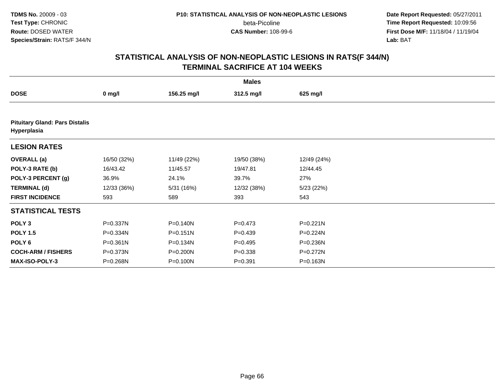**Date Report Requested:** 05/27/2011 **Time Report Requested:** 10:09:56 **First Dose M/F:** 11/18/04 / 11/19/04<br>**Lab:** BAT **Lab:** BAT

| <b>Males</b>                                         |              |              |             |             |  |  |  |  |
|------------------------------------------------------|--------------|--------------|-------------|-------------|--|--|--|--|
| <b>DOSE</b>                                          | $0$ mg/l     | 156.25 mg/l  | 312.5 mg/l  | 625 mg/l    |  |  |  |  |
|                                                      |              |              |             |             |  |  |  |  |
| <b>Pituitary Gland: Pars Distalis</b><br>Hyperplasia |              |              |             |             |  |  |  |  |
| <b>LESION RATES</b>                                  |              |              |             |             |  |  |  |  |
| <b>OVERALL</b> (a)                                   | 16/50 (32%)  | 11/49 (22%)  | 19/50 (38%) | 12/49 (24%) |  |  |  |  |
| POLY-3 RATE (b)                                      | 16/43.42     | 11/45.57     | 19/47.81    | 12/44.45    |  |  |  |  |
| POLY-3 PERCENT (g)                                   | 36.9%        | 24.1%        | 39.7%       | 27%         |  |  |  |  |
| <b>TERMINAL (d)</b>                                  | 12/33 (36%)  | 5/31 (16%)   | 12/32 (38%) | 5/23(22%)   |  |  |  |  |
| <b>FIRST INCIDENCE</b>                               | 593          | 589          | 393         | 543         |  |  |  |  |
| <b>STATISTICAL TESTS</b>                             |              |              |             |             |  |  |  |  |
| POLY <sub>3</sub>                                    | P=0.337N     | P=0.140N     | $P = 0.473$ | P=0.221N    |  |  |  |  |
| <b>POLY 1.5</b>                                      | P=0.334N     | $P = 0.151N$ | $P = 0.439$ | P=0.224N    |  |  |  |  |
| POLY <sub>6</sub>                                    | $P = 0.361N$ | P=0.134N     | $P = 0.495$ | P=0.236N    |  |  |  |  |
| <b>COCH-ARM / FISHERS</b>                            | P=0.373N     | P=0.200N     | $P = 0.338$ | P=0.272N    |  |  |  |  |
| <b>MAX-ISO-POLY-3</b>                                | P=0.268N     | P=0.100N     | $P = 0.391$ | P=0.163N    |  |  |  |  |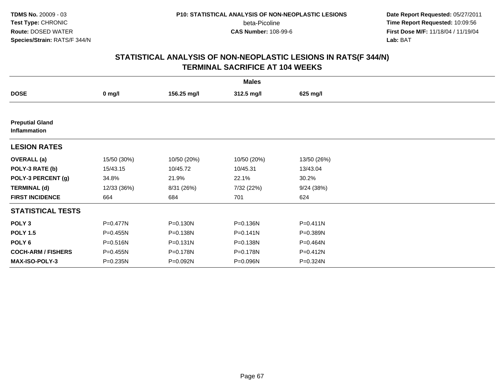beta-Picoline<br>CAS Number: 108-99-6

 **Date Report Requested:** 05/27/2011 **Time Report Requested:** 10:09:56 **First Dose M/F:** 11/18/04 / 11/19/04<br>**Lab:** BAT **Lab:** BAT

| <b>Males</b>                           |             |              |              |              |  |  |  |
|----------------------------------------|-------------|--------------|--------------|--------------|--|--|--|
| <b>DOSE</b>                            | $0$ mg/l    | 156.25 mg/l  | 312.5 mg/l   | 625 mg/l     |  |  |  |
|                                        |             |              |              |              |  |  |  |
| <b>Preputial Gland</b><br>Inflammation |             |              |              |              |  |  |  |
| <b>LESION RATES</b>                    |             |              |              |              |  |  |  |
| <b>OVERALL</b> (a)                     | 15/50 (30%) | 10/50 (20%)  | 10/50 (20%)  | 13/50 (26%)  |  |  |  |
| POLY-3 RATE (b)                        | 15/43.15    | 10/45.72     | 10/45.31     | 13/43.04     |  |  |  |
| POLY-3 PERCENT (g)                     | 34.8%       | 21.9%        | 22.1%        | 30.2%        |  |  |  |
| <b>TERMINAL (d)</b>                    | 12/33 (36%) | 8/31 (26%)   | 7/32 (22%)   | 9/24(38%)    |  |  |  |
| <b>FIRST INCIDENCE</b>                 | 664         | 684          | 701          | 624          |  |  |  |
| <b>STATISTICAL TESTS</b>               |             |              |              |              |  |  |  |
| POLY <sub>3</sub>                      | P=0.477N    | P=0.130N     | P=0.136N     | $P = 0.411N$ |  |  |  |
| <b>POLY 1.5</b>                        | P=0.455N    | P=0.138N     | $P = 0.141N$ | P=0.389N     |  |  |  |
| POLY <sub>6</sub>                      | P=0.516N    | $P = 0.131N$ | P=0.138N     | P=0.464N     |  |  |  |
| <b>COCH-ARM / FISHERS</b>              | P=0.455N    | P=0.178N     | P=0.178N     | P=0.412N     |  |  |  |
| <b>MAX-ISO-POLY-3</b>                  | P=0.235N    | P=0.092N     | P=0.096N     | P=0.324N     |  |  |  |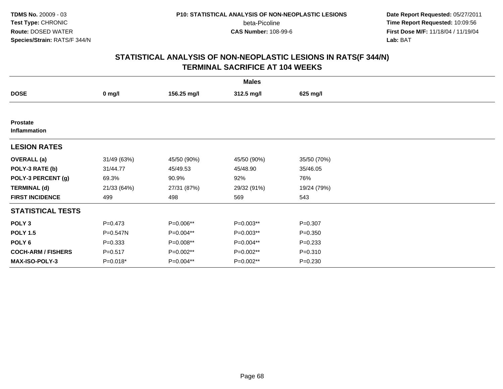beta-Picoline<br>CAS Number: 108-99-6

 **Date Report Requested:** 05/27/2011 **Time Report Requested:** 10:09:56 **First Dose M/F:** 11/18/04 / 11/19/04<br>**Lab:** BAT **Lab:** BAT

| <b>Males</b>                    |             |             |             |             |  |  |  |
|---------------------------------|-------------|-------------|-------------|-------------|--|--|--|
| <b>DOSE</b>                     | $0$ mg/l    | 156.25 mg/l | 312.5 mg/l  | 625 mg/l    |  |  |  |
|                                 |             |             |             |             |  |  |  |
| <b>Prostate</b><br>Inflammation |             |             |             |             |  |  |  |
| <b>LESION RATES</b>             |             |             |             |             |  |  |  |
| <b>OVERALL</b> (a)              | 31/49 (63%) | 45/50 (90%) | 45/50 (90%) | 35/50 (70%) |  |  |  |
| POLY-3 RATE (b)                 | 31/44.77    | 45/49.53    | 45/48.90    | 35/46.05    |  |  |  |
| POLY-3 PERCENT (g)              | 69.3%       | 90.9%       | 92%         | 76%         |  |  |  |
| <b>TERMINAL (d)</b>             | 21/33 (64%) | 27/31 (87%) | 29/32 (91%) | 19/24 (79%) |  |  |  |
| <b>FIRST INCIDENCE</b>          | 499         | 498         | 569         | 543         |  |  |  |
| <b>STATISTICAL TESTS</b>        |             |             |             |             |  |  |  |
| POLY <sub>3</sub>               | $P = 0.473$ | P=0.006**   | P=0.003**   | $P = 0.307$ |  |  |  |
| <b>POLY 1.5</b>                 | P=0.547N    | P=0.004**   | P=0.003**   | $P = 0.350$ |  |  |  |
| POLY 6                          | $P = 0.333$ | P=0.008**   | P=0.004**   | $P = 0.233$ |  |  |  |
| <b>COCH-ARM / FISHERS</b>       | $P = 0.517$ | P=0.002**   | P=0.002**   | $P = 0.310$ |  |  |  |
| <b>MAX-ISO-POLY-3</b>           | P=0.018*    | P=0.004**   | P=0.002**   | $P = 0.230$ |  |  |  |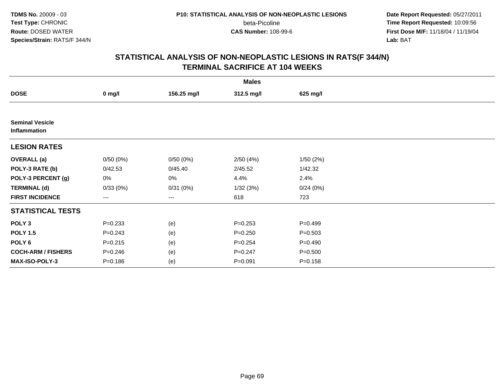beta-Picoline<br>CAS Number: 108-99-6

 **Date Report Requested:** 05/27/2011 **Time Report Requested:** 10:09:56 **First Dose M/F:** 11/18/04 / 11/19/04<br>**Lab:** BAT **Lab:** BAT

| <b>Males</b>                           |                   |             |             |             |  |  |  |
|----------------------------------------|-------------------|-------------|-------------|-------------|--|--|--|
| <b>DOSE</b>                            | $0$ mg/l          | 156.25 mg/l | 312.5 mg/l  | 625 mg/l    |  |  |  |
|                                        |                   |             |             |             |  |  |  |
| <b>Seminal Vesicle</b><br>Inflammation |                   |             |             |             |  |  |  |
| <b>LESION RATES</b>                    |                   |             |             |             |  |  |  |
| <b>OVERALL</b> (a)                     | 0/50(0%)          | 0/50(0%)    | 2/50(4%)    | 1/50(2%)    |  |  |  |
| POLY-3 RATE (b)                        | 0/42.53           | 0/45.40     | 2/45.52     | 1/42.32     |  |  |  |
| POLY-3 PERCENT (g)                     | 0%                | 0%          | 4.4%        | 2.4%        |  |  |  |
| <b>TERMINAL (d)</b>                    | 0/33(0%)          | 0/31(0%)    | 1/32(3%)    | 0/24(0%)    |  |  |  |
| <b>FIRST INCIDENCE</b>                 | $\qquad \qquad -$ | ---         | 618         | 723         |  |  |  |
| <b>STATISTICAL TESTS</b>               |                   |             |             |             |  |  |  |
| POLY <sub>3</sub>                      | $P = 0.233$       | (e)         | $P = 0.253$ | $P = 0.499$ |  |  |  |
| <b>POLY 1.5</b>                        | $P = 0.243$       | (e)         | $P = 0.250$ | $P = 0.503$ |  |  |  |
| POLY 6                                 | $P = 0.215$       | (e)         | $P = 0.254$ | $P = 0.490$ |  |  |  |
| <b>COCH-ARM / FISHERS</b>              | $P = 0.246$       | (e)         | $P = 0.247$ | $P = 0.500$ |  |  |  |
| <b>MAX-ISO-POLY-3</b>                  | $P = 0.186$       | (e)         | $P = 0.091$ | $P = 0.158$ |  |  |  |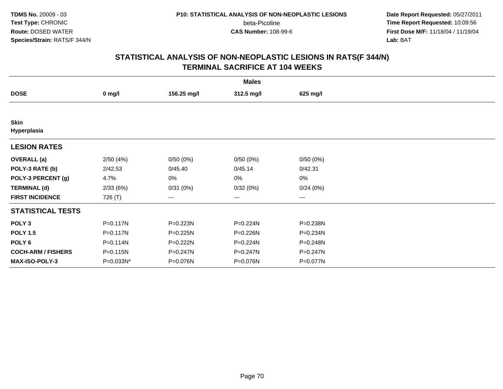beta-Picoline<br>CAS Number: 108-99-6

 **Date Report Requested:** 05/27/2011 **Time Report Requested:** 10:09:56 **First Dose M/F:** 11/18/04 / 11/19/04<br>**Lab:** BAT **Lab:** BAT

| <b>Males</b>               |              |             |              |              |  |  |  |
|----------------------------|--------------|-------------|--------------|--------------|--|--|--|
| <b>DOSE</b>                | $0$ mg/l     | 156.25 mg/l | 312.5 mg/l   | 625 mg/l     |  |  |  |
|                            |              |             |              |              |  |  |  |
| <b>Skin</b><br>Hyperplasia |              |             |              |              |  |  |  |
| <b>LESION RATES</b>        |              |             |              |              |  |  |  |
| <b>OVERALL</b> (a)         | 2/50(4%)     | 0/50(0%)    | 0/50(0%)     | 0/50(0%)     |  |  |  |
| POLY-3 RATE (b)            | 2/42.53      | 0/45.40     | 0/45.14      | 0/42.31      |  |  |  |
| POLY-3 PERCENT (g)         | 4.7%         | 0%          | 0%           | 0%           |  |  |  |
| <b>TERMINAL (d)</b>        | 2/33(6%)     | 0/31(0%)    | 0/32(0%)     | 0/24(0%)     |  |  |  |
| <b>FIRST INCIDENCE</b>     | 726 (T)      | ---         | ---          | ---          |  |  |  |
| <b>STATISTICAL TESTS</b>   |              |             |              |              |  |  |  |
| POLY <sub>3</sub>          | $P = 0.117N$ | P=0.223N    | P=0.224N     | P=0.238N     |  |  |  |
| <b>POLY 1.5</b>            | $P = 0.117N$ | P=0.225N    | P=0.226N     | P=0.234N     |  |  |  |
| POLY 6                     | P=0.114N     | $P=0.222N$  | $P = 0.224N$ | P=0.248N     |  |  |  |
| <b>COCH-ARM / FISHERS</b>  | P=0.115N     | P=0.247N    | $P = 0.247N$ | $P = 0.247N$ |  |  |  |
| MAX-ISO-POLY-3             | P=0.033N*    | P=0.076N    | P=0.076N     | P=0.077N     |  |  |  |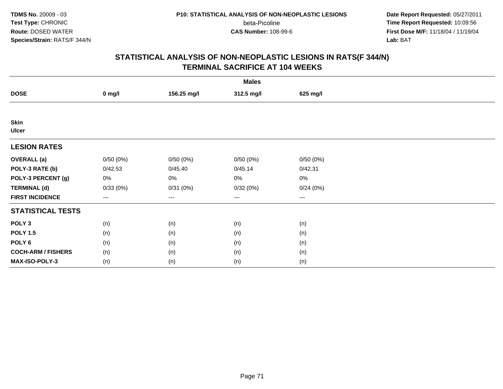beta-Picoline<br>CAS Number: 108-99-6

 **Date Report Requested:** 05/27/2011 **Time Report Requested:** 10:09:56 **First Dose M/F:** 11/18/04 / 11/19/04<br>**Lab:** BAT **Lab:** BAT

|                             | <b>Males</b> |             |            |                        |  |  |  |  |
|-----------------------------|--------------|-------------|------------|------------------------|--|--|--|--|
| <b>DOSE</b>                 | $0$ mg/l     | 156.25 mg/l | 312.5 mg/l | 625 mg/l               |  |  |  |  |
|                             |              |             |            |                        |  |  |  |  |
| <b>Skin</b><br><b>Ulcer</b> |              |             |            |                        |  |  |  |  |
| <b>LESION RATES</b>         |              |             |            |                        |  |  |  |  |
| <b>OVERALL</b> (a)          | 0/50(0%)     | 0/50(0%)    | 0/50(0%)   | 0/50(0%)               |  |  |  |  |
| POLY-3 RATE (b)             | 0/42.53      | 0/45.40     | 0/45.14    | 0/42.31                |  |  |  |  |
| POLY-3 PERCENT (g)          | 0%           | 0%          | 0%         | 0%                     |  |  |  |  |
| <b>TERMINAL (d)</b>         | 0/33(0%)     | 0/31(0%)    | 0/32(0%)   | 0/24(0%)               |  |  |  |  |
| <b>FIRST INCIDENCE</b>      | $---$        | $---$       | ---        | $\qquad \qquad \cdots$ |  |  |  |  |
| <b>STATISTICAL TESTS</b>    |              |             |            |                        |  |  |  |  |
| POLY <sub>3</sub>           | (n)          | (n)         | (n)        | (n)                    |  |  |  |  |
| <b>POLY 1.5</b>             | (n)          | (n)         | (n)        | (n)                    |  |  |  |  |
| POLY <sub>6</sub>           | (n)          | (n)         | (n)        | (n)                    |  |  |  |  |
| <b>COCH-ARM / FISHERS</b>   | (n)          | (n)         | (n)        | (n)                    |  |  |  |  |
| MAX-ISO-POLY-3              | (n)          | (n)         | (n)        | (n)                    |  |  |  |  |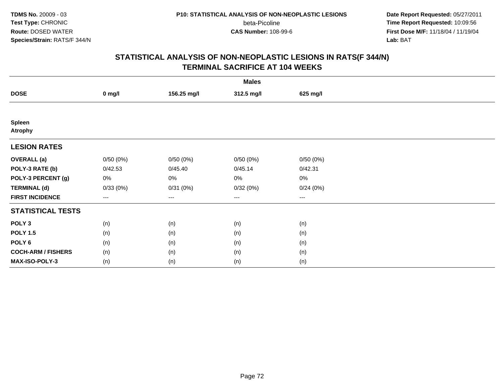beta-Picoline<br>CAS Number: 108-99-6

 **Date Report Requested:** 05/27/2011 **Time Report Requested:** 10:09:56 **First Dose M/F:** 11/18/04 / 11/19/04<br>**Lab:** BAT **Lab:** BAT

| <b>Males</b>              |                        |             |            |          |  |  |  |
|---------------------------|------------------------|-------------|------------|----------|--|--|--|
| <b>DOSE</b>               | $0$ mg/l               | 156.25 mg/l | 312.5 mg/l | 625 mg/l |  |  |  |
|                           |                        |             |            |          |  |  |  |
| Spleen<br><b>Atrophy</b>  |                        |             |            |          |  |  |  |
| <b>LESION RATES</b>       |                        |             |            |          |  |  |  |
| <b>OVERALL</b> (a)        | 0/50(0%)               | 0/50(0%)    | 0/50(0%)   | 0/50(0%) |  |  |  |
| POLY-3 RATE (b)           | 0/42.53                | 0/45.40     | 0/45.14    | 0/42.31  |  |  |  |
| POLY-3 PERCENT (g)        | 0%                     | $0\%$       | 0%         | 0%       |  |  |  |
| <b>TERMINAL (d)</b>       | 0/33(0%)               | 0/31(0%)    | 0/32(0%)   | 0/24(0%) |  |  |  |
| <b>FIRST INCIDENCE</b>    | $\qquad \qquad \cdots$ | $---$       | ---        | $--$     |  |  |  |
| <b>STATISTICAL TESTS</b>  |                        |             |            |          |  |  |  |
| POLY <sub>3</sub>         | (n)                    | (n)         | (n)        | (n)      |  |  |  |
| <b>POLY 1.5</b>           | (n)                    | (n)         | (n)        | (n)      |  |  |  |
| POLY 6                    | (n)                    | (n)         | (n)        | (n)      |  |  |  |
| <b>COCH-ARM / FISHERS</b> | (n)                    | (n)         | (n)        | (n)      |  |  |  |
| MAX-ISO-POLY-3            | (n)                    | (n)         | (n)        | (n)      |  |  |  |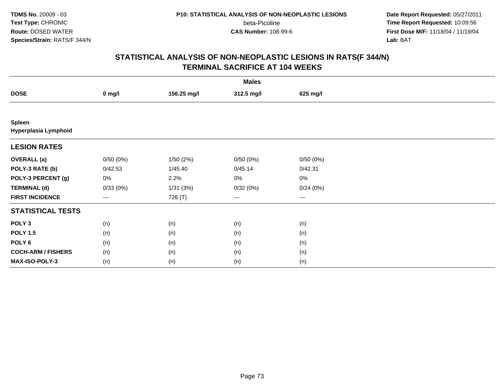beta-Picoline<br>CAS Number: 108-99-6

 **Date Report Requested:** 05/27/2011 **Time Report Requested:** 10:09:56 **First Dose M/F:** 11/18/04 / 11/19/04<br>**Lab:** BAT **Lab:** BAT

|                                       | <b>Males</b> |             |            |          |  |  |  |  |
|---------------------------------------|--------------|-------------|------------|----------|--|--|--|--|
| <b>DOSE</b>                           | $0$ mg/l     | 156.25 mg/l | 312.5 mg/l | 625 mg/l |  |  |  |  |
|                                       |              |             |            |          |  |  |  |  |
| <b>Spleen</b><br>Hyperplasia Lymphoid |              |             |            |          |  |  |  |  |
| <b>LESION RATES</b>                   |              |             |            |          |  |  |  |  |
| <b>OVERALL</b> (a)                    | 0/50(0%)     | 1/50(2%)    | 0/50(0%)   | 0/50(0%) |  |  |  |  |
| POLY-3 RATE (b)                       | 0/42.53      | 1/45.40     | 0/45.14    | 0/42.31  |  |  |  |  |
| POLY-3 PERCENT (g)                    | 0%           | 2.2%        | 0%         | 0%       |  |  |  |  |
| <b>TERMINAL (d)</b>                   | 0/33(0%)     | 1/31(3%)    | 0/32(0%)   | 0/24(0%) |  |  |  |  |
| <b>FIRST INCIDENCE</b>                | ---          | 726 (T)     | ---        | $--$     |  |  |  |  |
| <b>STATISTICAL TESTS</b>              |              |             |            |          |  |  |  |  |
| POLY <sub>3</sub>                     | (n)          | (n)         | (n)        | (n)      |  |  |  |  |
| <b>POLY 1.5</b>                       | (n)          | (n)         | (n)        | (n)      |  |  |  |  |
| POLY <sub>6</sub>                     | (n)          | (n)         | (n)        | (n)      |  |  |  |  |
| <b>COCH-ARM / FISHERS</b>             | (n)          | (n)         | (n)        | (n)      |  |  |  |  |
| MAX-ISO-POLY-3                        | (n)          | (n)         | (n)        | (n)      |  |  |  |  |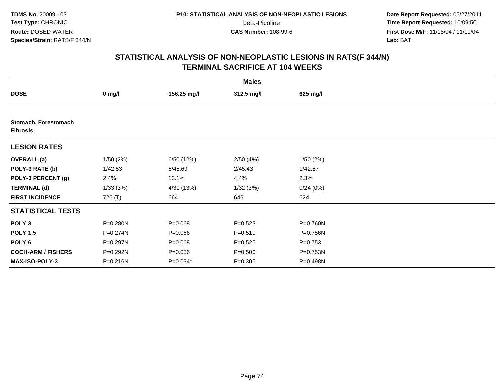**Date Report Requested:** 05/27/2011 **Time Report Requested:** 10:09:56 **First Dose M/F:** 11/18/04 / 11/19/04<br>**Lab:** BAT **Lab:** BAT

|                                         |          |             | <b>Males</b> |             |  |
|-----------------------------------------|----------|-------------|--------------|-------------|--|
| <b>DOSE</b>                             | $0$ mg/l | 156.25 mg/l | 312.5 mg/l   | 625 mg/l    |  |
|                                         |          |             |              |             |  |
| Stomach, Forestomach<br><b>Fibrosis</b> |          |             |              |             |  |
| <b>LESION RATES</b>                     |          |             |              |             |  |
| <b>OVERALL (a)</b>                      | 1/50(2%) | 6/50 (12%)  | 2/50(4%)     | 1/50(2%)    |  |
| POLY-3 RATE (b)                         | 1/42.53  | 6/45.69     | 2/45.43      | 1/42.67     |  |
| POLY-3 PERCENT (g)                      | 2.4%     | 13.1%       | 4.4%         | 2.3%        |  |
| <b>TERMINAL (d)</b>                     | 1/33(3%) | 4/31 (13%)  | 1/32(3%)     | 0/24(0%)    |  |
| <b>FIRST INCIDENCE</b>                  | 726 (T)  | 664         | 646          | 624         |  |
| <b>STATISTICAL TESTS</b>                |          |             |              |             |  |
| POLY <sub>3</sub>                       | P=0.280N | $P = 0.068$ | $P = 0.523$  | P=0.760N    |  |
| <b>POLY 1.5</b>                         | P=0.274N | $P = 0.066$ | $P = 0.519$  | P=0.756N    |  |
| POLY 6                                  | P=0.297N | $P = 0.068$ | $P=0.525$    | $P = 0.753$ |  |
| <b>COCH-ARM / FISHERS</b>               | P=0.292N | $P = 0.056$ | $P = 0.500$  | P=0.753N    |  |
| MAX-ISO-POLY-3                          | P=0.216N | P=0.034*    | $P = 0.305$  | P=0.498N    |  |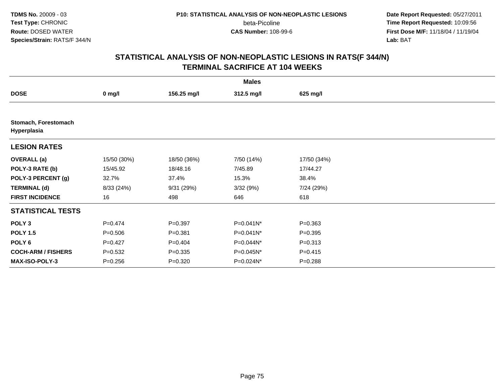**Date Report Requested:** 05/27/2011 **Time Report Requested:** 10:09:56 **First Dose M/F:** 11/18/04 / 11/19/04<br>**Lab:** BAT **Lab:** BAT

|                                     |             |             | <b>Males</b> |             |  |
|-------------------------------------|-------------|-------------|--------------|-------------|--|
| <b>DOSE</b>                         | $0$ mg/l    | 156.25 mg/l | 312.5 mg/l   | 625 mg/l    |  |
|                                     |             |             |              |             |  |
| Stomach, Forestomach<br>Hyperplasia |             |             |              |             |  |
| <b>LESION RATES</b>                 |             |             |              |             |  |
| <b>OVERALL</b> (a)                  | 15/50 (30%) | 18/50 (36%) | 7/50 (14%)   | 17/50 (34%) |  |
| POLY-3 RATE (b)                     | 15/45.92    | 18/48.16    | 7/45.89      | 17/44.27    |  |
| POLY-3 PERCENT (g)                  | 32.7%       | 37.4%       | 15.3%        | 38.4%       |  |
| <b>TERMINAL (d)</b>                 | 8/33 (24%)  | 9/31 (29%)  | 3/32(9%)     | 7/24 (29%)  |  |
| <b>FIRST INCIDENCE</b>              | 16          | 498         | 646          | 618         |  |
| <b>STATISTICAL TESTS</b>            |             |             |              |             |  |
| POLY <sub>3</sub>                   | $P=0.474$   | $P=0.397$   | P=0.041N*    | $P = 0.363$ |  |
| <b>POLY 1.5</b>                     | $P = 0.506$ | $P = 0.381$ | P=0.041N*    | $P = 0.395$ |  |
| POLY 6                              | $P=0.427$   | $P=0.404$   | P=0.044N*    | $P = 0.313$ |  |
| <b>COCH-ARM / FISHERS</b>           | $P = 0.532$ | $P = 0.335$ | P=0.045N*    | $P = 0.415$ |  |
| MAX-ISO-POLY-3                      | $P=0.256$   | $P=0.320$   | P=0.024N*    | $P = 0.288$ |  |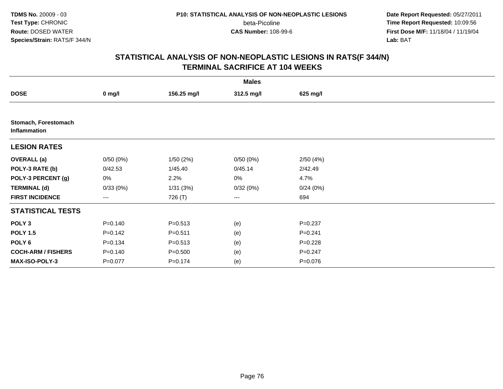beta-Picoline<br>CAS Number: 108-99-6

 **Date Report Requested:** 05/27/2011 **Time Report Requested:** 10:09:56 **First Dose M/F:** 11/18/04 / 11/19/04<br>**Lab:** BAT **Lab:** BAT

| <b>Males</b>                         |             |             |            |             |  |  |  |
|--------------------------------------|-------------|-------------|------------|-------------|--|--|--|
| <b>DOSE</b>                          | $0$ mg/l    | 156.25 mg/l | 312.5 mg/l | 625 mg/l    |  |  |  |
|                                      |             |             |            |             |  |  |  |
| Stomach, Forestomach<br>Inflammation |             |             |            |             |  |  |  |
| <b>LESION RATES</b>                  |             |             |            |             |  |  |  |
| <b>OVERALL</b> (a)                   | 0/50(0%)    | 1/50(2%)    | 0/50(0%)   | 2/50(4%)    |  |  |  |
| POLY-3 RATE (b)                      | 0/42.53     | 1/45.40     | 0/45.14    | 2/42.49     |  |  |  |
| POLY-3 PERCENT (g)                   | 0%          | 2.2%        | 0%         | 4.7%        |  |  |  |
| <b>TERMINAL (d)</b>                  | 0/33(0%)    | 1/31(3%)    | 0/32(0%)   | 0/24(0%)    |  |  |  |
| <b>FIRST INCIDENCE</b>               | ---         | 726 (T)     | ---        | 694         |  |  |  |
| <b>STATISTICAL TESTS</b>             |             |             |            |             |  |  |  |
| POLY <sub>3</sub>                    | $P = 0.140$ | $P = 0.513$ | (e)        | $P = 0.237$ |  |  |  |
| <b>POLY 1.5</b>                      | $P = 0.142$ | $P = 0.511$ | (e)        | $P = 0.241$ |  |  |  |
| POLY <sub>6</sub>                    | $P = 0.134$ | $P = 0.513$ | (e)        | $P = 0.228$ |  |  |  |
| <b>COCH-ARM / FISHERS</b>            | $P = 0.140$ | $P = 0.500$ | (e)        | $P = 0.247$ |  |  |  |
| MAX-ISO-POLY-3                       | $P = 0.077$ | $P = 0.174$ | (e)        | $P = 0.076$ |  |  |  |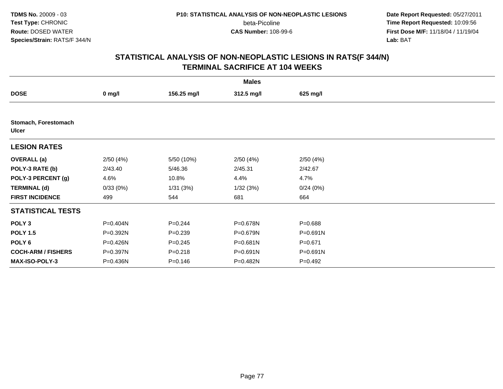**Date Report Requested:** 05/27/2011 **Time Report Requested:** 10:09:56 **First Dose M/F:** 11/18/04 / 11/19/04<br>**Lab:** BAT **Lab:** BAT

|                                      |          |             | <b>Males</b> |             |  |
|--------------------------------------|----------|-------------|--------------|-------------|--|
| <b>DOSE</b>                          | $0$ mg/l | 156.25 mg/l | 312.5 mg/l   | 625 mg/l    |  |
|                                      |          |             |              |             |  |
| Stomach, Forestomach<br><b>Ulcer</b> |          |             |              |             |  |
| <b>LESION RATES</b>                  |          |             |              |             |  |
| <b>OVERALL</b> (a)                   | 2/50(4%) | 5/50 (10%)  | 2/50(4%)     | 2/50(4%)    |  |
| POLY-3 RATE (b)                      | 2/43.40  | 5/46.36     | 2/45.31      | 2/42.67     |  |
| POLY-3 PERCENT (g)                   | 4.6%     | 10.8%       | 4.4%         | 4.7%        |  |
| <b>TERMINAL (d)</b>                  | 0/33(0%) | 1/31(3%)    | 1/32(3%)     | 0/24(0%)    |  |
| <b>FIRST INCIDENCE</b>               | 499      | 544         | 681          | 664         |  |
| <b>STATISTICAL TESTS</b>             |          |             |              |             |  |
| POLY <sub>3</sub>                    | P=0.404N | $P = 0.244$ | P=0.678N     | $P = 0.688$ |  |
| <b>POLY 1.5</b>                      | P=0.392N | $P=0.239$   | P=0.679N     | P=0.691N    |  |
| POLY <sub>6</sub>                    | P=0.426N | $P=0.245$   | P=0.681N     | $P = 0.671$ |  |
| <b>COCH-ARM / FISHERS</b>            | P=0.397N | $P = 0.218$ | P=0.691N     | P=0.691N    |  |
| <b>MAX-ISO-POLY-3</b>                | P=0.436N | $P = 0.146$ | P=0.482N     | $P=0.492$   |  |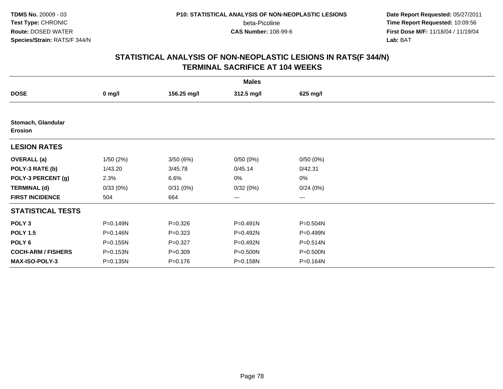**Date Report Requested:** 05/27/2011 **Time Report Requested:** 10:09:56 **First Dose M/F:** 11/18/04 / 11/19/04<br>**Lab:** BAT **Lab:** BAT

|                                      | <b>Males</b> |             |              |          |  |  |  |  |
|--------------------------------------|--------------|-------------|--------------|----------|--|--|--|--|
| <b>DOSE</b>                          | $0$ mg/l     | 156.25 mg/l | 312.5 mg/l   | 625 mg/l |  |  |  |  |
|                                      |              |             |              |          |  |  |  |  |
| Stomach, Glandular<br><b>Erosion</b> |              |             |              |          |  |  |  |  |
| <b>LESION RATES</b>                  |              |             |              |          |  |  |  |  |
| <b>OVERALL</b> (a)                   | 1/50(2%)     | 3/50(6%)    | 0/50(0%)     | 0/50(0%) |  |  |  |  |
| POLY-3 RATE (b)                      | 1/43.20      | 3/45.78     | 0/45.14      | 0/42.31  |  |  |  |  |
| POLY-3 PERCENT (g)                   | 2.3%         | 6.6%        | 0%           | 0%       |  |  |  |  |
| <b>TERMINAL (d)</b>                  | 0/33(0%)     | 0/31(0%)    | 0/32(0%)     | 0/24(0%) |  |  |  |  |
| <b>FIRST INCIDENCE</b>               | 504          | 664         | ---          | ---      |  |  |  |  |
| <b>STATISTICAL TESTS</b>             |              |             |              |          |  |  |  |  |
| POLY <sub>3</sub>                    | P=0.149N     | $P = 0.326$ | $P = 0.491N$ | P=0.504N |  |  |  |  |
| <b>POLY 1.5</b>                      | P=0.146N     | $P = 0.323$ | P=0.492N     | P=0.499N |  |  |  |  |
| POLY 6                               | P=0.155N     | $P=0.327$   | P=0.492N     | P=0.514N |  |  |  |  |
| <b>COCH-ARM / FISHERS</b>            | P=0.153N     | $P = 0.309$ | P=0.500N     | P=0.500N |  |  |  |  |
| MAX-ISO-POLY-3                       | P=0.135N     | $P = 0.176$ | P=0.158N     | P=0.164N |  |  |  |  |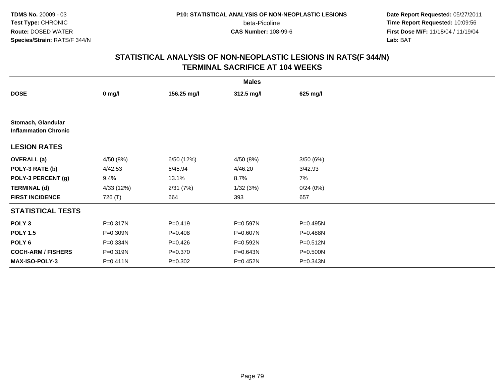beta-Picoline<br>CAS Number: 108-99-6

 **Date Report Requested:** 05/27/2011 **Time Report Requested:** 10:09:56 **First Dose M/F:** 11/18/04 / 11/19/04<br>**Lab:** BAT **Lab:** BAT

| <b>Males</b>                                      |            |             |            |              |  |  |  |
|---------------------------------------------------|------------|-------------|------------|--------------|--|--|--|
| <b>DOSE</b>                                       | $0$ mg/l   | 156.25 mg/l | 312.5 mg/l | 625 mg/l     |  |  |  |
|                                                   |            |             |            |              |  |  |  |
| Stomach, Glandular<br><b>Inflammation Chronic</b> |            |             |            |              |  |  |  |
| <b>LESION RATES</b>                               |            |             |            |              |  |  |  |
| <b>OVERALL</b> (a)                                | 4/50 (8%)  | 6/50 (12%)  | 4/50 (8%)  | 3/50(6%)     |  |  |  |
| POLY-3 RATE (b)                                   | 4/42.53    | 6/45.94     | 4/46.20    | 3/42.93      |  |  |  |
| POLY-3 PERCENT (g)                                | 9.4%       | 13.1%       | 8.7%       | 7%           |  |  |  |
| <b>TERMINAL (d)</b>                               | 4/33 (12%) | 2/31(7%)    | 1/32(3%)   | 0/24(0%)     |  |  |  |
| <b>FIRST INCIDENCE</b>                            | 726 (T)    | 664         | 393        | 657          |  |  |  |
| <b>STATISTICAL TESTS</b>                          |            |             |            |              |  |  |  |
| POLY <sub>3</sub>                                 | P=0.317N   | $P=0.419$   | P=0.597N   | $P = 0.495N$ |  |  |  |
| <b>POLY 1.5</b>                                   | P=0.309N   | $P=0.408$   | P=0.607N   | P=0.488N     |  |  |  |
| POLY <sub>6</sub>                                 | P=0.334N   | $P = 0.426$ | P=0.592N   | $P = 0.512N$ |  |  |  |
| <b>COCH-ARM / FISHERS</b>                         | P=0.319N   | $P = 0.370$ | P=0.643N   | P=0.500N     |  |  |  |
| <b>MAX-ISO-POLY-3</b>                             | P=0.411N   | $P = 0.302$ | P=0.452N   | P=0.343N     |  |  |  |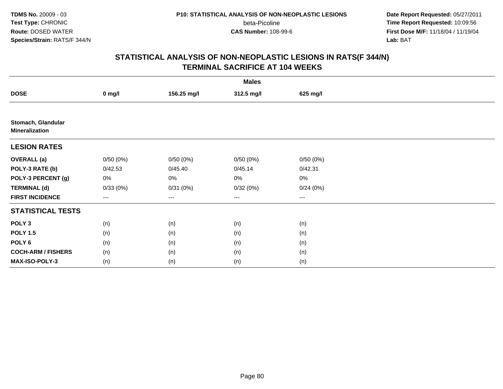beta-Picoline<br>CAS Number: 108-99-6

 **Date Report Requested:** 05/27/2011 **Time Report Requested:** 10:09:56 **First Dose M/F:** 11/18/04 / 11/19/04<br>**Lab:** BAT **Lab:** BAT

|                                             | <b>Males</b> |             |            |          |  |  |  |  |
|---------------------------------------------|--------------|-------------|------------|----------|--|--|--|--|
| <b>DOSE</b>                                 | $0$ mg/l     | 156.25 mg/l | 312.5 mg/l | 625 mg/l |  |  |  |  |
|                                             |              |             |            |          |  |  |  |  |
| Stomach, Glandular<br><b>Mineralization</b> |              |             |            |          |  |  |  |  |
| <b>LESION RATES</b>                         |              |             |            |          |  |  |  |  |
| <b>OVERALL</b> (a)                          | 0/50(0%)     | 0/50(0%)    | 0/50(0%)   | 0/50(0%) |  |  |  |  |
| POLY-3 RATE (b)                             | 0/42.53      | 0/45.40     | 0/45.14    | 0/42.31  |  |  |  |  |
| POLY-3 PERCENT (g)                          | 0%           | 0%          | 0%         | $0\%$    |  |  |  |  |
| <b>TERMINAL (d)</b>                         | 0/33(0%)     | 0/31(0%)    | 0/32(0%)   | 0/24(0%) |  |  |  |  |
| <b>FIRST INCIDENCE</b>                      | $---$        | ---         | $---$      | ---      |  |  |  |  |
| <b>STATISTICAL TESTS</b>                    |              |             |            |          |  |  |  |  |
| POLY <sub>3</sub>                           | (n)          | (n)         | (n)        | (n)      |  |  |  |  |
| <b>POLY 1.5</b>                             | (n)          | (n)         | (n)        | (n)      |  |  |  |  |
| POLY <sub>6</sub>                           | (n)          | (n)         | (n)        | (n)      |  |  |  |  |
| <b>COCH-ARM / FISHERS</b>                   | (n)          | (n)         | (n)        | (n)      |  |  |  |  |
| MAX-ISO-POLY-3                              | (n)          | (n)         | (n)        | (n)      |  |  |  |  |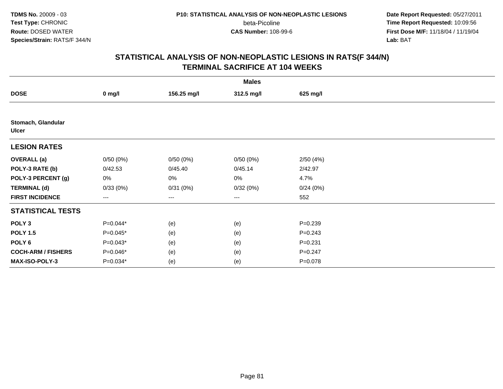beta-Picoline<br>CAS Number: 108-99-6

 **Date Report Requested:** 05/27/2011 **Time Report Requested:** 10:09:56 **First Dose M/F:** 11/18/04 / 11/19/04<br>**Lab:** BAT **Lab:** BAT

|                                    | <b>Males</b> |             |            |             |  |  |  |  |
|------------------------------------|--------------|-------------|------------|-------------|--|--|--|--|
| <b>DOSE</b>                        | $0$ mg/l     | 156.25 mg/l | 312.5 mg/l | 625 mg/l    |  |  |  |  |
|                                    |              |             |            |             |  |  |  |  |
| Stomach, Glandular<br><b>Ulcer</b> |              |             |            |             |  |  |  |  |
| <b>LESION RATES</b>                |              |             |            |             |  |  |  |  |
| <b>OVERALL (a)</b>                 | 0/50(0%)     | 0/50(0%)    | 0/50(0%)   | 2/50(4%)    |  |  |  |  |
| POLY-3 RATE (b)                    | 0/42.53      | 0/45.40     | 0/45.14    | 2/42.97     |  |  |  |  |
| POLY-3 PERCENT (g)                 | 0%           | 0%          | 0%         | 4.7%        |  |  |  |  |
| <b>TERMINAL (d)</b>                | 0/33(0%)     | 0/31(0%)    | 0/32(0%)   | 0/24(0%)    |  |  |  |  |
| <b>FIRST INCIDENCE</b>             | ---          | ---         | $\cdots$   | 552         |  |  |  |  |
| <b>STATISTICAL TESTS</b>           |              |             |            |             |  |  |  |  |
| POLY <sub>3</sub>                  | $P=0.044*$   | (e)         | (e)        | $P = 0.239$ |  |  |  |  |
| <b>POLY 1.5</b>                    | $P=0.045*$   | (e)         | (e)        | $P = 0.243$ |  |  |  |  |
| POLY 6                             | $P=0.043*$   | (e)         | (e)        | $P = 0.231$ |  |  |  |  |
| <b>COCH-ARM / FISHERS</b>          | P=0.046*     | (e)         | (e)        | $P = 0.247$ |  |  |  |  |
| MAX-ISO-POLY-3                     | P=0.034*     | (e)         | (e)        | $P = 0.078$ |  |  |  |  |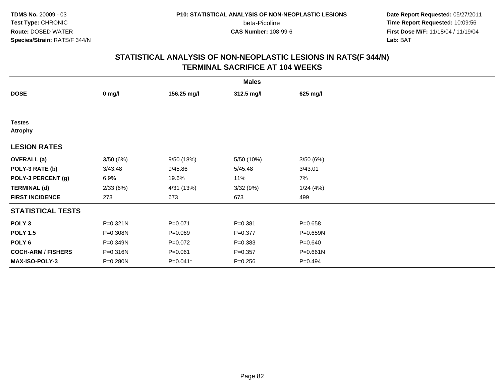beta-Picoline<br>CAS Number: 108-99-6

 **Date Report Requested:** 05/27/2011 **Time Report Requested:** 10:09:56 **First Dose M/F:** 11/18/04 / 11/19/04<br>**Lab:** BAT **Lab:** BAT

|                                 |          |             | <b>Males</b> |              |  |
|---------------------------------|----------|-------------|--------------|--------------|--|
| <b>DOSE</b>                     | $0$ mg/l | 156.25 mg/l | 312.5 mg/l   | 625 mg/l     |  |
|                                 |          |             |              |              |  |
| <b>Testes</b><br><b>Atrophy</b> |          |             |              |              |  |
| <b>LESION RATES</b>             |          |             |              |              |  |
| <b>OVERALL</b> (a)              | 3/50(6%) | 9/50 (18%)  | 5/50 (10%)   | 3/50(6%)     |  |
| POLY-3 RATE (b)                 | 3/43.48  | 9/45.86     | 5/45.48      | 3/43.01      |  |
| POLY-3 PERCENT (g)              | 6.9%     | 19.6%       | 11%          | 7%           |  |
| <b>TERMINAL (d)</b>             | 2/33(6%) | 4/31 (13%)  | 3/32 (9%)    | 1/24(4%)     |  |
| <b>FIRST INCIDENCE</b>          | 273      | 673         | 673          | 499          |  |
| <b>STATISTICAL TESTS</b>        |          |             |              |              |  |
| POLY <sub>3</sub>               | P=0.321N | $P = 0.071$ | $P = 0.381$  | $P = 0.658$  |  |
| <b>POLY 1.5</b>                 | P=0.308N | $P = 0.069$ | $P = 0.377$  | P=0.659N     |  |
| POLY <sub>6</sub>               | P=0.349N | $P=0.072$   | $P = 0.383$  | $P = 0.640$  |  |
| <b>COCH-ARM / FISHERS</b>       | P=0.316N | $P = 0.061$ | $P = 0.357$  | $P = 0.661N$ |  |
| MAX-ISO-POLY-3                  | P=0.280N | P=0.041*    | $P = 0.256$  | $P=0.494$    |  |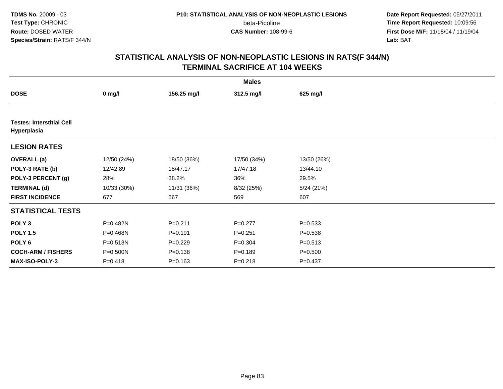beta-Picoline<br>CAS Number: 108-99-6

 **Date Report Requested:** 05/27/2011 **Time Report Requested:** 10:09:56 **First Dose M/F:** 11/18/04 / 11/19/04<br>**Lab:** BAT **Lab:** BAT

|                                                 | <b>Males</b> |             |             |             |  |  |  |  |
|-------------------------------------------------|--------------|-------------|-------------|-------------|--|--|--|--|
| <b>DOSE</b>                                     | $0$ mg/l     | 156.25 mg/l | 312.5 mg/l  | 625 mg/l    |  |  |  |  |
|                                                 |              |             |             |             |  |  |  |  |
| <b>Testes: Interstitial Cell</b><br>Hyperplasia |              |             |             |             |  |  |  |  |
| <b>LESION RATES</b>                             |              |             |             |             |  |  |  |  |
| <b>OVERALL</b> (a)                              | 12/50 (24%)  | 18/50 (36%) | 17/50 (34%) | 13/50 (26%) |  |  |  |  |
| POLY-3 RATE (b)                                 | 12/42.89     | 18/47.17    | 17/47.18    | 13/44.10    |  |  |  |  |
| POLY-3 PERCENT (g)                              | 28%          | 38.2%       | 36%         | 29.5%       |  |  |  |  |
| <b>TERMINAL (d)</b>                             | 10/33 (30%)  | 11/31 (36%) | 8/32 (25%)  | 5/24(21%)   |  |  |  |  |
| <b>FIRST INCIDENCE</b>                          | 677          | 567         | 569         | 607         |  |  |  |  |
| <b>STATISTICAL TESTS</b>                        |              |             |             |             |  |  |  |  |
| POLY <sub>3</sub>                               | P=0.482N     | $P = 0.211$ | $P = 0.277$ | $P = 0.533$ |  |  |  |  |
| <b>POLY 1.5</b>                                 | P=0.468N     | $P = 0.191$ | $P = 0.251$ | $P = 0.538$ |  |  |  |  |
| POLY 6                                          | P=0.513N     | $P=0.229$   | $P = 0.304$ | $P = 0.513$ |  |  |  |  |
| <b>COCH-ARM / FISHERS</b>                       | P=0.500N     | $P = 0.138$ | $P = 0.189$ | $P = 0.500$ |  |  |  |  |
| <b>MAX-ISO-POLY-3</b>                           | $P = 0.418$  | $P = 0.163$ | $P = 0.218$ | $P = 0.437$ |  |  |  |  |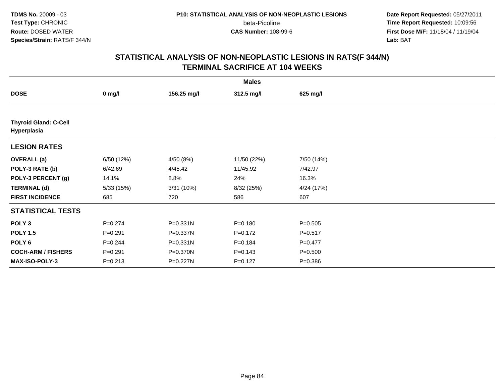**Date Report Requested:** 05/27/2011 **Time Report Requested:** 10:09:56 **First Dose M/F:** 11/18/04 / 11/19/04<br>**Lab:** BAT **Lab:** BAT

|                                             | <b>Males</b> |              |             |             |  |  |  |  |
|---------------------------------------------|--------------|--------------|-------------|-------------|--|--|--|--|
| <b>DOSE</b>                                 | $0$ mg/l     | 156.25 mg/l  | 312.5 mg/l  | 625 mg/l    |  |  |  |  |
|                                             |              |              |             |             |  |  |  |  |
| <b>Thyroid Gland: C-Cell</b><br>Hyperplasia |              |              |             |             |  |  |  |  |
| <b>LESION RATES</b>                         |              |              |             |             |  |  |  |  |
| <b>OVERALL</b> (a)                          | 6/50 (12%)   | 4/50 (8%)    | 11/50 (22%) | 7/50 (14%)  |  |  |  |  |
| POLY-3 RATE (b)                             | 6/42.69      | 4/45.42      | 11/45.92    | 7/42.97     |  |  |  |  |
| POLY-3 PERCENT (g)                          | 14.1%        | 8.8%         | 24%         | 16.3%       |  |  |  |  |
| <b>TERMINAL (d)</b>                         | 5/33(15%)    | 3/31 (10%)   | 8/32 (25%)  | 4/24 (17%)  |  |  |  |  |
| <b>FIRST INCIDENCE</b>                      | 685          | 720          | 586         | 607         |  |  |  |  |
| <b>STATISTICAL TESTS</b>                    |              |              |             |             |  |  |  |  |
| POLY <sub>3</sub>                           | $P = 0.274$  | P=0.331N     | $P = 0.180$ | $P = 0.505$ |  |  |  |  |
| <b>POLY 1.5</b>                             | $P = 0.291$  | P=0.337N     | $P = 0.172$ | $P = 0.517$ |  |  |  |  |
| POLY <sub>6</sub>                           | $P = 0.244$  | $P = 0.331N$ | $P = 0.184$ | $P = 0.477$ |  |  |  |  |
| <b>COCH-ARM / FISHERS</b>                   | $P = 0.291$  | P=0.370N     | $P = 0.143$ | $P = 0.500$ |  |  |  |  |
| MAX-ISO-POLY-3                              | $P = 0.213$  | P=0.227N     | $P = 0.127$ | $P = 0.386$ |  |  |  |  |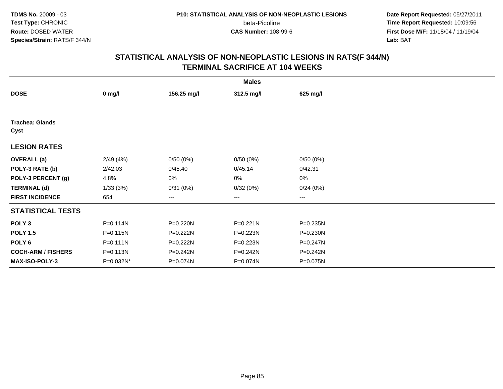**Date Report Requested:** 05/27/2011 **Time Report Requested:** 10:09:56 **First Dose M/F:** 11/18/04 / 11/19/04<br>**Lab:** BAT **Lab:** BAT

|                                |              |             | <b>Males</b> |          |  |
|--------------------------------|--------------|-------------|--------------|----------|--|
| <b>DOSE</b>                    | $0$ mg/l     | 156.25 mg/l | 312.5 mg/l   | 625 mg/l |  |
|                                |              |             |              |          |  |
| <b>Trachea: Glands</b><br>Cyst |              |             |              |          |  |
| <b>LESION RATES</b>            |              |             |              |          |  |
| <b>OVERALL</b> (a)             | 2/49(4%)     | 0/50(0%)    | 0/50(0%)     | 0/50(0%) |  |
| POLY-3 RATE (b)                | 2/42.03      | 0/45.40     | 0/45.14      | 0/42.31  |  |
| POLY-3 PERCENT (g)             | 4.8%         | 0%          | 0%           | 0%       |  |
| <b>TERMINAL (d)</b>            | 1/33(3%)     | 0/31(0%)    | 0/32(0%)     | 0/24(0%) |  |
| <b>FIRST INCIDENCE</b>         | 654          | ---         | $--$         | ---      |  |
| <b>STATISTICAL TESTS</b>       |              |             |              |          |  |
| POLY <sub>3</sub>              | P=0.114N     | P=0.220N    | $P = 0.221N$ | P=0.235N |  |
| <b>POLY 1.5</b>                | P=0.115N     | P=0.222N    | P=0.223N     | P=0.230N |  |
| POLY <sub>6</sub>              | $P = 0.111N$ | P=0.222N    | P=0.223N     | P=0.247N |  |
| <b>COCH-ARM / FISHERS</b>      | P=0.113N     | P=0.242N    | P=0.242N     | P=0.242N |  |
| <b>MAX-ISO-POLY-3</b>          | P=0.032N*    | P=0.074N    | P=0.074N     | P=0.075N |  |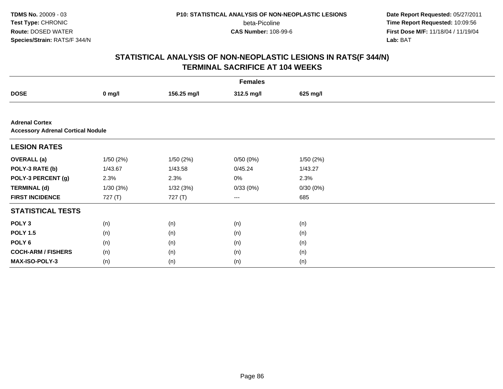beta-Picoline<br>CAS Number: 108-99-6

 **Date Report Requested:** 05/27/2011 **Time Report Requested:** 10:09:56 **First Dose M/F:** 11/18/04 / 11/19/04<br>**Lab:** BAT **Lab:** BAT

|                                                                   | <b>Females</b> |             |            |          |  |  |  |  |
|-------------------------------------------------------------------|----------------|-------------|------------|----------|--|--|--|--|
| <b>DOSE</b>                                                       | $0$ mg/l       | 156.25 mg/l | 312.5 mg/l | 625 mg/l |  |  |  |  |
|                                                                   |                |             |            |          |  |  |  |  |
| <b>Adrenal Cortex</b><br><b>Accessory Adrenal Cortical Nodule</b> |                |             |            |          |  |  |  |  |
| <b>LESION RATES</b>                                               |                |             |            |          |  |  |  |  |
| <b>OVERALL (a)</b>                                                | 1/50(2%)       | 1/50(2%)    | 0/50(0%)   | 1/50(2%) |  |  |  |  |
| POLY-3 RATE (b)                                                   | 1/43.67        | 1/43.58     | 0/45.24    | 1/43.27  |  |  |  |  |
| POLY-3 PERCENT (g)                                                | 2.3%           | 2.3%        | $0\%$      | 2.3%     |  |  |  |  |
| <b>TERMINAL (d)</b>                                               | 1/30(3%)       | 1/32(3%)    | 0/33(0%)   | 0/30(0%) |  |  |  |  |
| <b>FIRST INCIDENCE</b>                                            | 727 $(T)$      | 727 (T)     | $--$       | 685      |  |  |  |  |
| <b>STATISTICAL TESTS</b>                                          |                |             |            |          |  |  |  |  |
| POLY <sub>3</sub>                                                 | (n)            | (n)         | (n)        | (n)      |  |  |  |  |
| <b>POLY 1.5</b>                                                   | (n)            | (n)         | (n)        | (n)      |  |  |  |  |
| POLY <sub>6</sub>                                                 | (n)            | (n)         | (n)        | (n)      |  |  |  |  |
| <b>COCH-ARM / FISHERS</b>                                         | (n)            | (n)         | (n)        | (n)      |  |  |  |  |
| MAX-ISO-POLY-3                                                    | (n)            | (n)         | (n)        | (n)      |  |  |  |  |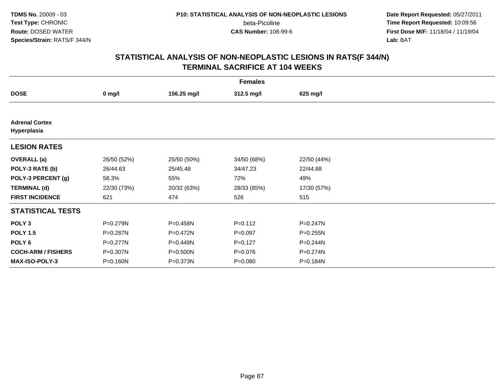beta-Picoline<br>CAS Number: 108-99-6

 **Date Report Requested:** 05/27/2011 **Time Report Requested:** 10:09:56 **First Dose M/F:** 11/18/04 / 11/19/04<br>**Lab:** BAT **Lab:** BAT

| <b>Females</b>                       |             |             |             |             |  |  |  |
|--------------------------------------|-------------|-------------|-------------|-------------|--|--|--|
| <b>DOSE</b>                          | $0$ mg/l    | 156.25 mg/l | 312.5 mg/l  | 625 mg/l    |  |  |  |
|                                      |             |             |             |             |  |  |  |
| <b>Adrenal Cortex</b><br>Hyperplasia |             |             |             |             |  |  |  |
| <b>LESION RATES</b>                  |             |             |             |             |  |  |  |
| <b>OVERALL</b> (a)                   | 26/50 (52%) | 25/50 (50%) | 34/50 (68%) | 22/50 (44%) |  |  |  |
| POLY-3 RATE (b)                      | 26/44.63    | 25/45.48    | 34/47.23    | 22/44.88    |  |  |  |
| POLY-3 PERCENT (g)                   | 58.3%       | 55%         | 72%         | 49%         |  |  |  |
| <b>TERMINAL (d)</b>                  | 22/30 (73%) | 20/32 (63%) | 28/33 (85%) | 17/30 (57%) |  |  |  |
| <b>FIRST INCIDENCE</b>               | 621         | 474         | 526         | 515         |  |  |  |
| <b>STATISTICAL TESTS</b>             |             |             |             |             |  |  |  |
| POLY <sub>3</sub>                    | P=0.279N    | P=0.458N    | $P = 0.112$ | P=0.247N    |  |  |  |
| <b>POLY 1.5</b>                      | P=0.287N    | P=0.472N    | $P=0.097$   | P=0.255N    |  |  |  |
| POLY <sub>6</sub>                    | P=0.277N    | P=0.449N    | $P=0.127$   | P=0.244N    |  |  |  |
| <b>COCH-ARM / FISHERS</b>            | P=0.307N    | P=0.500N    | $P = 0.076$ | P=0.274N    |  |  |  |
| <b>MAX-ISO-POLY-3</b>                | P=0.160N    | P=0.373N    | $P = 0.080$ | P=0.184N    |  |  |  |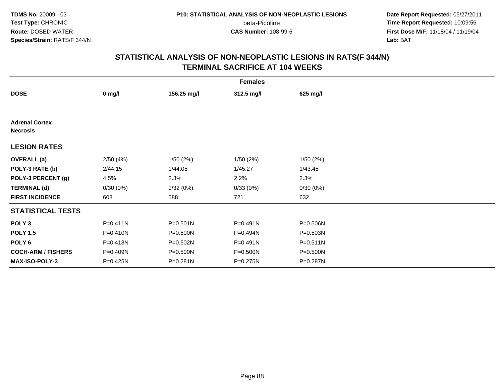**Date Report Requested:** 05/27/2011 **Time Report Requested:** 10:09:56 **First Dose M/F:** 11/18/04 / 11/19/04<br>**Lab:** BAT **Lab:** BAT

|                                          | <b>Females</b> |             |              |          |  |  |  |  |
|------------------------------------------|----------------|-------------|--------------|----------|--|--|--|--|
| <b>DOSE</b>                              | $0$ mg/l       | 156.25 mg/l | 312.5 mg/l   | 625 mg/l |  |  |  |  |
|                                          |                |             |              |          |  |  |  |  |
| <b>Adrenal Cortex</b><br><b>Necrosis</b> |                |             |              |          |  |  |  |  |
| <b>LESION RATES</b>                      |                |             |              |          |  |  |  |  |
| <b>OVERALL</b> (a)                       | 2/50(4%)       | 1/50(2%)    | 1/50(2%)     | 1/50(2%) |  |  |  |  |
| POLY-3 RATE (b)                          | 2/44.15        | 1/44.05     | 1/45.27      | 1/43.45  |  |  |  |  |
| POLY-3 PERCENT (g)                       | 4.5%           | 2.3%        | 2.2%         | 2.3%     |  |  |  |  |
| <b>TERMINAL (d)</b>                      | 0/30(0%)       | 0/32(0%)    | 0/33(0%)     | 0/30(0%) |  |  |  |  |
| <b>FIRST INCIDENCE</b>                   | 608            | 588         | 721          | 632      |  |  |  |  |
| <b>STATISTICAL TESTS</b>                 |                |             |              |          |  |  |  |  |
| POLY <sub>3</sub>                        | $P = 0.411N$   | P=0.501N    | $P = 0.491N$ | P=0.506N |  |  |  |  |
| <b>POLY 1.5</b>                          | P=0.410N       | P=0.500N    | P=0.494N     | P=0.503N |  |  |  |  |
| POLY <sub>6</sub>                        | P=0.413N       | P=0.502N    | P=0.491N     | P=0.511N |  |  |  |  |
| <b>COCH-ARM / FISHERS</b>                | P=0.409N       | P=0.500N    | P=0.500N     | P=0.500N |  |  |  |  |
| <b>MAX-ISO-POLY-3</b>                    | P=0.425N       | P=0.281N    | P=0.275N     | P=0.287N |  |  |  |  |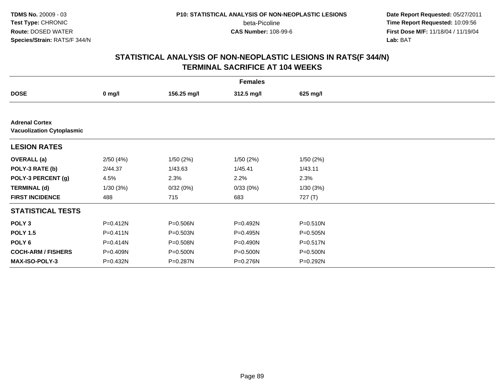beta-Picoline<br>CAS Number: 108-99-6

 **Date Report Requested:** 05/27/2011 **Time Report Requested:** 10:09:56 **First Dose M/F:** 11/18/04 / 11/19/04<br>**Lab:** BAT **Lab:** BAT

|                                                           | <b>Females</b> |              |              |              |  |  |  |  |
|-----------------------------------------------------------|----------------|--------------|--------------|--------------|--|--|--|--|
| <b>DOSE</b>                                               | $0$ mg/l       | 156.25 mg/l  | 312.5 mg/l   | 625 mg/l     |  |  |  |  |
|                                                           |                |              |              |              |  |  |  |  |
| <b>Adrenal Cortex</b><br><b>Vacuolization Cytoplasmic</b> |                |              |              |              |  |  |  |  |
| <b>LESION RATES</b>                                       |                |              |              |              |  |  |  |  |
| <b>OVERALL</b> (a)                                        | 2/50(4%)       | 1/50(2%)     | 1/50(2%)     | 1/50(2%)     |  |  |  |  |
| POLY-3 RATE (b)                                           | 2/44.37        | 1/43.63      | 1/45.41      | 1/43.11      |  |  |  |  |
| POLY-3 PERCENT (g)                                        | 4.5%           | 2.3%         | 2.2%         | 2.3%         |  |  |  |  |
| <b>TERMINAL (d)</b>                                       | 1/30(3%)       | 0/32(0%)     | 0/33(0%)     | 1/30(3%)     |  |  |  |  |
| <b>FIRST INCIDENCE</b>                                    | 488            | 715          | 683          | 727 (T)      |  |  |  |  |
| <b>STATISTICAL TESTS</b>                                  |                |              |              |              |  |  |  |  |
| POLY <sub>3</sub>                                         | P=0.412N       | P=0.506N     | P=0.492N     | $P = 0.510N$ |  |  |  |  |
| <b>POLY 1.5</b>                                           | $P = 0.411N$   | P=0.503N     | P=0.495N     | $P = 0.505N$ |  |  |  |  |
| POLY <sub>6</sub>                                         | P=0.414N       | P=0.508N     | $P = 0.490N$ | $P = 0.517N$ |  |  |  |  |
| <b>COCH-ARM / FISHERS</b>                                 | P=0.409N       | $P = 0.500N$ | $P = 0.500N$ | $P = 0.500N$ |  |  |  |  |
| <b>MAX-ISO-POLY-3</b>                                     | P=0.432N       | P=0.287N     | P=0.276N     | P=0.292N     |  |  |  |  |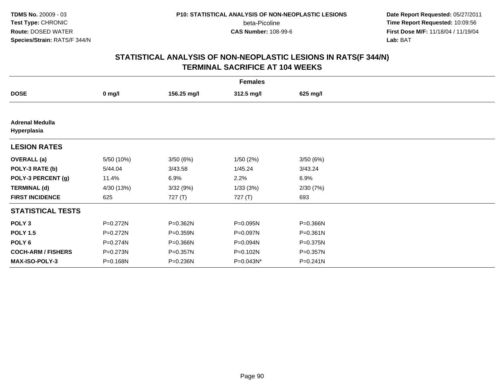beta-Picoline<br>CAS Number: 108-99-6

 **Date Report Requested:** 05/27/2011 **Time Report Requested:** 10:09:56 **First Dose M/F:** 11/18/04 / 11/19/04<br>**Lab:** BAT **Lab:** BAT

|                                       | <b>Females</b> |             |            |          |  |  |  |  |
|---------------------------------------|----------------|-------------|------------|----------|--|--|--|--|
| <b>DOSE</b>                           | $0$ mg/l       | 156.25 mg/l | 312.5 mg/l | 625 mg/l |  |  |  |  |
|                                       |                |             |            |          |  |  |  |  |
| <b>Adrenal Medulla</b><br>Hyperplasia |                |             |            |          |  |  |  |  |
| <b>LESION RATES</b>                   |                |             |            |          |  |  |  |  |
| <b>OVERALL</b> (a)                    | 5/50 (10%)     | 3/50(6%)    | 1/50(2%)   | 3/50(6%) |  |  |  |  |
| POLY-3 RATE (b)                       | 5/44.04        | 3/43.58     | 1/45.24    | 3/43.24  |  |  |  |  |
| POLY-3 PERCENT (g)                    | 11.4%          | 6.9%        | 2.2%       | 6.9%     |  |  |  |  |
| <b>TERMINAL (d)</b>                   | 4/30 (13%)     | 3/32 (9%)   | 1/33(3%)   | 2/30(7%) |  |  |  |  |
| <b>FIRST INCIDENCE</b>                | 625            | 727(T)      | 727(T)     | 693      |  |  |  |  |
| <b>STATISTICAL TESTS</b>              |                |             |            |          |  |  |  |  |
| POLY <sub>3</sub>                     | P=0.272N       | P=0.362N    | P=0.095N   | P=0.366N |  |  |  |  |
| <b>POLY 1.5</b>                       | P=0.272N       | P=0.359N    | P=0.097N   | P=0.361N |  |  |  |  |
| POLY <sub>6</sub>                     | P=0.274N       | P=0.366N    | P=0.094N   | P=0.375N |  |  |  |  |
| <b>COCH-ARM / FISHERS</b>             | P=0.273N       | P=0.357N    | P=0.102N   | P=0.357N |  |  |  |  |
| <b>MAX-ISO-POLY-3</b>                 | P=0.168N       | P=0.236N    | P=0.043N*  | P=0.241N |  |  |  |  |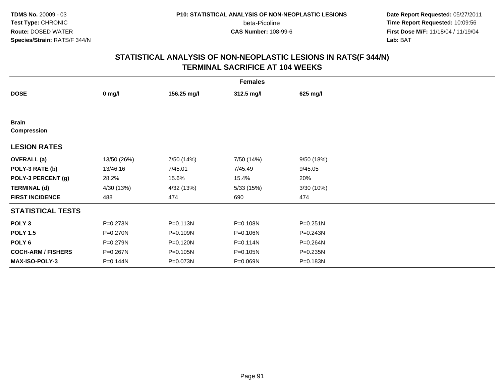beta-Picoline<br>CAS Number: 108-99-6

 **Date Report Requested:** 05/27/2011 **Time Report Requested:** 10:09:56 **First Dose M/F:** 11/18/04 / 11/19/04<br>**Lab:** BAT **Lab:** BAT

|                                    | <b>Females</b> |             |            |            |  |  |  |  |
|------------------------------------|----------------|-------------|------------|------------|--|--|--|--|
| <b>DOSE</b>                        | $0$ mg/l       | 156.25 mg/l | 312.5 mg/l | 625 mg/l   |  |  |  |  |
|                                    |                |             |            |            |  |  |  |  |
| <b>Brain</b><br><b>Compression</b> |                |             |            |            |  |  |  |  |
| <b>LESION RATES</b>                |                |             |            |            |  |  |  |  |
| <b>OVERALL</b> (a)                 | 13/50 (26%)    | 7/50 (14%)  | 7/50 (14%) | 9/50(18%)  |  |  |  |  |
| POLY-3 RATE (b)                    | 13/46.16       | 7/45.01     | 7/45.49    | 9/45.05    |  |  |  |  |
| POLY-3 PERCENT (g)                 | 28.2%          | 15.6%       | 15.4%      | 20%        |  |  |  |  |
| <b>TERMINAL (d)</b>                | 4/30 (13%)     | 4/32 (13%)  | 5/33(15%)  | 3/30 (10%) |  |  |  |  |
| <b>FIRST INCIDENCE</b>             | 488            | 474         | 690        | 474        |  |  |  |  |
| <b>STATISTICAL TESTS</b>           |                |             |            |            |  |  |  |  |
| POLY <sub>3</sub>                  | P=0.273N       | P=0.113N    | P=0.108N   | P=0.251N   |  |  |  |  |
| <b>POLY 1.5</b>                    | P=0.270N       | P=0.109N    | P=0.106N   | P=0.243N   |  |  |  |  |
| POLY <sub>6</sub>                  | P=0.279N       | P=0.120N    | P=0.114N   | P=0.264N   |  |  |  |  |
| <b>COCH-ARM / FISHERS</b>          | P=0.267N       | P=0.105N    | P=0.105N   | P=0.235N   |  |  |  |  |
| <b>MAX-ISO-POLY-3</b>              | P=0.144N       | P=0.073N    | P=0.069N   | P=0.183N   |  |  |  |  |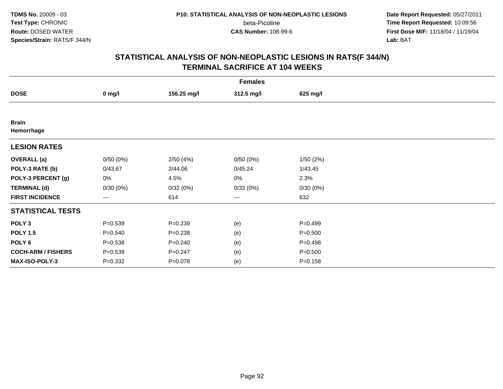beta-Picoline<br>CAS Number: 108-99-6

 **Date Report Requested:** 05/27/2011 **Time Report Requested:** 10:09:56 **First Dose M/F:** 11/18/04 / 11/19/04<br>**Lab:** BAT **Lab:** BAT

|                            | <b>Females</b>    |             |            |             |  |  |  |  |
|----------------------------|-------------------|-------------|------------|-------------|--|--|--|--|
| <b>DOSE</b>                | $0$ mg/l          | 156.25 mg/l | 312.5 mg/l | 625 mg/l    |  |  |  |  |
|                            |                   |             |            |             |  |  |  |  |
| <b>Brain</b><br>Hemorrhage |                   |             |            |             |  |  |  |  |
| <b>LESION RATES</b>        |                   |             |            |             |  |  |  |  |
| <b>OVERALL</b> (a)         | 0/50(0%)          | 2/50(4%)    | 0/50(0%)   | 1/50(2%)    |  |  |  |  |
| POLY-3 RATE (b)            | 0/43.67           | 2/44.06     | 0/45.24    | 1/43.45     |  |  |  |  |
| POLY-3 PERCENT (g)         | 0%                | 4.5%        | 0%         | 2.3%        |  |  |  |  |
| <b>TERMINAL (d)</b>        | 0/30(0%)          | 0/32(0%)    | 0/33(0%)   | 0/30(0%)    |  |  |  |  |
| <b>FIRST INCIDENCE</b>     | $\qquad \qquad -$ | 614         | $\cdots$   | 632         |  |  |  |  |
| <b>STATISTICAL TESTS</b>   |                   |             |            |             |  |  |  |  |
| POLY <sub>3</sub>          | $P = 0.539$       | $P = 0.239$ | (e)        | $P=0.499$   |  |  |  |  |
| <b>POLY 1.5</b>            | $P = 0.540$       | $P = 0.238$ | (e)        | $P = 0.500$ |  |  |  |  |
| POLY 6                     | $P = 0.538$       | $P = 0.240$ | (e)        | $P=0.498$   |  |  |  |  |
| <b>COCH-ARM / FISHERS</b>  | $P = 0.539$       | $P = 0.247$ | (e)        | $P = 0.500$ |  |  |  |  |
| MAX-ISO-POLY-3             | $P = 0.332$       | $P = 0.078$ | (e)        | $P = 0.158$ |  |  |  |  |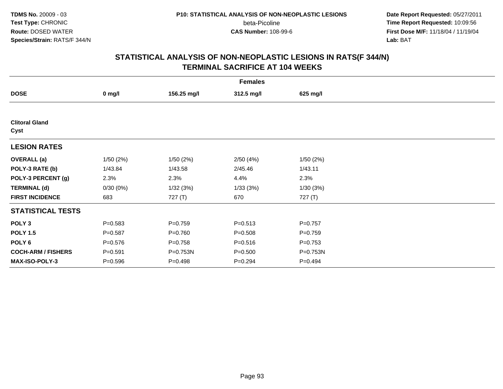**Date Report Requested:** 05/27/2011 **Time Report Requested:** 10:09:56 **First Dose M/F:** 11/18/04 / 11/19/04<br>**Lab:** BAT **Lab:** BAT

|                               | <b>Females</b> |             |             |             |  |  |  |  |
|-------------------------------|----------------|-------------|-------------|-------------|--|--|--|--|
| <b>DOSE</b>                   | $0$ mg/l       | 156.25 mg/l | 312.5 mg/l  | 625 mg/l    |  |  |  |  |
|                               |                |             |             |             |  |  |  |  |
| <b>Clitoral Gland</b><br>Cyst |                |             |             |             |  |  |  |  |
| <b>LESION RATES</b>           |                |             |             |             |  |  |  |  |
| <b>OVERALL</b> (a)            | 1/50(2%)       | 1/50(2%)    | 2/50(4%)    | 1/50(2%)    |  |  |  |  |
| POLY-3 RATE (b)               | 1/43.84        | 1/43.58     | 2/45.46     | 1/43.11     |  |  |  |  |
| POLY-3 PERCENT (g)            | 2.3%           | 2.3%        | 4.4%        | 2.3%        |  |  |  |  |
| <b>TERMINAL (d)</b>           | 0/30(0%)       | 1/32(3%)    | 1/33(3%)    | 1/30(3%)    |  |  |  |  |
| <b>FIRST INCIDENCE</b>        | 683            | 727(T)      | 670         | 727 (T)     |  |  |  |  |
| <b>STATISTICAL TESTS</b>      |                |             |             |             |  |  |  |  |
| POLY <sub>3</sub>             | $P = 0.583$    | $P = 0.759$ | $P = 0.513$ | $P = 0.757$ |  |  |  |  |
| <b>POLY 1.5</b>               | $P = 0.587$    | $P = 0.760$ | $P = 0.508$ | $P = 0.759$ |  |  |  |  |
| POLY 6                        | $P = 0.576$    | $P = 0.758$ | $P = 0.516$ | $P=0.753$   |  |  |  |  |
| <b>COCH-ARM / FISHERS</b>     | $P = 0.591$    | P=0.753N    | $P = 0.500$ | P=0.753N    |  |  |  |  |
| MAX-ISO-POLY-3                | $P = 0.596$    | $P = 0.498$ | $P = 0.294$ | $P=0.494$   |  |  |  |  |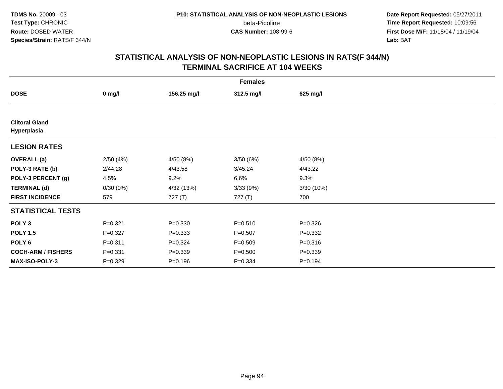beta-Picoline<br>CAS Number: 108-99-6

 **Date Report Requested:** 05/27/2011 **Time Report Requested:** 10:09:56 **First Dose M/F:** 11/18/04 / 11/19/04<br>**Lab:** BAT **Lab:** BAT

| <b>Females</b>                       |             |             |             |             |  |  |  |
|--------------------------------------|-------------|-------------|-------------|-------------|--|--|--|
| <b>DOSE</b>                          | $0$ mg/l    | 156.25 mg/l | 312.5 mg/l  | 625 mg/l    |  |  |  |
|                                      |             |             |             |             |  |  |  |
| <b>Clitoral Gland</b><br>Hyperplasia |             |             |             |             |  |  |  |
| <b>LESION RATES</b>                  |             |             |             |             |  |  |  |
| <b>OVERALL</b> (a)                   | 2/50(4%)    | 4/50 (8%)   | 3/50 (6%)   | 4/50 (8%)   |  |  |  |
| POLY-3 RATE (b)                      | 2/44.28     | 4/43.58     | 3/45.24     | 4/43.22     |  |  |  |
| POLY-3 PERCENT (g)                   | 4.5%        | 9.2%        | 6.6%        | 9.3%        |  |  |  |
| <b>TERMINAL (d)</b>                  | 0/30(0%)    | 4/32 (13%)  | 3/33(9%)    | 3/30 (10%)  |  |  |  |
| <b>FIRST INCIDENCE</b>               | 579         | 727(T)      | 727 (T)     | 700         |  |  |  |
| <b>STATISTICAL TESTS</b>             |             |             |             |             |  |  |  |
| POLY <sub>3</sub>                    | $P = 0.321$ | $P = 0.330$ | $P = 0.510$ | $P = 0.326$ |  |  |  |
| <b>POLY 1.5</b>                      | $P = 0.327$ | $P = 0.333$ | $P = 0.507$ | $P = 0.332$ |  |  |  |
| POLY <sub>6</sub>                    | $P = 0.311$ | $P = 0.324$ | $P = 0.509$ | $P = 0.316$ |  |  |  |
| <b>COCH-ARM / FISHERS</b>            | $P = 0.331$ | $P = 0.339$ | $P = 0.500$ | $P = 0.339$ |  |  |  |
| MAX-ISO-POLY-3                       | $P = 0.329$ | $P = 0.196$ | $P = 0.334$ | $P = 0.194$ |  |  |  |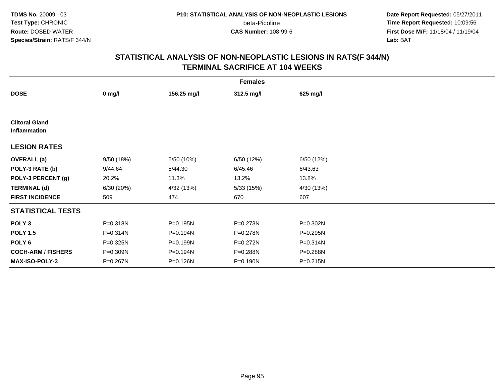beta-Picoline<br>CAS Number: 108-99-6

 **Date Report Requested:** 05/27/2011 **Time Report Requested:** 10:09:56 **First Dose M/F:** 11/18/04 / 11/19/04<br>**Lab:** BAT **Lab:** BAT

|                                       | <b>Females</b> |             |            |            |  |  |  |  |
|---------------------------------------|----------------|-------------|------------|------------|--|--|--|--|
| <b>DOSE</b>                           | $0$ mg/l       | 156.25 mg/l | 312.5 mg/l | 625 mg/l   |  |  |  |  |
|                                       |                |             |            |            |  |  |  |  |
| <b>Clitoral Gland</b><br>Inflammation |                |             |            |            |  |  |  |  |
| <b>LESION RATES</b>                   |                |             |            |            |  |  |  |  |
| <b>OVERALL</b> (a)                    | 9/50 (18%)     | 5/50 (10%)  | 6/50 (12%) | 6/50 (12%) |  |  |  |  |
| POLY-3 RATE (b)                       | 9/44.64        | 5/44.30     | 6/45.46    | 6/43.63    |  |  |  |  |
| POLY-3 PERCENT (g)                    | 20.2%          | 11.3%       | 13.2%      | 13.8%      |  |  |  |  |
| <b>TERMINAL (d)</b>                   | 6/30 (20%)     | 4/32 (13%)  | 5/33(15%)  | 4/30 (13%) |  |  |  |  |
| <b>FIRST INCIDENCE</b>                | 509            | 474         | 670        | 607        |  |  |  |  |
| <b>STATISTICAL TESTS</b>              |                |             |            |            |  |  |  |  |
| POLY <sub>3</sub>                     | P=0.318N       | P=0.195N    | P=0.273N   | P=0.302N   |  |  |  |  |
| <b>POLY 1.5</b>                       | P=0.314N       | P=0.194N    | P=0.278N   | P=0.295N   |  |  |  |  |
| POLY 6                                | P=0.325N       | P=0.199N    | P=0.272N   | P=0.314N   |  |  |  |  |
| <b>COCH-ARM / FISHERS</b>             | P=0.309N       | P=0.194N    | P=0.288N   | P=0.288N   |  |  |  |  |
| <b>MAX-ISO-POLY-3</b>                 | P=0.267N       | P=0.126N    | P=0.190N   | P=0.215N   |  |  |  |  |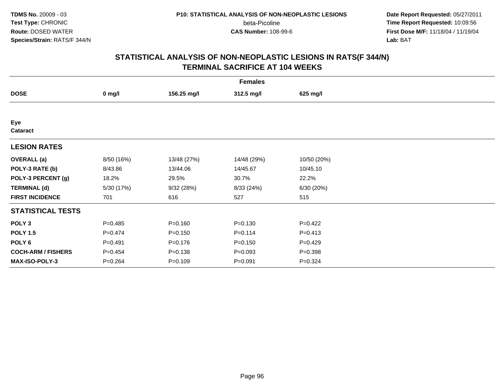**Date Report Requested:** 05/27/2011 **Time Report Requested:** 10:09:56 **First Dose M/F:** 11/18/04 / 11/19/04<br>**Lab:** BAT **Lab:** BAT

|                           | <b>Females</b> |             |             |             |  |  |  |  |
|---------------------------|----------------|-------------|-------------|-------------|--|--|--|--|
| <b>DOSE</b>               | $0$ mg/l       | 156.25 mg/l | 312.5 mg/l  | 625 mg/l    |  |  |  |  |
|                           |                |             |             |             |  |  |  |  |
| Eye<br>Cataract           |                |             |             |             |  |  |  |  |
| <b>LESION RATES</b>       |                |             |             |             |  |  |  |  |
| <b>OVERALL</b> (a)        | 8/50 (16%)     | 13/48 (27%) | 14/48 (29%) | 10/50 (20%) |  |  |  |  |
| POLY-3 RATE (b)           | 8/43.86        | 13/44.06    | 14/45.67    | 10/45.10    |  |  |  |  |
| POLY-3 PERCENT (g)        | 18.2%          | 29.5%       | 30.7%       | 22.2%       |  |  |  |  |
| <b>TERMINAL (d)</b>       | 5/30 (17%)     | 9/32 (28%)  | 8/33 (24%)  | 6/30(20%)   |  |  |  |  |
| <b>FIRST INCIDENCE</b>    | 701            | 616         | 527         | 515         |  |  |  |  |
| <b>STATISTICAL TESTS</b>  |                |             |             |             |  |  |  |  |
| POLY <sub>3</sub>         | $P=0.485$      | $P = 0.160$ | $P = 0.130$ | $P = 0.422$ |  |  |  |  |
| <b>POLY 1.5</b>           | $P=0.474$      | $P = 0.150$ | $P = 0.114$ | $P = 0.413$ |  |  |  |  |
| POLY <sub>6</sub>         | $P = 0.491$    | $P = 0.176$ | $P = 0.150$ | $P=0.429$   |  |  |  |  |
| <b>COCH-ARM / FISHERS</b> | $P=0.454$      | $P = 0.138$ | $P = 0.093$ | $P = 0.398$ |  |  |  |  |
| MAX-ISO-POLY-3            | $P = 0.264$    | $P = 0.109$ | $P = 0.091$ | $P = 0.324$ |  |  |  |  |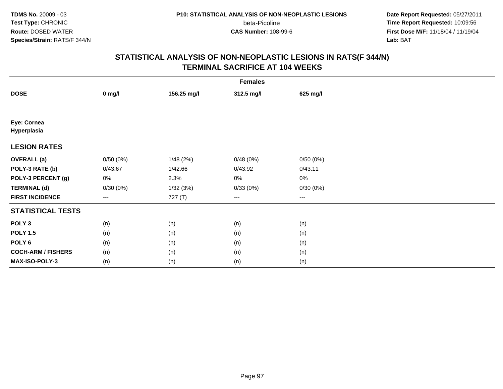beta-Picoline<br>CAS Number: 108-99-6

 **Date Report Requested:** 05/27/2011 **Time Report Requested:** 10:09:56 **First Dose M/F:** 11/18/04 / 11/19/04<br>**Lab:** BAT **Lab:** BAT

| <b>Females</b>             |                        |             |            |          |  |  |
|----------------------------|------------------------|-------------|------------|----------|--|--|
| <b>DOSE</b>                | $0$ mg/l               | 156.25 mg/l | 312.5 mg/l | 625 mg/l |  |  |
|                            |                        |             |            |          |  |  |
| Eye: Cornea<br>Hyperplasia |                        |             |            |          |  |  |
| <b>LESION RATES</b>        |                        |             |            |          |  |  |
| <b>OVERALL</b> (a)         | 0/50(0%)               | 1/48(2%)    | 0/48(0%)   | 0/50(0%) |  |  |
| POLY-3 RATE (b)            | 0/43.67                | 1/42.66     | 0/43.92    | 0/43.11  |  |  |
| POLY-3 PERCENT (g)         | 0%                     | 2.3%        | 0%         | 0%       |  |  |
| <b>TERMINAL (d)</b>        | 0/30(0%)               | 1/32(3%)    | 0/33(0%)   | 0/30(0%) |  |  |
| <b>FIRST INCIDENCE</b>     | $\qquad \qquad \cdots$ | 727 (T)     | ---        | $--$     |  |  |
| <b>STATISTICAL TESTS</b>   |                        |             |            |          |  |  |
| POLY <sub>3</sub>          | (n)                    | (n)         | (n)        | (n)      |  |  |
| <b>POLY 1.5</b>            | (n)                    | (n)         | (n)        | (n)      |  |  |
| POLY 6                     | (n)                    | (n)         | (n)        | (n)      |  |  |
| <b>COCH-ARM / FISHERS</b>  | (n)                    | (n)         | (n)        | (n)      |  |  |
| MAX-ISO-POLY-3             | (n)                    | (n)         | (n)        | (n)      |  |  |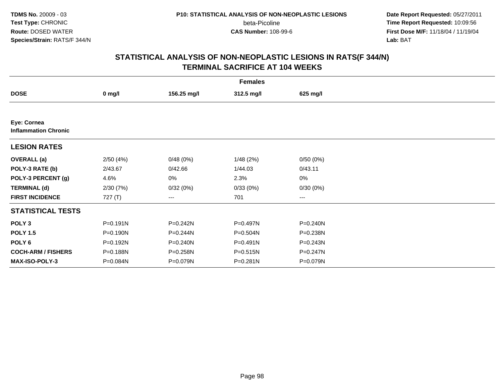beta-Picoline<br>CAS Number: 108-99-6

 **Date Report Requested:** 05/27/2011 **Time Report Requested:** 10:09:56 **First Dose M/F:** 11/18/04 / 11/19/04<br>**Lab:** BAT **Lab:** BAT

| <b>Females</b>                             |              |              |              |              |  |  |  |
|--------------------------------------------|--------------|--------------|--------------|--------------|--|--|--|
| <b>DOSE</b>                                | $0$ mg/l     | 156.25 mg/l  | 312.5 mg/l   | 625 mg/l     |  |  |  |
|                                            |              |              |              |              |  |  |  |
| Eye: Cornea<br><b>Inflammation Chronic</b> |              |              |              |              |  |  |  |
| <b>LESION RATES</b>                        |              |              |              |              |  |  |  |
| <b>OVERALL</b> (a)                         | 2/50(4%)     | 0/48(0%)     | 1/48(2%)     | 0/50(0%)     |  |  |  |
| POLY-3 RATE (b)                            | 2/43.67      | 0/42.66      | 1/44.03      | 0/43.11      |  |  |  |
| POLY-3 PERCENT (g)                         | 4.6%         | 0%           | 2.3%         | 0%           |  |  |  |
| <b>TERMINAL (d)</b>                        | 2/30(7%)     | 0/32(0%)     | 0/33(0%)     | 0/30(0%)     |  |  |  |
| <b>FIRST INCIDENCE</b>                     | 727 $(T)$    | ---          | 701          | ---          |  |  |  |
| <b>STATISTICAL TESTS</b>                   |              |              |              |              |  |  |  |
| POLY <sub>3</sub>                          | $P = 0.191N$ | $P = 0.242N$ | P=0.497N     | P=0.240N     |  |  |  |
| <b>POLY 1.5</b>                            | P=0.190N     | P=0.244N     | P=0.504N     | P=0.238N     |  |  |  |
| POLY 6                                     | P=0.192N     | $P = 0.240N$ | $P = 0.491N$ | $P = 0.243N$ |  |  |  |
| <b>COCH-ARM / FISHERS</b>                  | P=0.188N     | P=0.258N     | $P = 0.515N$ | $P = 0.247N$ |  |  |  |
| MAX-ISO-POLY-3                             | P=0.084N     | P=0.079N     | $P = 0.281N$ | P=0.079N     |  |  |  |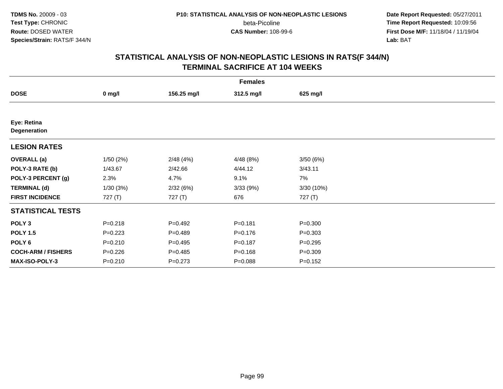beta-Picoline<br>CAS Number: 108-99-6

 **Date Report Requested:** 05/27/2011 **Time Report Requested:** 10:09:56 **First Dose M/F:** 11/18/04 / 11/19/04<br>**Lab:** BAT **Lab:** BAT

|                             | <b>Females</b> |             |             |             |  |  |  |  |
|-----------------------------|----------------|-------------|-------------|-------------|--|--|--|--|
| <b>DOSE</b>                 | $0$ mg/l       | 156.25 mg/l | 312.5 mg/l  | 625 mg/l    |  |  |  |  |
|                             |                |             |             |             |  |  |  |  |
| Eye: Retina<br>Degeneration |                |             |             |             |  |  |  |  |
| <b>LESION RATES</b>         |                |             |             |             |  |  |  |  |
| <b>OVERALL</b> (a)          | 1/50(2%)       | 2/48(4%)    | 4/48(8%)    | 3/50(6%)    |  |  |  |  |
| POLY-3 RATE (b)             | 1/43.67        | 2/42.66     | 4/44.12     | 3/43.11     |  |  |  |  |
| POLY-3 PERCENT (g)          | 2.3%           | 4.7%        | 9.1%        | 7%          |  |  |  |  |
| <b>TERMINAL (d)</b>         | 1/30(3%)       | 2/32(6%)    | 3/33(9%)    | 3/30 (10%)  |  |  |  |  |
| <b>FIRST INCIDENCE</b>      | 727(T)         | 727 (T)     | 676         | 727 (T)     |  |  |  |  |
| <b>STATISTICAL TESTS</b>    |                |             |             |             |  |  |  |  |
| POLY <sub>3</sub>           | $P = 0.218$    | $P=0.492$   | $P = 0.181$ | $P = 0.300$ |  |  |  |  |
| <b>POLY 1.5</b>             | $P=0.223$      | $P=0.489$   | $P = 0.176$ | $P = 0.303$ |  |  |  |  |
| POLY 6                      | $P = 0.210$    | $P = 0.495$ | $P = 0.187$ | $P = 0.295$ |  |  |  |  |
| <b>COCH-ARM / FISHERS</b>   | $P = 0.226$    | $P = 0.485$ | $P = 0.168$ | $P = 0.309$ |  |  |  |  |
| MAX-ISO-POLY-3              | $P = 0.210$    | $P=0.273$   | $P = 0.088$ | $P = 0.152$ |  |  |  |  |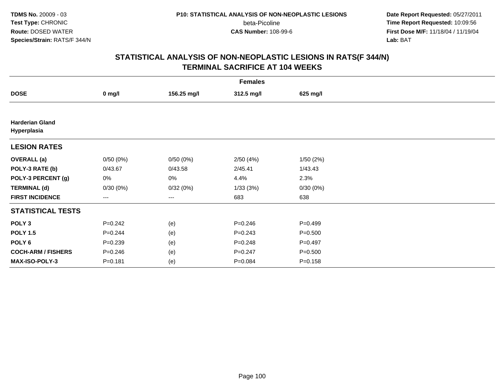**Date Report Requested:** 05/27/2011 **Time Report Requested:** 10:09:56 **First Dose M/F:** 11/18/04 / 11/19/04<br>**Lab:** BAT **Lab:** BAT

|                                       | <b>Females</b>    |             |             |             |  |  |  |
|---------------------------------------|-------------------|-------------|-------------|-------------|--|--|--|
| <b>DOSE</b>                           | $0$ mg/l          | 156.25 mg/l | 312.5 mg/l  | 625 mg/l    |  |  |  |
|                                       |                   |             |             |             |  |  |  |
| <b>Harderian Gland</b><br>Hyperplasia |                   |             |             |             |  |  |  |
| <b>LESION RATES</b>                   |                   |             |             |             |  |  |  |
| <b>OVERALL</b> (a)                    | 0/50(0%)          | 0/50(0%)    | 2/50(4%)    | 1/50(2%)    |  |  |  |
| POLY-3 RATE (b)                       | 0/43.67           | 0/43.58     | 2/45.41     | 1/43.43     |  |  |  |
| POLY-3 PERCENT (g)                    | 0%                | 0%          | 4.4%        | 2.3%        |  |  |  |
| <b>TERMINAL (d)</b>                   | 0/30(0%)          | 0/32(0%)    | 1/33(3%)    | 0/30(0%)    |  |  |  |
| <b>FIRST INCIDENCE</b>                | $\qquad \qquad -$ | ---         | 683         | 638         |  |  |  |
| <b>STATISTICAL TESTS</b>              |                   |             |             |             |  |  |  |
| POLY <sub>3</sub>                     | $P = 0.242$       | (e)         | $P = 0.246$ | $P=0.499$   |  |  |  |
| <b>POLY 1.5</b>                       | $P = 0.244$       | (e)         | $P = 0.243$ | $P = 0.500$ |  |  |  |
| POLY <sub>6</sub>                     | $P = 0.239$       | (e)         | $P = 0.248$ | $P = 0.497$ |  |  |  |
| <b>COCH-ARM / FISHERS</b>             | $P = 0.246$       | (e)         | $P = 0.247$ | $P = 0.500$ |  |  |  |
| <b>MAX-ISO-POLY-3</b>                 | $P = 0.181$       | (e)         | $P = 0.084$ | $P = 0.158$ |  |  |  |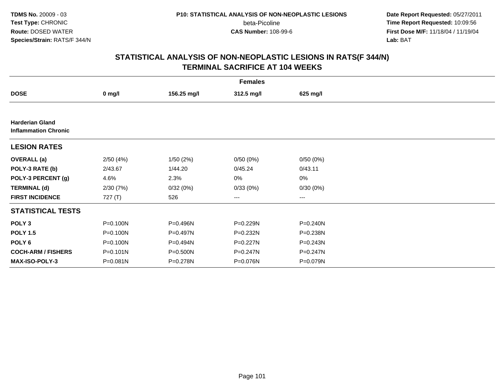**Date Report Requested:** 05/27/2011 **Time Report Requested:** 10:09:56 **First Dose M/F:** 11/18/04 / 11/19/04<br>**Lab:** BAT **Lab:** BAT

| <b>Females</b>                                        |                  |              |              |              |  |  |  |
|-------------------------------------------------------|------------------|--------------|--------------|--------------|--|--|--|
| <b>DOSE</b>                                           | $0 \text{ mg/l}$ | 156.25 mg/l  | 312.5 mg/l   | 625 mg/l     |  |  |  |
|                                                       |                  |              |              |              |  |  |  |
| <b>Harderian Gland</b><br><b>Inflammation Chronic</b> |                  |              |              |              |  |  |  |
| <b>LESION RATES</b>                                   |                  |              |              |              |  |  |  |
| <b>OVERALL</b> (a)                                    | 2/50(4%)         | 1/50(2%)     | 0/50(0%)     | 0/50(0%)     |  |  |  |
| POLY-3 RATE (b)                                       | 2/43.67          | 1/44.20      | 0/45.24      | 0/43.11      |  |  |  |
| POLY-3 PERCENT (g)                                    | 4.6%             | 2.3%         | 0%           | 0%           |  |  |  |
| <b>TERMINAL (d)</b>                                   | 2/30(7%)         | 0/32(0%)     | 0/33(0%)     | 0/30(0%)     |  |  |  |
| <b>FIRST INCIDENCE</b>                                | 727 $(T)$        | 526          | ---          | ---          |  |  |  |
| <b>STATISTICAL TESTS</b>                              |                  |              |              |              |  |  |  |
| POLY <sub>3</sub>                                     | P=0.100N         | P=0.496N     | P=0.229N     | P=0.240N     |  |  |  |
| <b>POLY 1.5</b>                                       | P=0.100N         | P=0.497N     | P=0.232N     | P=0.238N     |  |  |  |
| POLY 6                                                | P=0.100N         | P=0.494N     | P=0.227N     | $P = 0.243N$ |  |  |  |
| <b>COCH-ARM / FISHERS</b>                             | $P = 0.101N$     | $P = 0.500N$ | $P = 0.247N$ | P=0.247N     |  |  |  |
| <b>MAX-ISO-POLY-3</b>                                 | P=0.081N         | P=0.278N     | P=0.076N     | P=0.079N     |  |  |  |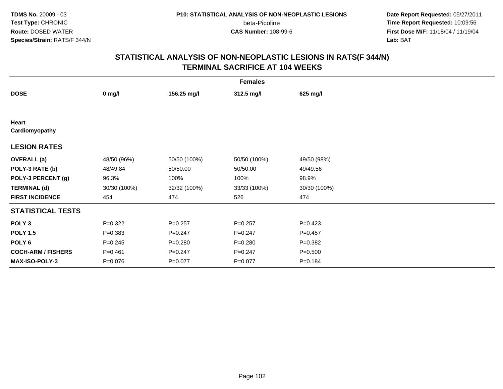**Date Report Requested:** 05/27/2011 **Time Report Requested:** 10:09:56 **First Dose M/F:** 11/18/04 / 11/19/04<br>**Lab:** BAT **Lab:** BAT

|                           | <b>Females</b> |              |              |              |  |  |  |
|---------------------------|----------------|--------------|--------------|--------------|--|--|--|
| <b>DOSE</b>               | $0$ mg/l       | 156.25 mg/l  | 312.5 mg/l   | 625 mg/l     |  |  |  |
|                           |                |              |              |              |  |  |  |
| Heart<br>Cardiomyopathy   |                |              |              |              |  |  |  |
| <b>LESION RATES</b>       |                |              |              |              |  |  |  |
| <b>OVERALL</b> (a)        | 48/50 (96%)    | 50/50 (100%) | 50/50 (100%) | 49/50 (98%)  |  |  |  |
| POLY-3 RATE (b)           | 48/49.84       | 50/50.00     | 50/50.00     | 49/49.56     |  |  |  |
| POLY-3 PERCENT (g)        | 96.3%          | 100%         | 100%         | 98.9%        |  |  |  |
| <b>TERMINAL (d)</b>       | 30/30 (100%)   | 32/32 (100%) | 33/33 (100%) | 30/30 (100%) |  |  |  |
| <b>FIRST INCIDENCE</b>    | 454            | 474          | 526          | 474          |  |  |  |
| <b>STATISTICAL TESTS</b>  |                |              |              |              |  |  |  |
| POLY <sub>3</sub>         | $P=0.322$      | $P=0.257$    | $P = 0.257$  | $P=0.423$    |  |  |  |
| <b>POLY 1.5</b>           | $P = 0.383$    | $P=0.247$    | $P=0.247$    | $P=0.457$    |  |  |  |
| POLY <sub>6</sub>         | $P = 0.245$    | $P = 0.280$  | $P = 0.280$  | $P = 0.382$  |  |  |  |
| <b>COCH-ARM / FISHERS</b> | $P = 0.461$    | $P = 0.247$  | $P = 0.247$  | $P = 0.500$  |  |  |  |
| MAX-ISO-POLY-3            | $P = 0.076$    | $P=0.077$    | $P=0.077$    | $P = 0.184$  |  |  |  |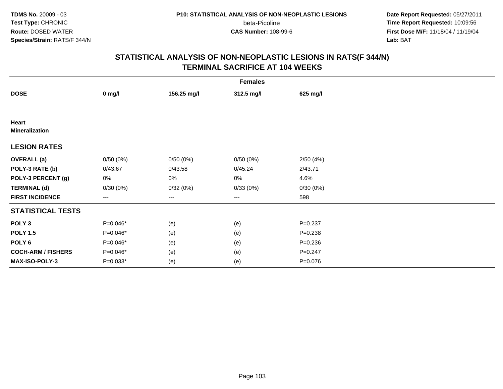**Date Report Requested:** 05/27/2011 **Time Report Requested:** 10:09:56 **First Dose M/F:** 11/18/04 / 11/19/04<br>**Lab:** BAT **Lab:** BAT

|                                | <b>Females</b> |             |            |             |  |  |  |
|--------------------------------|----------------|-------------|------------|-------------|--|--|--|
| <b>DOSE</b>                    | $0$ mg/l       | 156.25 mg/l | 312.5 mg/l | 625 mg/l    |  |  |  |
|                                |                |             |            |             |  |  |  |
| Heart<br><b>Mineralization</b> |                |             |            |             |  |  |  |
| <b>LESION RATES</b>            |                |             |            |             |  |  |  |
| <b>OVERALL</b> (a)             | 0/50(0%)       | 0/50(0%)    | 0/50(0%)   | 2/50(4%)    |  |  |  |
| POLY-3 RATE (b)                | 0/43.67        | 0/43.58     | 0/45.24    | 2/43.71     |  |  |  |
| POLY-3 PERCENT (g)             | 0%             | 0%          | 0%         | 4.6%        |  |  |  |
| <b>TERMINAL (d)</b>            | 0/30(0%)       | 0/32(0%)    | 0/33(0%)   | 0/30(0%)    |  |  |  |
| <b>FIRST INCIDENCE</b>         | $---$          | ---         | $--$       | 598         |  |  |  |
| <b>STATISTICAL TESTS</b>       |                |             |            |             |  |  |  |
| POLY <sub>3</sub>              | P=0.046*       | (e)         | (e)        | $P = 0.237$ |  |  |  |
| <b>POLY 1.5</b>                | P=0.046*       | (e)         | (e)        | $P = 0.238$ |  |  |  |
| POLY <sub>6</sub>              | P=0.046*       | (e)         | (e)        | $P = 0.236$ |  |  |  |
| <b>COCH-ARM / FISHERS</b>      | P=0.046*       | (e)         | (e)        | $P = 0.247$ |  |  |  |
| MAX-ISO-POLY-3                 | $P=0.033*$     | (e)         | (e)        | $P = 0.076$ |  |  |  |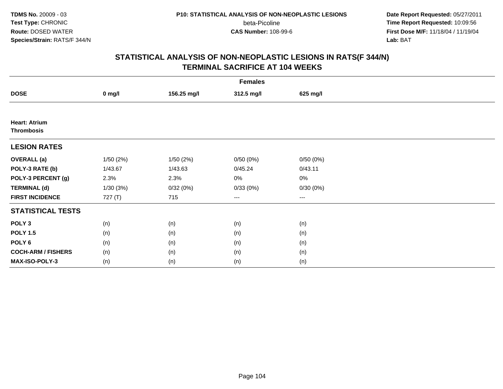beta-Picoline<br>CAS Number: 108-99-6

 **Date Report Requested:** 05/27/2011 **Time Report Requested:** 10:09:56 **First Dose M/F:** 11/18/04 / 11/19/04<br>**Lab:** BAT **Lab:** BAT

|                                           | <b>Females</b> |             |                        |                        |  |  |  |
|-------------------------------------------|----------------|-------------|------------------------|------------------------|--|--|--|
| <b>DOSE</b>                               | $0$ mg/l       | 156.25 mg/l | 312.5 mg/l             | 625 mg/l               |  |  |  |
|                                           |                |             |                        |                        |  |  |  |
| <b>Heart: Atrium</b><br><b>Thrombosis</b> |                |             |                        |                        |  |  |  |
| <b>LESION RATES</b>                       |                |             |                        |                        |  |  |  |
| <b>OVERALL</b> (a)                        | 1/50(2%)       | 1/50(2%)    | 0/50(0%)               | 0/50(0%)               |  |  |  |
| POLY-3 RATE (b)                           | 1/43.67        | 1/43.63     | 0/45.24                | 0/43.11                |  |  |  |
| POLY-3 PERCENT (g)                        | 2.3%           | 2.3%        | 0%                     | 0%                     |  |  |  |
| <b>TERMINAL (d)</b>                       | 1/30(3%)       | 0/32(0%)    | 0/33(0%)               | 0/30(0%)               |  |  |  |
| <b>FIRST INCIDENCE</b>                    | 727 (T)        | 715         | $\qquad \qquad \cdots$ | $\qquad \qquad \cdots$ |  |  |  |
| <b>STATISTICAL TESTS</b>                  |                |             |                        |                        |  |  |  |
| POLY <sub>3</sub>                         | (n)            | (n)         | (n)                    | (n)                    |  |  |  |
| <b>POLY 1.5</b>                           | (n)            | (n)         | (n)                    | (n)                    |  |  |  |
| POLY <sub>6</sub>                         | (n)            | (n)         | (n)                    | (n)                    |  |  |  |
| <b>COCH-ARM / FISHERS</b>                 | (n)            | (n)         | (n)                    | (n)                    |  |  |  |
| MAX-ISO-POLY-3                            | (n)            | (n)         | (n)                    | (n)                    |  |  |  |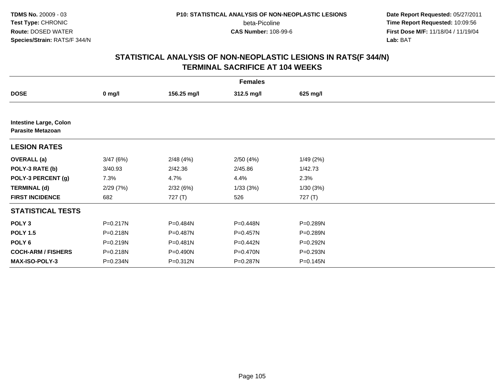**Date Report Requested:** 05/27/2011 **Time Report Requested:** 10:09:56 **First Dose M/F:** 11/18/04 / 11/19/04<br>**Lab:** BAT **Lab:** BAT

|                                                           | <b>Females</b> |              |            |           |  |  |  |  |
|-----------------------------------------------------------|----------------|--------------|------------|-----------|--|--|--|--|
| <b>DOSE</b>                                               | $0$ mg/l       | 156.25 mg/l  | 312.5 mg/l | 625 mg/l  |  |  |  |  |
|                                                           |                |              |            |           |  |  |  |  |
| <b>Intestine Large, Colon</b><br><b>Parasite Metazoan</b> |                |              |            |           |  |  |  |  |
| <b>LESION RATES</b>                                       |                |              |            |           |  |  |  |  |
| <b>OVERALL</b> (a)                                        | 3/47(6%)       | 2/48(4%)     | 2/50(4%)   | 1/49(2%)  |  |  |  |  |
| POLY-3 RATE (b)                                           | 3/40.93        | 2/42.36      | 2/45.86    | 1/42.73   |  |  |  |  |
| POLY-3 PERCENT (g)                                        | 7.3%           | 4.7%         | 4.4%       | 2.3%      |  |  |  |  |
| <b>TERMINAL (d)</b>                                       | 2/29(7%)       | 2/32(6%)     | 1/33(3%)   | 1/30(3%)  |  |  |  |  |
| <b>FIRST INCIDENCE</b>                                    | 682            | 727(T)       | 526        | 727 $(T)$ |  |  |  |  |
| <b>STATISTICAL TESTS</b>                                  |                |              |            |           |  |  |  |  |
| POLY <sub>3</sub>                                         | P=0.217N       | P=0.484N     | P=0.448N   | P=0.289N  |  |  |  |  |
| <b>POLY 1.5</b>                                           | P=0.218N       | P=0.487N     | P=0.457N   | P=0.289N  |  |  |  |  |
| POLY <sub>6</sub>                                         | P=0.219N       | $P = 0.481N$ | P=0.442N   | P=0.292N  |  |  |  |  |
| <b>COCH-ARM / FISHERS</b>                                 | P=0.218N       | P=0.490N     | P=0.470N   | P=0.293N  |  |  |  |  |
| <b>MAX-ISO-POLY-3</b>                                     | P=0.234N       | P=0.312N     | P=0.287N   | P=0.145N  |  |  |  |  |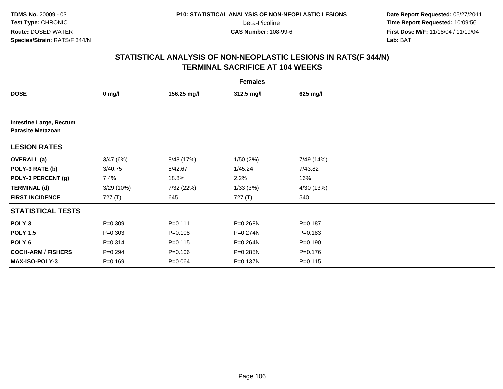**Date Report Requested:** 05/27/2011 **Time Report Requested:** 10:09:56 **First Dose M/F:** 11/18/04 / 11/19/04<br>**Lab:** BAT **Lab:** BAT

| <b>Females</b>                                             |             |             |              |             |  |  |
|------------------------------------------------------------|-------------|-------------|--------------|-------------|--|--|
| <b>DOSE</b>                                                | $0$ mg/l    | 156.25 mg/l | 312.5 mg/l   | 625 mg/l    |  |  |
|                                                            |             |             |              |             |  |  |
| <b>Intestine Large, Rectum</b><br><b>Parasite Metazoan</b> |             |             |              |             |  |  |
| <b>LESION RATES</b>                                        |             |             |              |             |  |  |
| <b>OVERALL</b> (a)                                         | 3/47(6%)    | 8/48 (17%)  | 1/50(2%)     | 7/49 (14%)  |  |  |
| POLY-3 RATE (b)                                            | 3/40.75     | 8/42.67     | 1/45.24      | 7/43.82     |  |  |
| POLY-3 PERCENT (g)                                         | 7.4%        | 18.8%       | 2.2%         | 16%         |  |  |
| <b>TERMINAL (d)</b>                                        | 3/29 (10%)  | 7/32 (22%)  | 1/33(3%)     | 4/30 (13%)  |  |  |
| <b>FIRST INCIDENCE</b>                                     | 727 (T)     | 645         | 727 (T)      | 540         |  |  |
| <b>STATISTICAL TESTS</b>                                   |             |             |              |             |  |  |
| POLY <sub>3</sub>                                          | $P = 0.309$ | $P = 0.111$ | P=0.268N     | $P = 0.187$ |  |  |
| <b>POLY 1.5</b>                                            | $P = 0.303$ | $P = 0.108$ | $P = 0.274N$ | $P = 0.183$ |  |  |
| POLY <sub>6</sub>                                          | $P = 0.314$ | $P = 0.115$ | P=0.264N     | $P = 0.190$ |  |  |
| <b>COCH-ARM / FISHERS</b>                                  | $P = 0.294$ | $P = 0.106$ | P=0.285N     | $P = 0.176$ |  |  |
| <b>MAX-ISO-POLY-3</b>                                      | $P = 0.169$ | $P = 0.064$ | P=0.137N     | $P = 0.115$ |  |  |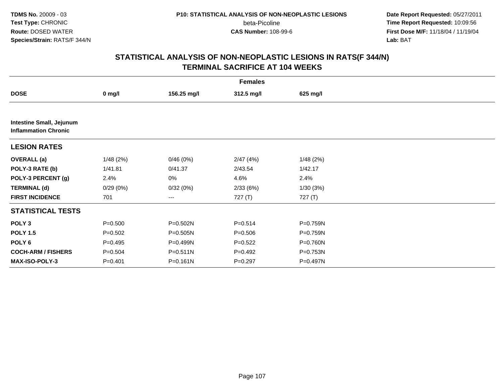**Date Report Requested:** 05/27/2011 **Time Report Requested:** 10:09:56 **First Dose M/F:** 11/18/04 / 11/19/04<br>**Lab:** BAT **Lab:** BAT

|                                                                | <b>Females</b> |              |             |          |  |  |  |
|----------------------------------------------------------------|----------------|--------------|-------------|----------|--|--|--|
| <b>DOSE</b>                                                    | $0$ mg/l       | 156.25 mg/l  | 312.5 mg/l  | 625 mg/l |  |  |  |
|                                                                |                |              |             |          |  |  |  |
| <b>Intestine Small, Jejunum</b><br><b>Inflammation Chronic</b> |                |              |             |          |  |  |  |
| <b>LESION RATES</b>                                            |                |              |             |          |  |  |  |
| <b>OVERALL</b> (a)                                             | 1/48(2%)       | 0/46(0%)     | 2/47(4%)    | 1/48(2%) |  |  |  |
| POLY-3 RATE (b)                                                | 1/41.81        | 0/41.37      | 2/43.54     | 1/42.17  |  |  |  |
| POLY-3 PERCENT (g)                                             | 2.4%           | 0%           | 4.6%        | 2.4%     |  |  |  |
| <b>TERMINAL (d)</b>                                            | 0/29(0%)       | 0/32(0%)     | 2/33(6%)    | 1/30(3%) |  |  |  |
| <b>FIRST INCIDENCE</b>                                         | 701            | $--$         | 727 (T)     | 727(T)   |  |  |  |
| <b>STATISTICAL TESTS</b>                                       |                |              |             |          |  |  |  |
| POLY <sub>3</sub>                                              | $P = 0.500$    | P=0.502N     | $P = 0.514$ | P=0.759N |  |  |  |
| <b>POLY 1.5</b>                                                | $P = 0.502$    | $P = 0.505N$ | $P = 0.506$ | P=0.759N |  |  |  |
| POLY <sub>6</sub>                                              | $P=0.495$      | P=0.499N     | $P=0.522$   | P=0.760N |  |  |  |
| <b>COCH-ARM / FISHERS</b>                                      | $P = 0.504$    | $P = 0.511N$ | $P=0.492$   | P=0.753N |  |  |  |
| <b>MAX-ISO-POLY-3</b>                                          | $P = 0.401$    | $P = 0.161N$ | $P = 0.297$ | P=0.497N |  |  |  |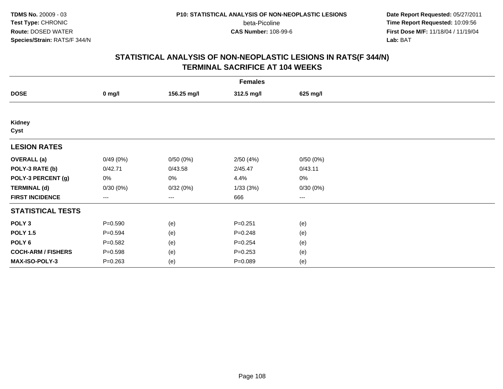**Date Report Requested:** 05/27/2011 **Time Report Requested:** 10:09:56 **First Dose M/F:** 11/18/04 / 11/19/04<br>**Lab:** BAT **Lab:** BAT

|                           | <b>Females</b> |             |             |          |  |  |  |
|---------------------------|----------------|-------------|-------------|----------|--|--|--|
| <b>DOSE</b>               | $0$ mg/l       | 156.25 mg/l | 312.5 mg/l  | 625 mg/l |  |  |  |
|                           |                |             |             |          |  |  |  |
| Kidney<br>Cyst            |                |             |             |          |  |  |  |
| <b>LESION RATES</b>       |                |             |             |          |  |  |  |
| <b>OVERALL</b> (a)        | 0/49(0%)       | 0/50(0%)    | 2/50(4%)    | 0/50(0%) |  |  |  |
| POLY-3 RATE (b)           | 0/42.71        | 0/43.58     | 2/45.47     | 0/43.11  |  |  |  |
| POLY-3 PERCENT (g)        | 0%             | 0%          | 4.4%        | 0%       |  |  |  |
| <b>TERMINAL (d)</b>       | 0/30(0%)       | 0/32(0%)    | 1/33(3%)    | 0/30(0%) |  |  |  |
| <b>FIRST INCIDENCE</b>    | ---            | $---$       | 666         | $--$     |  |  |  |
| <b>STATISTICAL TESTS</b>  |                |             |             |          |  |  |  |
| POLY <sub>3</sub>         | $P = 0.590$    | (e)         | $P = 0.251$ | (e)      |  |  |  |
| <b>POLY 1.5</b>           | $P = 0.594$    | (e)         | $P = 0.248$ | (e)      |  |  |  |
| POLY <sub>6</sub>         | $P = 0.582$    | (e)         | $P = 0.254$ | (e)      |  |  |  |
| <b>COCH-ARM / FISHERS</b> | $P = 0.598$    | (e)         | $P=0.253$   | (e)      |  |  |  |
| MAX-ISO-POLY-3            | $P = 0.263$    | (e)         | $P = 0.089$ | (e)      |  |  |  |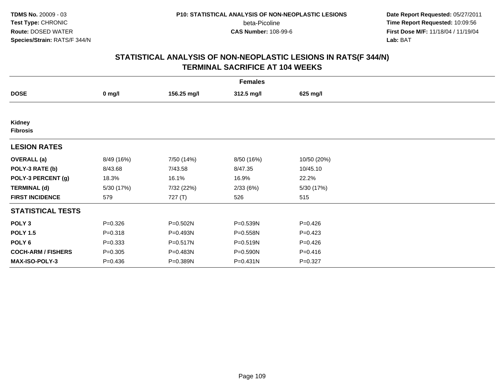**Date Report Requested:** 05/27/2011 **Time Report Requested:** 10:09:56 **First Dose M/F:** 11/18/04 / 11/19/04<br>**Lab:** BAT **Lab:** BAT

|                           | <b>Females</b> |             |            |             |  |  |  |  |
|---------------------------|----------------|-------------|------------|-------------|--|--|--|--|
| <b>DOSE</b>               | $0$ mg/l       | 156.25 mg/l | 312.5 mg/l | 625 mg/l    |  |  |  |  |
|                           |                |             |            |             |  |  |  |  |
| Kidney<br><b>Fibrosis</b> |                |             |            |             |  |  |  |  |
| <b>LESION RATES</b>       |                |             |            |             |  |  |  |  |
| <b>OVERALL</b> (a)        | 8/49 (16%)     | 7/50 (14%)  | 8/50 (16%) | 10/50 (20%) |  |  |  |  |
| POLY-3 RATE (b)           | 8/43.68        | 7/43.58     | 8/47.35    | 10/45.10    |  |  |  |  |
| POLY-3 PERCENT (g)        | 18.3%          | 16.1%       | 16.9%      | 22.2%       |  |  |  |  |
| <b>TERMINAL (d)</b>       | 5/30 (17%)     | 7/32 (22%)  | 2/33(6%)   | 5/30 (17%)  |  |  |  |  |
| <b>FIRST INCIDENCE</b>    | 579            | 727 (T)     | 526        | 515         |  |  |  |  |
| <b>STATISTICAL TESTS</b>  |                |             |            |             |  |  |  |  |
| POLY <sub>3</sub>         | $P = 0.326$    | P=0.502N    | P=0.539N   | $P=0.426$   |  |  |  |  |
| <b>POLY 1.5</b>           | $P = 0.318$    | P=0.493N    | P=0.558N   | $P = 0.423$ |  |  |  |  |
| POLY 6                    | $P = 0.333$    | P=0.517N    | P=0.519N   | $P=0.426$   |  |  |  |  |
| <b>COCH-ARM / FISHERS</b> | $P = 0.305$    | P=0.483N    | P=0.590N   | $P = 0.416$ |  |  |  |  |
| <b>MAX-ISO-POLY-3</b>     | $P = 0.436$    | P=0.389N    | P=0.431N   | $P=0.327$   |  |  |  |  |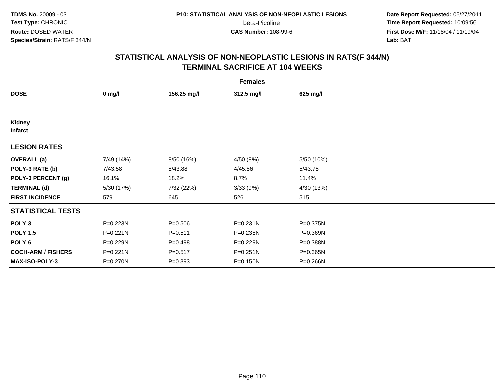**Date Report Requested:** 05/27/2011 **Time Report Requested:** 10:09:56 **First Dose M/F:** 11/18/04 / 11/19/04<br>**Lab:** BAT **Lab:** BAT

| <b>Females</b>            |              |             |              |            |  |  |  |
|---------------------------|--------------|-------------|--------------|------------|--|--|--|
| <b>DOSE</b>               | $0$ mg/l     | 156.25 mg/l | 312.5 mg/l   | 625 mg/l   |  |  |  |
|                           |              |             |              |            |  |  |  |
| Kidney<br><b>Infarct</b>  |              |             |              |            |  |  |  |
| <b>LESION RATES</b>       |              |             |              |            |  |  |  |
| <b>OVERALL</b> (a)        | 7/49 (14%)   | 8/50 (16%)  | 4/50 (8%)    | 5/50 (10%) |  |  |  |
| POLY-3 RATE (b)           | 7/43.58      | 8/43.88     | 4/45.86      | 5/43.75    |  |  |  |
| POLY-3 PERCENT (g)        | 16.1%        | 18.2%       | 8.7%         | 11.4%      |  |  |  |
| <b>TERMINAL (d)</b>       | 5/30 (17%)   | 7/32 (22%)  | 3/33(9%)     | 4/30 (13%) |  |  |  |
| <b>FIRST INCIDENCE</b>    | 579          | 645         | 526          | 515        |  |  |  |
| <b>STATISTICAL TESTS</b>  |              |             |              |            |  |  |  |
| POLY <sub>3</sub>         | P=0.223N     | $P = 0.506$ | $P = 0.231N$ | P=0.375N   |  |  |  |
| <b>POLY 1.5</b>           | $P = 0.221N$ | $P = 0.511$ | P=0.238N     | P=0.369N   |  |  |  |
| POLY 6                    | P=0.229N     | $P = 0.498$ | P=0.229N     | P=0.388N   |  |  |  |
| <b>COCH-ARM / FISHERS</b> | P=0.221N     | $P = 0.517$ | $P = 0.251N$ | P=0.365N   |  |  |  |
| MAX-ISO-POLY-3            | P=0.270N     | $P = 0.393$ | $P = 0.150N$ | P=0.266N   |  |  |  |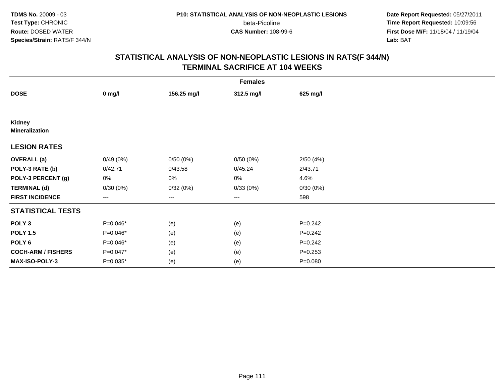**Date Report Requested:** 05/27/2011 **Time Report Requested:** 10:09:56 **First Dose M/F:** 11/18/04 / 11/19/04<br>**Lab:** BAT **Lab:** BAT

|                                 | <b>Females</b> |             |                        |             |  |  |  |  |
|---------------------------------|----------------|-------------|------------------------|-------------|--|--|--|--|
| <b>DOSE</b>                     | $0$ mg/l       | 156.25 mg/l | 312.5 mg/l             | 625 mg/l    |  |  |  |  |
|                                 |                |             |                        |             |  |  |  |  |
| Kidney<br><b>Mineralization</b> |                |             |                        |             |  |  |  |  |
| <b>LESION RATES</b>             |                |             |                        |             |  |  |  |  |
| <b>OVERALL</b> (a)              | 0/49(0%)       | 0/50(0%)    | 0/50(0%)               | 2/50(4%)    |  |  |  |  |
| POLY-3 RATE (b)                 | 0/42.71        | 0/43.58     | 0/45.24                | 2/43.71     |  |  |  |  |
| POLY-3 PERCENT (g)              | 0%             | 0%          | 0%                     | 4.6%        |  |  |  |  |
| <b>TERMINAL (d)</b>             | 0/30(0%)       | 0/32(0%)    | 0/33(0%)               | 0/30(0%)    |  |  |  |  |
| <b>FIRST INCIDENCE</b>          | $---$          | ---         | $\qquad \qquad \cdots$ | 598         |  |  |  |  |
| <b>STATISTICAL TESTS</b>        |                |             |                        |             |  |  |  |  |
| POLY <sub>3</sub>               | P=0.046*       | (e)         | (e)                    | $P = 0.242$ |  |  |  |  |
| <b>POLY 1.5</b>                 | P=0.046*       | (e)         | (e)                    | $P = 0.242$ |  |  |  |  |
| POLY <sub>6</sub>               | P=0.046*       | (e)         | (e)                    | $P = 0.242$ |  |  |  |  |
| <b>COCH-ARM / FISHERS</b>       | P=0.047*       | (e)         | (e)                    | $P=0.253$   |  |  |  |  |
| MAX-ISO-POLY-3                  | P=0.035*       | (e)         | (e)                    | $P = 0.080$ |  |  |  |  |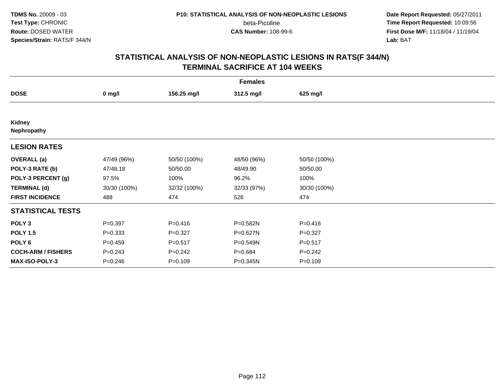**Date Report Requested:** 05/27/2011 **Time Report Requested:** 10:09:56 **First Dose M/F:** 11/18/04 / 11/19/04<br>**Lab:** BAT **Lab:** BAT

|                           | <b>Females</b> |              |              |              |  |  |  |  |
|---------------------------|----------------|--------------|--------------|--------------|--|--|--|--|
| <b>DOSE</b>               | $0$ mg/l       | 156.25 mg/l  | 312.5 mg/l   | 625 mg/l     |  |  |  |  |
|                           |                |              |              |              |  |  |  |  |
| Kidney<br>Nephropathy     |                |              |              |              |  |  |  |  |
| <b>LESION RATES</b>       |                |              |              |              |  |  |  |  |
| <b>OVERALL</b> (a)        | 47/49 (96%)    | 50/50 (100%) | 48/50 (96%)  | 50/50 (100%) |  |  |  |  |
| POLY-3 RATE (b)           | 47/48.18       | 50/50.00     | 48/49.90     | 50/50.00     |  |  |  |  |
| POLY-3 PERCENT (g)        | 97.5%          | 100%         | 96.2%        | 100%         |  |  |  |  |
| <b>TERMINAL (d)</b>       | 30/30 (100%)   | 32/32 (100%) | 32/33 (97%)  | 30/30 (100%) |  |  |  |  |
| <b>FIRST INCIDENCE</b>    | 488            | 474          | 526          | 474          |  |  |  |  |
| <b>STATISTICAL TESTS</b>  |                |              |              |              |  |  |  |  |
| POLY <sub>3</sub>         | $P=0.397$      | $P = 0.416$  | P=0.582N     | $P = 0.416$  |  |  |  |  |
| <b>POLY 1.5</b>           | $P = 0.333$    | $P=0.327$    | P=0.627N     | $P=0.327$    |  |  |  |  |
| POLY <sub>6</sub>         | $P=0.459$      | $P = 0.517$  | P=0.549N     | $P = 0.517$  |  |  |  |  |
| <b>COCH-ARM / FISHERS</b> | $P = 0.243$    | $P=0.242$    | $P = 0.684$  | $P=0.242$    |  |  |  |  |
| MAX-ISO-POLY-3            | $P=0.246$      | $P = 0.109$  | $P = 0.345N$ | $P = 0.109$  |  |  |  |  |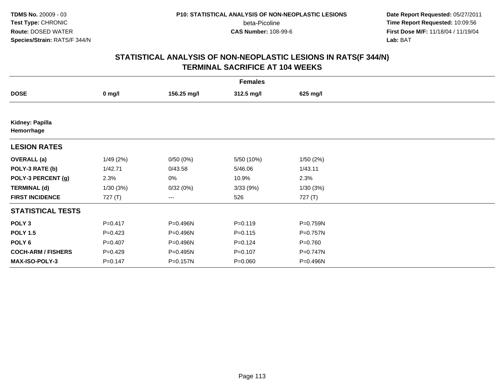**Date Report Requested:** 05/27/2011 **Time Report Requested:** 10:09:56 **First Dose M/F:** 11/18/04 / 11/19/04<br>**Lab:** BAT **Lab:** BAT

| <b>Females</b>                |             |             |             |             |  |  |  |
|-------------------------------|-------------|-------------|-------------|-------------|--|--|--|
| <b>DOSE</b>                   | $0$ mg/l    | 156.25 mg/l | 312.5 mg/l  | 625 mg/l    |  |  |  |
|                               |             |             |             |             |  |  |  |
| Kidney: Papilla<br>Hemorrhage |             |             |             |             |  |  |  |
| <b>LESION RATES</b>           |             |             |             |             |  |  |  |
| <b>OVERALL</b> (a)            | 1/49(2%)    | 0/50(0%)    | 5/50 (10%)  | 1/50(2%)    |  |  |  |
| POLY-3 RATE (b)               | 1/42.71     | 0/43.58     | 5/46.06     | 1/43.11     |  |  |  |
| POLY-3 PERCENT (g)            | 2.3%        | 0%          | 10.9%       | 2.3%        |  |  |  |
| <b>TERMINAL (d)</b>           | 1/30(3%)    | 0/32(0%)    | 3/33(9%)    | 1/30(3%)    |  |  |  |
| <b>FIRST INCIDENCE</b>        | 727(T)      | $---$       | 526         | 727 (T)     |  |  |  |
| <b>STATISTICAL TESTS</b>      |             |             |             |             |  |  |  |
| POLY <sub>3</sub>             | $P = 0.417$ | P=0.496N    | $P = 0.119$ | P=0.759N    |  |  |  |
| <b>POLY 1.5</b>               | $P=0.423$   | P=0.496N    | $P = 0.115$ | P=0.757N    |  |  |  |
| POLY <sub>6</sub>             | $P=0.407$   | P=0.496N    | $P = 0.124$ | $P = 0.760$ |  |  |  |
| <b>COCH-ARM / FISHERS</b>     | $P=0.429$   | P=0.495N    | $P = 0.107$ | P=0.747N    |  |  |  |
| <b>MAX-ISO-POLY-3</b>         | $P = 0.147$ | P=0.157N    | $P = 0.060$ | P=0.496N    |  |  |  |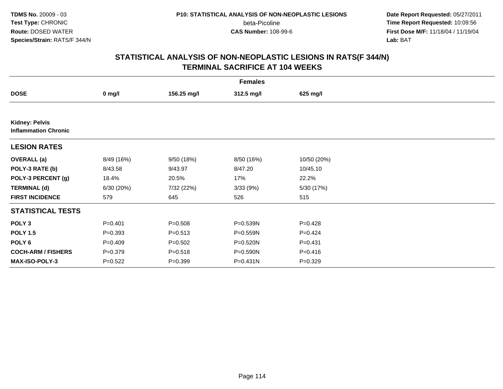**Date Report Requested:** 05/27/2011 **Time Report Requested:** 10:09:56 **First Dose M/F:** 11/18/04 / 11/19/04<br>**Lab:** BAT **Lab:** BAT

|                                                      | <b>Females</b> |             |            |             |  |  |  |  |
|------------------------------------------------------|----------------|-------------|------------|-------------|--|--|--|--|
| <b>DOSE</b>                                          | $0$ mg/l       | 156.25 mg/l | 312.5 mg/l | 625 mg/l    |  |  |  |  |
|                                                      |                |             |            |             |  |  |  |  |
| <b>Kidney: Pelvis</b><br><b>Inflammation Chronic</b> |                |             |            |             |  |  |  |  |
| <b>LESION RATES</b>                                  |                |             |            |             |  |  |  |  |
| <b>OVERALL (a)</b>                                   | 8/49 (16%)     | 9/50 (18%)  | 8/50 (16%) | 10/50 (20%) |  |  |  |  |
| POLY-3 RATE (b)                                      | 8/43.58        | 9/43.97     | 8/47.20    | 10/45.10    |  |  |  |  |
| POLY-3 PERCENT (g)                                   | 18.4%          | 20.5%       | 17%        | 22.2%       |  |  |  |  |
| <b>TERMINAL (d)</b>                                  | 6/30 (20%)     | 7/32 (22%)  | 3/33(9%)   | 5/30 (17%)  |  |  |  |  |
| <b>FIRST INCIDENCE</b>                               | 579            | 645         | 526        | 515         |  |  |  |  |
| <b>STATISTICAL TESTS</b>                             |                |             |            |             |  |  |  |  |
| POLY <sub>3</sub>                                    | $P = 0.401$    | $P = 0.508$ | P=0.539N   | $P=0.428$   |  |  |  |  |
| <b>POLY 1.5</b>                                      | $P=0.393$      | $P = 0.513$ | P=0.559N   | $P=0.424$   |  |  |  |  |
| POLY 6                                               | $P=0.409$      | $P = 0.502$ | P=0.520N   | $P = 0.431$ |  |  |  |  |
| <b>COCH-ARM / FISHERS</b>                            | $P = 0.379$    | $P = 0.518$ | P=0.590N   | $P = 0.416$ |  |  |  |  |
| <b>MAX-ISO-POLY-3</b>                                | $P = 0.522$    | $P = 0.399$ | P=0.431N   | $P=0.329$   |  |  |  |  |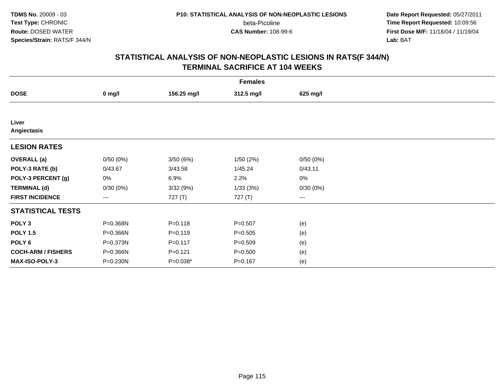**Date Report Requested:** 05/27/2011 **Time Report Requested:** 10:09:56 **First Dose M/F:** 11/18/04 / 11/19/04<br>**Lab:** BAT **Lab:** BAT

|                           | <b>Females</b>    |             |             |                     |  |  |  |  |
|---------------------------|-------------------|-------------|-------------|---------------------|--|--|--|--|
| <b>DOSE</b>               | $0$ mg/l          | 156.25 mg/l | 312.5 mg/l  | 625 mg/l            |  |  |  |  |
|                           |                   |             |             |                     |  |  |  |  |
| Liver<br>Angiectasis      |                   |             |             |                     |  |  |  |  |
| <b>LESION RATES</b>       |                   |             |             |                     |  |  |  |  |
| <b>OVERALL</b> (a)        | 0/50(0%)          | 3/50(6%)    | 1/50(2%)    | 0/50(0%)            |  |  |  |  |
| POLY-3 RATE (b)           | 0/43.67           | 3/43.58     | 1/45.24     | 0/43.11             |  |  |  |  |
| POLY-3 PERCENT (g)        | 0%                | 6.9%        | 2.2%        | $0\%$               |  |  |  |  |
| <b>TERMINAL (d)</b>       | 0/30(0%)          | 3/32 (9%)   | 1/33(3%)    | 0/30(0%)            |  |  |  |  |
| <b>FIRST INCIDENCE</b>    | $\qquad \qquad -$ | 727 (T)     | 727 (T)     | $\qquad \qquad - -$ |  |  |  |  |
| <b>STATISTICAL TESTS</b>  |                   |             |             |                     |  |  |  |  |
| POLY <sub>3</sub>         | P=0.368N          | $P = 0.118$ | $P = 0.507$ | (e)                 |  |  |  |  |
| <b>POLY 1.5</b>           | P=0.366N          | $P = 0.119$ | $P = 0.505$ | (e)                 |  |  |  |  |
| POLY <sub>6</sub>         | P=0.373N          | $P = 0.117$ | $P = 0.509$ | (e)                 |  |  |  |  |
| <b>COCH-ARM / FISHERS</b> | P=0.366N          | $P = 0.121$ | $P = 0.500$ | (e)                 |  |  |  |  |
| <b>MAX-ISO-POLY-3</b>     | P=0.230N          | P=0.038*    | $P = 0.167$ | (e)                 |  |  |  |  |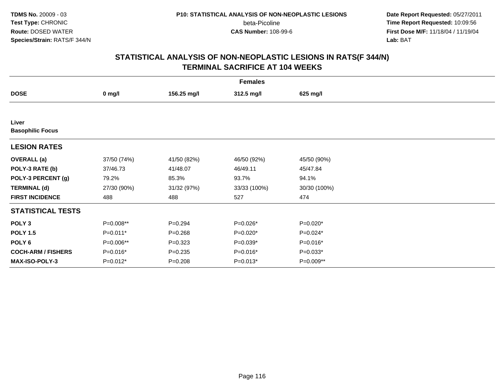**Date Report Requested:** 05/27/2011 **Time Report Requested:** 10:09:56 **First Dose M/F:** 11/18/04 / 11/19/04<br>**Lab:** BAT **Lab:** BAT

|                                  | <b>Females</b> |             |              |              |  |  |  |  |
|----------------------------------|----------------|-------------|--------------|--------------|--|--|--|--|
| <b>DOSE</b>                      | $0$ mg/l       | 156.25 mg/l | 312.5 mg/l   | 625 mg/l     |  |  |  |  |
|                                  |                |             |              |              |  |  |  |  |
| Liver<br><b>Basophilic Focus</b> |                |             |              |              |  |  |  |  |
| <b>LESION RATES</b>              |                |             |              |              |  |  |  |  |
| <b>OVERALL</b> (a)               | 37/50 (74%)    | 41/50 (82%) | 46/50 (92%)  | 45/50 (90%)  |  |  |  |  |
| POLY-3 RATE (b)                  | 37/46.73       | 41/48.07    | 46/49.11     | 45/47.84     |  |  |  |  |
| POLY-3 PERCENT (g)               | 79.2%          | 85.3%       | 93.7%        | 94.1%        |  |  |  |  |
| <b>TERMINAL (d)</b>              | 27/30 (90%)    | 31/32 (97%) | 33/33 (100%) | 30/30 (100%) |  |  |  |  |
| <b>FIRST INCIDENCE</b>           | 488            | 488         | 527          | 474          |  |  |  |  |
| <b>STATISTICAL TESTS</b>         |                |             |              |              |  |  |  |  |
| POLY <sub>3</sub>                | P=0.008**      | $P = 0.294$ | P=0.026*     | P=0.020*     |  |  |  |  |
| <b>POLY 1.5</b>                  | $P=0.011*$     | $P = 0.268$ | P=0.020*     | $P=0.024*$   |  |  |  |  |
| POLY 6                           | P=0.006**      | $P = 0.323$ | P=0.039*     | P=0.016*     |  |  |  |  |
| <b>COCH-ARM / FISHERS</b>        | $P=0.016*$     | $P = 0.235$ | P=0.016*     | $P=0.033*$   |  |  |  |  |
| <b>MAX-ISO-POLY-3</b>            | $P=0.012*$     | $P = 0.208$ | $P=0.013*$   | $P=0.009**$  |  |  |  |  |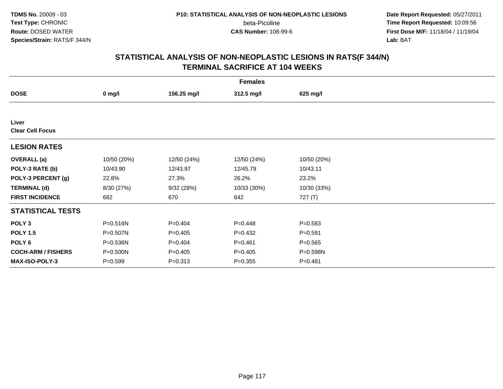**Date Report Requested:** 05/27/2011 **Time Report Requested:** 10:09:56 **First Dose M/F:** 11/18/04 / 11/19/04<br>**Lab:** BAT **Lab:** BAT

| <b>Females</b>                   |             |             |             |             |  |  |
|----------------------------------|-------------|-------------|-------------|-------------|--|--|
| <b>DOSE</b>                      | $0$ mg/l    | 156.25 mg/l | 312.5 mg/l  | 625 mg/l    |  |  |
|                                  |             |             |             |             |  |  |
| Liver<br><b>Clear Cell Focus</b> |             |             |             |             |  |  |
| <b>LESION RATES</b>              |             |             |             |             |  |  |
| <b>OVERALL</b> (a)               | 10/50 (20%) | 12/50 (24%) | 12/50 (24%) | 10/50 (20%) |  |  |
| POLY-3 RATE (b)                  | 10/43.90    | 12/43.97    | 12/45.79    | 10/43.11    |  |  |
| POLY-3 PERCENT (g)               | 22.8%       | 27.3%       | 26.2%       | 23.2%       |  |  |
| <b>TERMINAL (d)</b>              | 8/30 (27%)  | 9/32 (28%)  | 10/33 (30%) | 10/30 (33%) |  |  |
| <b>FIRST INCIDENCE</b>           | 682         | 670         | 642         | 727 (T)     |  |  |
| <b>STATISTICAL TESTS</b>         |             |             |             |             |  |  |
| POLY <sub>3</sub>                | P=0.516N    | $P=0.404$   | $P = 0.448$ | $P = 0.583$ |  |  |
| <b>POLY 1.5</b>                  | P=0.507N    | $P = 0.405$ | $P=0.432$   | $P = 0.591$ |  |  |
| POLY 6                           | P=0.536N    | $P=0.404$   | $P = 0.461$ | $P = 0.565$ |  |  |
| <b>COCH-ARM / FISHERS</b>        | P=0.500N    | $P = 0.405$ | $P = 0.405$ | P=0.598N    |  |  |
| MAX-ISO-POLY-3                   | $P = 0.599$ | $P = 0.313$ | $P = 0.355$ | $P = 0.481$ |  |  |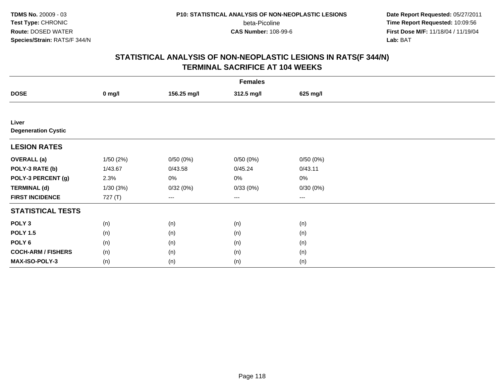**TDMS No.** 20009 - 03**Test Type:** CHRONIC**Route:** DOSED WATER**Species/Strain:** RATS/F 344/N

beta-Picoline<br>CAS Number: 108-99-6

 **Date Report Requested:** 05/27/2011 **Time Report Requested:** 10:09:56 **First Dose M/F:** 11/18/04 / 11/19/04<br>**Lab:** BAT **Lab:** BAT

| <b>Females</b>                      |          |             |                        |                        |  |  |
|-------------------------------------|----------|-------------|------------------------|------------------------|--|--|
| <b>DOSE</b>                         | $0$ mg/l | 156.25 mg/l | 312.5 mg/l             | 625 mg/l               |  |  |
|                                     |          |             |                        |                        |  |  |
| Liver<br><b>Degeneration Cystic</b> |          |             |                        |                        |  |  |
| <b>LESION RATES</b>                 |          |             |                        |                        |  |  |
| <b>OVERALL</b> (a)                  | 1/50(2%) | 0/50(0%)    | 0/50(0%)               | 0/50(0%)               |  |  |
| POLY-3 RATE (b)                     | 1/43.67  | 0/43.58     | 0/45.24                | 0/43.11                |  |  |
| POLY-3 PERCENT (g)                  | 2.3%     | 0%          | 0%                     | $0\%$                  |  |  |
| <b>TERMINAL (d)</b>                 | 1/30(3%) | 0/32(0%)    | 0/33(0%)               | 0/30(0%)               |  |  |
| <b>FIRST INCIDENCE</b>              | 727 (T)  | ---         | $\qquad \qquad \cdots$ | $\qquad \qquad \cdots$ |  |  |
| <b>STATISTICAL TESTS</b>            |          |             |                        |                        |  |  |
| POLY <sub>3</sub>                   | (n)      | (n)         | (n)                    | (n)                    |  |  |
| <b>POLY 1.5</b>                     | (n)      | (n)         | (n)                    | (n)                    |  |  |
| POLY <sub>6</sub>                   | (n)      | (n)         | (n)                    | (n)                    |  |  |
| <b>COCH-ARM / FISHERS</b>           | (n)      | (n)         | (n)                    | (n)                    |  |  |
| MAX-ISO-POLY-3                      | (n)      | (n)         | (n)                    | (n)                    |  |  |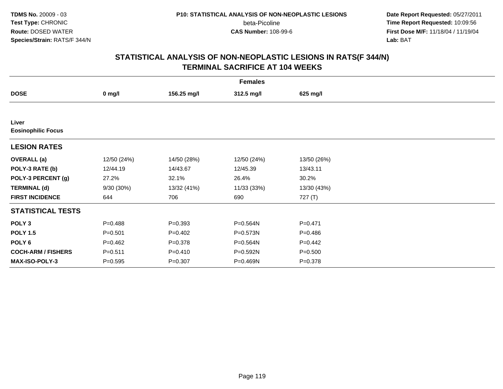**Date Report Requested:** 05/27/2011 **Time Report Requested:** 10:09:56 **First Dose M/F:** 11/18/04 / 11/19/04<br>**Lab:** BAT **Lab:** BAT

| <b>Females</b>                     |             |             |             |             |  |  |  |
|------------------------------------|-------------|-------------|-------------|-------------|--|--|--|
| <b>DOSE</b>                        | $0$ mg/l    | 156.25 mg/l | 312.5 mg/l  | 625 mg/l    |  |  |  |
|                                    |             |             |             |             |  |  |  |
| Liver<br><b>Eosinophilic Focus</b> |             |             |             |             |  |  |  |
| <b>LESION RATES</b>                |             |             |             |             |  |  |  |
| <b>OVERALL</b> (a)                 | 12/50 (24%) | 14/50 (28%) | 12/50 (24%) | 13/50 (26%) |  |  |  |
| POLY-3 RATE (b)                    | 12/44.19    | 14/43.67    | 12/45.39    | 13/43.11    |  |  |  |
| POLY-3 PERCENT (g)                 | 27.2%       | 32.1%       | 26.4%       | 30.2%       |  |  |  |
| <b>TERMINAL (d)</b>                | 9/30 (30%)  | 13/32 (41%) | 11/33 (33%) | 13/30 (43%) |  |  |  |
| <b>FIRST INCIDENCE</b>             | 644         | 706         | 690         | 727 (T)     |  |  |  |
| <b>STATISTICAL TESTS</b>           |             |             |             |             |  |  |  |
| POLY <sub>3</sub>                  | $P = 0.488$ | $P = 0.393$ | P=0.564N    | $P = 0.471$ |  |  |  |
| <b>POLY 1.5</b>                    | $P = 0.501$ | $P=0.402$   | P=0.573N    | $P = 0.486$ |  |  |  |
| POLY <sub>6</sub>                  | $P=0.462$   | $P = 0.378$ | P=0.564N    | $P=0.442$   |  |  |  |
| <b>COCH-ARM / FISHERS</b>          | $P = 0.511$ | $P = 0.410$ | P=0.592N    | $P = 0.500$ |  |  |  |
| MAX-ISO-POLY-3                     | $P = 0.595$ | $P = 0.307$ | P=0.469N    | $P = 0.378$ |  |  |  |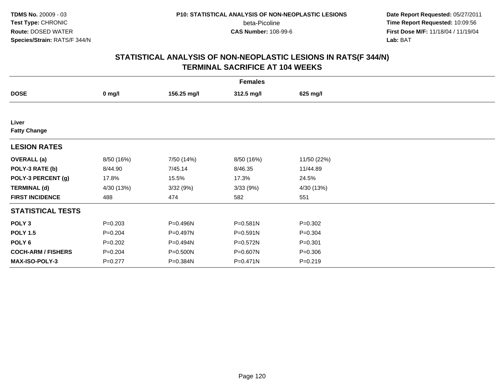**Date Report Requested:** 05/27/2011 **Time Report Requested:** 10:09:56 **First Dose M/F:** 11/18/04 / 11/19/04<br>**Lab:** BAT **Lab:** BAT

|                              | <b>Females</b> |             |              |             |  |  |  |  |
|------------------------------|----------------|-------------|--------------|-------------|--|--|--|--|
| <b>DOSE</b>                  | $0$ mg/l       | 156.25 mg/l | 312.5 mg/l   | 625 mg/l    |  |  |  |  |
|                              |                |             |              |             |  |  |  |  |
| Liver<br><b>Fatty Change</b> |                |             |              |             |  |  |  |  |
| <b>LESION RATES</b>          |                |             |              |             |  |  |  |  |
| <b>OVERALL</b> (a)           | 8/50 (16%)     | 7/50 (14%)  | 8/50 (16%)   | 11/50 (22%) |  |  |  |  |
| POLY-3 RATE (b)              | 8/44.90        | 7/45.14     | 8/46.35      | 11/44.89    |  |  |  |  |
| POLY-3 PERCENT (g)           | 17.8%          | 15.5%       | 17.3%        | 24.5%       |  |  |  |  |
| <b>TERMINAL (d)</b>          | 4/30 (13%)     | 3/32(9%)    | 3/33(9%)     | 4/30 (13%)  |  |  |  |  |
| <b>FIRST INCIDENCE</b>       | 488            | 474         | 582          | 551         |  |  |  |  |
| <b>STATISTICAL TESTS</b>     |                |             |              |             |  |  |  |  |
| POLY <sub>3</sub>            | $P = 0.203$    | P=0.496N    | $P = 0.581N$ | $P = 0.302$ |  |  |  |  |
| <b>POLY 1.5</b>              | $P = 0.204$    | P=0.497N    | P=0.591N     | $P = 0.304$ |  |  |  |  |
| POLY <sub>6</sub>            | $P = 0.202$    | P=0.494N    | P=0.572N     | $P = 0.301$ |  |  |  |  |
| <b>COCH-ARM / FISHERS</b>    | $P = 0.204$    | P=0.500N    | P=0.607N     | $P = 0.306$ |  |  |  |  |
| MAX-ISO-POLY-3               | $P = 0.277$    | P=0.384N    | $P = 0.471N$ | $P = 0.219$ |  |  |  |  |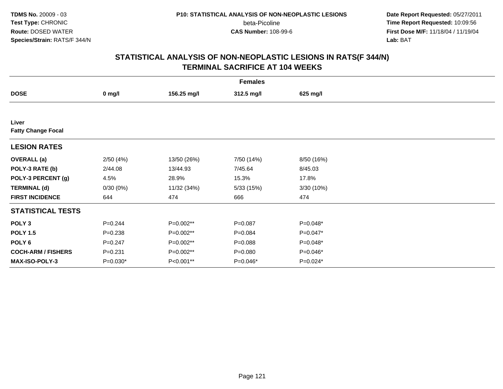**Date Report Requested:** 05/27/2011 **Time Report Requested:** 10:09:56 **First Dose M/F:** 11/18/04 / 11/19/04<br>**Lab:** BAT **Lab:** BAT

| <b>Females</b>                     |                  |             |             |            |  |  |  |
|------------------------------------|------------------|-------------|-------------|------------|--|--|--|
| <b>DOSE</b>                        | $0 \text{ mg/l}$ | 156.25 mg/l | 312.5 mg/l  | 625 mg/l   |  |  |  |
|                                    |                  |             |             |            |  |  |  |
| Liver<br><b>Fatty Change Focal</b> |                  |             |             |            |  |  |  |
| <b>LESION RATES</b>                |                  |             |             |            |  |  |  |
| <b>OVERALL</b> (a)                 | 2/50(4%)         | 13/50 (26%) | 7/50 (14%)  | 8/50 (16%) |  |  |  |
| POLY-3 RATE (b)                    | 2/44.08          | 13/44.93    | 7/45.64     | 8/45.03    |  |  |  |
| POLY-3 PERCENT (g)                 | 4.5%             | 28.9%       | 15.3%       | 17.8%      |  |  |  |
| <b>TERMINAL (d)</b>                | 0/30(0%)         | 11/32 (34%) | 5/33 (15%)  | 3/30(10%)  |  |  |  |
| <b>FIRST INCIDENCE</b>             | 644              | 474         | 666         | 474        |  |  |  |
| <b>STATISTICAL TESTS</b>           |                  |             |             |            |  |  |  |
| POLY <sub>3</sub>                  | $P = 0.244$      | P=0.002**   | $P = 0.087$ | P=0.048*   |  |  |  |
| <b>POLY 1.5</b>                    | $P = 0.238$      | P=0.002**   | $P = 0.084$ | P=0.047*   |  |  |  |
| POLY 6                             | $P = 0.247$      | P=0.002**   | $P = 0.088$ | P=0.048*   |  |  |  |
| <b>COCH-ARM / FISHERS</b>          | $P = 0.231$      | P=0.002**   | $P = 0.080$ | P=0.046*   |  |  |  |
| <b>MAX-ISO-POLY-3</b>              | $P=0.030*$       | P<0.001**   | P=0.046*    | P=0.024*   |  |  |  |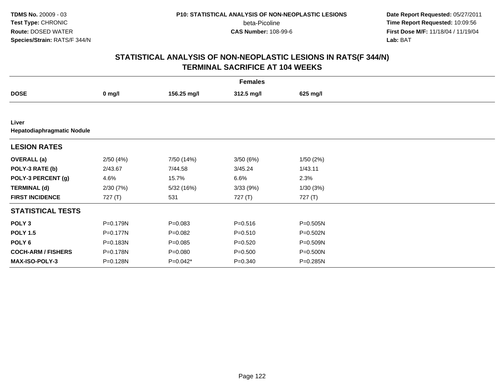**TDMS No.** 20009 - 03**Test Type:** CHRONIC**Route:** DOSED WATER**Species/Strain:** RATS/F 344/N

beta-Picoline<br>CAS Number: 108-99-6

 **Date Report Requested:** 05/27/2011 **Time Report Requested:** 10:09:56 **First Dose M/F:** 11/18/04 / 11/19/04<br>**Lab:** BAT **Lab:** BAT

| <b>Females</b>                      |           |             |             |              |  |  |  |
|-------------------------------------|-----------|-------------|-------------|--------------|--|--|--|
| <b>DOSE</b>                         | $0$ mg/l  | 156.25 mg/l | 312.5 mg/l  | 625 mg/l     |  |  |  |
|                                     |           |             |             |              |  |  |  |
| Liver<br>Hepatodiaphragmatic Nodule |           |             |             |              |  |  |  |
| <b>LESION RATES</b>                 |           |             |             |              |  |  |  |
| <b>OVERALL (a)</b>                  | 2/50(4%)  | 7/50 (14%)  | 3/50(6%)    | 1/50(2%)     |  |  |  |
| POLY-3 RATE (b)                     | 2/43.67   | 7/44.58     | 3/45.24     | 1/43.11      |  |  |  |
| POLY-3 PERCENT (g)                  | 4.6%      | 15.7%       | 6.6%        | 2.3%         |  |  |  |
| <b>TERMINAL (d)</b>                 | 2/30(7%)  | 5/32 (16%)  | 3/33(9%)    | 1/30(3%)     |  |  |  |
| <b>FIRST INCIDENCE</b>              | 727 $(T)$ | 531         | 727(T)      | 727 (T)      |  |  |  |
| <b>STATISTICAL TESTS</b>            |           |             |             |              |  |  |  |
| POLY <sub>3</sub>                   | P=0.179N  | $P = 0.083$ | $P = 0.516$ | P=0.505N     |  |  |  |
| <b>POLY 1.5</b>                     | P=0.177N  | $P=0.082$   | $P = 0.510$ | $P = 0.502N$ |  |  |  |
| POLY 6                              | P=0.183N  | $P = 0.085$ | $P = 0.520$ | P=0.509N     |  |  |  |
| <b>COCH-ARM / FISHERS</b>           | P=0.178N  | $P = 0.080$ | $P = 0.500$ | P=0.500N     |  |  |  |
| <b>MAX-ISO-POLY-3</b>               | P=0.128N  | P=0.042*    | $P = 0.340$ | P=0.285N     |  |  |  |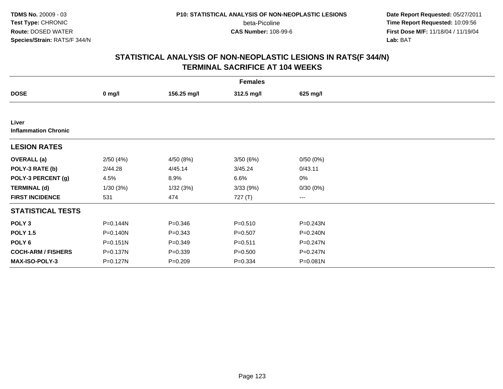**Date Report Requested:** 05/27/2011 **Time Report Requested:** 10:09:56 **First Dose M/F:** 11/18/04 / 11/19/04<br>**Lab:** BAT **Lab:** BAT

| <b>Females</b>                       |              |             |             |          |  |  |  |
|--------------------------------------|--------------|-------------|-------------|----------|--|--|--|
| <b>DOSE</b>                          | $0$ mg/l     | 156.25 mg/l | 312.5 mg/l  | 625 mg/l |  |  |  |
|                                      |              |             |             |          |  |  |  |
| Liver<br><b>Inflammation Chronic</b> |              |             |             |          |  |  |  |
| <b>LESION RATES</b>                  |              |             |             |          |  |  |  |
| <b>OVERALL</b> (a)                   | 2/50(4%)     | 4/50 (8%)   | 3/50(6%)    | 0/50(0%) |  |  |  |
| POLY-3 RATE (b)                      | 2/44.28      | 4/45.14     | 3/45.24     | 0/43.11  |  |  |  |
| POLY-3 PERCENT (g)                   | 4.5%         | 8.9%        | 6.6%        | $0\%$    |  |  |  |
| <b>TERMINAL (d)</b>                  | 1/30(3%)     | 1/32(3%)    | 3/33(9%)    | 0/30(0%) |  |  |  |
| <b>FIRST INCIDENCE</b>               | 531          | 474         | 727 (T)     | $---$    |  |  |  |
| <b>STATISTICAL TESTS</b>             |              |             |             |          |  |  |  |
| POLY <sub>3</sub>                    | P=0.144N     | $P = 0.346$ | $P = 0.510$ | P=0.243N |  |  |  |
| <b>POLY 1.5</b>                      | P=0.140N     | $P = 0.343$ | $P = 0.507$ | P=0.240N |  |  |  |
| POLY 6                               | $P = 0.151N$ | $P = 0.349$ | $P = 0.511$ | P=0.247N |  |  |  |
| <b>COCH-ARM / FISHERS</b>            | P=0.137N     | $P = 0.339$ | $P = 0.500$ | P=0.247N |  |  |  |
| <b>MAX-ISO-POLY-3</b>                | P=0.127N     | $P = 0.209$ | $P = 0.334$ | P=0.081N |  |  |  |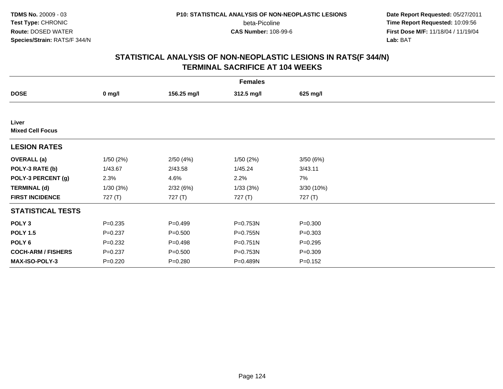**Date Report Requested:** 05/27/2011 **Time Report Requested:** 10:09:56 **First Dose M/F:** 11/18/04 / 11/19/04<br>**Lab:** BAT **Lab:** BAT

| <b>Females</b>                   |             |             |            |             |  |  |  |
|----------------------------------|-------------|-------------|------------|-------------|--|--|--|
| <b>DOSE</b>                      | $0$ mg/l    | 156.25 mg/l | 312.5 mg/l | 625 mg/l    |  |  |  |
|                                  |             |             |            |             |  |  |  |
| Liver<br><b>Mixed Cell Focus</b> |             |             |            |             |  |  |  |
| <b>LESION RATES</b>              |             |             |            |             |  |  |  |
| <b>OVERALL</b> (a)               | 1/50(2%)    | 2/50(4%)    | 1/50(2%)   | 3/50(6%)    |  |  |  |
| POLY-3 RATE (b)                  | 1/43.67     | 2/43.58     | 1/45.24    | 3/43.11     |  |  |  |
| POLY-3 PERCENT (g)               | 2.3%        | 4.6%        | 2.2%       | 7%          |  |  |  |
| <b>TERMINAL (d)</b>              | 1/30(3%)    | 2/32(6%)    | 1/33(3%)   | 3/30(10%)   |  |  |  |
| <b>FIRST INCIDENCE</b>           | 727 (T)     | 727 (T)     | 727 (T)    | 727 (T)     |  |  |  |
| <b>STATISTICAL TESTS</b>         |             |             |            |             |  |  |  |
| POLY <sub>3</sub>                | $P = 0.235$ | $P=0.499$   | P=0.753N   | $P = 0.300$ |  |  |  |
| <b>POLY 1.5</b>                  | $P = 0.237$ | $P = 0.500$ | P=0.755N   | $P = 0.303$ |  |  |  |
| POLY 6                           | $P=0.232$   | $P = 0.498$ | P=0.751N   | $P = 0.295$ |  |  |  |
| <b>COCH-ARM / FISHERS</b>        | $P = 0.237$ | $P = 0.500$ | P=0.753N   | $P = 0.309$ |  |  |  |
| MAX-ISO-POLY-3                   | $P=0.220$   | $P = 0.280$ | P=0.489N   | $P = 0.152$ |  |  |  |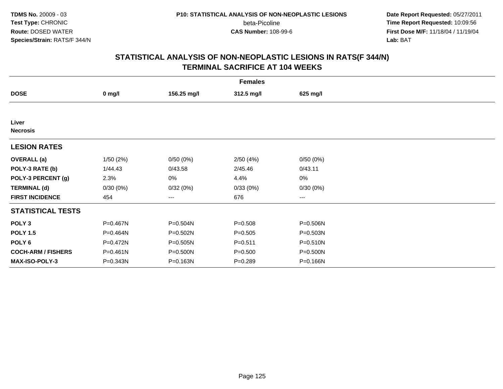**Date Report Requested:** 05/27/2011 **Time Report Requested:** 10:09:56 **First Dose M/F:** 11/18/04 / 11/19/04<br>**Lab:** BAT **Lab:** BAT

|                           | <b>Females</b> |             |             |          |  |  |  |  |
|---------------------------|----------------|-------------|-------------|----------|--|--|--|--|
| <b>DOSE</b>               | $0$ mg/l       | 156.25 mg/l | 312.5 mg/l  | 625 mg/l |  |  |  |  |
|                           |                |             |             |          |  |  |  |  |
| Liver<br><b>Necrosis</b>  |                |             |             |          |  |  |  |  |
| <b>LESION RATES</b>       |                |             |             |          |  |  |  |  |
| <b>OVERALL</b> (a)        | 1/50(2%)       | 0/50(0%)    | 2/50(4%)    | 0/50(0%) |  |  |  |  |
| POLY-3 RATE (b)           | 1/44.43        | 0/43.58     | 2/45.46     | 0/43.11  |  |  |  |  |
| POLY-3 PERCENT (g)        | 2.3%           | 0%          | 4.4%        | $0\%$    |  |  |  |  |
| <b>TERMINAL (d)</b>       | 0/30(0%)       | 0/32(0%)    | 0/33(0%)    | 0/30(0%) |  |  |  |  |
| <b>FIRST INCIDENCE</b>    | 454            | $---$       | 676         | $\cdots$ |  |  |  |  |
| <b>STATISTICAL TESTS</b>  |                |             |             |          |  |  |  |  |
| POLY <sub>3</sub>         | P=0.467N       | P=0.504N    | $P = 0.508$ | P=0.506N |  |  |  |  |
| <b>POLY 1.5</b>           | P=0.464N       | P=0.502N    | $P = 0.505$ | P=0.503N |  |  |  |  |
| POLY 6                    | P=0.472N       | P=0.505N    | $P = 0.511$ | P=0.510N |  |  |  |  |
| <b>COCH-ARM / FISHERS</b> | $P = 0.461N$   | P=0.500N    | $P = 0.500$ | P=0.500N |  |  |  |  |
| <b>MAX-ISO-POLY-3</b>     | P=0.343N       | P=0.163N    | $P = 0.289$ | P=0.166N |  |  |  |  |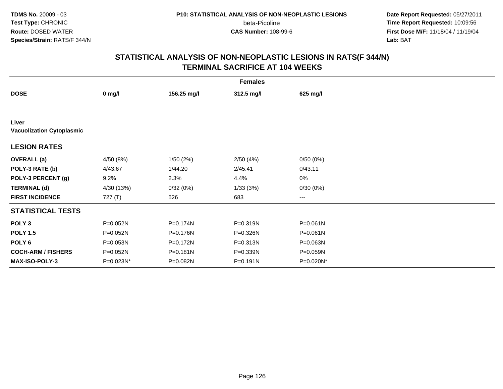**Date Report Requested:** 05/27/2011 **Time Report Requested:** 10:09:56 **First Dose M/F:** 11/18/04 / 11/19/04<br>**Lab:** BAT **Lab:** BAT

| <b>Females</b>                            |                  |             |            |           |  |  |  |
|-------------------------------------------|------------------|-------------|------------|-----------|--|--|--|
| <b>DOSE</b>                               | $0 \text{ mg/l}$ | 156.25 mg/l | 312.5 mg/l | 625 mg/l  |  |  |  |
|                                           |                  |             |            |           |  |  |  |
| Liver<br><b>Vacuolization Cytoplasmic</b> |                  |             |            |           |  |  |  |
| <b>LESION RATES</b>                       |                  |             |            |           |  |  |  |
| <b>OVERALL</b> (a)                        | 4/50 (8%)        | 1/50(2%)    | 2/50(4%)   | 0/50(0%)  |  |  |  |
| POLY-3 RATE (b)                           | 4/43.67          | 1/44.20     | 2/45.41    | 0/43.11   |  |  |  |
| POLY-3 PERCENT (g)                        | 9.2%             | 2.3%        | 4.4%       | 0%        |  |  |  |
| <b>TERMINAL (d)</b>                       | 4/30 (13%)       | 0/32(0%)    | 1/33(3%)   | 0/30(0%)  |  |  |  |
| <b>FIRST INCIDENCE</b>                    | 727(T)           | 526         | 683        | $\cdots$  |  |  |  |
| <b>STATISTICAL TESTS</b>                  |                  |             |            |           |  |  |  |
| POLY <sub>3</sub>                         | P=0.052N         | P=0.174N    | P=0.319N   | P=0.061N  |  |  |  |
| <b>POLY 1.5</b>                           | P=0.052N         | P=0.176N    | P=0.326N   | P=0.061N  |  |  |  |
| POLY 6                                    | P=0.053N         | P=0.172N    | P=0.313N   | P=0.063N  |  |  |  |
| <b>COCH-ARM / FISHERS</b>                 | P=0.052N         | P=0.181N    | P=0.339N   | P=0.059N  |  |  |  |
| MAX-ISO-POLY-3                            | P=0.023N*        | P=0.082N    | P=0.191N   | P=0.020N* |  |  |  |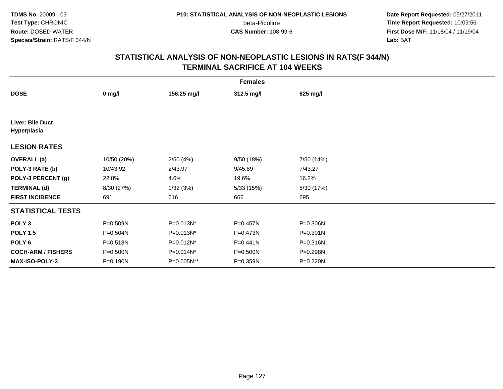**Date Report Requested:** 05/27/2011 **Time Report Requested:** 10:09:56 **First Dose M/F:** 11/18/04 / 11/19/04<br>**Lab:** BAT **Lab:** BAT

| <b>Females</b>                  |             |             |            |            |  |  |  |
|---------------------------------|-------------|-------------|------------|------------|--|--|--|
| <b>DOSE</b>                     | $0$ mg/l    | 156.25 mg/l | 312.5 mg/l | 625 mg/l   |  |  |  |
|                                 |             |             |            |            |  |  |  |
| Liver: Bile Duct<br>Hyperplasia |             |             |            |            |  |  |  |
| <b>LESION RATES</b>             |             |             |            |            |  |  |  |
| <b>OVERALL</b> (a)              | 10/50 (20%) | 2/50(4%)    | 9/50(18%)  | 7/50 (14%) |  |  |  |
| POLY-3 RATE (b)                 | 10/43.92    | 2/43.97     | 9/45.89    | 7/43.27    |  |  |  |
| POLY-3 PERCENT (g)              | 22.8%       | 4.6%        | 19.6%      | 16.2%      |  |  |  |
| <b>TERMINAL (d)</b>             | 8/30 (27%)  | 1/32(3%)    | 5/33(15%)  | 5/30 (17%) |  |  |  |
| <b>FIRST INCIDENCE</b>          | 691         | 616         | 666        | 695        |  |  |  |
| <b>STATISTICAL TESTS</b>        |             |             |            |            |  |  |  |
| POLY <sub>3</sub>               | P=0.509N    | P=0.013N*   | P=0.457N   | P=0.306N   |  |  |  |
| <b>POLY 1.5</b>                 | P=0.504N    | P=0.013N*   | P=0.473N   | P=0.301N   |  |  |  |
| POLY <sub>6</sub>               | P=0.518N    | P=0.012N*   | P=0.441N   | P=0.316N   |  |  |  |
| <b>COCH-ARM / FISHERS</b>       | P=0.500N    | P=0.014N*   | P=0.500N   | P=0.298N   |  |  |  |
| <b>MAX-ISO-POLY-3</b>           | P=0.190N    | P=0.005N**  | P=0.359N   | P=0.220N   |  |  |  |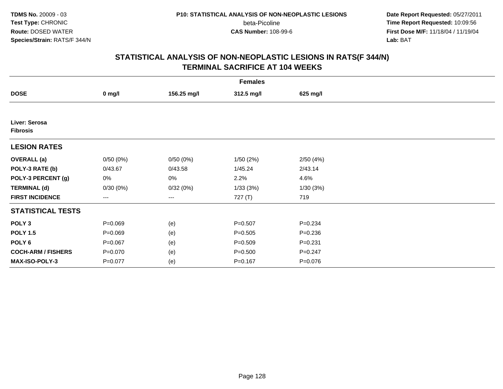**Date Report Requested:** 05/27/2011 **Time Report Requested:** 10:09:56 **First Dose M/F:** 11/18/04 / 11/19/04<br>**Lab:** BAT **Lab:** BAT

|                                  | <b>Females</b>    |             |             |             |  |  |  |  |
|----------------------------------|-------------------|-------------|-------------|-------------|--|--|--|--|
| <b>DOSE</b>                      | $0$ mg/l          | 156.25 mg/l | 312.5 mg/l  | 625 mg/l    |  |  |  |  |
|                                  |                   |             |             |             |  |  |  |  |
| Liver: Serosa<br><b>Fibrosis</b> |                   |             |             |             |  |  |  |  |
| <b>LESION RATES</b>              |                   |             |             |             |  |  |  |  |
| <b>OVERALL</b> (a)               | 0/50(0%)          | 0/50(0%)    | 1/50(2%)    | 2/50(4%)    |  |  |  |  |
| POLY-3 RATE (b)                  | 0/43.67           | 0/43.58     | 1/45.24     | 2/43.14     |  |  |  |  |
| POLY-3 PERCENT (g)               | 0%                | 0%          | 2.2%        | 4.6%        |  |  |  |  |
| <b>TERMINAL (d)</b>              | 0/30(0%)          | 0/32(0%)    | 1/33(3%)    | 1/30(3%)    |  |  |  |  |
| <b>FIRST INCIDENCE</b>           | $\qquad \qquad -$ | ---         | 727 (T)     | 719         |  |  |  |  |
| <b>STATISTICAL TESTS</b>         |                   |             |             |             |  |  |  |  |
| POLY <sub>3</sub>                | $P = 0.069$       | (e)         | $P = 0.507$ | $P = 0.234$ |  |  |  |  |
| <b>POLY 1.5</b>                  | $P = 0.069$       | (e)         | $P = 0.505$ | $P = 0.236$ |  |  |  |  |
| POLY <sub>6</sub>                | $P = 0.067$       | (e)         | $P = 0.509$ | $P = 0.231$ |  |  |  |  |
| <b>COCH-ARM / FISHERS</b>        | $P = 0.070$       | (e)         | $P = 0.500$ | $P = 0.247$ |  |  |  |  |
| MAX-ISO-POLY-3                   | $P = 0.077$       | (e)         | $P = 0.167$ | $P = 0.076$ |  |  |  |  |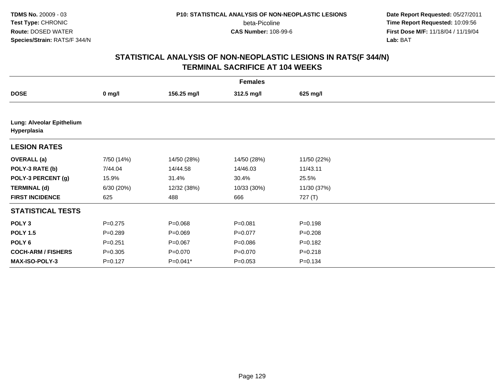**Date Report Requested:** 05/27/2011 **Time Report Requested:** 10:09:56 **First Dose M/F:** 11/18/04 / 11/19/04<br>**Lab:** BAT **Lab:** BAT

| <b>Females</b>                           |                  |             |             |             |  |  |  |
|------------------------------------------|------------------|-------------|-------------|-------------|--|--|--|
| <b>DOSE</b>                              | $0 \text{ mg/l}$ | 156.25 mg/l | 312.5 mg/l  | 625 mg/l    |  |  |  |
|                                          |                  |             |             |             |  |  |  |
| Lung: Alveolar Epithelium<br>Hyperplasia |                  |             |             |             |  |  |  |
| <b>LESION RATES</b>                      |                  |             |             |             |  |  |  |
| <b>OVERALL</b> (a)                       | 7/50 (14%)       | 14/50 (28%) | 14/50 (28%) | 11/50 (22%) |  |  |  |
| POLY-3 RATE (b)                          | 7/44.04          | 14/44.58    | 14/46.03    | 11/43.11    |  |  |  |
| POLY-3 PERCENT (g)                       | 15.9%            | 31.4%       | 30.4%       | 25.5%       |  |  |  |
| <b>TERMINAL (d)</b>                      | 6/30(20%)        | 12/32 (38%) | 10/33 (30%) | 11/30 (37%) |  |  |  |
| <b>FIRST INCIDENCE</b>                   | 625              | 488         | 666         | 727 (T)     |  |  |  |
| <b>STATISTICAL TESTS</b>                 |                  |             |             |             |  |  |  |
| POLY <sub>3</sub>                        | $P = 0.275$      | $P = 0.068$ | $P = 0.081$ | $P = 0.198$ |  |  |  |
| <b>POLY 1.5</b>                          | $P = 0.289$      | $P = 0.069$ | $P = 0.077$ | $P = 0.208$ |  |  |  |
| POLY 6                                   | $P = 0.251$      | $P = 0.067$ | $P = 0.086$ | $P = 0.182$ |  |  |  |
| <b>COCH-ARM / FISHERS</b>                | $P = 0.305$      | $P = 0.070$ | $P = 0.070$ | $P = 0.218$ |  |  |  |
| <b>MAX-ISO-POLY-3</b>                    | $P = 0.127$      | $P=0.041*$  | $P = 0.053$ | $P = 0.134$ |  |  |  |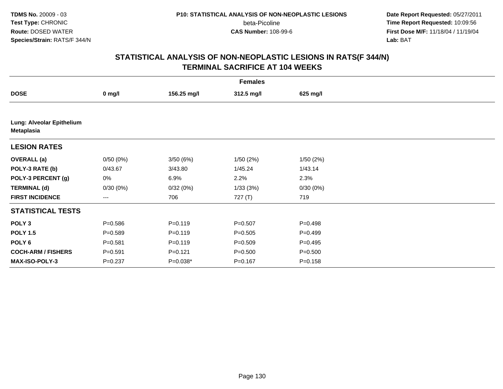**Date Report Requested:** 05/27/2011 **Time Report Requested:** 10:09:56 **First Dose M/F:** 11/18/04 / 11/19/04<br>**Lab:** BAT **Lab:** BAT

| <b>Females</b>                                 |             |             |             |             |  |  |  |
|------------------------------------------------|-------------|-------------|-------------|-------------|--|--|--|
| <b>DOSE</b>                                    | $0$ mg/l    | 156.25 mg/l | 312.5 mg/l  | 625 mg/l    |  |  |  |
|                                                |             |             |             |             |  |  |  |
| Lung: Alveolar Epithelium<br><b>Metaplasia</b> |             |             |             |             |  |  |  |
| <b>LESION RATES</b>                            |             |             |             |             |  |  |  |
| <b>OVERALL</b> (a)                             | 0/50(0%)    | 3/50(6%)    | 1/50(2%)    | 1/50(2%)    |  |  |  |
| POLY-3 RATE (b)                                | 0/43.67     | 3/43.80     | 1/45.24     | 1/43.14     |  |  |  |
| POLY-3 PERCENT (g)                             | 0%          | 6.9%        | 2.2%        | 2.3%        |  |  |  |
| <b>TERMINAL (d)</b>                            | 0/30(0%)    | 0/32(0%)    | 1/33(3%)    | 0/30(0%)    |  |  |  |
| <b>FIRST INCIDENCE</b>                         | ---         | 706         | 727(T)      | 719         |  |  |  |
| <b>STATISTICAL TESTS</b>                       |             |             |             |             |  |  |  |
| POLY <sub>3</sub>                              | $P = 0.586$ | $P = 0.119$ | $P = 0.507$ | $P = 0.498$ |  |  |  |
| <b>POLY 1.5</b>                                | $P = 0.589$ | $P = 0.119$ | $P = 0.505$ | $P=0.499$   |  |  |  |
| POLY 6                                         | $P = 0.581$ | $P = 0.119$ | $P = 0.509$ | $P=0.495$   |  |  |  |
| <b>COCH-ARM / FISHERS</b>                      | $P = 0.591$ | $P=0.121$   | $P = 0.500$ | $P = 0.500$ |  |  |  |
| <b>MAX-ISO-POLY-3</b>                          | $P = 0.237$ | P=0.038*    | $P = 0.167$ | $P = 0.158$ |  |  |  |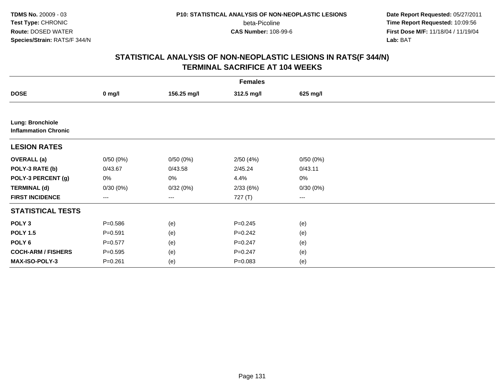**TDMS No.** 20009 - 03**Test Type:** CHRONIC**Route:** DOSED WATER**Species/Strain:** RATS/F 344/N

beta-Picoline<br>CAS Number: 108-99-6

 **Date Report Requested:** 05/27/2011 **Time Report Requested:** 10:09:56 **First Dose M/F:** 11/18/04 / 11/19/04<br>**Lab:** BAT **Lab:** BAT

| <b>Females</b>                                  |             |             |             |          |  |  |  |
|-------------------------------------------------|-------------|-------------|-------------|----------|--|--|--|
| <b>DOSE</b>                                     | $0$ mg/l    | 156.25 mg/l | 312.5 mg/l  | 625 mg/l |  |  |  |
|                                                 |             |             |             |          |  |  |  |
| Lung: Bronchiole<br><b>Inflammation Chronic</b> |             |             |             |          |  |  |  |
| <b>LESION RATES</b>                             |             |             |             |          |  |  |  |
| <b>OVERALL</b> (a)                              | 0/50(0%)    | 0/50(0%)    | 2/50(4%)    | 0/50(0%) |  |  |  |
| POLY-3 RATE (b)                                 | 0/43.67     | 0/43.58     | 2/45.24     | 0/43.11  |  |  |  |
| POLY-3 PERCENT (g)                              | 0%          | 0%          | 4.4%        | 0%       |  |  |  |
| <b>TERMINAL (d)</b>                             | 0/30(0%)    | 0/32(0%)    | 2/33(6%)    | 0/30(0%) |  |  |  |
| <b>FIRST INCIDENCE</b>                          | ---         | ---         | 727 (T)     | ---      |  |  |  |
| <b>STATISTICAL TESTS</b>                        |             |             |             |          |  |  |  |
| POLY <sub>3</sub>                               | $P = 0.586$ | (e)         | $P = 0.245$ | (e)      |  |  |  |
| <b>POLY 1.5</b>                                 | $P = 0.591$ | (e)         | $P = 0.242$ | (e)      |  |  |  |
| POLY <sub>6</sub>                               | $P = 0.577$ | (e)         | $P = 0.247$ | (e)      |  |  |  |
| <b>COCH-ARM / FISHERS</b>                       | $P = 0.595$ | (e)         | $P = 0.247$ | (e)      |  |  |  |
| MAX-ISO-POLY-3                                  | $P = 0.261$ | (e)         | $P = 0.083$ | (e)      |  |  |  |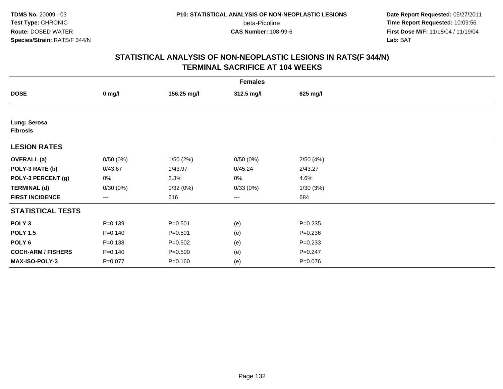**Date Report Requested:** 05/27/2011 **Time Report Requested:** 10:09:56 **First Dose M/F:** 11/18/04 / 11/19/04<br>**Lab:** BAT **Lab:** BAT

| <b>Females</b>                  |             |             |            |             |  |  |  |  |
|---------------------------------|-------------|-------------|------------|-------------|--|--|--|--|
| <b>DOSE</b>                     | $0$ mg/l    | 156.25 mg/l | 312.5 mg/l | 625 mg/l    |  |  |  |  |
|                                 |             |             |            |             |  |  |  |  |
| Lung: Serosa<br><b>Fibrosis</b> |             |             |            |             |  |  |  |  |
| <b>LESION RATES</b>             |             |             |            |             |  |  |  |  |
| <b>OVERALL</b> (a)              | 0/50(0%)    | 1/50(2%)    | 0/50(0%)   | 2/50(4%)    |  |  |  |  |
| POLY-3 RATE (b)                 | 0/43.67     | 1/43.97     | 0/45.24    | 2/43.27     |  |  |  |  |
| POLY-3 PERCENT (g)              | 0%          | 2.3%        | 0%         | 4.6%        |  |  |  |  |
| <b>TERMINAL (d)</b>             | 0/30(0%)    | 0/32(0%)    | 0/33(0%)   | 1/30(3%)    |  |  |  |  |
| <b>FIRST INCIDENCE</b>          | $---$       | 616         | $\cdots$   | 684         |  |  |  |  |
| <b>STATISTICAL TESTS</b>        |             |             |            |             |  |  |  |  |
| POLY <sub>3</sub>               | $P = 0.139$ | $P = 0.501$ | (e)        | $P = 0.235$ |  |  |  |  |
| <b>POLY 1.5</b>                 | $P = 0.140$ | $P = 0.501$ | (e)        | $P = 0.236$ |  |  |  |  |
| POLY <sub>6</sub>               | $P = 0.138$ | $P = 0.502$ | (e)        | $P = 0.233$ |  |  |  |  |
| <b>COCH-ARM / FISHERS</b>       | $P = 0.140$ | $P = 0.500$ | (e)        | $P = 0.247$ |  |  |  |  |
| MAX-ISO-POLY-3                  | $P = 0.077$ | $P = 0.160$ | (e)        | $P = 0.076$ |  |  |  |  |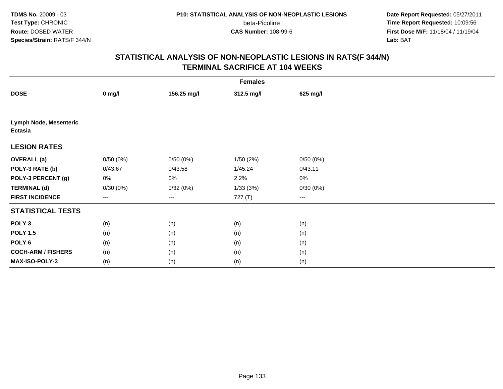**Date Report Requested:** 05/27/2011 **Time Report Requested:** 10:09:56 **First Dose M/F:** 11/18/04 / 11/19/04<br>**Lab:** BAT **Lab:** BAT

| <b>Females</b>                                  |          |             |            |          |  |  |
|-------------------------------------------------|----------|-------------|------------|----------|--|--|
| <b>DOSE</b>                                     | $0$ mg/l | 156.25 mg/l | 312.5 mg/l | 625 mg/l |  |  |
|                                                 |          |             |            |          |  |  |
| <b>Lymph Node, Mesenteric</b><br><b>Ectasia</b> |          |             |            |          |  |  |
| <b>LESION RATES</b>                             |          |             |            |          |  |  |
| <b>OVERALL</b> (a)                              | 0/50(0%) | 0/50(0%)    | 1/50(2%)   | 0/50(0%) |  |  |
| POLY-3 RATE (b)                                 | 0/43.67  | 0/43.58     | 1/45.24    | 0/43.11  |  |  |
| POLY-3 PERCENT (g)                              | 0%       | 0%          | 2.2%       | $0\%$    |  |  |
| <b>TERMINAL (d)</b>                             | 0/30(0%) | 0/32(0%)    | 1/33(3%)   | 0/30(0%) |  |  |
| <b>FIRST INCIDENCE</b>                          | ---      | $--$        | 727 (T)    | ---      |  |  |
| <b>STATISTICAL TESTS</b>                        |          |             |            |          |  |  |
| POLY <sub>3</sub>                               | (n)      | (n)         | (n)        | (n)      |  |  |
| <b>POLY 1.5</b>                                 | (n)      | (n)         | (n)        | (n)      |  |  |
| POLY <sub>6</sub>                               | (n)      | (n)         | (n)        | (n)      |  |  |
| <b>COCH-ARM / FISHERS</b>                       | (n)      | (n)         | (n)        | (n)      |  |  |
| MAX-ISO-POLY-3                                  | (n)      | (n)         | (n)        | (n)      |  |  |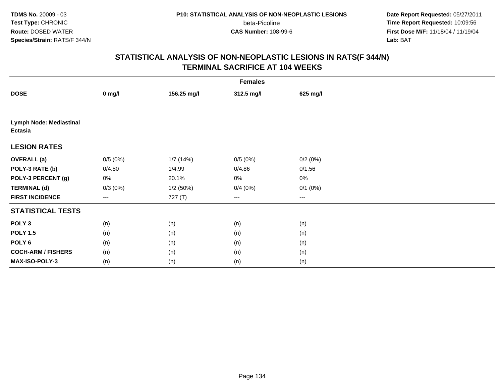**Date Report Requested:** 05/27/2011 **Time Report Requested:** 10:09:56 **First Dose M/F:** 11/18/04 / 11/19/04<br>**Lab:** BAT **Lab:** BAT

|                                           | <b>Females</b> |             |            |              |  |  |  |
|-------------------------------------------|----------------|-------------|------------|--------------|--|--|--|
| <b>DOSE</b>                               | $0$ mg/l       | 156.25 mg/l | 312.5 mg/l | 625 mg/l     |  |  |  |
|                                           |                |             |            |              |  |  |  |
| <b>Lymph Node: Mediastinal</b><br>Ectasia |                |             |            |              |  |  |  |
| <b>LESION RATES</b>                       |                |             |            |              |  |  |  |
| <b>OVERALL</b> (a)                        | 0/5(0%)        | 1/7 (14%)   | 0/5(0%)    | 0/2(0%)      |  |  |  |
| POLY-3 RATE (b)                           | 0/4.80         | 1/4.99      | 0/4.86     | 0/1.56       |  |  |  |
| POLY-3 PERCENT (g)                        | 0%             | 20.1%       | 0%         | $0\%$        |  |  |  |
| <b>TERMINAL (d)</b>                       | $0/3(0\%)$     | 1/2(50%)    | 0/4(0%)    | $0/1$ $(0%)$ |  |  |  |
| <b>FIRST INCIDENCE</b>                    | ---            | 727 (T)     | $--$       | ---          |  |  |  |
| <b>STATISTICAL TESTS</b>                  |                |             |            |              |  |  |  |
| POLY <sub>3</sub>                         | (n)            | (n)         | (n)        | (n)          |  |  |  |
| <b>POLY 1.5</b>                           | (n)            | (n)         | (n)        | (n)          |  |  |  |
| POLY <sub>6</sub>                         | (n)            | (n)         | (n)        | (n)          |  |  |  |
| <b>COCH-ARM / FISHERS</b>                 | (n)            | (n)         | (n)        | (n)          |  |  |  |
| MAX-ISO-POLY-3                            | (n)            | (n)         | (n)        | (n)          |  |  |  |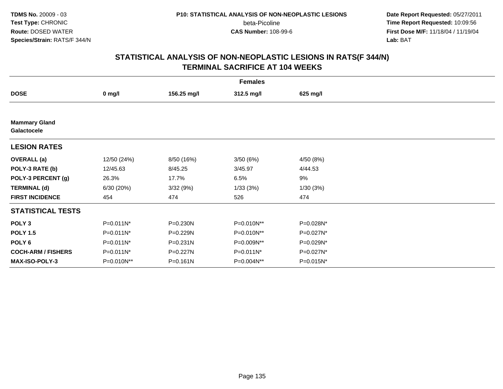**Date Report Requested:** 05/27/2011 **Time Report Requested:** 10:09:56 **First Dose M/F:** 11/18/04 / 11/19/04<br>**Lab:** BAT **Lab:** BAT

| <b>Females</b>                      |                  |              |              |           |  |  |
|-------------------------------------|------------------|--------------|--------------|-----------|--|--|
| <b>DOSE</b>                         | $0 \text{ mg/l}$ | 156.25 mg/l  | 312.5 mg/l   | 625 mg/l  |  |  |
|                                     |                  |              |              |           |  |  |
| <b>Mammary Gland</b><br>Galactocele |                  |              |              |           |  |  |
| <b>LESION RATES</b>                 |                  |              |              |           |  |  |
| <b>OVERALL</b> (a)                  | 12/50 (24%)      | 8/50 (16%)   | 3/50(6%)     | 4/50 (8%) |  |  |
| POLY-3 RATE (b)                     | 12/45.63         | 8/45.25      | 3/45.97      | 4/44.53   |  |  |
| POLY-3 PERCENT (g)                  | 26.3%            | 17.7%        | 6.5%         | 9%        |  |  |
| <b>TERMINAL (d)</b>                 | 6/30(20%)        | 3/32(9%)     | 1/33(3%)     | 1/30(3%)  |  |  |
| <b>FIRST INCIDENCE</b>              | 454              | 474          | 526          | 474       |  |  |
| <b>STATISTICAL TESTS</b>            |                  |              |              |           |  |  |
| POLY <sub>3</sub>                   | $P=0.011N^*$     | P=0.230N     | P=0.010N**   | P=0.028N* |  |  |
| <b>POLY 1.5</b>                     | P=0.011N*        | P=0.229N     | P=0.010N**   | P=0.027N* |  |  |
| POLY <sub>6</sub>                   | P=0.011N*        | $P = 0.231N$ | P=0.009N**   | P=0.029N* |  |  |
| <b>COCH-ARM / FISHERS</b>           | P=0.011N*        | P=0.227N     | $P=0.011N^*$ | P=0.027N* |  |  |
| MAX-ISO-POLY-3                      | P=0.010N**       | $P = 0.161N$ | P=0.004N**   | P=0.015N* |  |  |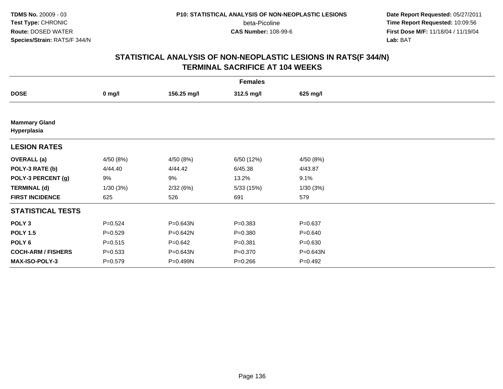**Date Report Requested:** 05/27/2011 **Time Report Requested:** 10:09:56 **First Dose M/F:** 11/18/04 / 11/19/04<br>**Lab:** BAT **Lab:** BAT

|                                     | <b>Females</b> |             |             |             |  |  |  |
|-------------------------------------|----------------|-------------|-------------|-------------|--|--|--|
| <b>DOSE</b>                         | $0$ mg/l       | 156.25 mg/l | 312.5 mg/l  | 625 mg/l    |  |  |  |
|                                     |                |             |             |             |  |  |  |
| <b>Mammary Gland</b><br>Hyperplasia |                |             |             |             |  |  |  |
| <b>LESION RATES</b>                 |                |             |             |             |  |  |  |
| <b>OVERALL</b> (a)                  | 4/50 (8%)      | 4/50 (8%)   | 6/50 (12%)  | 4/50 (8%)   |  |  |  |
| POLY-3 RATE (b)                     | 4/44.40        | 4/44.42     | 6/45.38     | 4/43.87     |  |  |  |
| POLY-3 PERCENT (g)                  | 9%             | 9%          | 13.2%       | 9.1%        |  |  |  |
| <b>TERMINAL (d)</b>                 | 1/30(3%)       | 2/32(6%)    | 5/33(15%)   | 1/30(3%)    |  |  |  |
| <b>FIRST INCIDENCE</b>              | 625            | 526         | 691         | 579         |  |  |  |
| <b>STATISTICAL TESTS</b>            |                |             |             |             |  |  |  |
| POLY <sub>3</sub>                   | $P = 0.524$    | P=0.643N    | $P = 0.383$ | $P = 0.637$ |  |  |  |
| <b>POLY 1.5</b>                     | $P=0.529$      | P=0.642N    | $P = 0.380$ | $P = 0.640$ |  |  |  |
| POLY <sub>6</sub>                   | $P = 0.515$    | $P = 0.642$ | $P = 0.381$ | $P = 0.630$ |  |  |  |
| <b>COCH-ARM / FISHERS</b>           | $P = 0.533$    | P=0.643N    | $P = 0.370$ | P=0.643N    |  |  |  |
| <b>MAX-ISO-POLY-3</b>               | $P = 0.579$    | P=0.499N    | $P = 0.266$ | $P = 0.492$ |  |  |  |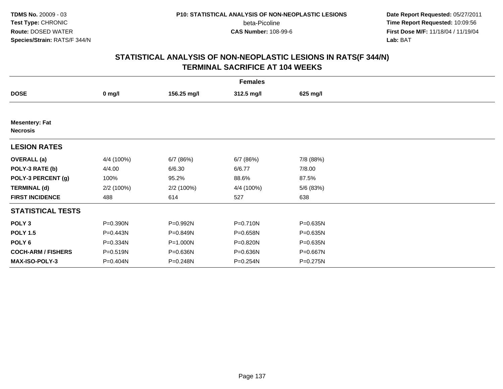**Date Report Requested:** 05/27/2011 **Time Report Requested:** 10:09:56 **First Dose M/F:** 11/18/04 / 11/19/04<br>**Lab:** BAT **Lab:** BAT

| <b>Females</b>                           |            |             |            |           |  |  |
|------------------------------------------|------------|-------------|------------|-----------|--|--|
| <b>DOSE</b>                              | $0$ mg/l   | 156.25 mg/l | 312.5 mg/l | 625 mg/l  |  |  |
|                                          |            |             |            |           |  |  |
| <b>Mesentery: Fat</b><br><b>Necrosis</b> |            |             |            |           |  |  |
| <b>LESION RATES</b>                      |            |             |            |           |  |  |
| <b>OVERALL</b> (a)                       | 4/4 (100%) | 6/7 (86%)   | 6/7(86%)   | 7/8 (88%) |  |  |
| POLY-3 RATE (b)                          | 4/4.00     | 6/6.30      | 6/6.77     | 7/8.00    |  |  |
| POLY-3 PERCENT (g)                       | 100%       | 95.2%       | 88.6%      | 87.5%     |  |  |
| <b>TERMINAL (d)</b>                      | 2/2(100%)  | 2/2 (100%)  | 4/4 (100%) | 5/6 (83%) |  |  |
| <b>FIRST INCIDENCE</b>                   | 488        | 614         | 527        | 638       |  |  |
| <b>STATISTICAL TESTS</b>                 |            |             |            |           |  |  |
| POLY <sub>3</sub>                        | P=0.390N   | P=0.992N    | P=0.710N   | P=0.635N  |  |  |
| <b>POLY 1.5</b>                          | P=0.443N   | P=0.849N    | P=0.658N   | P=0.635N  |  |  |
| POLY <sub>6</sub>                        | P=0.334N   | P=1.000N    | P=0.820N   | P=0.635N  |  |  |
| <b>COCH-ARM / FISHERS</b>                | P=0.519N   | P=0.636N    | P=0.636N   | P=0.667N  |  |  |
| <b>MAX-ISO-POLY-3</b>                    | P=0.404N   | P=0.248N    | P=0.254N   | P=0.275N  |  |  |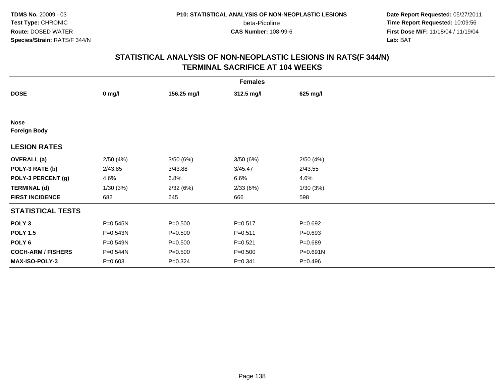**Date Report Requested:** 05/27/2011 **Time Report Requested:** 10:09:56 **First Dose M/F:** 11/18/04 / 11/19/04<br>**Lab:** BAT **Lab:** BAT

| <b>Females</b>                     |             |             |             |             |  |  |
|------------------------------------|-------------|-------------|-------------|-------------|--|--|
| <b>DOSE</b>                        | $0$ mg/l    | 156.25 mg/l | 312.5 mg/l  | 625 mg/l    |  |  |
|                                    |             |             |             |             |  |  |
| <b>Nose</b><br><b>Foreign Body</b> |             |             |             |             |  |  |
| <b>LESION RATES</b>                |             |             |             |             |  |  |
| <b>OVERALL</b> (a)                 | 2/50(4%)    | 3/50(6%)    | 3/50(6%)    | 2/50(4%)    |  |  |
| POLY-3 RATE (b)                    | 2/43.85     | 3/43.88     | 3/45.47     | 2/43.55     |  |  |
| POLY-3 PERCENT (g)                 | 4.6%        | 6.8%        | 6.6%        | 4.6%        |  |  |
| <b>TERMINAL (d)</b>                | 1/30(3%)    | 2/32(6%)    | 2/33(6%)    | 1/30(3%)    |  |  |
| <b>FIRST INCIDENCE</b>             | 682         | 645         | 666         | 598         |  |  |
| <b>STATISTICAL TESTS</b>           |             |             |             |             |  |  |
| POLY <sub>3</sub>                  | P=0.545N    | $P = 0.500$ | $P = 0.517$ | $P = 0.692$ |  |  |
| <b>POLY 1.5</b>                    | P=0.543N    | $P = 0.500$ | $P = 0.511$ | $P = 0.693$ |  |  |
| POLY 6                             | P=0.549N    | $P = 0.500$ | $P = 0.521$ | $P = 0.689$ |  |  |
| <b>COCH-ARM / FISHERS</b>          | P=0.544N    | $P = 0.500$ | $P = 0.500$ | P=0.691N    |  |  |
| MAX-ISO-POLY-3                     | $P = 0.603$ | $P = 0.324$ | $P = 0.341$ | $P = 0.496$ |  |  |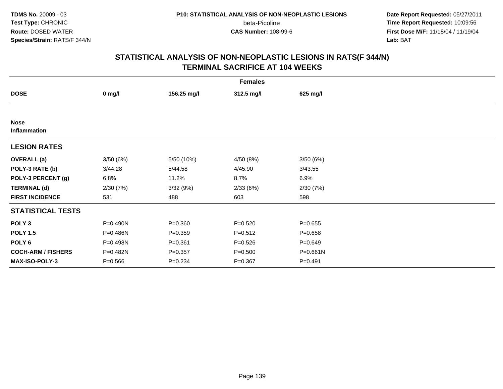**Date Report Requested:** 05/27/2011 **Time Report Requested:** 10:09:56 **First Dose M/F:** 11/18/04 / 11/19/04<br>**Lab:** BAT **Lab:** BAT

|                             | <b>Females</b> |             |             |             |  |  |  |
|-----------------------------|----------------|-------------|-------------|-------------|--|--|--|
| <b>DOSE</b>                 | $0$ mg/l       | 156.25 mg/l | 312.5 mg/l  | 625 mg/l    |  |  |  |
|                             |                |             |             |             |  |  |  |
| <b>Nose</b><br>Inflammation |                |             |             |             |  |  |  |
| <b>LESION RATES</b>         |                |             |             |             |  |  |  |
| <b>OVERALL (a)</b>          | 3/50(6%)       | 5/50 (10%)  | 4/50 (8%)   | 3/50(6%)    |  |  |  |
| POLY-3 RATE (b)             | 3/44.28        | 5/44.58     | 4/45.90     | 3/43.55     |  |  |  |
| POLY-3 PERCENT (g)          | 6.8%           | 11.2%       | 8.7%        | 6.9%        |  |  |  |
| <b>TERMINAL (d)</b>         | 2/30(7%)       | 3/32(9%)    | 2/33(6%)    | 2/30(7%)    |  |  |  |
| <b>FIRST INCIDENCE</b>      | 531            | 488         | 603         | 598         |  |  |  |
| <b>STATISTICAL TESTS</b>    |                |             |             |             |  |  |  |
| POLY <sub>3</sub>           | P=0.490N       | $P = 0.360$ | $P = 0.520$ | $P = 0.655$ |  |  |  |
| <b>POLY 1.5</b>             | P=0.486N       | $P = 0.359$ | $P = 0.512$ | $P = 0.658$ |  |  |  |
| POLY 6                      | P=0.498N       | $P = 0.361$ | $P = 0.526$ | $P = 0.649$ |  |  |  |
| <b>COCH-ARM / FISHERS</b>   | P=0.482N       | $P = 0.357$ | $P = 0.500$ | P=0.661N    |  |  |  |
| MAX-ISO-POLY-3              | $P = 0.566$    | $P = 0.234$ | $P = 0.367$ | $P = 0.491$ |  |  |  |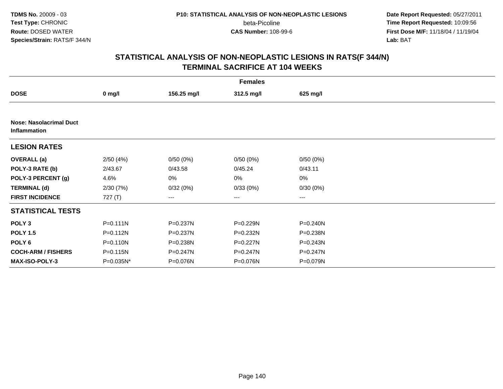**Date Report Requested:** 05/27/2011 **Time Report Requested:** 10:09:56 **First Dose M/F:** 11/18/04 / 11/19/04<br>**Lab:** BAT **Lab:** BAT

|                                                |              |             | <b>Females</b> |              |
|------------------------------------------------|--------------|-------------|----------------|--------------|
| <b>DOSE</b>                                    | $0$ mg/l     | 156.25 mg/l | 312.5 mg/l     | 625 mg/l     |
|                                                |              |             |                |              |
| <b>Nose: Nasolacrimal Duct</b><br>Inflammation |              |             |                |              |
| <b>LESION RATES</b>                            |              |             |                |              |
| <b>OVERALL</b> (a)                             | 2/50(4%)     | 0/50(0%)    | 0/50(0%)       | 0/50(0%)     |
| POLY-3 RATE (b)                                | 2/43.67      | 0/43.58     | 0/45.24        | 0/43.11      |
| POLY-3 PERCENT (g)                             | 4.6%         | 0%          | 0%             | 0%           |
| <b>TERMINAL (d)</b>                            | 2/30(7%)     | 0/32(0%)    | 0/33(0%)       | 0/30(0%)     |
| <b>FIRST INCIDENCE</b>                         | 727(T)       | ---         | ---            | ---          |
| <b>STATISTICAL TESTS</b>                       |              |             |                |              |
| POLY <sub>3</sub>                              | $P = 0.111N$ | P=0.237N    | P=0.229N       | $P = 0.240N$ |
| <b>POLY 1.5</b>                                | P=0.112N     | P=0.237N    | P=0.232N       | P=0.238N     |
| POLY <sub>6</sub>                              | P=0.110N     | P=0.238N    | $P=0.227N$     | $P = 0.243N$ |
| <b>COCH-ARM / FISHERS</b>                      | P=0.115N     | P=0.247N    | $P = 0.247N$   | P=0.247N     |
| <b>MAX-ISO-POLY-3</b>                          | P=0.035N*    | P=0.076N    | P=0.076N       | P=0.079N     |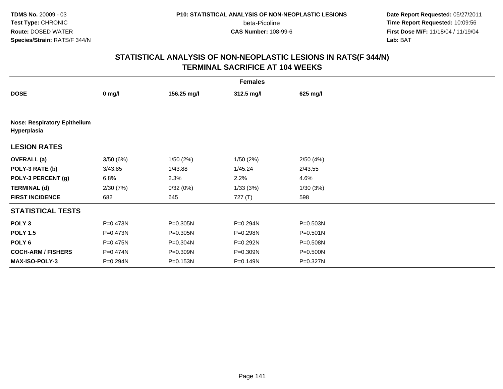**Date Report Requested:** 05/27/2011 **Time Report Requested:** 10:09:56 **First Dose M/F:** 11/18/04 / 11/19/04<br>**Lab:** BAT **Lab:** BAT

|                                                    | <b>Females</b> |              |            |              |  |  |  |
|----------------------------------------------------|----------------|--------------|------------|--------------|--|--|--|
| <b>DOSE</b>                                        | $0$ mg/l       | 156.25 mg/l  | 312.5 mg/l | 625 mg/l     |  |  |  |
|                                                    |                |              |            |              |  |  |  |
| <b>Nose: Respiratory Epithelium</b><br>Hyperplasia |                |              |            |              |  |  |  |
| <b>LESION RATES</b>                                |                |              |            |              |  |  |  |
| <b>OVERALL (a)</b>                                 | 3/50(6%)       | 1/50(2%)     | 1/50(2%)   | 2/50(4%)     |  |  |  |
| POLY-3 RATE (b)                                    | 3/43.85        | 1/43.88      | 1/45.24    | 2/43.55      |  |  |  |
| POLY-3 PERCENT (g)                                 | 6.8%           | 2.3%         | 2.2%       | 4.6%         |  |  |  |
| <b>TERMINAL (d)</b>                                | 2/30(7%)       | 0/32(0%)     | 1/33(3%)   | 1/30(3%)     |  |  |  |
| <b>FIRST INCIDENCE</b>                             | 682            | 645          | 727 (T)    | 598          |  |  |  |
| <b>STATISTICAL TESTS</b>                           |                |              |            |              |  |  |  |
| POLY <sub>3</sub>                                  | P=0.473N       | P=0.305N     | P=0.294N   | P=0.503N     |  |  |  |
| <b>POLY 1.5</b>                                    | P=0.473N       | $P = 0.305N$ | P=0.298N   | $P = 0.501N$ |  |  |  |
| POLY <sub>6</sub>                                  | P=0.475N       | P=0.304N     | P=0.292N   | P=0.508N     |  |  |  |
| <b>COCH-ARM / FISHERS</b>                          | P=0.474N       | P=0.309N     | P=0.309N   | $P = 0.500N$ |  |  |  |
| <b>MAX-ISO-POLY-3</b>                              | P=0.294N       | P=0.153N     | P=0.149N   | P=0.327N     |  |  |  |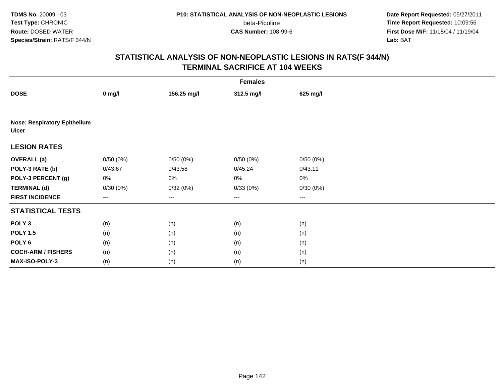**Date Report Requested:** 05/27/2011 **Time Report Requested:** 10:09:56 **First Dose M/F:** 11/18/04 / 11/19/04<br>**Lab:** BAT **Lab:** BAT

| <b>Females</b>                                      |          |             |            |          |  |  |
|-----------------------------------------------------|----------|-------------|------------|----------|--|--|
| <b>DOSE</b>                                         | $0$ mg/l | 156.25 mg/l | 312.5 mg/l | 625 mg/l |  |  |
|                                                     |          |             |            |          |  |  |
| <b>Nose: Respiratory Epithelium</b><br><b>Ulcer</b> |          |             |            |          |  |  |
| <b>LESION RATES</b>                                 |          |             |            |          |  |  |
| <b>OVERALL (a)</b>                                  | 0/50(0%) | 0/50(0%)    | 0/50(0%)   | 0/50(0%) |  |  |
| POLY-3 RATE (b)                                     | 0/43.67  | 0/43.58     | 0/45.24    | 0/43.11  |  |  |
| POLY-3 PERCENT (g)                                  | 0%       | 0%          | 0%         | $0\%$    |  |  |
| <b>TERMINAL (d)</b>                                 | 0/30(0%) | 0/32(0%)    | 0/33(0%)   | 0/30(0%) |  |  |
| <b>FIRST INCIDENCE</b>                              | $--$     | $\cdots$    | $\cdots$   | $\cdots$ |  |  |
| <b>STATISTICAL TESTS</b>                            |          |             |            |          |  |  |
| POLY <sub>3</sub>                                   | (n)      | (n)         | (n)        | (n)      |  |  |
| <b>POLY 1.5</b>                                     | (n)      | (n)         | (n)        | (n)      |  |  |
| POLY <sub>6</sub>                                   | (n)      | (n)         | (n)        | (n)      |  |  |
| <b>COCH-ARM / FISHERS</b>                           | (n)      | (n)         | (n)        | (n)      |  |  |
| MAX-ISO-POLY-3                                      | (n)      | (n)         | (n)        | (n)      |  |  |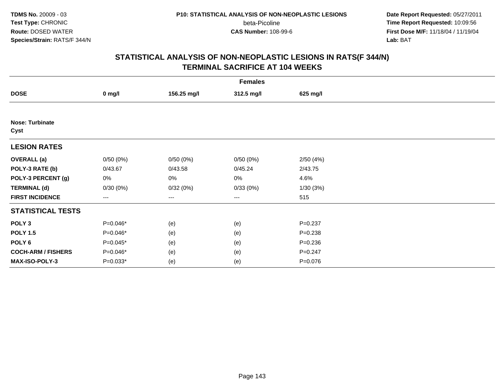**Date Report Requested:** 05/27/2011 **Time Report Requested:** 10:09:56 **First Dose M/F:** 11/18/04 / 11/19/04<br>**Lab:** BAT **Lab:** BAT

| <b>Females</b>                 |                   |             |            |             |  |  |
|--------------------------------|-------------------|-------------|------------|-------------|--|--|
| <b>DOSE</b>                    | $0$ mg/l          | 156.25 mg/l | 312.5 mg/l | 625 mg/l    |  |  |
|                                |                   |             |            |             |  |  |
| <b>Nose: Turbinate</b><br>Cyst |                   |             |            |             |  |  |
| <b>LESION RATES</b>            |                   |             |            |             |  |  |
| <b>OVERALL</b> (a)             | 0/50(0%)          | 0/50(0%)    | 0/50(0%)   | 2/50(4%)    |  |  |
| POLY-3 RATE (b)                | 0/43.67           | 0/43.58     | 0/45.24    | 2/43.75     |  |  |
| POLY-3 PERCENT (g)             | 0%                | 0%          | 0%         | 4.6%        |  |  |
| <b>TERMINAL (d)</b>            | 0/30(0%)          | 0/32(0%)    | 0/33(0%)   | 1/30(3%)    |  |  |
| <b>FIRST INCIDENCE</b>         | $\qquad \qquad -$ | ---         | $\cdots$   | 515         |  |  |
| <b>STATISTICAL TESTS</b>       |                   |             |            |             |  |  |
| POLY <sub>3</sub>              | P=0.046*          | (e)         | (e)        | $P = 0.237$ |  |  |
| <b>POLY 1.5</b>                | P=0.046*          | (e)         | (e)        | $P = 0.238$ |  |  |
| POLY <sub>6</sub>              | P=0.045*          | (e)         | (e)        | $P = 0.236$ |  |  |
| <b>COCH-ARM / FISHERS</b>      | P=0.046*          | (e)         | (e)        | $P = 0.247$ |  |  |
| MAX-ISO-POLY-3                 | $P=0.033*$        | (e)         | (e)        | $P = 0.076$ |  |  |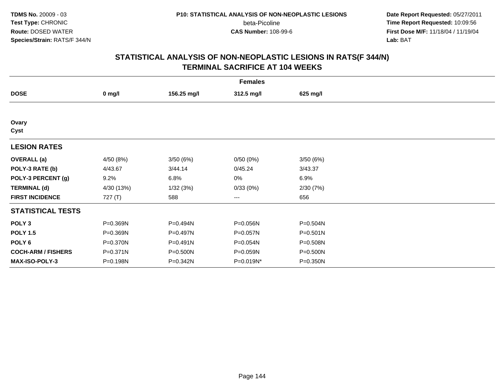**Date Report Requested:** 05/27/2011 **Time Report Requested:** 10:09:56 **First Dose M/F:** 11/18/04 / 11/19/04<br>**Lab:** BAT **Lab:** BAT

| <b>Females</b>            |            |              |            |              |  |  |
|---------------------------|------------|--------------|------------|--------------|--|--|
| <b>DOSE</b>               | $0$ mg/l   | 156.25 mg/l  | 312.5 mg/l | 625 mg/l     |  |  |
|                           |            |              |            |              |  |  |
| Ovary<br>Cyst             |            |              |            |              |  |  |
| <b>LESION RATES</b>       |            |              |            |              |  |  |
| <b>OVERALL</b> (a)        | 4/50 (8%)  | 3/50(6%)     | 0/50(0%)   | 3/50(6%)     |  |  |
| POLY-3 RATE (b)           | 4/43.67    | 3/44.14      | 0/45.24    | 3/43.37      |  |  |
| POLY-3 PERCENT (g)        | 9.2%       | 6.8%         | 0%         | 6.9%         |  |  |
| <b>TERMINAL (d)</b>       | 4/30 (13%) | 1/32(3%)     | 0/33(0%)   | 2/30(7%)     |  |  |
| <b>FIRST INCIDENCE</b>    | 727(T)     | 588          | ---        | 656          |  |  |
| <b>STATISTICAL TESTS</b>  |            |              |            |              |  |  |
| POLY <sub>3</sub>         | P=0.369N   | P=0.494N     | P=0.056N   | P=0.504N     |  |  |
| <b>POLY 1.5</b>           | P=0.369N   | P=0.497N     | P=0.057N   | $P = 0.501N$ |  |  |
| POLY <sub>6</sub>         | P=0.370N   | $P = 0.491N$ | P=0.054N   | P=0.508N     |  |  |
| <b>COCH-ARM / FISHERS</b> | P=0.371N   | P=0.500N     | P=0.059N   | P=0.500N     |  |  |
| MAX-ISO-POLY-3            | P=0.198N   | P=0.342N     | P=0.019N*  | P=0.350N     |  |  |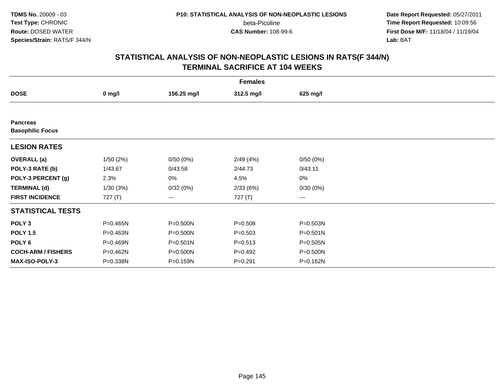**Date Report Requested:** 05/27/2011 **Time Report Requested:** 10:09:56 **First Dose M/F:** 11/18/04 / 11/19/04<br>**Lab:** BAT **Lab:** BAT

|                                            | <b>Females</b> |              |             |          |  |  |  |  |
|--------------------------------------------|----------------|--------------|-------------|----------|--|--|--|--|
| <b>DOSE</b>                                | $0$ mg/l       | 156.25 mg/l  | 312.5 mg/l  | 625 mg/l |  |  |  |  |
|                                            |                |              |             |          |  |  |  |  |
| <b>Pancreas</b><br><b>Basophilic Focus</b> |                |              |             |          |  |  |  |  |
| <b>LESION RATES</b>                        |                |              |             |          |  |  |  |  |
| <b>OVERALL (a)</b>                         | 1/50(2%)       | 0/50(0%)     | 2/49(4%)    | 0/50(0%) |  |  |  |  |
| POLY-3 RATE (b)                            | 1/43.67        | 0/43.58      | 2/44.73     | 0/43.11  |  |  |  |  |
| POLY-3 PERCENT (g)                         | 2.3%           | 0%           | 4.5%        | 0%       |  |  |  |  |
| <b>TERMINAL (d)</b>                        | 1/30(3%)       | 0/32(0%)     | 2/33(6%)    | 0/30(0%) |  |  |  |  |
| <b>FIRST INCIDENCE</b>                     | 727 (T)        | ---          | 727 (T)     | ---      |  |  |  |  |
| <b>STATISTICAL TESTS</b>                   |                |              |             |          |  |  |  |  |
| POLY <sub>3</sub>                          | P=0.465N       | P=0.500N     | $P = 0.508$ | P=0.503N |  |  |  |  |
| <b>POLY 1.5</b>                            | P=0.463N       | P=0.500N     | $P = 0.503$ | P=0.501N |  |  |  |  |
| POLY 6                                     | P=0.469N       | $P = 0.501N$ | $P = 0.513$ | P=0.505N |  |  |  |  |
| <b>COCH-ARM / FISHERS</b>                  | P=0.462N       | P=0.500N     | $P = 0.492$ | P=0.500N |  |  |  |  |
| <b>MAX-ISO-POLY-3</b>                      | P=0.338N       | P=0.159N     | $P = 0.291$ | P=0.162N |  |  |  |  |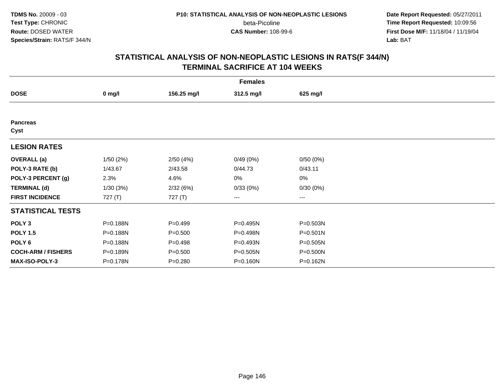**Date Report Requested:** 05/27/2011 **Time Report Requested:** 10:09:56 **First Dose M/F:** 11/18/04 / 11/19/04<br>**Lab:** BAT **Lab:** BAT

| <b>Females</b>            |          |             |            |              |  |  |  |
|---------------------------|----------|-------------|------------|--------------|--|--|--|
| <b>DOSE</b>               | $0$ mg/l | 156.25 mg/l | 312.5 mg/l | 625 mg/l     |  |  |  |
|                           |          |             |            |              |  |  |  |
| <b>Pancreas</b><br>Cyst   |          |             |            |              |  |  |  |
| <b>LESION RATES</b>       |          |             |            |              |  |  |  |
| <b>OVERALL</b> (a)        | 1/50(2%) | 2/50(4%)    | 0/49(0%)   | 0/50(0%)     |  |  |  |
| POLY-3 RATE (b)           | 1/43.67  | 2/43.58     | 0/44.73    | 0/43.11      |  |  |  |
| POLY-3 PERCENT (g)        | 2.3%     | 4.6%        | 0%         | 0%           |  |  |  |
| <b>TERMINAL (d)</b>       | 1/30(3%) | 2/32(6%)    | 0/33(0%)   | 0/30(0%)     |  |  |  |
| <b>FIRST INCIDENCE</b>    | 727(T)   | 727(T)      | ---        | $---$        |  |  |  |
| <b>STATISTICAL TESTS</b>  |          |             |            |              |  |  |  |
| POLY <sub>3</sub>         | P=0.188N | $P=0.499$   | P=0.495N   | P=0.503N     |  |  |  |
| <b>POLY 1.5</b>           | P=0.188N | $P = 0.500$ | P=0.498N   | $P = 0.501N$ |  |  |  |
| POLY 6                    | P=0.188N | $P=0.498$   | P=0.493N   | P=0.505N     |  |  |  |
| <b>COCH-ARM / FISHERS</b> | P=0.189N | $P = 0.500$ | P=0.505N   | P=0.500N     |  |  |  |
| MAX-ISO-POLY-3            | P=0.178N | $P = 0.280$ | P=0.160N   | P=0.162N     |  |  |  |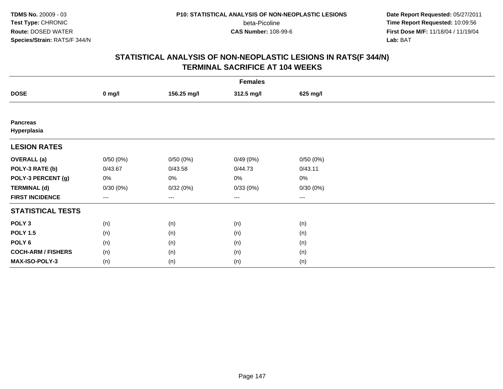**TDMS No.** 20009 - 03**Test Type:** CHRONIC**Route:** DOSED WATER**Species/Strain:** RATS/F 344/N

beta-Picoline<br>CAS Number: 108-99-6

 **Date Report Requested:** 05/27/2011 **Time Report Requested:** 10:09:56 **First Dose M/F:** 11/18/04 / 11/19/04<br>**Lab:** BAT **Lab:** BAT

|                                | <b>Females</b> |             |                        |          |  |  |  |  |
|--------------------------------|----------------|-------------|------------------------|----------|--|--|--|--|
| <b>DOSE</b>                    | $0$ mg/l       | 156.25 mg/l | 312.5 mg/l             | 625 mg/l |  |  |  |  |
|                                |                |             |                        |          |  |  |  |  |
| <b>Pancreas</b><br>Hyperplasia |                |             |                        |          |  |  |  |  |
| <b>LESION RATES</b>            |                |             |                        |          |  |  |  |  |
| <b>OVERALL</b> (a)             | 0/50(0%)       | 0/50(0%)    | 0/49(0%)               | 0/50(0%) |  |  |  |  |
| POLY-3 RATE (b)                | 0/43.67        | 0/43.58     | 0/44.73                | 0/43.11  |  |  |  |  |
| POLY-3 PERCENT (g)             | 0%             | 0%          | $0\%$                  | $0\%$    |  |  |  |  |
| <b>TERMINAL (d)</b>            | 0/30(0%)       | 0/32(0%)    | 0/33(0%)               | 0/30(0%) |  |  |  |  |
| <b>FIRST INCIDENCE</b>         | ---            | $--$        | $\qquad \qquad \cdots$ | $---$    |  |  |  |  |
| <b>STATISTICAL TESTS</b>       |                |             |                        |          |  |  |  |  |
| POLY <sub>3</sub>              | (n)            | (n)         | (n)                    | (n)      |  |  |  |  |
| <b>POLY 1.5</b>                | (n)            | (n)         | (n)                    | (n)      |  |  |  |  |
| POLY 6                         | (n)            | (n)         | (n)                    | (n)      |  |  |  |  |
| <b>COCH-ARM / FISHERS</b>      | (n)            | (n)         | (n)                    | (n)      |  |  |  |  |
| MAX-ISO-POLY-3                 | (n)            | (n)         | (n)                    | (n)      |  |  |  |  |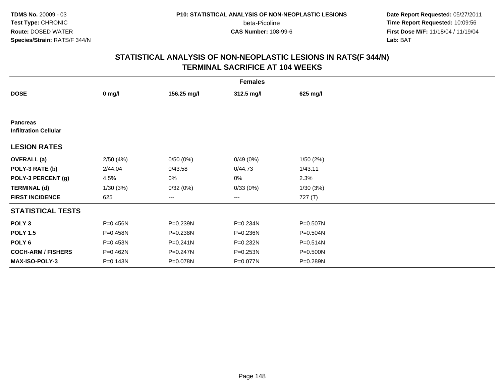**Date Report Requested:** 05/27/2011 **Time Report Requested:** 10:09:56 **First Dose M/F:** 11/18/04 / 11/19/04<br>**Lab:** BAT **Lab:** BAT

|                                                 | <b>Females</b> |              |            |              |  |  |  |  |
|-------------------------------------------------|----------------|--------------|------------|--------------|--|--|--|--|
| <b>DOSE</b>                                     | $0$ mg/l       | 156.25 mg/l  | 312.5 mg/l | 625 mg/l     |  |  |  |  |
|                                                 |                |              |            |              |  |  |  |  |
| <b>Pancreas</b><br><b>Infiltration Cellular</b> |                |              |            |              |  |  |  |  |
| <b>LESION RATES</b>                             |                |              |            |              |  |  |  |  |
| <b>OVERALL</b> (a)                              | 2/50(4%)       | 0/50(0%)     | 0/49(0%)   | 1/50(2%)     |  |  |  |  |
| POLY-3 RATE (b)                                 | 2/44.04        | 0/43.58      | 0/44.73    | 1/43.11      |  |  |  |  |
| POLY-3 PERCENT (g)                              | 4.5%           | 0%           | 0%         | 2.3%         |  |  |  |  |
| <b>TERMINAL (d)</b>                             | 1/30(3%)       | 0/32(0%)     | 0/33(0%)   | 1/30(3%)     |  |  |  |  |
| <b>FIRST INCIDENCE</b>                          | 625            | ---          | ---        | 727 (T)      |  |  |  |  |
| <b>STATISTICAL TESTS</b>                        |                |              |            |              |  |  |  |  |
| POLY <sub>3</sub>                               | P=0.456N       | P=0.239N     | P=0.234N   | P=0.507N     |  |  |  |  |
| <b>POLY 1.5</b>                                 | P=0.458N       | P=0.238N     | P=0.236N   | $P = 0.504N$ |  |  |  |  |
| POLY <sub>6</sub>                               | P=0.453N       | $P = 0.241N$ | P=0.232N   | $P = 0.514N$ |  |  |  |  |
| <b>COCH-ARM / FISHERS</b>                       | P=0.462N       | P=0.247N     | P=0.253N   | P=0.500N     |  |  |  |  |
| <b>MAX-ISO-POLY-3</b>                           | P=0.143N       | P=0.078N     | P=0.077N   | P=0.289N     |  |  |  |  |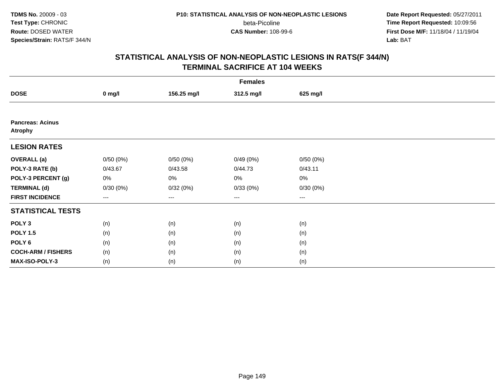**Date Report Requested:** 05/27/2011 **Time Report Requested:** 10:09:56 **First Dose M/F:** 11/18/04 / 11/19/04<br>**Lab:** BAT **Lab:** BAT

|                                           | <b>Females</b>    |             |                        |                        |  |  |  |  |
|-------------------------------------------|-------------------|-------------|------------------------|------------------------|--|--|--|--|
| <b>DOSE</b>                               | $0$ mg/l          | 156.25 mg/l | 312.5 mg/l             | 625 mg/l               |  |  |  |  |
|                                           |                   |             |                        |                        |  |  |  |  |
| <b>Pancreas: Acinus</b><br><b>Atrophy</b> |                   |             |                        |                        |  |  |  |  |
| <b>LESION RATES</b>                       |                   |             |                        |                        |  |  |  |  |
| <b>OVERALL</b> (a)                        | 0/50(0%)          | 0/50(0%)    | 0/49(0%)               | 0/50(0%)               |  |  |  |  |
| POLY-3 RATE (b)                           | 0/43.67           | 0/43.58     | 0/44.73                | 0/43.11                |  |  |  |  |
| POLY-3 PERCENT (g)                        | 0%                | 0%          | 0%                     | $0\%$                  |  |  |  |  |
| <b>TERMINAL (d)</b>                       | 0/30(0%)          | 0/32(0%)    | 0/33(0%)               | 0/30(0%)               |  |  |  |  |
| <b>FIRST INCIDENCE</b>                    | $\qquad \qquad -$ | $--$        | $\qquad \qquad \cdots$ | $\qquad \qquad \cdots$ |  |  |  |  |
| <b>STATISTICAL TESTS</b>                  |                   |             |                        |                        |  |  |  |  |
| POLY <sub>3</sub>                         | (n)               | (n)         | (n)                    | (n)                    |  |  |  |  |
| <b>POLY 1.5</b>                           | (n)               | (n)         | (n)                    | (n)                    |  |  |  |  |
| POLY <sub>6</sub>                         | (n)               | (n)         | (n)                    | (n)                    |  |  |  |  |
| <b>COCH-ARM / FISHERS</b>                 | (n)               | (n)         | (n)                    | (n)                    |  |  |  |  |
| MAX-ISO-POLY-3                            | (n)               | (n)         | (n)                    | (n)                    |  |  |  |  |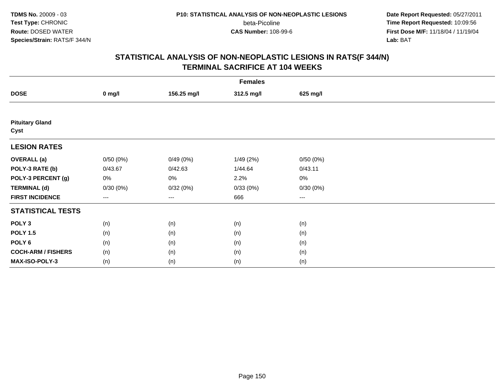**Date Report Requested:** 05/27/2011 **Time Report Requested:** 10:09:56 **First Dose M/F:** 11/18/04 / 11/19/04<br>**Lab:** BAT **Lab:** BAT

|                                | <b>Females</b> |             |            |          |  |  |  |  |
|--------------------------------|----------------|-------------|------------|----------|--|--|--|--|
| <b>DOSE</b>                    | $0$ mg/l       | 156.25 mg/l | 312.5 mg/l | 625 mg/l |  |  |  |  |
|                                |                |             |            |          |  |  |  |  |
| <b>Pituitary Gland</b><br>Cyst |                |             |            |          |  |  |  |  |
| <b>LESION RATES</b>            |                |             |            |          |  |  |  |  |
| <b>OVERALL</b> (a)             | 0/50(0%)       | 0/49(0%)    | 1/49(2%)   | 0/50(0%) |  |  |  |  |
| POLY-3 RATE (b)                | 0/43.67        | 0/42.63     | 1/44.64    | 0/43.11  |  |  |  |  |
| POLY-3 PERCENT (g)             | 0%             | 0%          | 2.2%       | 0%       |  |  |  |  |
| <b>TERMINAL (d)</b>            | 0/30(0%)       | 0/32(0%)    | 0/33(0%)   | 0/30(0%) |  |  |  |  |
| <b>FIRST INCIDENCE</b>         | ---            | $--$        | 666        | $--$     |  |  |  |  |
| <b>STATISTICAL TESTS</b>       |                |             |            |          |  |  |  |  |
| POLY <sub>3</sub>              | (n)            | (n)         | (n)        | (n)      |  |  |  |  |
| <b>POLY 1.5</b>                | (n)            | (n)         | (n)        | (n)      |  |  |  |  |
| POLY <sub>6</sub>              | (n)            | (n)         | (n)        | (n)      |  |  |  |  |
| <b>COCH-ARM / FISHERS</b>      | (n)            | (n)         | (n)        | (n)      |  |  |  |  |
| MAX-ISO-POLY-3                 | (n)            | (n)         | (n)        | (n)      |  |  |  |  |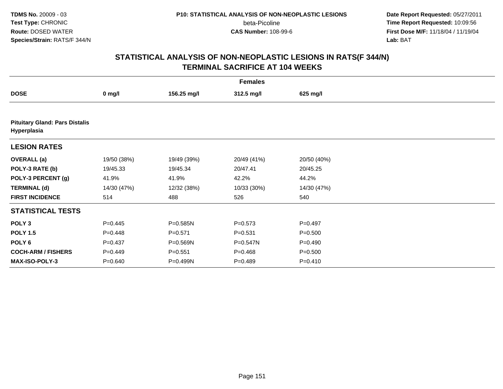**Date Report Requested:** 05/27/2011 **Time Report Requested:** 10:09:56 **First Dose M/F:** 11/18/04 / 11/19/04<br>**Lab:** BAT **Lab:** BAT

| <b>Females</b>                                       |             |             |             |             |  |  |  |  |
|------------------------------------------------------|-------------|-------------|-------------|-------------|--|--|--|--|
| <b>DOSE</b>                                          | $0$ mg/l    | 156.25 mg/l | 312.5 mg/l  | 625 mg/l    |  |  |  |  |
|                                                      |             |             |             |             |  |  |  |  |
| <b>Pituitary Gland: Pars Distalis</b><br>Hyperplasia |             |             |             |             |  |  |  |  |
| <b>LESION RATES</b>                                  |             |             |             |             |  |  |  |  |
| <b>OVERALL</b> (a)                                   | 19/50 (38%) | 19/49 (39%) | 20/49 (41%) | 20/50 (40%) |  |  |  |  |
| POLY-3 RATE (b)                                      | 19/45.33    | 19/45.34    | 20/47.41    | 20/45.25    |  |  |  |  |
| POLY-3 PERCENT (g)                                   | 41.9%       | 41.9%       | 42.2%       | 44.2%       |  |  |  |  |
| <b>TERMINAL (d)</b>                                  | 14/30 (47%) | 12/32 (38%) | 10/33 (30%) | 14/30 (47%) |  |  |  |  |
| <b>FIRST INCIDENCE</b>                               | 514         | 488         | 526         | 540         |  |  |  |  |
| <b>STATISTICAL TESTS</b>                             |             |             |             |             |  |  |  |  |
| POLY <sub>3</sub>                                    | $P=0.445$   | P=0.585N    | $P = 0.573$ | $P=0.497$   |  |  |  |  |
| <b>POLY 1.5</b>                                      | $P = 0.448$ | $P = 0.571$ | $P = 0.531$ | $P = 0.500$ |  |  |  |  |
| POLY <sub>6</sub>                                    | $P = 0.437$ | P=0.569N    | P=0.547N    | $P = 0.490$ |  |  |  |  |
| <b>COCH-ARM / FISHERS</b>                            | $P=0.449$   | $P = 0.551$ | $P=0.468$   | $P = 0.500$ |  |  |  |  |
| <b>MAX-ISO-POLY-3</b>                                | $P = 0.640$ | P=0.499N    | $P=0.489$   | $P = 0.410$ |  |  |  |  |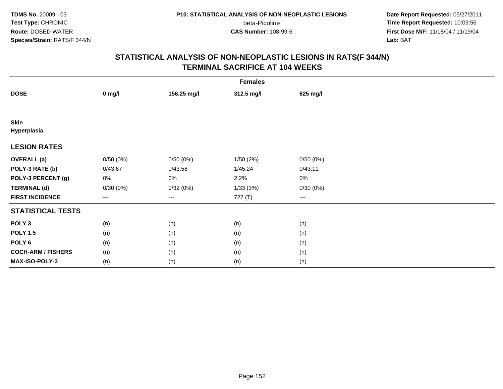**TDMS No.** 20009 - 03**Test Type:** CHRONIC**Route:** DOSED WATER**Species/Strain:** RATS/F 344/N

beta-Picoline<br>CAS Number: 108-99-6

 **Date Report Requested:** 05/27/2011 **Time Report Requested:** 10:09:56 **First Dose M/F:** 11/18/04 / 11/19/04<br>**Lab:** BAT **Lab:** BAT

|                            | <b>Females</b>    |             |            |                        |  |  |  |  |
|----------------------------|-------------------|-------------|------------|------------------------|--|--|--|--|
| <b>DOSE</b>                | $0$ mg/l          | 156.25 mg/l | 312.5 mg/l | 625 mg/l               |  |  |  |  |
|                            |                   |             |            |                        |  |  |  |  |
| <b>Skin</b><br>Hyperplasia |                   |             |            |                        |  |  |  |  |
| <b>LESION RATES</b>        |                   |             |            |                        |  |  |  |  |
| <b>OVERALL</b> (a)         | 0/50(0%)          | 0/50(0%)    | 1/50(2%)   | 0/50(0%)               |  |  |  |  |
| POLY-3 RATE (b)            | 0/43.67           | 0/43.58     | 1/45.24    | 0/43.11                |  |  |  |  |
| POLY-3 PERCENT (g)         | 0%                | 0%          | 2.2%       | $0\%$                  |  |  |  |  |
| <b>TERMINAL (d)</b>        | 0/30(0%)          | 0/32(0%)    | 1/33(3%)   | 0/30(0%)               |  |  |  |  |
| <b>FIRST INCIDENCE</b>     | $\qquad \qquad -$ | $--$        | 727 (T)    | $\qquad \qquad \cdots$ |  |  |  |  |
| <b>STATISTICAL TESTS</b>   |                   |             |            |                        |  |  |  |  |
| POLY <sub>3</sub>          | (n)               | (n)         | (n)        | (n)                    |  |  |  |  |
| <b>POLY 1.5</b>            | (n)               | (n)         | (n)        | (n)                    |  |  |  |  |
| POLY <sub>6</sub>          | (n)               | (n)         | (n)        | (n)                    |  |  |  |  |
| <b>COCH-ARM / FISHERS</b>  | (n)               | (n)         | (n)        | (n)                    |  |  |  |  |
| MAX-ISO-POLY-3             | (n)               | (n)         | (n)        | (n)                    |  |  |  |  |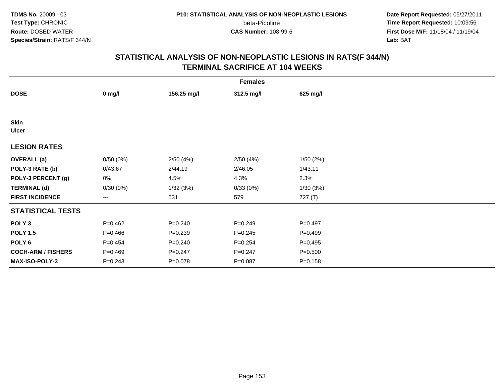**Date Report Requested:** 05/27/2011 **Time Report Requested:** 10:09:56 **First Dose M/F:** 11/18/04 / 11/19/04<br>**Lab:** BAT **Lab:** BAT

|                             | <b>Females</b> |             |             |             |  |  |  |  |
|-----------------------------|----------------|-------------|-------------|-------------|--|--|--|--|
| <b>DOSE</b>                 | $0$ mg/l       | 156.25 mg/l | 312.5 mg/l  | 625 mg/l    |  |  |  |  |
|                             |                |             |             |             |  |  |  |  |
| <b>Skin</b><br><b>Ulcer</b> |                |             |             |             |  |  |  |  |
| <b>LESION RATES</b>         |                |             |             |             |  |  |  |  |
| <b>OVERALL (a)</b>          | 0/50(0%)       | 2/50(4%)    | 2/50(4%)    | 1/50(2%)    |  |  |  |  |
| POLY-3 RATE (b)             | 0/43.67        | 2/44.19     | 2/46.05     | 1/43.11     |  |  |  |  |
| POLY-3 PERCENT (g)          | 0%             | 4.5%        | 4.3%        | 2.3%        |  |  |  |  |
| <b>TERMINAL (d)</b>         | 0/30(0%)       | 1/32(3%)    | 0/33(0%)    | 1/30(3%)    |  |  |  |  |
| <b>FIRST INCIDENCE</b>      | ---            | 531         | 579         | 727 (T)     |  |  |  |  |
| <b>STATISTICAL TESTS</b>    |                |             |             |             |  |  |  |  |
| POLY <sub>3</sub>           | $P=0.462$      | $P = 0.240$ | $P = 0.249$ | $P = 0.497$ |  |  |  |  |
| <b>POLY 1.5</b>             | $P = 0.466$    | $P = 0.239$ | $P = 0.245$ | $P=0.499$   |  |  |  |  |
| POLY <sub>6</sub>           | $P=0.454$      | $P = 0.240$ | $P = 0.254$ | $P=0.495$   |  |  |  |  |
| <b>COCH-ARM / FISHERS</b>   | $P=0.469$      | $P = 0.247$ | $P = 0.247$ | $P = 0.500$ |  |  |  |  |
| MAX-ISO-POLY-3              | $P = 0.243$    | $P = 0.078$ | $P = 0.087$ | $P = 0.158$ |  |  |  |  |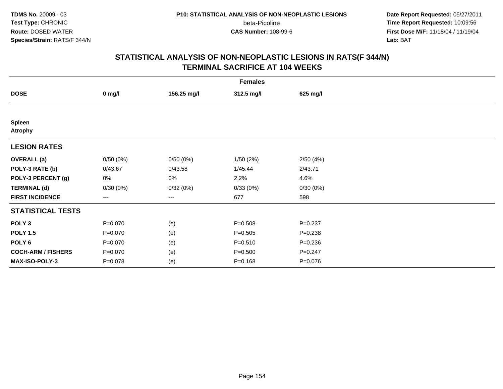**Date Report Requested:** 05/27/2011 **Time Report Requested:** 10:09:56 **First Dose M/F:** 11/18/04 / 11/19/04<br>**Lab:** BAT **Lab:** BAT

| <b>Females</b>            |             |             |             |             |  |  |  |
|---------------------------|-------------|-------------|-------------|-------------|--|--|--|
| <b>DOSE</b>               | $0$ mg/l    | 156.25 mg/l | 312.5 mg/l  | 625 mg/l    |  |  |  |
|                           |             |             |             |             |  |  |  |
| Spleen<br><b>Atrophy</b>  |             |             |             |             |  |  |  |
| <b>LESION RATES</b>       |             |             |             |             |  |  |  |
| <b>OVERALL</b> (a)        | 0/50(0%)    | 0/50(0%)    | 1/50(2%)    | 2/50(4%)    |  |  |  |
| POLY-3 RATE (b)           | 0/43.67     | 0/43.58     | 1/45.44     | 2/43.71     |  |  |  |
| POLY-3 PERCENT (g)        | 0%          | 0%          | 2.2%        | 4.6%        |  |  |  |
| <b>TERMINAL (d)</b>       | 0/30(0%)    | 0/32(0%)    | 0/33(0%)    | 0/30(0%)    |  |  |  |
| <b>FIRST INCIDENCE</b>    | $--$        | ---         | 677         | 598         |  |  |  |
| <b>STATISTICAL TESTS</b>  |             |             |             |             |  |  |  |
| POLY <sub>3</sub>         | $P = 0.070$ | (e)         | $P = 0.508$ | $P = 0.237$ |  |  |  |
| <b>POLY 1.5</b>           | $P = 0.070$ | (e)         | $P = 0.505$ | $P = 0.238$ |  |  |  |
| POLY <sub>6</sub>         | $P = 0.070$ | (e)         | $P = 0.510$ | $P = 0.236$ |  |  |  |
| <b>COCH-ARM / FISHERS</b> | $P = 0.070$ | (e)         | $P = 0.500$ | $P=0.247$   |  |  |  |
| MAX-ISO-POLY-3            | $P = 0.078$ | (e)         | $P = 0.168$ | $P = 0.076$ |  |  |  |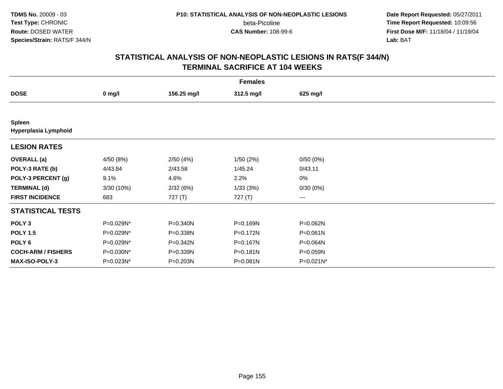**Date Report Requested:** 05/27/2011 **Time Report Requested:** 10:09:56 **First Dose M/F:** 11/18/04 / 11/19/04<br>**Lab:** BAT **Lab:** BAT

| <b>Females</b>                        |            |             |              |           |  |  |  |
|---------------------------------------|------------|-------------|--------------|-----------|--|--|--|
| <b>DOSE</b>                           | $0$ mg/l   | 156.25 mg/l | 312.5 mg/l   | 625 mg/l  |  |  |  |
|                                       |            |             |              |           |  |  |  |
| <b>Spleen</b><br>Hyperplasia Lymphoid |            |             |              |           |  |  |  |
| <b>LESION RATES</b>                   |            |             |              |           |  |  |  |
| <b>OVERALL</b> (a)                    | 4/50 (8%)  | 2/50(4%)    | 1/50(2%)     | 0/50(0%)  |  |  |  |
| POLY-3 RATE (b)                       | 4/43.84    | 2/43.58     | 1/45.24      | 0/43.11   |  |  |  |
| POLY-3 PERCENT (g)                    | 9.1%       | 4.6%        | 2.2%         | $0\%$     |  |  |  |
| <b>TERMINAL (d)</b>                   | 3/30 (10%) | 2/32(6%)    | 1/33(3%)     | 0/30(0%)  |  |  |  |
| <b>FIRST INCIDENCE</b>                | 683        | 727 (T)     | 727 (T)      | ---       |  |  |  |
| <b>STATISTICAL TESTS</b>              |            |             |              |           |  |  |  |
| POLY <sub>3</sub>                     | P=0.029N*  | P=0.340N    | P=0.169N     | P=0.062N  |  |  |  |
| <b>POLY 1.5</b>                       | P=0.029N*  | P=0.338N    | P=0.172N     | P=0.061N  |  |  |  |
| POLY 6                                | P=0.029N*  | P=0.342N    | P=0.167N     | P=0.064N  |  |  |  |
| <b>COCH-ARM / FISHERS</b>             | P=0.030N*  | P=0.339N    | $P = 0.181N$ | P=0.059N  |  |  |  |
| MAX-ISO-POLY-3                        | P=0.023N*  | P=0.203N    | P=0.081N     | P=0.021N* |  |  |  |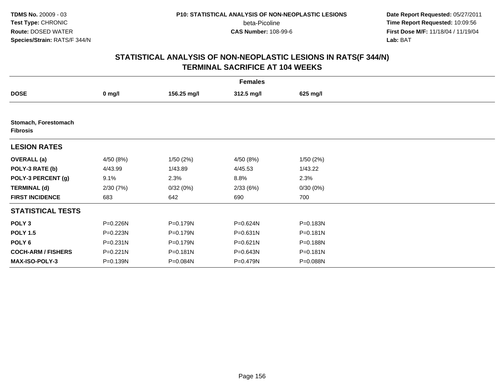**Date Report Requested:** 05/27/2011 **Time Report Requested:** 10:09:56 **First Dose M/F:** 11/18/04 / 11/19/04<br>**Lab:** BAT **Lab:** BAT

| <b>Females</b>                          |              |             |              |          |  |  |  |
|-----------------------------------------|--------------|-------------|--------------|----------|--|--|--|
| <b>DOSE</b>                             | $0$ mg/l     | 156.25 mg/l | 312.5 mg/l   | 625 mg/l |  |  |  |
|                                         |              |             |              |          |  |  |  |
| Stomach, Forestomach<br><b>Fibrosis</b> |              |             |              |          |  |  |  |
| <b>LESION RATES</b>                     |              |             |              |          |  |  |  |
| <b>OVERALL</b> (a)                      | 4/50 (8%)    | 1/50(2%)    | 4/50 (8%)    | 1/50(2%) |  |  |  |
| POLY-3 RATE (b)                         | 4/43.99      | 1/43.89     | 4/45.53      | 1/43.22  |  |  |  |
| POLY-3 PERCENT (g)                      | 9.1%         | 2.3%        | 8.8%         | 2.3%     |  |  |  |
| <b>TERMINAL (d)</b>                     | 2/30(7%)     | 0/32(0%)    | 2/33(6%)     | 0/30(0%) |  |  |  |
| <b>FIRST INCIDENCE</b>                  | 683          | 642         | 690          | 700      |  |  |  |
| <b>STATISTICAL TESTS</b>                |              |             |              |          |  |  |  |
| POLY <sub>3</sub>                       | P=0.226N     | P=0.179N    | P=0.624N     | P=0.183N |  |  |  |
| <b>POLY 1.5</b>                         | P=0.223N     | P=0.179N    | P=0.631N     | P=0.181N |  |  |  |
| POLY 6                                  | $P = 0.231N$ | P=0.179N    | $P = 0.621N$ | P=0.188N |  |  |  |
| <b>COCH-ARM / FISHERS</b>               | P=0.221N     | P=0.181N    | P=0.643N     | P=0.181N |  |  |  |
| <b>MAX-ISO-POLY-3</b>                   | P=0.139N     | P=0.084N    | P=0.479N     | P=0.088N |  |  |  |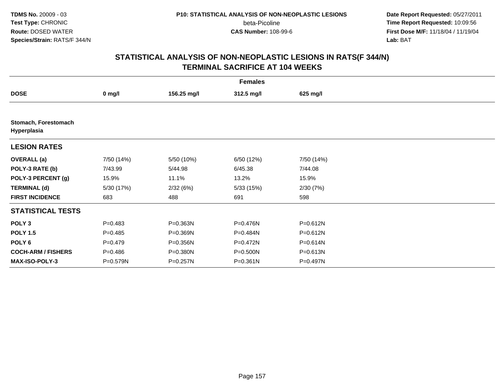**Date Report Requested:** 05/27/2011 **Time Report Requested:** 10:09:56 **First Dose M/F:** 11/18/04 / 11/19/04<br>**Lab:** BAT **Lab:** BAT

|                                     | <b>Females</b> |             |              |              |  |  |
|-------------------------------------|----------------|-------------|--------------|--------------|--|--|
| <b>DOSE</b>                         | $0$ mg/l       | 156.25 mg/l | 312.5 mg/l   | 625 mg/l     |  |  |
|                                     |                |             |              |              |  |  |
| Stomach, Forestomach<br>Hyperplasia |                |             |              |              |  |  |
| <b>LESION RATES</b>                 |                |             |              |              |  |  |
| <b>OVERALL</b> (a)                  | 7/50 (14%)     | 5/50 (10%)  | 6/50 (12%)   | 7/50 (14%)   |  |  |
| POLY-3 RATE (b)                     | 7/43.99        | 5/44.98     | 6/45.38      | 7/44.08      |  |  |
| POLY-3 PERCENT (g)                  | 15.9%          | 11.1%       | 13.2%        | 15.9%        |  |  |
| <b>TERMINAL (d)</b>                 | 5/30 (17%)     | 2/32(6%)    | 5/33(15%)    | 2/30(7%)     |  |  |
| <b>FIRST INCIDENCE</b>              | 683            | 488         | 691          | 598          |  |  |
| <b>STATISTICAL TESTS</b>            |                |             |              |              |  |  |
| POLY <sub>3</sub>                   | $P = 0.483$    | P=0.363N    | P=0.476N     | P=0.612N     |  |  |
| <b>POLY 1.5</b>                     | $P = 0.485$    | P=0.369N    | P=0.484N     | P=0.612N     |  |  |
| POLY <sub>6</sub>                   | $P = 0.479$    | P=0.356N    | $P = 0.472N$ | $P = 0.614N$ |  |  |
| <b>COCH-ARM / FISHERS</b>           | $P = 0.486$    | P=0.380N    | P=0.500N     | P=0.613N     |  |  |
| <b>MAX-ISO-POLY-3</b>               | P=0.579N       | P=0.257N    | $P = 0.361N$ | P=0.497N     |  |  |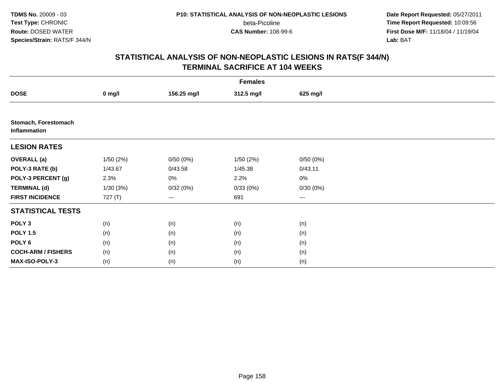**Date Report Requested:** 05/27/2011 **Time Report Requested:** 10:09:56 **First Dose M/F:** 11/18/04 / 11/19/04<br>**Lab:** BAT **Lab:** BAT

|                                      | <b>Females</b> |             |            |          |  |  |
|--------------------------------------|----------------|-------------|------------|----------|--|--|
| <b>DOSE</b>                          | $0$ mg/l       | 156.25 mg/l | 312.5 mg/l | 625 mg/l |  |  |
|                                      |                |             |            |          |  |  |
| Stomach, Forestomach<br>Inflammation |                |             |            |          |  |  |
| <b>LESION RATES</b>                  |                |             |            |          |  |  |
| <b>OVERALL</b> (a)                   | 1/50(2%)       | 0/50(0%)    | 1/50(2%)   | 0/50(0%) |  |  |
| POLY-3 RATE (b)                      | 1/43.67        | 0/43.58     | 1/45.38    | 0/43.11  |  |  |
| POLY-3 PERCENT (g)                   | 2.3%           | 0%          | 2.2%       | 0%       |  |  |
| <b>TERMINAL (d)</b>                  | 1/30(3%)       | 0/32(0%)    | 0/33(0%)   | 0/30(0%) |  |  |
| <b>FIRST INCIDENCE</b>               | 727 (T)        | $--$        | 691        | ---      |  |  |
| <b>STATISTICAL TESTS</b>             |                |             |            |          |  |  |
| POLY <sub>3</sub>                    | (n)            | (n)         | (n)        | (n)      |  |  |
| <b>POLY 1.5</b>                      | (n)            | (n)         | (n)        | (n)      |  |  |
| POLY <sub>6</sub>                    | (n)            | (n)         | (n)        | (n)      |  |  |
| <b>COCH-ARM / FISHERS</b>            | (n)            | (n)         | (n)        | (n)      |  |  |
| MAX-ISO-POLY-3                       | (n)            | (n)         | (n)        | (n)      |  |  |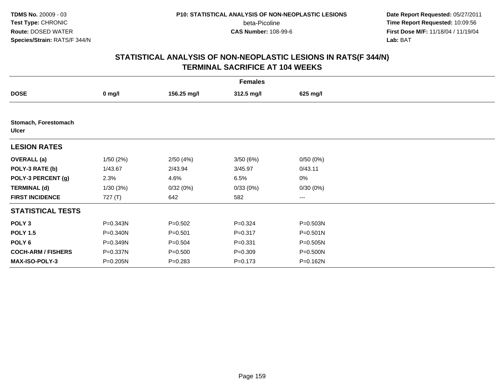**Date Report Requested:** 05/27/2011 **Time Report Requested:** 10:09:56 **First Dose M/F:** 11/18/04 / 11/19/04<br>**Lab:** BAT **Lab:** BAT

|                                      |           |             | <b>Females</b> |              |  |
|--------------------------------------|-----------|-------------|----------------|--------------|--|
| <b>DOSE</b>                          | $0$ mg/l  | 156.25 mg/l | 312.5 mg/l     | 625 mg/l     |  |
|                                      |           |             |                |              |  |
| Stomach, Forestomach<br><b>Ulcer</b> |           |             |                |              |  |
| <b>LESION RATES</b>                  |           |             |                |              |  |
| <b>OVERALL</b> (a)                   | 1/50(2%)  | 2/50(4%)    | 3/50(6%)       | 0/50(0%)     |  |
| POLY-3 RATE (b)                      | 1/43.67   | 2/43.94     | 3/45.97        | 0/43.11      |  |
| POLY-3 PERCENT (g)                   | 2.3%      | 4.6%        | 6.5%           | 0%           |  |
| <b>TERMINAL (d)</b>                  | 1/30(3%)  | 0/32(0%)    | 0/33(0%)       | 0/30(0%)     |  |
| <b>FIRST INCIDENCE</b>               | 727 $(T)$ | 642         | 582            | ---          |  |
| <b>STATISTICAL TESTS</b>             |           |             |                |              |  |
| POLY <sub>3</sub>                    | P=0.343N  | $P = 0.502$ | $P = 0.324$    | P=0.503N     |  |
| <b>POLY 1.5</b>                      | P=0.340N  | $P = 0.501$ | $P = 0.317$    | P=0.501N     |  |
| POLY 6                               | P=0.349N  | $P = 0.504$ | $P = 0.331$    | $P = 0.505N$ |  |
| <b>COCH-ARM / FISHERS</b>            | P=0.337N  | $P = 0.500$ | $P = 0.309$    | P=0.500N     |  |
| MAX-ISO-POLY-3                       | P=0.205N  | $P = 0.283$ | $P = 0.173$    | P=0.162N     |  |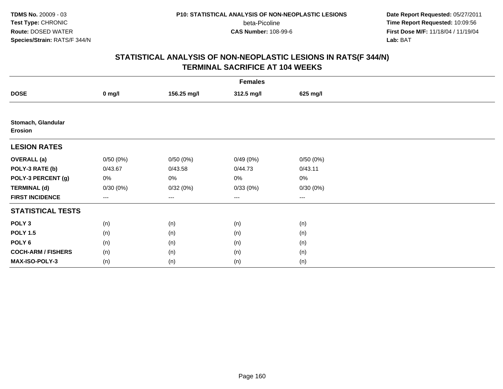**Date Report Requested:** 05/27/2011 **Time Report Requested:** 10:09:56 **First Dose M/F:** 11/18/04 / 11/19/04<br>**Lab:** BAT **Lab:** BAT

|                                      |          |             | <b>Females</b>         |                        |  |
|--------------------------------------|----------|-------------|------------------------|------------------------|--|
| <b>DOSE</b>                          | $0$ mg/l | 156.25 mg/l | 312.5 mg/l             | 625 mg/l               |  |
|                                      |          |             |                        |                        |  |
| Stomach, Glandular<br><b>Erosion</b> |          |             |                        |                        |  |
| <b>LESION RATES</b>                  |          |             |                        |                        |  |
| <b>OVERALL</b> (a)                   | 0/50(0%) | 0/50(0%)    | 0/49(0%)               | 0/50(0%)               |  |
| POLY-3 RATE (b)                      | 0/43.67  | 0/43.58     | 0/44.73                | 0/43.11                |  |
| POLY-3 PERCENT (g)                   | 0%       | 0%          | 0%                     | 0%                     |  |
| <b>TERMINAL (d)</b>                  | 0/30(0%) | 0/32(0%)    | 0/33(0%)               | 0/30(0%)               |  |
| <b>FIRST INCIDENCE</b>               | ---      | ---         | $\qquad \qquad \cdots$ | $\qquad \qquad \cdots$ |  |
| <b>STATISTICAL TESTS</b>             |          |             |                        |                        |  |
| POLY <sub>3</sub>                    | (n)      | (n)         | (n)                    | (n)                    |  |
| <b>POLY 1.5</b>                      | (n)      | (n)         | (n)                    | (n)                    |  |
| POLY <sub>6</sub>                    | (n)      | (n)         | (n)                    | (n)                    |  |
| <b>COCH-ARM / FISHERS</b>            | (n)      | (n)         | (n)                    | (n)                    |  |
| MAX-ISO-POLY-3                       | (n)      | (n)         | (n)                    | (n)                    |  |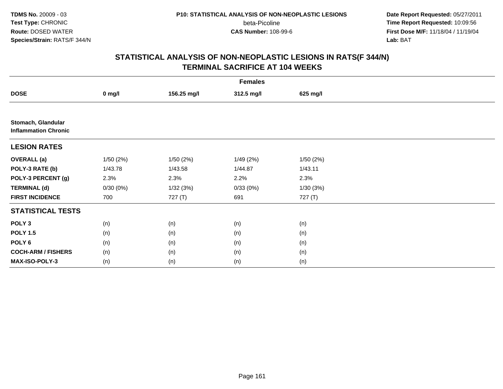**TDMS No.** 20009 - 03**Test Type:** CHRONIC**Route:** DOSED WATER**Species/Strain:** RATS/F 344/N

beta-Picoline<br>CAS Number: 108-99-6

 **Date Report Requested:** 05/27/2011 **Time Report Requested:** 10:09:56 **First Dose M/F:** 11/18/04 / 11/19/04<br>**Lab:** BAT **Lab:** BAT

|                                                   | <b>Females</b> |             |            |          |  |  |
|---------------------------------------------------|----------------|-------------|------------|----------|--|--|
| <b>DOSE</b>                                       | $0$ mg/l       | 156.25 mg/l | 312.5 mg/l | 625 mg/l |  |  |
|                                                   |                |             |            |          |  |  |
| Stomach, Glandular<br><b>Inflammation Chronic</b> |                |             |            |          |  |  |
| <b>LESION RATES</b>                               |                |             |            |          |  |  |
| <b>OVERALL</b> (a)                                | 1/50(2%)       | 1/50(2%)    | 1/49(2%)   | 1/50(2%) |  |  |
| POLY-3 RATE (b)                                   | 1/43.78        | 1/43.58     | 1/44.87    | 1/43.11  |  |  |
| POLY-3 PERCENT (g)                                | 2.3%           | 2.3%        | 2.2%       | 2.3%     |  |  |
| <b>TERMINAL (d)</b>                               | 0/30(0%)       | 1/32(3%)    | 0/33(0%)   | 1/30(3%) |  |  |
| <b>FIRST INCIDENCE</b>                            | 700            | 727 (T)     | 691        | 727 (T)  |  |  |
| <b>STATISTICAL TESTS</b>                          |                |             |            |          |  |  |
| POLY <sub>3</sub>                                 | (n)            | (n)         | (n)        | (n)      |  |  |
| <b>POLY 1.5</b>                                   | (n)            | (n)         | (n)        | (n)      |  |  |
| POLY <sub>6</sub>                                 | (n)            | (n)         | (n)        | (n)      |  |  |
| <b>COCH-ARM / FISHERS</b>                         | (n)            | (n)         | (n)        | (n)      |  |  |
| MAX-ISO-POLY-3                                    | (n)            | (n)         | (n)        | (n)      |  |  |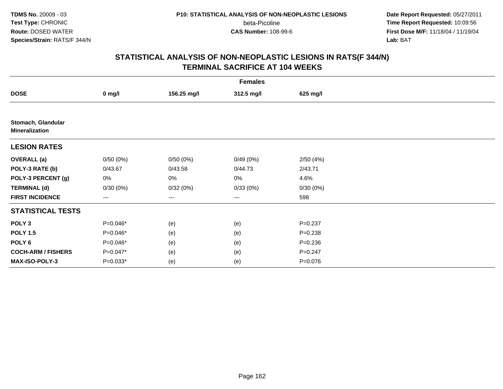**Date Report Requested:** 05/27/2011 **Time Report Requested:** 10:09:56 **First Dose M/F:** 11/18/04 / 11/19/04<br>**Lab:** BAT **Lab:** BAT

|                                             | <b>Females</b> |             |            |             |  |  |
|---------------------------------------------|----------------|-------------|------------|-------------|--|--|
| <b>DOSE</b>                                 | $0$ mg/l       | 156.25 mg/l | 312.5 mg/l | 625 mg/l    |  |  |
|                                             |                |             |            |             |  |  |
| Stomach, Glandular<br><b>Mineralization</b> |                |             |            |             |  |  |
| <b>LESION RATES</b>                         |                |             |            |             |  |  |
| <b>OVERALL</b> (a)                          | 0/50(0%)       | 0/50(0%)    | 0/49(0%)   | 2/50(4%)    |  |  |
| POLY-3 RATE (b)                             | 0/43.67        | 0/43.58     | 0/44.73    | 2/43.71     |  |  |
| POLY-3 PERCENT (g)                          | 0%             | 0%          | 0%         | 4.6%        |  |  |
| <b>TERMINAL (d)</b>                         | 0/30(0%)       | 0/32(0%)    | 0/33(0%)   | 0/30(0%)    |  |  |
| <b>FIRST INCIDENCE</b>                      | ---            | $--$        | ---        | 598         |  |  |
| <b>STATISTICAL TESTS</b>                    |                |             |            |             |  |  |
| POLY <sub>3</sub>                           | P=0.046*       | (e)         | (e)        | $P = 0.237$ |  |  |
| <b>POLY 1.5</b>                             | P=0.046*       | (e)         | (e)        | $P = 0.238$ |  |  |
| POLY <sub>6</sub>                           | P=0.046*       | (e)         | (e)        | $P = 0.236$ |  |  |
| <b>COCH-ARM / FISHERS</b>                   | P=0.047*       | (e)         | (e)        | $P = 0.247$ |  |  |
| MAX-ISO-POLY-3                              | $P=0.033*$     | (e)         | (e)        | $P = 0.076$ |  |  |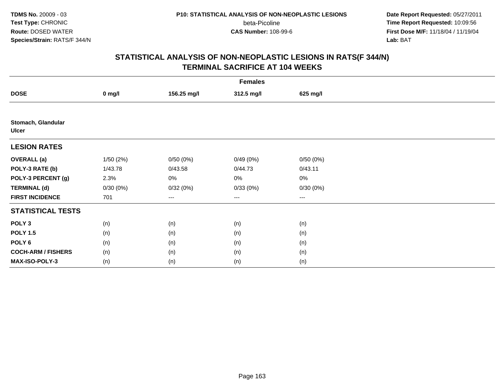**Date Report Requested:** 05/27/2011 **Time Report Requested:** 10:09:56 **First Dose M/F:** 11/18/04 / 11/19/04<br>**Lab:** BAT **Lab:** BAT

|                                    |          |             | <b>Females</b>         |                        |  |
|------------------------------------|----------|-------------|------------------------|------------------------|--|
| <b>DOSE</b>                        | $0$ mg/l | 156.25 mg/l | 312.5 mg/l             | 625 mg/l               |  |
|                                    |          |             |                        |                        |  |
| Stomach, Glandular<br><b>Ulcer</b> |          |             |                        |                        |  |
| <b>LESION RATES</b>                |          |             |                        |                        |  |
| <b>OVERALL</b> (a)                 | 1/50(2%) | 0/50(0%)    | 0/49(0%)               | 0/50(0%)               |  |
| POLY-3 RATE (b)                    | 1/43.78  | 0/43.58     | 0/44.73                | 0/43.11                |  |
| POLY-3 PERCENT (g)                 | 2.3%     | 0%          | 0%                     | 0%                     |  |
| <b>TERMINAL (d)</b>                | 0/30(0%) | 0/32(0%)    | 0/33(0%)               | 0/30(0%)               |  |
| <b>FIRST INCIDENCE</b>             | 701      | $--$        | $\qquad \qquad \cdots$ | $\qquad \qquad \cdots$ |  |
| <b>STATISTICAL TESTS</b>           |          |             |                        |                        |  |
| POLY <sub>3</sub>                  | (n)      | (n)         | (n)                    | (n)                    |  |
| <b>POLY 1.5</b>                    | (n)      | (n)         | (n)                    | (n)                    |  |
| POLY <sub>6</sub>                  | (n)      | (n)         | (n)                    | (n)                    |  |
| <b>COCH-ARM / FISHERS</b>          | (n)      | (n)         | (n)                    | (n)                    |  |
| MAX-ISO-POLY-3                     | (n)      | (n)         | (n)                    | (n)                    |  |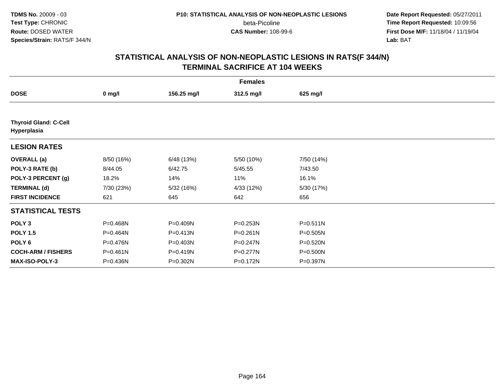**Date Report Requested:** 05/27/2011 **Time Report Requested:** 10:09:56 **First Dose M/F:** 11/18/04 / 11/19/04<br>**Lab:** BAT **Lab:** BAT

|                                             | <b>Females</b> |             |              |              |  |  |
|---------------------------------------------|----------------|-------------|--------------|--------------|--|--|
| <b>DOSE</b>                                 | $0$ mg/l       | 156.25 mg/l | 312.5 mg/l   | 625 mg/l     |  |  |
|                                             |                |             |              |              |  |  |
| <b>Thyroid Gland: C-Cell</b><br>Hyperplasia |                |             |              |              |  |  |
| <b>LESION RATES</b>                         |                |             |              |              |  |  |
| <b>OVERALL</b> (a)                          | 8/50 (16%)     | 6/48 (13%)  | 5/50 (10%)   | 7/50 (14%)   |  |  |
| POLY-3 RATE (b)                             | 8/44.05        | 6/42.75     | 5/45.55      | 7/43.50      |  |  |
| POLY-3 PERCENT (g)                          | 18.2%          | 14%         | 11%          | 16.1%        |  |  |
| <b>TERMINAL (d)</b>                         | 7/30 (23%)     | 5/32 (16%)  | 4/33 (12%)   | 5/30 (17%)   |  |  |
| <b>FIRST INCIDENCE</b>                      | 621            | 645         | 642          | 656          |  |  |
| <b>STATISTICAL TESTS</b>                    |                |             |              |              |  |  |
| POLY <sub>3</sub>                           | P=0.468N       | P=0.409N    | P=0.253N     | $P = 0.511N$ |  |  |
| <b>POLY 1.5</b>                             | P=0.464N       | P=0.413N    | $P = 0.261N$ | $P = 0.505N$ |  |  |
| POLY <sub>6</sub>                           | P=0.476N       | P=0.403N    | $P = 0.247N$ | $P = 0.520N$ |  |  |
| <b>COCH-ARM / FISHERS</b>                   | $P = 0.461N$   | P=0.419N    | P=0.277N     | P=0.500N     |  |  |
| <b>MAX-ISO-POLY-3</b>                       | P=0.436N       | P=0.302N    | P=0.172N     | P=0.397N     |  |  |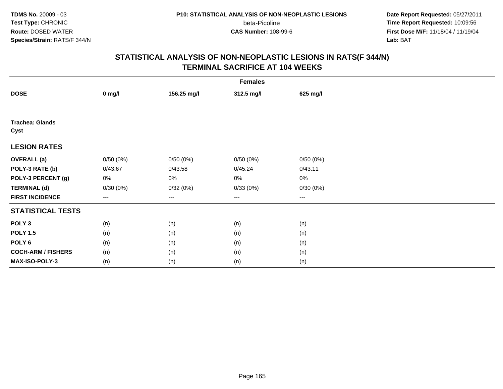**Date Report Requested:** 05/27/2011 **Time Report Requested:** 10:09:56 **First Dose M/F:** 11/18/04 / 11/19/04<br>**Lab:** BAT **Lab:** BAT

|                                |                   |             | <b>Females</b>         |                        |  |
|--------------------------------|-------------------|-------------|------------------------|------------------------|--|
| <b>DOSE</b>                    | $0$ mg/l          | 156.25 mg/l | 312.5 mg/l             | 625 mg/l               |  |
|                                |                   |             |                        |                        |  |
| <b>Trachea: Glands</b><br>Cyst |                   |             |                        |                        |  |
| <b>LESION RATES</b>            |                   |             |                        |                        |  |
| <b>OVERALL</b> (a)             | 0/50(0%)          | 0/50(0%)    | 0/50(0%)               | 0/50(0%)               |  |
| POLY-3 RATE (b)                | 0/43.67           | 0/43.58     | 0/45.24                | 0/43.11                |  |
| POLY-3 PERCENT (g)             | 0%                | 0%          | 0%                     | $0\%$                  |  |
| <b>TERMINAL (d)</b>            | 0/30(0%)          | 0/32(0%)    | 0/33(0%)               | 0/30(0%)               |  |
| <b>FIRST INCIDENCE</b>         | $\qquad \qquad -$ | $--$        | $\qquad \qquad \cdots$ | $\qquad \qquad \cdots$ |  |
| <b>STATISTICAL TESTS</b>       |                   |             |                        |                        |  |
| POLY <sub>3</sub>              | (n)               | (n)         | (n)                    | (n)                    |  |
| <b>POLY 1.5</b>                | (n)               | (n)         | (n)                    | (n)                    |  |
| POLY <sub>6</sub>              | (n)               | (n)         | (n)                    | (n)                    |  |
| <b>COCH-ARM / FISHERS</b>      | (n)               | (n)         | (n)                    | (n)                    |  |
| MAX-ISO-POLY-3                 | (n)               | (n)         | (n)                    | (n)                    |  |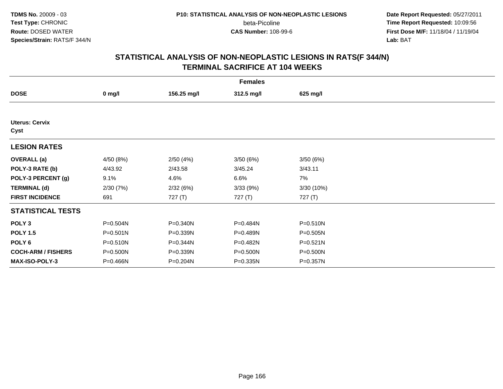**Date Report Requested:** 05/27/2011 **Time Report Requested:** 10:09:56 **First Dose M/F:** 11/18/04 / 11/19/04<br>**Lab:** BAT **Lab:** BAT

|                               | <b>Females</b> |             |            |              |  |  |
|-------------------------------|----------------|-------------|------------|--------------|--|--|
| <b>DOSE</b>                   | $0$ mg/l       | 156.25 mg/l | 312.5 mg/l | 625 mg/l     |  |  |
|                               |                |             |            |              |  |  |
| <b>Uterus: Cervix</b><br>Cyst |                |             |            |              |  |  |
| <b>LESION RATES</b>           |                |             |            |              |  |  |
| <b>OVERALL</b> (a)            | 4/50 (8%)      | 2/50(4%)    | 3/50(6%)   | 3/50(6%)     |  |  |
| POLY-3 RATE (b)               | 4/43.92        | 2/43.58     | 3/45.24    | 3/43.11      |  |  |
| POLY-3 PERCENT (g)            | 9.1%           | 4.6%        | 6.6%       | 7%           |  |  |
| <b>TERMINAL (d)</b>           | 2/30(7%)       | 2/32(6%)    | 3/33(9%)   | 3/30(10%)    |  |  |
| <b>FIRST INCIDENCE</b>        | 691            | 727 (T)     | 727 (T)    | 727 (T)      |  |  |
| <b>STATISTICAL TESTS</b>      |                |             |            |              |  |  |
| POLY <sub>3</sub>             | P=0.504N       | P=0.340N    | P=0.484N   | P=0.510N     |  |  |
| <b>POLY 1.5</b>               | P=0.501N       | P=0.339N    | P=0.489N   | P=0.505N     |  |  |
| POLY 6                        | $P = 0.510N$   | P=0.344N    | P=0.482N   | $P = 0.521N$ |  |  |
| <b>COCH-ARM / FISHERS</b>     | P=0.500N       | P=0.339N    | P=0.500N   | P=0.500N     |  |  |
| <b>MAX-ISO-POLY-3</b>         | P=0.466N       | P=0.204N    | P=0.335N   | P=0.357N     |  |  |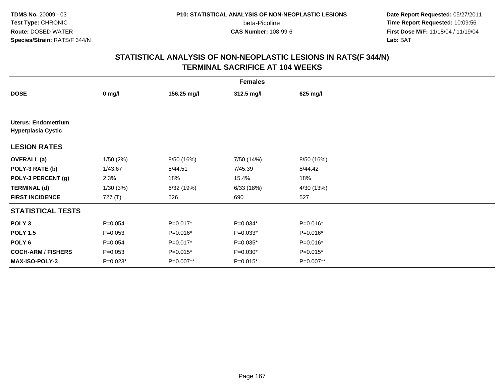**Date Report Requested:** 05/27/2011 **Time Report Requested:** 10:09:56 **First Dose M/F:** 11/18/04 / 11/19/04<br>**Lab:** BAT **Lab:** BAT

|                                                         | <b>Females</b>   |             |            |            |  |
|---------------------------------------------------------|------------------|-------------|------------|------------|--|
| <b>DOSE</b>                                             | $0 \text{ mg/l}$ | 156.25 mg/l | 312.5 mg/l | 625 mg/l   |  |
|                                                         |                  |             |            |            |  |
| <b>Uterus: Endometrium</b><br><b>Hyperplasia Cystic</b> |                  |             |            |            |  |
| <b>LESION RATES</b>                                     |                  |             |            |            |  |
| <b>OVERALL</b> (a)                                      | 1/50(2%)         | 8/50 (16%)  | 7/50 (14%) | 8/50 (16%) |  |
| POLY-3 RATE (b)                                         | 1/43.67          | 8/44.51     | 7/45.39    | 8/44.42    |  |
| POLY-3 PERCENT (g)                                      | 2.3%             | 18%         | 15.4%      | 18%        |  |
| <b>TERMINAL (d)</b>                                     | 1/30(3%)         | 6/32 (19%)  | 6/33(18%)  | 4/30 (13%) |  |
| <b>FIRST INCIDENCE</b>                                  | 727 (T)          | 526         | 690        | 527        |  |
| <b>STATISTICAL TESTS</b>                                |                  |             |            |            |  |
| POLY <sub>3</sub>                                       | $P = 0.054$      | $P=0.017*$  | $P=0.034*$ | P=0.016*   |  |
| <b>POLY 1.5</b>                                         | $P = 0.053$      | P=0.016*    | $P=0.033*$ | P=0.016*   |  |
| POLY 6                                                  | $P = 0.054$      | P=0.017*    | $P=0.035*$ | P=0.016*   |  |
| <b>COCH-ARM / FISHERS</b>                               | $P = 0.053$      | $P=0.015*$  | $P=0.030*$ | $P=0.015*$ |  |
| <b>MAX-ISO-POLY-3</b>                                   | $P=0.023*$       | P=0.007**   | $P=0.015*$ | P=0.007**  |  |